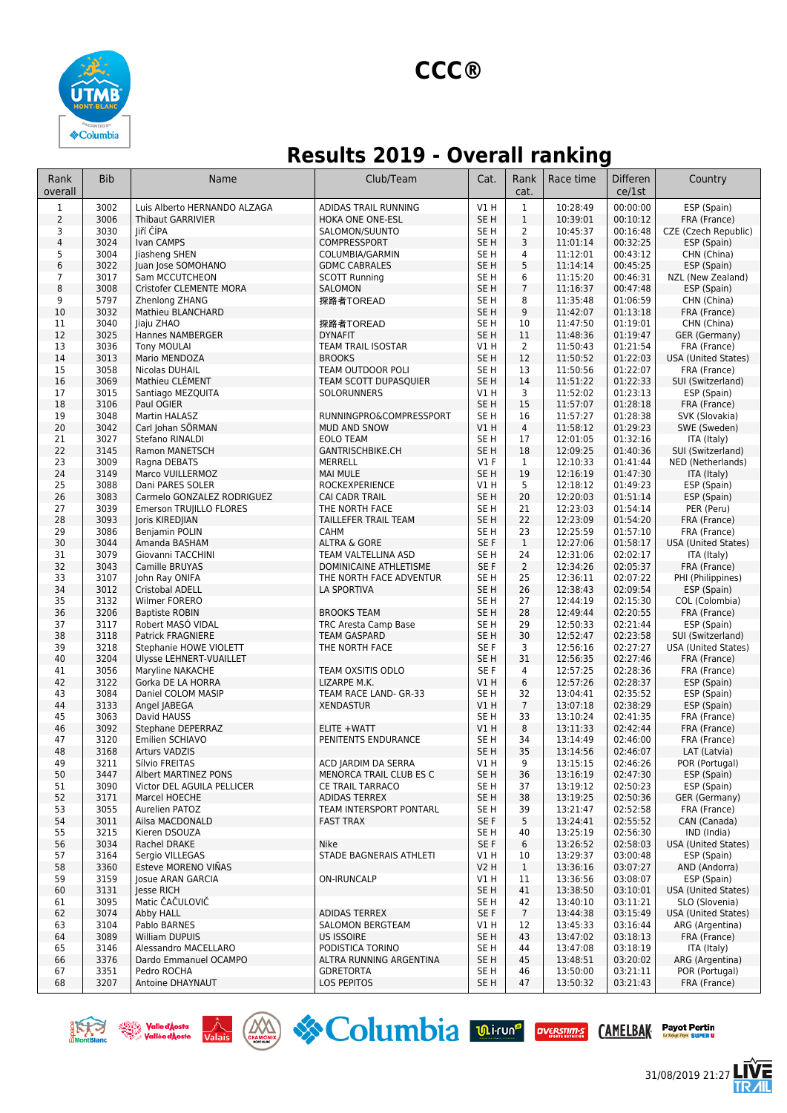

## **Results 2019 - Overall ranking**

| Rank<br>overall              | <b>Bib</b>   | Name                                          | Club/Team                                   | Cat.                               | Rank<br>cat.          | Race time            | <b>Differen</b><br>ce/1st | Country                                      |
|------------------------------|--------------|-----------------------------------------------|---------------------------------------------|------------------------------------|-----------------------|----------------------|---------------------------|----------------------------------------------|
| 1                            | 3002         | Luis Alberto HERNANDO ALZAGA                  | ADIDAS TRAIL RUNNING                        | V1H                                | $\mathbf{1}$          | 10:28:49             | 00:00:00                  | ESP (Spain)                                  |
| $\overline{2}$               | 3006         | <b>Thibaut GARRIVIER</b>                      | HOKA ONE ONE-ESL                            | SE <sub>H</sub>                    | $\mathbf{1}$          | 10:39:01             | 00:10:12                  | FRA (France)                                 |
| 3                            | 3030         | liří ČÍPA                                     | SALOMON/SUUNTO                              | SE H                               | $\overline{2}$        | 10:45:37             | 00:16:48                  | CZE (Czech Republic)                         |
| $\overline{\mathbf{4}}$<br>5 | 3024<br>3004 | Ivan CAMPS<br>Jiasheng SHEN                   | COMPRESSPORT<br>COLUMBIA/GARMIN             | SE <sub>H</sub><br>SE H            | 3<br>$\overline{4}$   | 11:01:14<br>11:12:01 | 00:32:25<br>00:43:12      | ESP (Spain)<br>CHN (China)                   |
| 6                            | 3022         | Juan Jose SOMOHANO                            | <b>GDMC CABRALES</b>                        | SE <sub>H</sub>                    | 5                     | 11:14:14             | 00:45:25                  | ESP (Spain)                                  |
| $\overline{7}$               | 3017         | Sam MCCUTCHEON                                | <b>SCOTT Running</b>                        | SE <sub>H</sub>                    | 6                     | 11:15:20             | 00:46:31                  | NZL (New Zealand)                            |
| 8                            | 3008         | Cristofer CLEMENTE MORA                       | SALOMON                                     | SE <sub>H</sub>                    | $\overline{7}$        | 11:16:37             | 00:47:48                  | ESP (Spain)                                  |
| 9                            | 5797         | Zhenlong ZHANG                                | 探路者TOREAD                                   | SE <sub>H</sub>                    | 8                     | 11:35:48             | 01:06:59                  | CHN (China)                                  |
| 10                           | 3032         | Mathieu BLANCHARD                             |                                             | SE <sub>H</sub>                    | $9\,$                 | 11:42:07             | 01:13:18                  | FRA (France)                                 |
| 11                           | 3040         | liaju ZHAO                                    | 探路者TOREAD                                   | SE H                               | 10                    | 11:47:50             | 01:19:01                  | CHN (China)                                  |
| 12<br>13                     | 3025<br>3036 | Hannes NAMBERGER<br><b>Tony MOULAI</b>        | <b>DYNAFIT</b><br>TEAM TRAIL ISOSTAR        | SE <sub>H</sub><br>V1 H            | 11<br>$\overline{2}$  | 11:48:36<br>11:50:43 | 01:19:47<br>01:21:54      | GER (Germany)<br>FRA (France)                |
| 14                           | 3013         | Mario MENDOZA                                 | <b>BROOKS</b>                               | SE <sub>H</sub>                    | 12                    | 11:50:52             | 01:22:03                  | USA (United States)                          |
| 15                           | 3058         | Nicolas DUHAIL                                | TEAM OUTDOOR POLI                           | SE H                               | 13                    | 11:50:56             | 01:22:07                  | FRA (France)                                 |
| 16                           | 3069         | Mathieu CLÉMENT                               | TEAM SCOTT DUPASQUIER                       | SE <sub>H</sub>                    | 14                    | 11:51:22             | 01:22:33                  | SUI (Switzerland)                            |
| 17                           | 3015         | Santiago MEZQUITA                             | SOLORUNNERS                                 | V1H                                | 3                     | 11:52:02             | 01:23:13                  | ESP (Spain)                                  |
| 18                           | 3106         | Paul OGIER                                    |                                             | SE <sub>H</sub>                    | 15                    | 11:57:07             | 01:28:18                  | FRA (France)                                 |
| 19                           | 3048         | Martin HALASZ                                 | RUNNINGPRO&COMPRESSPORT                     | SE <sub>H</sub>                    | 16                    | 11:57:27             | 01:28:38                  | SVK (Slovakia)                               |
| 20<br>21                     | 3042<br>3027 | Carl Johan SÖRMAN<br>Stefano RINALDI          | <b>MUD AND SNOW</b><br><b>EOLO TEAM</b>     | V1H<br>SE H                        | $\overline{4}$<br>17  | 11:58:12<br>12:01:05 | 01:29:23<br>01:32:16      | SWE (Sweden)<br>ITA (Italy)                  |
| 22                           | 3145         | Ramon MANETSCH                                | GANTRISCHBIKE.CH                            | SE <sub>H</sub>                    | 18                    | 12:09:25             | 01:40:36                  | SUI (Switzerland)                            |
| 23                           | 3009         | Ragna DEBATS                                  | MERRELL                                     | $VI$ F                             | $\mathbf{1}$          | 12:10:33             | 01:41:44                  | NED (Netherlands)                            |
| 24                           | 3149         | Marco VUILLERMOZ                              | MAI MULE                                    | SE <sub>H</sub>                    | 19                    | 12:16:19             | 01:47:30                  | ITA (Italy)                                  |
| 25                           | 3088         | Dani PARES SOLER                              | <b>ROCKEXPERIENCE</b>                       | V1H                                | 5                     | 12:18:12             | 01:49:23                  | ESP (Spain)                                  |
| 26                           | 3083         | Carmelo GONZALEZ RODRIGUEZ                    | <b>CAI CADR TRAIL</b>                       | SE <sub>H</sub>                    | 20                    | 12:20:03             | 01:51:14                  | ESP (Spain)                                  |
| 27                           | 3039         | Emerson TRUJILLO FLORES                       | THE NORTH FACE                              | SE H                               | 21                    | 12:23:03             | 01:54:14                  | PER (Peru)                                   |
| 28                           | 3093         | Joris KIREDJIAN                               | <b>TAILLEFER TRAIL TEAM</b>                 | SE <sub>H</sub>                    | 22                    | 12:23:09             | 01:54:20                  | FRA (France)                                 |
| 29<br>30                     | 3086<br>3044 | Benjamin POLIN<br>Amanda BASHAM               | <b>CAHM</b><br>ALTRA & GORE                 | SE H<br>SE F                       | 23<br>$\mathbf{1}$    | 12:25:59<br>12:27:06 | 01:57:10<br>01:58:17      | FRA (France)<br>USA (United States)          |
| 31                           | 3079         | Giovanni TACCHINI                             | TEAM VALTELLINA ASD                         | SE <sub>H</sub>                    | 24                    | 12:31:06             | 02:02:17                  | ITA (Italy)                                  |
| 32                           | 3043         | Camille BRUYAS                                | DOMINICAINE ATHLETISME                      | SE F                               | $\overline{2}$        | 12:34:26             | 02:05:37                  | FRA (France)                                 |
| 33                           | 3107         | John Ray ONIFA                                | THE NORTH FACE ADVENTUR                     | SE H                               | 25                    | 12:36:11             | 02:07:22                  | PHI (Philippines)                            |
| 34                           | 3012         | Cristobal ADELL                               | LA SPORTIVA                                 | SE <sub>H</sub>                    | 26                    | 12:38:43             | 02:09:54                  | ESP (Spain)                                  |
| 35                           | 3132         | Wilmer FORERO                                 |                                             | SE <sub>H</sub>                    | 27                    | 12:44:19             | 02:15:30                  | COL (Colombia)                               |
| 36                           | 3206         | <b>Baptiste ROBIN</b>                         | <b>BROOKS TEAM</b>                          | SE <sub>H</sub>                    | 28                    | 12:49:44             | 02:20:55                  | FRA (France)                                 |
| 37<br>38                     | 3117<br>3118 | Robert MASO VIDAL<br><b>Patrick FRAGNIERE</b> | TRC Aresta Camp Base<br><b>TEAM GASPARD</b> | SE <sub>H</sub><br>SE <sub>H</sub> | 29<br>30              | 12:50:33<br>12:52:47 | 02:21:44<br>02:23:58      | ESP (Spain)<br>SUI (Switzerland)             |
| 39                           | 3218         | Stephanie HOWE VIOLETT                        | THE NORTH FACE                              | SE F                               | 3                     | 12:56:16             | 02:27:27                  | <b>USA (United States)</b>                   |
| 40                           | 3204         | Ulysse LEHNERT-VUAILLET                       |                                             | SE <sub>H</sub>                    | 31                    | 12:56:35             | 02:27:46                  | FRA (France)                                 |
| 41                           | 3056         | Maryline NAKACHE                              | TEAM OXSITIS ODLO                           | SE F                               | 4                     | 12:57:25             | 02:28:36                  | FRA (France)                                 |
| 42                           | 3122         | Gorka DE LA HORRA                             | LIZARPE M.K.                                | V1H                                | 6                     | 12:57:26             | 02:28:37                  | ESP (Spain)                                  |
| 43                           | 3084         | Daniel COLOM MASIP                            | TEAM RACE LAND- GR-33                       | SE <sub>H</sub>                    | 32                    | 13:04:41             | 02:35:52                  | ESP (Spain)                                  |
| 44                           | 3133<br>3063 | Angel JABEGA                                  | <b>XENDASTUR</b>                            | VIH<br>SE <sub>H</sub>             | $7\overline{ }$<br>33 | 13:07:18             | 02:38:29<br>02:41:35      | ESP (Spain)                                  |
| 45<br>46                     | 3092         | David HAUSS<br>Stephane DEPERRAZ              | ELITE +WATT                                 | VIH                                | 8                     | 13:10:24<br>13:11:33 | 02:42:44                  | FRA (France)<br>FRA (France)                 |
| 47                           | 3120         | Emilien SCHIAVO                               | PENITENTS ENDURANCE                         | SE <sub>H</sub>                    | 34                    | 13:14:49             | 02:46:00                  | FRA (France)                                 |
| 48                           | 3168         | <b>Arturs VADZIS</b>                          |                                             | SE <sub>H</sub>                    | 35                    | 13:14:56             | 02:46:07                  | LAT (Latvia)                                 |
| 49                           | 3211         | Silvio FREITAS                                | ACD JARDIM DA SERRA                         | V1 H                               | 9                     | 13:15:15             | 02:46:26                  | POR (Portugal)                               |
| 50                           | 3447         | Albert MARTINEZ PONS                          | MENORCA TRAIL CLUB ES C                     | SE <sub>H</sub>                    | 36                    | 13:16:19             | 02:47:30                  | ESP (Spain)                                  |
| 51                           | 3090         | Victor DEL AGUILA PELLICER                    | <b>CE TRAIL TARRACO</b>                     | SE <sub>H</sub>                    | 37                    | 13:19:12             | 02:50:23                  | ESP (Spain)                                  |
| 52<br>53                     | 3171<br>3055 | Marcel HOECHE                                 | ADIDAS TERREX                               | SE H<br>SE H                       | 38<br>39              | 13:19:25<br>13:21:47 | 02:50:36<br>02:52:58      | GER (Germany)<br>FRA (France)                |
| 54                           | 3011         | Aurelien PATOZ<br>Ailsa MACDONALD             | TEAM INTERSPORT PONTARL<br><b>FAST TRAX</b> | SE F                               | 5                     | 13:24:41             | 02:55:52                  | CAN (Canada)                                 |
| 55                           | 3215         | Kieren DSOUZA                                 |                                             | SE <sub>H</sub>                    | 40                    | 13:25:19             | 02:56:30                  | IND (India)                                  |
| 56                           | 3034         | Rachel DRAKE                                  | Nike                                        | SE F                               | 6                     | 13:26:52             | 02:58:03                  | USA (United States)                          |
| 57                           | 3164         | Sergio VILLEGAS                               | STADE BAGNERAIS ATHLETI                     | V1 H                               | 10                    | 13:29:37             | 03:00:48                  | ESP (Spain)                                  |
| 58                           | 3360         | Esteve MORENO VIÑAS                           |                                             | V2 H                               | $\mathbf{1}$          | 13:36:16             | 03:07:27                  | AND (Andorra)                                |
| 59                           | 3159         | Josue ARAN GARCIA                             | ON-IRUNCALP                                 | V1 H                               | 11                    | 13:36:56             | 03:08:07                  | ESP (Spain)                                  |
| 60                           | 3131         | <b>Jesse RICH</b><br>Matic ČAČULOVIČ          |                                             | SE H                               | 41                    | 13:38:50             | 03:10:01                  | USA (United States)                          |
| 61<br>62                     | 3095<br>3074 | Abby HALL                                     | ADIDAS TERREX                               | SE H<br>SE F                       | 42<br>$7\overline{ }$ | 13:40:10<br>13:44:38 | 03:11:21<br>03:15:49      | SLO (Slovenia)<br><b>USA (United States)</b> |
| 63                           | 3104         | Pablo BARNES                                  | <b>SALOMON BERGTEAM</b>                     | V1 H                               | 12                    | 13:45:33             | 03:16:44                  | ARG (Argentina)                              |
| 64                           | 3089         | William DUPUIS                                | US ISSOIRE                                  | SE H                               | 43                    | 13:47:02             | 03:18:13                  | FRA (France)                                 |
| 65                           | 3146         | Alessandro MACELLARO                          | PODISTICA TORINO                            | SE H                               | 44                    | 13:47:08             | 03:18:19                  | ITA (Italy)                                  |
| 66                           | 3376         | Dardo Emmanuel OCAMPO                         | ALTRA RUNNING ARGENTINA                     | SE <sub>H</sub>                    | 45                    | 13:48:51             | 03:20:02                  | ARG (Argentina)                              |
| 67                           | 3351         | Pedro ROCHA                                   | <b>GDRETORTA</b>                            | SE <sub>H</sub>                    | 46                    | 13:50:00             | 03:21:11                  | POR (Portugal)                               |
| 68                           | 3207         | Antoine DHAYNAUT                              | LOS PEPITOS                                 | SE H                               | 47                    | 13:50:32             | 03:21:43                  | FRA (France)                                 |







31/08/2019 21:27

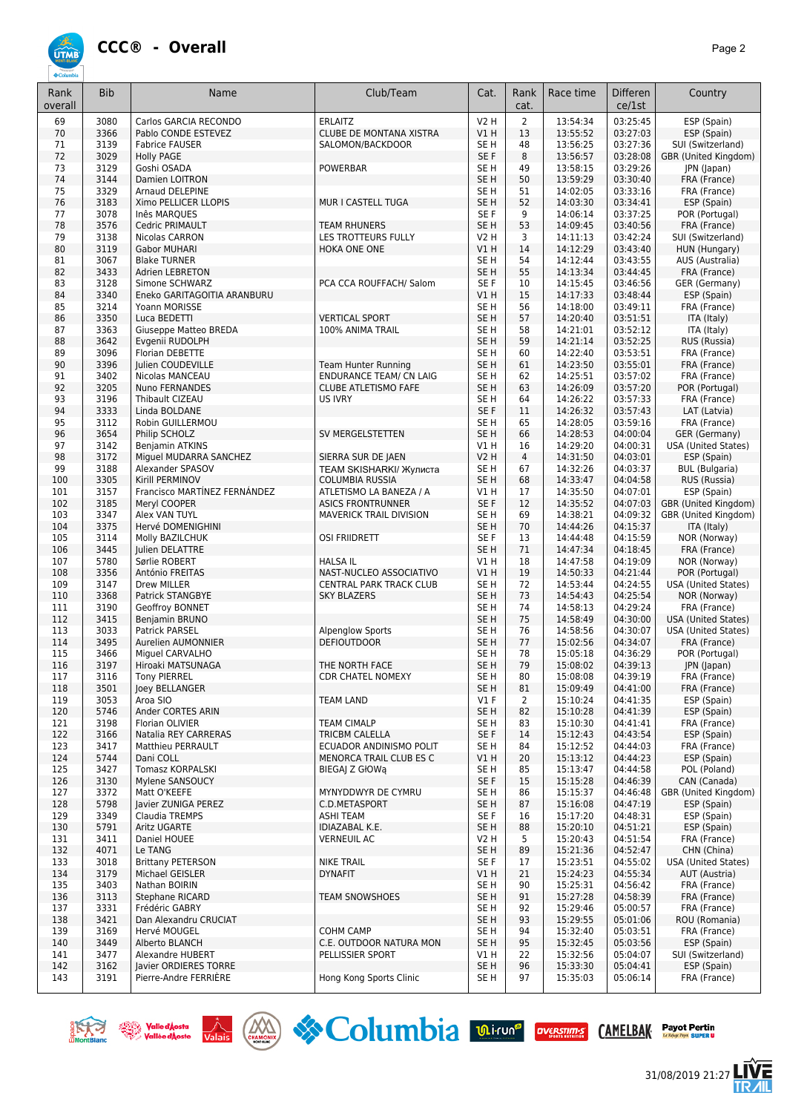

| Rank<br>overall | <b>Bib</b>   | Name                                    | Club/Team                      | Cat.                               | Rank<br>cat.   | Race time            | <b>Differen</b><br>ce/1st | Country                                     |
|-----------------|--------------|-----------------------------------------|--------------------------------|------------------------------------|----------------|----------------------|---------------------------|---------------------------------------------|
| 69              | 3080         | Carlos GARCIA RECONDO                   | <b>ERLAITZ</b>                 | <b>V2 H</b>                        | $\overline{2}$ | 13:54:34             | 03:25:45                  | ESP (Spain)                                 |
| 70              | 3366         | Pablo CONDE ESTEVEZ                     | <b>CLUBE DE MONTANA XISTRA</b> | VIH                                | 13             | 13:55:52             | 03:27:03                  | ESP (Spain)                                 |
| 71              | 3139         | <b>Fabrice FAUSER</b>                   | SALOMON/BACKDOOR               | SE H                               | 48             | 13:56:25             | 03:27:36                  | SUI (Switzerland)                           |
| 72              | 3029         | <b>Holly PAGE</b>                       |                                | SE F                               | 8              | 13:56:57             | 03:28:08                  | GBR (United Kingdom)                        |
| 73              | 3129         | Goshi OSADA                             | <b>POWERBAR</b>                | SE H                               | 49             | 13:58:15             | 03:29:26                  | <b>JPN</b> (Japan)                          |
| 74              | 3144         | Damien LOITRON                          |                                | SE <sub>H</sub>                    | 50             | 13:59:29             | 03:30:40                  | FRA (France)                                |
| 75<br>76        | 3329<br>3183 | Arnaud DELEPINE<br>Ximo PELLICER LLOPIS | MUR I CASTELL TUGA             | SE <sub>H</sub><br>SE <sub>H</sub> | 51<br>52       | 14:02:05<br>14:03:30 | 03:33:16<br>03:34:41      | FRA (France)<br>ESP (Spain)                 |
| 77              | 3078         | Inês MARQUES                            |                                | SE F                               | 9              | 14:06:14             | 03:37:25                  | POR (Portugal)                              |
| 78              | 3576         | Cedric PRIMAULT                         | <b>TEAM RHUNERS</b>            | SE <sub>H</sub>                    | 53             | 14:09:45             | 03:40:56                  | FRA (France)                                |
| 79              | 3138         | Nicolas CARRON                          | LES TROTTEURS FULLY            | V2 H                               | 3              | 14:11:13             | 03:42:24                  | SUI (Switzerland)                           |
| 80              | 3119         | <b>Gabor MUHARI</b>                     | HOKA ONE ONE                   | VIH                                | 14             | 14:12:29             | 03:43:40                  | HUN (Hungary)                               |
| 81              | 3067         | <b>Blake TURNER</b>                     |                                | SE <sub>H</sub>                    | 54             | 14:12:44             | 03:43:55                  | AUS (Australia)                             |
| 82              | 3433         | <b>Adrien LEBRETON</b>                  |                                | SE <sub>H</sub>                    | 55             | 14:13:34             | 03:44:45                  | FRA (France)                                |
| 83              | 3128         | Simone SCHWARZ                          | PCA CCA ROUFFACH/ Salom        | SE F                               | 10             | 14:15:45             | 03:46:56                  | GER (Germany)                               |
| 84              | 3340         | Eneko GARITAGOITIA ARANBURU             |                                | VIH                                | 15             | 14:17:33             | 03:48:44                  | ESP (Spain)                                 |
| 85<br>86        | 3214<br>3350 | Yoann MORISSE<br>Luca BEDETTI           | <b>VERTICAL SPORT</b>          | SE H<br>SE <sub>H</sub>            | 56<br>57       | 14:18:00<br>14:20:40 | 03:49:11<br>03:51:51      | FRA (France)<br>ITA (Italy)                 |
| 87              | 3363         | Giuseppe Matteo BREDA                   | 100% ANIMA TRAIL               | SE H                               | 58             | 14:21:01             | 03:52:12                  | ITA (Italy)                                 |
| 88              | 3642         | Evgenii RUDOLPH                         |                                | SE <sub>H</sub>                    | 59             | 14:21:14             | 03:52:25                  | RUS (Russia)                                |
| 89              | 3096         | Florian DEBETTE                         |                                | SE H                               | 60             | 14:22:40             | 03:53:51                  | FRA (France)                                |
| 90              | 3396         | <b>Iulien COUDEVILLE</b>                | <b>Team Hunter Running</b>     | SE <sub>H</sub>                    | 61             | 14:23:50             | 03:55:01                  | FRA (France)                                |
| 91              | 3402         | Nicolas MANCEAU                         | <b>ENDURANCE TEAM/ CN LAIG</b> | SE H                               | 62             | 14:25:51             | 03:57:02                  | FRA (France)                                |
| 92              | 3205         | <b>Nuno FERNANDES</b>                   | <b>CLUBE ATLETISMO FAFE</b>    | SE H                               | 63             | 14:26:09             | 03:57:20                  | POR (Portugal)                              |
| 93              | 3196         | Thibault CIZEAU                         | <b>US IVRY</b>                 | SE <sub>H</sub>                    | 64             | 14:26:22             | 03:57:33                  | FRA (France)                                |
| 94              | 3333         | Linda BOLDANE                           |                                | SE F                               | 11             | 14:26:32             | 03:57:43                  | LAT (Latvia)                                |
| 95              | 3112         | Robin GUILLERMOU                        |                                | SE <sub>H</sub>                    | 65             | 14:28:05             | 03:59:16                  | FRA (France)                                |
| 96<br>97        | 3654<br>3142 | Philip SCHOLZ<br>Benjamin ATKINS        | SV MERGELSTETTEN               | SE <sub>H</sub><br>V1 H            | 66<br>16       | 14:28:53<br>14:29:20 | 04:00:04<br>04:00:31      | GER (Germany)<br><b>USA (United States)</b> |
| 98              | 3172         | Miguel MUDARRA SANCHEZ                  | SIERRA SUR DE JAEN             | <b>V2 H</b>                        | $\overline{4}$ | 14:31:50             | 04:03:01                  | ESP (Spain)                                 |
| 99              | 3188         | Alexander SPASOV                        | <b>TEAM SKISHARKI/ Жулиста</b> | SE <sub>H</sub>                    | 67             | 14:32:26             | 04:03:37                  | <b>BUL</b> (Bulgaria)                       |
| 100             | 3305         | Kirill PERMINOV                         | COLUMBIA RUSSIA                | SE <sub>H</sub>                    | 68             | 14:33:47             | 04:04:58                  | RUS (Russia)                                |
| 101             | 3157         | Francisco MARTÍNEZ FERNÁNDEZ            | ATLETISMO LA BANEZA / A        | V1H                                | 17             | 14:35:50             | 04:07:01                  | ESP (Spain)                                 |
| 102             | 3185         | Meryl COOPER                            | <b>ASICS FRONTRUNNER</b>       | SE F                               | 12             | 14:35:52             | 04:07:03                  | GBR (United Kingdom)                        |
| 103             | 3347         | Alex VAN TUYL                           | <b>MAVERICK TRAIL DIVISION</b> | SE H                               | 69             | 14:38:21             | 04:09:32                  | GBR (United Kingdom)                        |
| 104             | 3375         | Hervé DOMENIGHINI                       |                                | SE <sub>H</sub>                    | 70             | 14:44:26             | 04:15:37                  | ITA (Italy)                                 |
| 105             | 3114         | Molly BAZILCHUK                         | <b>OSI FRIIDRETT</b>           | SE F                               | 13             | 14:44:48             | 04:15:59                  | NOR (Norway)                                |
| 106<br>107      | 3445<br>5780 | Julien DELATTRE<br>Sørlie ROBERT        | <b>HALSA IL</b>                | SE <sub>H</sub><br>V1H             | 71<br>18       | 14:47:34<br>14:47:58 | 04:18:45<br>04:19:09      | FRA (France)<br>NOR (Norway)                |
| 108             | 3356         | António FREITAS                         | NAST-NUCLEO ASSOCIATIVO        | V1H                                | 19             | 14:50:33             | 04:21:44                  | POR (Portugal)                              |
| 109             | 3147         | Drew MILLER                             | CENTRAL PARK TRACK CLUB        | SE H                               | 72             | 14:53:44             | 04:24:55                  | <b>USA (United States)</b>                  |
| 110             | 3368         | Patrick STANGBYE                        | <b>SKY BLAZERS</b>             | SE <sub>H</sub>                    | 73             | 14:54:43             | 04:25:54                  | NOR (Norway)                                |
| 111             | 3190         | Geoffroy BONNET                         |                                | SE H                               | 74             | 14:58:13             | 04:29:24                  | FRA (France)                                |
| 112             | 3415         | Benjamin BRUNO                          |                                | SE <sub>H</sub>                    | 75             | 14:58:49             | 04:30:00                  | <b>USA (United States)</b>                  |
| 113             | 3033         | Patrick PARSEL                          | <b>Alpenglow Sports</b>        | SE H                               | 76             | 14:58:56             | 04:30:07                  | <b>USA (United States)</b>                  |
| 114             | 3495         | Aurelien AUMONNIER                      | <b>DEFIOUTDOOR</b>             | SE <sub>H</sub>                    | 77<br>78       | 15:02:56             | 04:34:07                  | FRA (France)                                |
| 115<br>116      | 3466<br>3197 | Miguel CARVALHO<br>Hiroaki MATSUNAGA    | THE NORTH FACE                 | SE H<br>SE <sub>H</sub>            | 79             | 15:05:18<br>15:08:02 | 04:36:29<br>04:39:13      | POR (Portugal)<br>JPN (Japan)               |
| 117             | 3116         | <b>Tony PIERREL</b>                     | <b>CDR CHATEL NOMEXY</b>       | SE H                               | 80             | 15:08:08             | 04:39:19                  | FRA (France)                                |
| 118             | 3501         | loey BELLANGER                          |                                | SE <sub>H</sub>                    | 81             | 15:09:49             | 04:41:00                  | FRA (France)                                |
| 119             | 3053         | Aroa SIO                                | <b>TEAM LAND</b>               | V1F                                | 2              | 15:10:24             | 04:41:35                  | ESP (Spain)                                 |
| 120             | 5746         | Ander CORTES ARIN                       |                                | SE <sub>H</sub>                    | 82             | 15:10:28             | 04:41:39                  | ESP (Spain)                                 |
| 121             | 3198         | Florian OLIVIER                         | <b>TEAM CIMALP</b>             | SE H                               | 83             | 15:10:30             | 04:41:41                  | FRA (France)                                |
| 122             | 3166         | Natalia REY CARRERAS                    | TRICBM CALELLA                 | SE F                               | 14             | 15:12:43             | 04:43:54                  | ESP (Spain)                                 |
| 123             | 3417         | Matthieu PERRAULT                       | ECUADOR ANDINISMO POLIT        | SE H                               | 84             | 15:12:52             | 04:44:03                  | FRA (France)                                |
| 124<br>125      | 5744<br>3427 | Dani COLL<br><b>Tomasz KORPALSKI</b>    | <b>MENORCA TRAIL CLUB ES C</b> | V1 H<br>SE <sub>H</sub>            | 20<br>85       | 15:13:12<br>15:13:47 | 04:44:23<br>04:44:58      | ESP (Spain)<br>POL (Poland)                 |
| 126             | 3130         | Mylene SANSOUCY                         | BIEGAJ Z GłOWą                 | SE F                               | 15             | 15:15:28             | 04:46:39                  | CAN (Canada)                                |
| 127             | 3372         | Matt O'KEEFE                            | MYNYDDWYR DE CYMRU             | SE H                               | 86             | 15:15:37             | 04:46:48                  | GBR (United Kingdom)                        |
| 128             | 5798         | Javier ZUNIGA PEREZ                     | C.D.METASPORT                  | SE H                               | 87             | 15:16:08             | 04:47:19                  | ESP (Spain)                                 |
| 129             | 3349         | Claudia TREMPS                          | ASHI TEAM                      | SE F                               | 16             | 15:17:20             | 04:48:31                  | ESP (Spain)                                 |
| 130             | 5791         | Aritz UGARTE                            | IDIAZABAL K.E.                 | SE H                               | 88             | 15:20:10             | 04:51:21                  | ESP (Spain)                                 |
| 131             | 3411         | Daniel HOUEE                            | <b>VERNEUIL AC</b>             | V2 H                               | 5              | 15:20:43             | 04:51:54                  | FRA (France)                                |
| 132             | 4071         | Le TANG                                 |                                | SE <sub>H</sub>                    | 89             | 15:21:36             | 04:52:47                  | CHN (China)                                 |
| 133             | 3018         | <b>Brittany PETERSON</b>                | <b>NIKE TRAIL</b>              | SE F                               | 17             | 15:23:51             | 04:55:02                  | <b>USA (United States)</b>                  |
| 134<br>135      | 3179<br>3403 | Michael GEISLER<br>Nathan BOIRIN        | <b>DYNAFIT</b>                 | V1 H<br>SE H                       | 21<br>90       | 15:24:23<br>15:25:31 | 04:55:34<br>04:56:42      | AUT (Austria)<br>FRA (France)               |
| 136             | 3113         | <b>Stephane RICARD</b>                  | <b>TEAM SNOWSHOES</b>          | SE <sub>H</sub>                    | 91             | 15:27:28             | 04:58:39                  | FRA (France)                                |
| 137             | 3331         | Frédéric GABRY                          |                                | SE H                               | 92             | 15:29:46             | 05:00:57                  | FRA (France)                                |
| 138             | 3421         | Dan Alexandru CRUCIAT                   |                                | SE H                               | 93             | 15:29:55             | 05:01:06                  | ROU (Romania)                               |
| 139             | 3169         | Hervé MOUGEL                            | <b>COHM CAMP</b>               | SE H                               | 94             | 15:32:40             | 05:03:51                  | FRA (France)                                |
| 140             | 3449         | Alberto BLANCH                          | C.E. OUTDOOR NATURA MON        | SE <sub>H</sub>                    | 95             | 15:32:45             | 05:03:56                  | ESP (Spain)                                 |
| 141             | 3477         | Alexandre HUBERT                        | PELLISSIER SPORT               | V1 H                               | 22             | 15:32:56             | 05:04:07                  | SUI (Switzerland)                           |
| 142             | 3162         | Javier ORDIERES TORRE                   |                                | SE H                               | 96             | 15:33:30             | 05:04:41                  | ESP (Spain)                                 |
| 143             | 3191         | Pierre-Andre FERRIERE                   | Hong Kong Sports Clinic        | SE H                               | 97             | 15:35:03             | 05:06:14                  | FRA (France)                                |







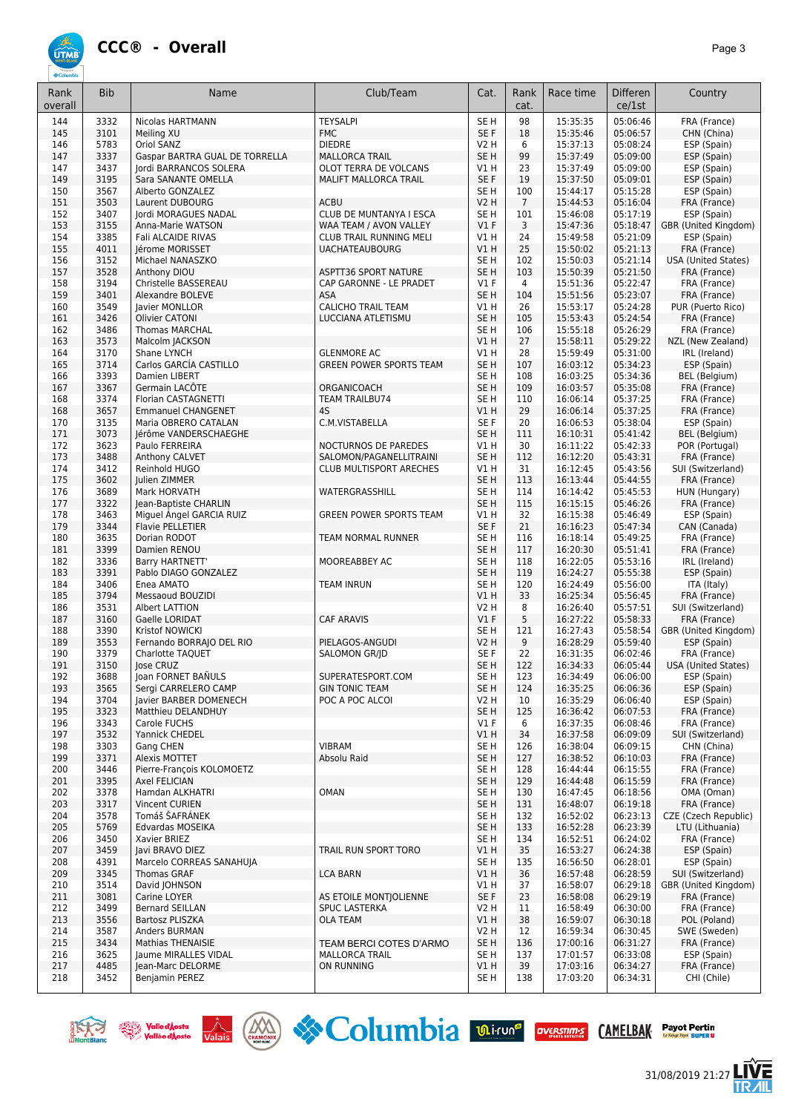

| Rank<br>overall | <b>Bib</b>   | Name                                              | Club/Team                                        | Cat.                    | Rank<br>cat.    | Race time            | <b>Differen</b><br>ce/1st | Country                                    |
|-----------------|--------------|---------------------------------------------------|--------------------------------------------------|-------------------------|-----------------|----------------------|---------------------------|--------------------------------------------|
| 144             | 3332         | <b>Nicolas HARTMANN</b>                           | <b>TEYSALPI</b>                                  | SE <sub>H</sub>         | 98              | 15:35:35             | 05:06:46                  | FRA (France)                               |
| 145             | 3101         | Meiling XU                                        | <b>FMC</b>                                       | SE F                    | 18              | 15:35:46             | 05:06:57                  | CHN (China)                                |
| 146             | 5783         | Oriol SANZ                                        | <b>DIEDRE</b>                                    | V2 H                    | 6               | 15:37:13             | 05:08:24                  | ESP (Spain)                                |
| 147<br>147      | 3337<br>3437 | Gaspar BARTRA GUAL DE TORRELLA                    | <b>MALLORCA TRAIL</b><br>OLOT TERRA DE VOLCANS   | SE <sub>H</sub>         | 99<br>23        | 15:37:49<br>15:37:49 | 05:09:00<br>05:09:00      | ESP (Spain)                                |
| 149             | 3195         | Jordi BARRANCOS SOLERA<br>Sara SANANTE OMELLA     | MALIFT MALLORCA TRAIL                            | V1 H<br>SE F            | 19              | 15:37:50             | 05:09:01                  | ESP (Spain)<br>ESP (Spain)                 |
| 150             | 3567         | Alberto GONZALEZ                                  |                                                  | SE <sub>H</sub>         | 100             | 15:44:17             | 05:15:28                  | ESP (Spain)                                |
| 151             | 3503         | Laurent DUBOURG                                   | <b>ACBU</b>                                      | <b>V2 H</b>             | $7\overline{ }$ | 15:44:53             | 05:16:04                  | FRA (France)                               |
| 152             | 3407         | Jordi MORAGUES NADAL                              | <b>CLUB DE MUNTANYA I ESCA</b>                   | SE <sub>H</sub>         | 101             | 15:46:08             | 05:17:19                  | ESP (Spain)                                |
| 153             | 3155         | Anna-Marie WATSON                                 | WAA TEAM / AVON VALLEY                           | $VI$ F                  | 3               | 15:47:36             | 05:18:47                  | GBR (United Kingdom)                       |
| 154             | 3385<br>4011 | Fali ALCAIDE RIVAS<br>Jérome MORISSET             | CLUB TRAIL RUNNING MELI                          | V1H<br>V1H              | 24<br>25        | 15:49:58             | 05:21:09<br>05:21:13      | ESP (Spain)                                |
| 155<br>156      | 3152         | Michael NANASZKO                                  | <b>UACHATEAUBOURG</b>                            | SE <sub>H</sub>         | 102             | 15:50:02<br>15:50:03 | 05:21:14                  | FRA (France)<br><b>USA (United States)</b> |
| 157             | 3528         | Anthony DIOU                                      | <b>ASPTT36 SPORT NATURE</b>                      | SE <sub>H</sub>         | 103             | 15:50:39             | 05:21:50                  | FRA (France)                               |
| 158             | 3194         | Christelle BASSEREAU                              | CAP GARONNE - LE PRADET                          | $VI$ F                  | $\overline{4}$  | 15:51:36             | 05:22:47                  | FRA (France)                               |
| 159             | 3401         | Alexandre BOLEVE                                  | <b>ASA</b>                                       | SE <sub>H</sub>         | 104             | 15:51:56             | 05:23:07                  | FRA (France)                               |
| 160             | 3549         | Javier MONLLOR                                    | <b>CALICHO TRAIL TEAM</b>                        | V1H                     | 26              | 15:53:17             | 05:24:28                  | PUR (Puerto Rico)                          |
| 161             | 3426         | Olivier CATONI                                    | LUCCIANA ATLETISMU                               | SE <sub>H</sub>         | 105             | 15:53:43             | 05:24:54<br>05:26:29      | FRA (France)                               |
| 162<br>163      | 3486<br>3573 | <b>Thomas MARCHAL</b><br>Malcolm JACKSON          |                                                  | SE <sub>H</sub><br>V1H  | 106<br>27       | 15:55:18<br>15:58:11 | 05:29:22                  | FRA (France)<br>NZL (New Zealand)          |
| 164             | 3170         | Shane LYNCH                                       | <b>GLENMORE AC</b>                               | V1H                     | 28              | 15:59:49             | 05:31:00                  | IRL (Ireland)                              |
| 165             | 3714         | Carlos GARCÍA CASTILLO                            | <b>GREEN POWER SPORTS TEAM</b>                   | SE <sub>H</sub>         | 107             | 16:03:12             | 05:34:23                  | ESP (Spain)                                |
| 166             | 3393         | Damien LIBERT                                     |                                                  | SE <sub>H</sub>         | 108             | 16:03:25             | 05:34:36                  | <b>BEL</b> (Belgium)                       |
| 167             | 3367         | Germain LACOTE                                    | ORGANICOACH                                      | SE <sub>H</sub>         | 109             | 16:03:57             | 05:35:08                  | FRA (France)                               |
| 168             | 3374         | Florian CASTAGNETTI                               | <b>TEAM TRAILBU74</b>                            | SE <sub>H</sub>         | 110             | 16:06:14             | 05:37:25                  | FRA (France)                               |
| 168<br>170      | 3657<br>3135 | <b>Emmanuel CHANGENET</b><br>Maria OBRERO CATALAN | 4S<br>C.M.VISTABELLA                             | VIH<br>SE F             | 29<br>20        | 16:06:14<br>16:06:53 | 05:37:25<br>05:38:04      | FRA (France)<br>ESP (Spain)                |
| 171             | 3073         | Jérôme VANDERSCHAEGHE                             |                                                  | SE <sub>H</sub>         | 111             | 16:10:31             | 05:41:42                  | BEL (Belgium)                              |
| 172             | 3623         | Paulo FERREIRA                                    | NOCTURNOS DE PAREDES                             | V1H                     | 30              | 16:11:22             | 05:42:33                  | POR (Portugal)                             |
| 173             | 3488         | Anthony CALVET                                    | SALOMON/PAGANELLITRAINI                          | SE <sub>H</sub>         | 112             | 16:12:20             | 05:43:31                  | FRA (France)                               |
| 174             | 3412         | Reinhold HUGO                                     | CLUB MULTISPORT ARECHES                          | V1 H                    | 31              | 16:12:45             | 05:43:56                  | SUI (Switzerland)                          |
| 175             | 3602         | Julien ZIMMER                                     |                                                  | SE <sub>H</sub>         | 113             | 16:13:44             | 05:44:55                  | FRA (France)                               |
| 176             | 3689         | Mark HORVATH                                      | WATERGRASSHILL                                   | SE <sub>H</sub>         | 114             | 16:14:42             | 05:45:53                  | HUN (Hungary)                              |
| 177<br>178      | 3322<br>3463 | Jean-Baptiste CHARLIN<br>Miguel Ángel GARCIA RUIZ | <b>GREEN POWER SPORTS TEAM</b>                   | SE <sub>H</sub><br>V1H  | 115<br>32       | 16:15:15<br>16:15:38 | 05:46:26<br>05:46:49      | FRA (France)<br>ESP (Spain)                |
| 179             | 3344         | Flavie PELLETIER                                  |                                                  | SE F                    | 21              | 16:16:23             | 05:47:34                  | CAN (Canada)                               |
| 180             | 3635         | Dorian RODOT                                      | TEAM NORMAL RUNNER                               | SE <sub>H</sub>         | 116             | 16:18:14             | 05:49:25                  | FRA (France)                               |
| 181             | 3399         | Damien RENOU                                      |                                                  | SE <sub>H</sub>         | 117             | 16:20:30             | 05:51:41                  | FRA (France)                               |
| 182             | 3336         | Barry HARTNETT                                    | MOOREABBEY AC                                    | SE <sub>H</sub>         | 118             | 16:22:05             | 05:53:16                  | IRL (Ireland)                              |
| 183             | 3391         | Pablo DIAGO GONZALEZ                              |                                                  | SE <sub>H</sub>         | 119             | 16:24:27             | 05:55:38                  | ESP (Spain)                                |
| 184<br>185      | 3406<br>3794 | Enea AMATO<br>Messaoud BOUZIDI                    | <b>TEAM INRUN</b>                                | SE <sub>H</sub><br>V1H  | 120<br>33       | 16:24:49<br>16:25:34 | 05:56:00<br>05:56:45      | ITA (Italy)<br>FRA (France)                |
| 186             | 3531         | Albert LATTION                                    |                                                  | V2 H                    | 8               | 16:26:40             | 05:57:51                  | SUI (Switzerland)                          |
| 187             | 3160         | Gaelle LORIDAT                                    | CAF ARAVIS                                       | V1F                     | 5               | 16:27:22             | 05:58:33                  | FRA (France)                               |
| 188             | 3390         | Kristof NOWICKI                                   |                                                  | SE <sub>H</sub>         | 121             | 16:27:43             | 05:58:54                  | GBR (United Kingdom)                       |
| 189             | 3553         | Fernando BORRAJO DEL RIO                          | PIELAGOS-ANGUDI                                  | <b>V2 H</b>             | 9               | 16:28:29             | 05:59:40                  | ESP (Spain)                                |
| 190             | 3379         | Charlotte TAQUET                                  | <b>SALOMON GR/ID</b>                             | SE F                    | 22              | 16:31:35             | 06:02:46                  | FRA (France)                               |
| 191<br>192      | 3150<br>3688 | Jose CRUZ<br>Joan FORNET BANULS                   | SUPERATESPORT.COM                                | SE <sub>H</sub><br>SE H | 122<br>123      | 16:34:33<br>16:34:49 | 06:05:44<br>06:06:00      | <b>USA (United States)</b><br>ESP (Spain)  |
| 193             | 3565         | Sergi CARRELERO CAMP                              | <b>GIN TONIC TEAM</b>                            | SE <sub>H</sub>         | 124             | 16:35:25             | 06:06:36                  | ESP (Spain)                                |
| 194             | 3704         | Javier BARBER DOMENECH                            | POC A POC ALCOI                                  | V2 H                    | 10              | 16:35:29             | 06:06:40                  | ESP (Spain)                                |
| 195             | 3323         | Matthieu DELANDHUY                                |                                                  | SE <sub>H</sub>         | 125             | 16:36:42             | 06:07:53                  | FRA (France)                               |
| 196             | 3343         | Carole FUCHS                                      |                                                  | $VI$ F                  | 6               | 16:37:35             | 06:08:46                  | FRA (France)                               |
| 197             | 3532         | Yannick CHEDEL                                    |                                                  | VIH                     | 34              | 16:37:58             | 06:09:09                  | SUI (Switzerland)                          |
| 198<br>199      | 3303<br>3371 | Gang CHEN<br>Alexis MOTTET                        | <b>VIBRAM</b><br>Absolu Raid                     | SE H<br>SE <sub>H</sub> | 126<br>127      | 16:38:04<br>16:38:52 | 06:09:15<br>06:10:03      | CHN (China)<br>FRA (France)                |
| 200             | 3446         | Pierre-François KOLOMOETZ                         |                                                  | SE <sub>H</sub>         | 128             | 16:44:44             | 06:15:55                  | FRA (France)                               |
| 201             | 3395         | Axel FELICIAN                                     |                                                  | SE <sub>H</sub>         | 129             | 16:44:48             | 06:15:59                  | FRA (France)                               |
| 202             | 3378         | Hamdan ALKHATRI                                   | OMAN                                             | SE <sub>H</sub>         | 130             | 16:47:45             | 06:18:56                  | OMA (Oman)                                 |
| 203             | 3317         | <b>Vincent CURIEN</b>                             |                                                  | SE <sub>H</sub>         | 131             | 16:48:07             | 06:19:18                  | FRA (France)                               |
| 204             | 3578         | Tomáš ŠAFRANEK                                    |                                                  | SE H                    | 132             | 16:52:02             | 06:23:13                  | CZE (Czech Republic)                       |
| 205             | 5769         | Edvardas MOSEIKA                                  |                                                  | SE <sub>H</sub>         | 133             | 16:52:28             | 06:23:39                  | LTU (Lithuania)                            |
| 206<br>207      | 3450         | Xavier BRIEZ                                      | TRAIL RUN SPORT TORO                             | SE H                    | 134             | 16:52:51             | 06:24:02                  | FRA (France)                               |
| 208             | 3459<br>4391 | Javi BRAVO DIEZ<br>Marcelo CORREAS SANAHUJA       |                                                  | V1H<br>SE <sub>H</sub>  | 35<br>135       | 16:53:27<br>16:56:50 | 06:24:38<br>06:28:01      | ESP (Spain)<br>ESP (Spain)                 |
| 209             | 3345         | <b>Thomas GRAF</b>                                | <b>LCA BARN</b>                                  | VIH                     | 36              | 16:57:48             | 06:28:59                  | SUI (Switzerland)                          |
| 210             | 3514         | David JOHNSON                                     |                                                  | V1 H                    | 37              | 16:58:07             | 06:29:18                  | GBR (United Kingdom)                       |
| 211             | 3081         | Carine LOYER                                      | AS ETOILE MONTIOLIENNE                           | SE F                    | 23              | 16:58:08             | 06:29:19                  | FRA (France)                               |
| 212             | 3499         | <b>Bernard SEILLAN</b>                            | SPUC LASTERKA                                    | V2 H                    | 11              | 16:58:49             | 06:30:00                  | FRA (France)                               |
| 213             | 3556         | Bartosz PLISZKA                                   | <b>OLA TEAM</b>                                  | V1 H                    | 38              | 16:59:07             | 06:30:18                  | POL (Poland)                               |
| 214             | 3587         | Anders BURMAN                                     |                                                  | V2 H                    | 12              | 16:59:34             | 06:30:45                  | SWE (Sweden)                               |
| 215<br>216      | 3434<br>3625 | <b>Mathias THENAISIE</b><br>Jaume MIRALLES VIDAL  | TEAM BERCI COTES D'ARMO<br><b>MALLORCA TRAIL</b> | SE <sub>H</sub><br>SE H | 136<br>137      | 17:00:16<br>17:01:57 | 06:31:27<br>06:33:08      | FRA (France)<br>ESP (Spain)                |
| 217             | 4485         | Jean-Marc DELORME                                 | ON RUNNING                                       | V1 H                    | 39              | 17:03:16             | 06:34:27                  | FRA (France)                               |
| 218             | 3452         | Benjamin PEREZ                                    |                                                  | SE H                    | 138             | 17:03:20             | 06:34:31                  | CHI (Chile)                                |







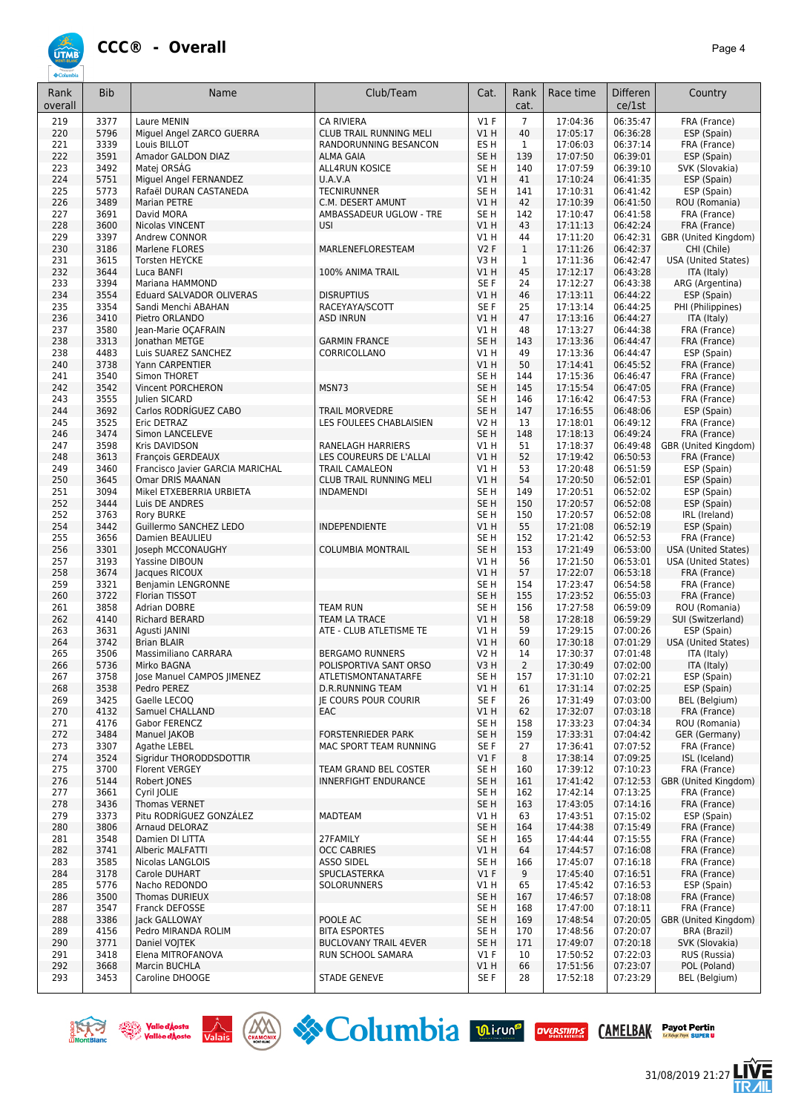

| overall<br>cat.<br>ce/1st<br>$VI$ F<br>$\overline{7}$<br>219<br>3377<br>Laure MENIN<br>17:04:36<br>06:35:47<br><b>CA RIVIERA</b><br>FRA (France)<br>VIH<br>40<br>06:36:28<br>ESP (Spain)<br>220<br>5796<br>Miguel Angel ZARCO GUERRA<br><b>CLUB TRAIL RUNNING MELI</b><br>17:05:17<br>3339<br>221<br>Louis BILLOT<br>ES <sub>H</sub><br>$\mathbf{1}$<br>17:06:03<br>06:37:14<br>FRA (France)<br>RANDORUNNING BESANCON<br>3591<br>222<br>Amador GALDON DIAZ<br><b>ALMA GAIA</b><br>SE <sub>H</sub><br>139<br>17:07:50<br>06:39:01<br>ESP (Spain)<br>3492<br>SE <sub>H</sub><br>223<br>Matei ORSÁG<br>140<br>17:07:59<br>06:39:10<br>SVK (Slovakia)<br><b>ALL4RUN KOSICE</b><br>5751<br>VIH<br>41<br>224<br>Miguel Angel FERNANDEZ<br>U.A.V.A<br>17:10:24<br>06:41:35<br>ESP (Spain)<br>5773<br><b>TECNIRUNNER</b><br>SE <sub>H</sub><br>225<br>Rafaël DURAN CASTANEDA<br>141<br>17:10:31<br>06:41:42<br>ESP (Spain)<br>3489<br><b>Marian PETRE</b><br>V1H<br>42<br>17:10:39<br>226<br>C.M. DESERT AMUNT<br>06:41:50<br>ROU (Romania)<br>3691<br>17:10:47<br>06:41:58<br>227<br>David MORA<br>AMBASSADEUR UGLOW - TRE<br>SE <sub>H</sub><br>142<br>FRA (France)<br>228<br>3600<br>V1H<br>17:11:13<br>FRA (France)<br>Nicolas VINCENT<br><b>USI</b><br>43<br>06:42:24<br>3397<br>44<br>17:11:20<br>06:42:31<br>229<br>Andrew CONNOR<br>V1 H<br>GBR (United Kingdom)<br>230<br>3186<br>MARLENEFLORESTEAM<br>V2F<br>$\mathbf{1}$<br>17:11:26<br>06:42:37<br>Marlene FLORES<br>CHI (Chile)<br>3615<br>$\mathbf{1}$<br>06:42:47<br>231<br><b>Torsten HEYCKE</b><br>V3H<br>17:11:36<br><b>USA (United States)</b><br>232<br>3644<br>45<br>Luca BANFI<br>100% ANIMA TRAIL<br>VIH<br>17:12:17<br>06:43:28<br>ITA (Italy)<br>3394<br>233<br>Mariana HAMMOND<br>SE F<br>24<br>17:12:27<br>06:43:38<br>ARG (Argentina)<br>3554<br>46<br>ESP (Spain)<br>234<br>Eduard SALVADOR OLIVERAS<br><b>DISRUPTIUS</b><br>VIH<br>17:13:11<br>06:44:22<br>235<br>3354<br>RACEYAYA/SCOTT<br>SE F<br>25<br>17:13:14<br>06:44:25<br>PHI (Philippines)<br>Sandi Menchi ABAHAN<br>3410<br>VIH<br>47<br>236<br>Pietro ORLANDO<br>17:13:16<br>06:44:27<br>ITA (Italy)<br>ASD INRUN<br>3580<br>17:13:27<br>237<br>Jean-Marie OCAFRAIN<br>V1 H<br>48<br>06:44:38<br>FRA (France)<br>3313<br>SE <sub>H</sub><br>143<br>17:13:36<br>06:44:47<br>238<br>Jonathan METGE<br><b>GARMIN FRANCE</b><br>FRA (France)<br>4483<br>ESP (Spain)<br>238<br>Luis SUAREZ SANCHEZ<br>CORRICOLLANO<br>V1 H<br>49<br>17:13:36<br>06:44:47<br>3738<br>V1H<br>17:14:41<br>06:45:52<br>240<br>Yann CARPENTIER<br>50<br>FRA (France)<br>3540<br>SE <sub>H</sub><br>17:15:36<br>06:46:47<br>241<br>Simon THORET<br>144<br>FRA (France)<br>3542<br>MSN73<br>SE <sub>H</sub><br>145<br>17:15:54<br>06:47:05<br>242<br>Vincent PORCHERON<br>FRA (France)<br>3555<br>SE <sub>H</sub><br>06:47:53<br>243<br>Julien SICARD<br>146<br>17:16:42<br>FRA (France)<br>3692<br>Carlos RODRÍGUEZ CABO<br><b>TRAIL MORVEDRE</b><br>SE <sub>H</sub><br>06:48:06<br>244<br>147<br>17:16:55<br>ESP (Spain)<br>3525<br>245<br>Eric DETRAZ<br>LES FOULEES CHABLAISIEN<br><b>V2 H</b><br>13<br>17:18:01<br>06:49:12<br>FRA (France)<br>3474<br>SE <sub>H</sub><br>246<br>Simon LANCELEVE<br>148<br>17:18:13<br>06:49:24<br>FRA (France)<br>3598<br>247<br>Kris DAVIDSON<br>RANELAGH HARRIERS<br>V1 H<br>51<br>17:18:37<br>06:49:48<br>GBR (United Kingdom)<br>3613<br>LES COUREURS DE L'ALLAI<br>VIH<br>52<br>248<br>François GERDEAUX<br>17:19:42<br>06:50:53<br>FRA (France)<br>3460<br>53<br>17:20:48<br>06:51:59<br>ESP (Spain)<br>249<br>Francisco Javier GARCIA MARICHAL<br><b>TRAIL CAMALEON</b><br>V1 H<br>250<br>3645<br>V1H<br>54<br>17:20:50<br>06:52:01<br>Omar DRIS MAANAN<br>CLUB TRAIL RUNNING MELI<br>ESP (Spain)<br>3094<br>SE <sub>H</sub><br>149<br>17:20:51<br>06:52:02<br>ESP (Spain)<br>251<br>Mikel ETXEBERRIA URBIETA<br><b>INDAMENDI</b><br>252<br>3444<br>SE <sub>H</sub><br>150<br>17:20:57<br>06:52:08<br>Luis DE ANDRES<br>ESP (Spain)<br>3763<br>SE <sub>H</sub><br>17:20:57<br>06:52:08<br>IRL (Ireland)<br>252<br>Rory BURKE<br>150<br>254<br>3442<br>V1H<br>55<br>17:21:08<br>06:52:19<br>Guillermo SANCHEZ LEDO<br>INDEPENDIENTE<br>ESP (Spain)<br>3656<br>SE <sub>H</sub><br>152<br>17:21:42<br>06:52:53<br>255<br>Damien BEAULIEU<br>FRA (France)<br>3301<br>SE <sub>H</sub><br>256<br>Joseph MCCONAUGHY<br><b>COLUMBIA MONTRAIL</b><br>153<br>17:21:49<br>06:53:00<br>USA (United States)<br>3193<br>VIH<br>06:53:01<br>257<br>Yassine DIBOUN<br>56<br>17:21:50<br><b>USA (United States)</b><br>3674<br>258<br>Jacques RICOUX<br>VIH<br>57<br>17:22:07<br>06:53:18<br>FRA (France)<br>3321<br>259<br>Benjamin LENGRONNE<br>SE H<br>154<br>17:23:47<br>06:54:58<br>FRA (France)<br>3722<br>SE <sub>H</sub><br>06:55:03<br>260<br>Florian TISSOT<br>155<br>17:23:52<br>FRA (France)<br>3858<br>261<br><b>Adrian DOBRE</b><br><b>TEAM RUN</b><br>SE <sub>H</sub><br>156<br>17:27:58<br>06:59:09<br>ROU (Romania)<br>4140<br>58<br>17:28:18<br>06:59:29<br>262<br><b>Richard BERARD</b><br>TEAM LA TRACE<br>VIH<br>SUI (Switzerland)<br>3631<br>59<br>17:29:15<br>07:00:26<br>263<br>ATE - CLUB ATLETISME TE<br>V1 H<br>ESP (Spain)<br>Agusti JANINI<br>17:30:18<br>07:01:29<br>264<br>3742<br><b>Brian BLAIR</b><br>VIH<br>60<br>USA (United States)<br>3506<br>07:01:48<br>265<br>Massimiliano CARRARA<br><b>V2 H</b><br>14<br>17:30:37<br><b>BERGAMO RUNNERS</b><br>ITA (Italy)<br>5736<br>$\overline{2}$<br>17:30:49<br>07:02:00<br>266<br>POLISPORTIVA SANT ORSO<br>V3H<br>ITA (Italy)<br>Mirko BAGNA<br>267<br>3758<br>Jose Manuel CAMPOS JIMENEZ<br>SE H<br>157<br>17:31:10<br>07:02:21<br>ESP (Spain)<br>ATLETISMONTANATARFE<br>268<br>Pedro PEREZ<br>D.R.RUNNING TEAM<br>V1 H<br>17:31:14<br>07:02:25<br>ESP (Spain)<br>3538<br>61<br>SE F<br>07:03:00<br>BEL (Belgium)<br>269<br>3425<br>Gaelle LECOQ<br><b>IE COURS POUR COURIR</b><br>26<br>17:31:49<br>270<br>4132<br><b>Samuel CHALLAND</b><br>V1 H<br>62<br>17:32:07<br>07:03:18<br>FRA (France)<br>EAC<br>4176<br>Gabor FERENCZ<br>SE H<br>158<br>17:33:23<br>07:04:34<br>ROU (Romania)<br>271<br>SE H<br>272<br>3484<br><b>FORSTENRIEDER PARK</b><br>159<br>17:33:31<br>07:04:42<br>GER (Germany)<br>Manuel JAKOB<br>3307<br>Agathe LEBEL<br>SE F<br>27<br>17:36:41<br>07:07:52<br>FRA (France)<br>273<br>MAC SPORT TEAM RUNNING<br>$VI$ F<br>274<br>3524<br>Sigridur THORODDSDOTTIR<br>8<br>17:38:14<br>07:09:25<br>ISL (Iceland)<br>SE <sub>H</sub><br>07:10:23<br>FRA (France)<br>275<br>3700<br><b>Florent VERGEY</b><br>TEAM GRAND BEL COSTER<br>160<br>17:39:12<br>SE <sub>H</sub><br>17:41:42<br>276<br>5144<br>Robert JONES<br>INNERFIGHT ENDURANCE<br>161<br>07:12:53<br>GBR (United Kingdom)<br>07:13:25<br>277<br>3661<br>Cyril JOLIE<br>SE <sub>H</sub><br>17:42:14<br>FRA (France)<br>162<br>278<br>SE H<br>07:14:16<br>3436<br><b>Thomas VERNET</b><br>163<br>17:43:05<br>FRA (France)<br>Pitu RODRÍGUEZ GONZÁLEZ<br>07:15:02<br>279<br>3373<br><b>MADTEAM</b><br>V1 H<br>63<br>17:43:51<br>ESP (Spain)<br>3806<br>SE H<br>07:15:49<br>280<br>Arnaud DELORAZ<br>164<br>17:44:38<br>FRA (France)<br>281<br>3548<br>Damien DI LITTA<br>27FAMILY<br>SE <sub>H</sub><br>165<br>17:44:44<br>07:15:55<br>FRA (France)<br>282<br>3741<br>Alberic MALFATTI<br><b>OCC CABRIES</b><br>V1 H<br>17:44:57<br>07:16:08<br>FRA (France)<br>64<br>283<br>3585<br>Nicolas LANGLOIS<br><b>ASSO SIDEL</b><br>SE <sub>H</sub><br>166<br>17:45:07<br>07:16:18<br>FRA (France)<br>3178<br>SPUCLASTERKA<br>$VI$ F<br>9<br>17:45:40<br>07:16:51<br>FRA (France)<br>284<br>Carole DUHART<br>285<br>5776<br>65<br>07:16:53<br>Nacho REDONDO<br>SOLORUNNERS<br>V1 H<br>17:45:42<br>ESP (Spain)<br>286<br>3500<br><b>Thomas DURIEUX</b><br>SE H<br>167<br>17:46:57<br>07:18:08<br>FRA (France)<br>SE <sub>H</sub><br>287<br>3547<br>Franck DEFOSSE<br>168<br>17:47:00<br>07:18:11<br>FRA (France)<br>288<br>3386<br>Jack GALLOWAY<br>POOLE AC<br>SE <sub>H</sub><br>169<br>17:48:54<br>07:20:05<br>GBR (United Kingdom)<br>07:20:07<br>289<br>4156<br>Pedro MIRANDA ROLIM<br><b>BITA ESPORTES</b><br>SE <sub>H</sub><br>170<br>17:48:56<br><b>BRA (Brazil)</b><br>07:20:18<br>SVK (Slovakia)<br>290<br>3771<br><b>BUCLOVANY TRAIL 4EVER</b><br>SE <sub>H</sub><br>17:49:07<br>Daniel VOJTEK<br>171<br>291<br>3418<br>Elena MITROFANOVA<br>$VI$ F<br>10<br>17:50:52<br>07:22:03<br>RUS (Russia)<br>RUN SCHOOL SAMARA<br>292<br>07:23:07<br>POL (Poland)<br>3668<br>Marcin BUCHLA<br>V1 H<br>66<br>17:51:56<br>293<br>3453<br>Caroline DHOOGE<br><b>STADE GENEVE</b><br>SE F<br>28<br>17:52:18<br>07:23:29<br>BEL (Belgium) | Rank | <b>Bib</b> | Name | Club/Team | Cat. | Rank | Race time | <b>Differen</b> | Country |
|----------------------------------------------------------------------------------------------------------------------------------------------------------------------------------------------------------------------------------------------------------------------------------------------------------------------------------------------------------------------------------------------------------------------------------------------------------------------------------------------------------------------------------------------------------------------------------------------------------------------------------------------------------------------------------------------------------------------------------------------------------------------------------------------------------------------------------------------------------------------------------------------------------------------------------------------------------------------------------------------------------------------------------------------------------------------------------------------------------------------------------------------------------------------------------------------------------------------------------------------------------------------------------------------------------------------------------------------------------------------------------------------------------------------------------------------------------------------------------------------------------------------------------------------------------------------------------------------------------------------------------------------------------------------------------------------------------------------------------------------------------------------------------------------------------------------------------------------------------------------------------------------------------------------------------------------------------------------------------------------------------------------------------------------------------------------------------------------------------------------------------------------------------------------------------------------------------------------------------------------------------------------------------------------------------------------------------------------------------------------------------------------------------------------------------------------------------------------------------------------------------------------------------------------------------------------------------------------------------------------------------------------------------------------------------------------------------------------------------------------------------------------------------------------------------------------------------------------------------------------------------------------------------------------------------------------------------------------------------------------------------------------------------------------------------------------------------------------------------------------------------------------------------------------------------------------------------------------------------------------------------------------------------------------------------------------------------------------------------------------------------------------------------------------------------------------------------------------------------------------------------------------------------------------------------------------------------------------------------------------------------------------------------------------------------------------------------------------------------------------------------------------------------------------------------------------------------------------------------------------------------------------------------------------------------------------------------------------------------------------------------------------------------------------------------------------------------------------------------------------------------------------------------------------------------------------------------------------------------------------------------------------------------------------------------------------------------------------------------------------------------------------------------------------------------------------------------------------------------------------------------------------------------------------------------------------------------------------------------------------------------------------------------------------------------------------------------------------------------------------------------------------------------------------------------------------------------------------------------------------------------------------------------------------------------------------------------------------------------------------------------------------------------------------------------------------------------------------------------------------------------------------------------------------------------------------------------------------------------------------------------------------------------------------------------------------------------------------------------------------------------------------------------------------------------------------------------------------------------------------------------------------------------------------------------------------------------------------------------------------------------------------------------------------------------------------------------------------------------------------------------------------------------------------------------------------------------------------------------------------------------------------------------------------------------------------------------------------------------------------------------------------------------------------------------------------------------------------------------------------------------------------------------------------------------------------------------------------------------------------------------------------------------------------------------------------------------------------------------------------------------------------------------------------------------------------------------------------------------------------------------------------------------------------------------------------------------------------------------------------------------------------------------------------------------------------------------------------------------------------------------------------------------------------------------------------------------------------------------------------------------------------------------------------------------------------------------------------------------------------------------------------------------------------------------------------------------------------------------------------------------------------------------------------------------------------------------------------------------------------------------------------------------------------------------------------------------------------------------------------------------------------------------------------------------------------------------------------------------------------------------------------------------------------------------------------------------------------------------------------------------------------------------------------------------------------------------------------------------------------------------------------------------------------------------------------------------------------------------------------------------------------------------------------------------------------------------------------------------------------------------------------------------------------------------------------------------------------------------------------------------------------------------------------------------------------------------------------------------------------------------------------------------------------------------------------------------------------------------------------------------------------------------------------------------------------------------------------------------------------------------------------------------------------------------------------------------------------------------------------------------|------|------------|------|-----------|------|------|-----------|-----------------|---------|
|                                                                                                                                                                                                                                                                                                                                                                                                                                                                                                                                                                                                                                                                                                                                                                                                                                                                                                                                                                                                                                                                                                                                                                                                                                                                                                                                                                                                                                                                                                                                                                                                                                                                                                                                                                                                                                                                                                                                                                                                                                                                                                                                                                                                                                                                                                                                                                                                                                                                                                                                                                                                                                                                                                                                                                                                                                                                                                                                                                                                                                                                                                                                                                                                                                                                                                                                                                                                                                                                                                                                                                                                                                                                                                                                                                                                                                                                                                                                                                                                                                                                                                                                                                                                                                                                                                                                                                                                                                                                                                                                                                                                                                                                                                                                                                                                                                                                                                                                                                                                                                                                                                                                                                                                                                                                                                                                                                                                                                                                                                                                                                                                                                                                                                                                                                                                                                                                                                                                                                                                                                                                                                                                                                                                                                                                                                                                                                                                                                                                                                                                                                                                                                                                                                                                                                                                                                                                                                                                                                                                                                                                                                                                                                                                                                                                                                                                                                                                                                                                                                                                                                                                                                                                                                                                                                                                                                                                                                                                                                                                                                                                                                                                                                                                                                                                                                                                                                                                                                                                                                                                                                                                                                  |      |            |      |           |      |      |           |                 |         |
|                                                                                                                                                                                                                                                                                                                                                                                                                                                                                                                                                                                                                                                                                                                                                                                                                                                                                                                                                                                                                                                                                                                                                                                                                                                                                                                                                                                                                                                                                                                                                                                                                                                                                                                                                                                                                                                                                                                                                                                                                                                                                                                                                                                                                                                                                                                                                                                                                                                                                                                                                                                                                                                                                                                                                                                                                                                                                                                                                                                                                                                                                                                                                                                                                                                                                                                                                                                                                                                                                                                                                                                                                                                                                                                                                                                                                                                                                                                                                                                                                                                                                                                                                                                                                                                                                                                                                                                                                                                                                                                                                                                                                                                                                                                                                                                                                                                                                                                                                                                                                                                                                                                                                                                                                                                                                                                                                                                                                                                                                                                                                                                                                                                                                                                                                                                                                                                                                                                                                                                                                                                                                                                                                                                                                                                                                                                                                                                                                                                                                                                                                                                                                                                                                                                                                                                                                                                                                                                                                                                                                                                                                                                                                                                                                                                                                                                                                                                                                                                                                                                                                                                                                                                                                                                                                                                                                                                                                                                                                                                                                                                                                                                                                                                                                                                                                                                                                                                                                                                                                                                                                                                                                                  |      |            |      |           |      |      |           |                 |         |
|                                                                                                                                                                                                                                                                                                                                                                                                                                                                                                                                                                                                                                                                                                                                                                                                                                                                                                                                                                                                                                                                                                                                                                                                                                                                                                                                                                                                                                                                                                                                                                                                                                                                                                                                                                                                                                                                                                                                                                                                                                                                                                                                                                                                                                                                                                                                                                                                                                                                                                                                                                                                                                                                                                                                                                                                                                                                                                                                                                                                                                                                                                                                                                                                                                                                                                                                                                                                                                                                                                                                                                                                                                                                                                                                                                                                                                                                                                                                                                                                                                                                                                                                                                                                                                                                                                                                                                                                                                                                                                                                                                                                                                                                                                                                                                                                                                                                                                                                                                                                                                                                                                                                                                                                                                                                                                                                                                                                                                                                                                                                                                                                                                                                                                                                                                                                                                                                                                                                                                                                                                                                                                                                                                                                                                                                                                                                                                                                                                                                                                                                                                                                                                                                                                                                                                                                                                                                                                                                                                                                                                                                                                                                                                                                                                                                                                                                                                                                                                                                                                                                                                                                                                                                                                                                                                                                                                                                                                                                                                                                                                                                                                                                                                                                                                                                                                                                                                                                                                                                                                                                                                                                                                  |      |            |      |           |      |      |           |                 |         |
|                                                                                                                                                                                                                                                                                                                                                                                                                                                                                                                                                                                                                                                                                                                                                                                                                                                                                                                                                                                                                                                                                                                                                                                                                                                                                                                                                                                                                                                                                                                                                                                                                                                                                                                                                                                                                                                                                                                                                                                                                                                                                                                                                                                                                                                                                                                                                                                                                                                                                                                                                                                                                                                                                                                                                                                                                                                                                                                                                                                                                                                                                                                                                                                                                                                                                                                                                                                                                                                                                                                                                                                                                                                                                                                                                                                                                                                                                                                                                                                                                                                                                                                                                                                                                                                                                                                                                                                                                                                                                                                                                                                                                                                                                                                                                                                                                                                                                                                                                                                                                                                                                                                                                                                                                                                                                                                                                                                                                                                                                                                                                                                                                                                                                                                                                                                                                                                                                                                                                                                                                                                                                                                                                                                                                                                                                                                                                                                                                                                                                                                                                                                                                                                                                                                                                                                                                                                                                                                                                                                                                                                                                                                                                                                                                                                                                                                                                                                                                                                                                                                                                                                                                                                                                                                                                                                                                                                                                                                                                                                                                                                                                                                                                                                                                                                                                                                                                                                                                                                                                                                                                                                                                                  |      |            |      |           |      |      |           |                 |         |
|                                                                                                                                                                                                                                                                                                                                                                                                                                                                                                                                                                                                                                                                                                                                                                                                                                                                                                                                                                                                                                                                                                                                                                                                                                                                                                                                                                                                                                                                                                                                                                                                                                                                                                                                                                                                                                                                                                                                                                                                                                                                                                                                                                                                                                                                                                                                                                                                                                                                                                                                                                                                                                                                                                                                                                                                                                                                                                                                                                                                                                                                                                                                                                                                                                                                                                                                                                                                                                                                                                                                                                                                                                                                                                                                                                                                                                                                                                                                                                                                                                                                                                                                                                                                                                                                                                                                                                                                                                                                                                                                                                                                                                                                                                                                                                                                                                                                                                                                                                                                                                                                                                                                                                                                                                                                                                                                                                                                                                                                                                                                                                                                                                                                                                                                                                                                                                                                                                                                                                                                                                                                                                                                                                                                                                                                                                                                                                                                                                                                                                                                                                                                                                                                                                                                                                                                                                                                                                                                                                                                                                                                                                                                                                                                                                                                                                                                                                                                                                                                                                                                                                                                                                                                                                                                                                                                                                                                                                                                                                                                                                                                                                                                                                                                                                                                                                                                                                                                                                                                                                                                                                                                                                  |      |            |      |           |      |      |           |                 |         |
|                                                                                                                                                                                                                                                                                                                                                                                                                                                                                                                                                                                                                                                                                                                                                                                                                                                                                                                                                                                                                                                                                                                                                                                                                                                                                                                                                                                                                                                                                                                                                                                                                                                                                                                                                                                                                                                                                                                                                                                                                                                                                                                                                                                                                                                                                                                                                                                                                                                                                                                                                                                                                                                                                                                                                                                                                                                                                                                                                                                                                                                                                                                                                                                                                                                                                                                                                                                                                                                                                                                                                                                                                                                                                                                                                                                                                                                                                                                                                                                                                                                                                                                                                                                                                                                                                                                                                                                                                                                                                                                                                                                                                                                                                                                                                                                                                                                                                                                                                                                                                                                                                                                                                                                                                                                                                                                                                                                                                                                                                                                                                                                                                                                                                                                                                                                                                                                                                                                                                                                                                                                                                                                                                                                                                                                                                                                                                                                                                                                                                                                                                                                                                                                                                                                                                                                                                                                                                                                                                                                                                                                                                                                                                                                                                                                                                                                                                                                                                                                                                                                                                                                                                                                                                                                                                                                                                                                                                                                                                                                                                                                                                                                                                                                                                                                                                                                                                                                                                                                                                                                                                                                                                                  |      |            |      |           |      |      |           |                 |         |
|                                                                                                                                                                                                                                                                                                                                                                                                                                                                                                                                                                                                                                                                                                                                                                                                                                                                                                                                                                                                                                                                                                                                                                                                                                                                                                                                                                                                                                                                                                                                                                                                                                                                                                                                                                                                                                                                                                                                                                                                                                                                                                                                                                                                                                                                                                                                                                                                                                                                                                                                                                                                                                                                                                                                                                                                                                                                                                                                                                                                                                                                                                                                                                                                                                                                                                                                                                                                                                                                                                                                                                                                                                                                                                                                                                                                                                                                                                                                                                                                                                                                                                                                                                                                                                                                                                                                                                                                                                                                                                                                                                                                                                                                                                                                                                                                                                                                                                                                                                                                                                                                                                                                                                                                                                                                                                                                                                                                                                                                                                                                                                                                                                                                                                                                                                                                                                                                                                                                                                                                                                                                                                                                                                                                                                                                                                                                                                                                                                                                                                                                                                                                                                                                                                                                                                                                                                                                                                                                                                                                                                                                                                                                                                                                                                                                                                                                                                                                                                                                                                                                                                                                                                                                                                                                                                                                                                                                                                                                                                                                                                                                                                                                                                                                                                                                                                                                                                                                                                                                                                                                                                                                                                  |      |            |      |           |      |      |           |                 |         |
|                                                                                                                                                                                                                                                                                                                                                                                                                                                                                                                                                                                                                                                                                                                                                                                                                                                                                                                                                                                                                                                                                                                                                                                                                                                                                                                                                                                                                                                                                                                                                                                                                                                                                                                                                                                                                                                                                                                                                                                                                                                                                                                                                                                                                                                                                                                                                                                                                                                                                                                                                                                                                                                                                                                                                                                                                                                                                                                                                                                                                                                                                                                                                                                                                                                                                                                                                                                                                                                                                                                                                                                                                                                                                                                                                                                                                                                                                                                                                                                                                                                                                                                                                                                                                                                                                                                                                                                                                                                                                                                                                                                                                                                                                                                                                                                                                                                                                                                                                                                                                                                                                                                                                                                                                                                                                                                                                                                                                                                                                                                                                                                                                                                                                                                                                                                                                                                                                                                                                                                                                                                                                                                                                                                                                                                                                                                                                                                                                                                                                                                                                                                                                                                                                                                                                                                                                                                                                                                                                                                                                                                                                                                                                                                                                                                                                                                                                                                                                                                                                                                                                                                                                                                                                                                                                                                                                                                                                                                                                                                                                                                                                                                                                                                                                                                                                                                                                                                                                                                                                                                                                                                                                                  |      |            |      |           |      |      |           |                 |         |
|                                                                                                                                                                                                                                                                                                                                                                                                                                                                                                                                                                                                                                                                                                                                                                                                                                                                                                                                                                                                                                                                                                                                                                                                                                                                                                                                                                                                                                                                                                                                                                                                                                                                                                                                                                                                                                                                                                                                                                                                                                                                                                                                                                                                                                                                                                                                                                                                                                                                                                                                                                                                                                                                                                                                                                                                                                                                                                                                                                                                                                                                                                                                                                                                                                                                                                                                                                                                                                                                                                                                                                                                                                                                                                                                                                                                                                                                                                                                                                                                                                                                                                                                                                                                                                                                                                                                                                                                                                                                                                                                                                                                                                                                                                                                                                                                                                                                                                                                                                                                                                                                                                                                                                                                                                                                                                                                                                                                                                                                                                                                                                                                                                                                                                                                                                                                                                                                                                                                                                                                                                                                                                                                                                                                                                                                                                                                                                                                                                                                                                                                                                                                                                                                                                                                                                                                                                                                                                                                                                                                                                                                                                                                                                                                                                                                                                                                                                                                                                                                                                                                                                                                                                                                                                                                                                                                                                                                                                                                                                                                                                                                                                                                                                                                                                                                                                                                                                                                                                                                                                                                                                                                                                  |      |            |      |           |      |      |           |                 |         |
|                                                                                                                                                                                                                                                                                                                                                                                                                                                                                                                                                                                                                                                                                                                                                                                                                                                                                                                                                                                                                                                                                                                                                                                                                                                                                                                                                                                                                                                                                                                                                                                                                                                                                                                                                                                                                                                                                                                                                                                                                                                                                                                                                                                                                                                                                                                                                                                                                                                                                                                                                                                                                                                                                                                                                                                                                                                                                                                                                                                                                                                                                                                                                                                                                                                                                                                                                                                                                                                                                                                                                                                                                                                                                                                                                                                                                                                                                                                                                                                                                                                                                                                                                                                                                                                                                                                                                                                                                                                                                                                                                                                                                                                                                                                                                                                                                                                                                                                                                                                                                                                                                                                                                                                                                                                                                                                                                                                                                                                                                                                                                                                                                                                                                                                                                                                                                                                                                                                                                                                                                                                                                                                                                                                                                                                                                                                                                                                                                                                                                                                                                                                                                                                                                                                                                                                                                                                                                                                                                                                                                                                                                                                                                                                                                                                                                                                                                                                                                                                                                                                                                                                                                                                                                                                                                                                                                                                                                                                                                                                                                                                                                                                                                                                                                                                                                                                                                                                                                                                                                                                                                                                                                                  |      |            |      |           |      |      |           |                 |         |
|                                                                                                                                                                                                                                                                                                                                                                                                                                                                                                                                                                                                                                                                                                                                                                                                                                                                                                                                                                                                                                                                                                                                                                                                                                                                                                                                                                                                                                                                                                                                                                                                                                                                                                                                                                                                                                                                                                                                                                                                                                                                                                                                                                                                                                                                                                                                                                                                                                                                                                                                                                                                                                                                                                                                                                                                                                                                                                                                                                                                                                                                                                                                                                                                                                                                                                                                                                                                                                                                                                                                                                                                                                                                                                                                                                                                                                                                                                                                                                                                                                                                                                                                                                                                                                                                                                                                                                                                                                                                                                                                                                                                                                                                                                                                                                                                                                                                                                                                                                                                                                                                                                                                                                                                                                                                                                                                                                                                                                                                                                                                                                                                                                                                                                                                                                                                                                                                                                                                                                                                                                                                                                                                                                                                                                                                                                                                                                                                                                                                                                                                                                                                                                                                                                                                                                                                                                                                                                                                                                                                                                                                                                                                                                                                                                                                                                                                                                                                                                                                                                                                                                                                                                                                                                                                                                                                                                                                                                                                                                                                                                                                                                                                                                                                                                                                                                                                                                                                                                                                                                                                                                                                                                  |      |            |      |           |      |      |           |                 |         |
|                                                                                                                                                                                                                                                                                                                                                                                                                                                                                                                                                                                                                                                                                                                                                                                                                                                                                                                                                                                                                                                                                                                                                                                                                                                                                                                                                                                                                                                                                                                                                                                                                                                                                                                                                                                                                                                                                                                                                                                                                                                                                                                                                                                                                                                                                                                                                                                                                                                                                                                                                                                                                                                                                                                                                                                                                                                                                                                                                                                                                                                                                                                                                                                                                                                                                                                                                                                                                                                                                                                                                                                                                                                                                                                                                                                                                                                                                                                                                                                                                                                                                                                                                                                                                                                                                                                                                                                                                                                                                                                                                                                                                                                                                                                                                                                                                                                                                                                                                                                                                                                                                                                                                                                                                                                                                                                                                                                                                                                                                                                                                                                                                                                                                                                                                                                                                                                                                                                                                                                                                                                                                                                                                                                                                                                                                                                                                                                                                                                                                                                                                                                                                                                                                                                                                                                                                                                                                                                                                                                                                                                                                                                                                                                                                                                                                                                                                                                                                                                                                                                                                                                                                                                                                                                                                                                                                                                                                                                                                                                                                                                                                                                                                                                                                                                                                                                                                                                                                                                                                                                                                                                                                                  |      |            |      |           |      |      |           |                 |         |
|                                                                                                                                                                                                                                                                                                                                                                                                                                                                                                                                                                                                                                                                                                                                                                                                                                                                                                                                                                                                                                                                                                                                                                                                                                                                                                                                                                                                                                                                                                                                                                                                                                                                                                                                                                                                                                                                                                                                                                                                                                                                                                                                                                                                                                                                                                                                                                                                                                                                                                                                                                                                                                                                                                                                                                                                                                                                                                                                                                                                                                                                                                                                                                                                                                                                                                                                                                                                                                                                                                                                                                                                                                                                                                                                                                                                                                                                                                                                                                                                                                                                                                                                                                                                                                                                                                                                                                                                                                                                                                                                                                                                                                                                                                                                                                                                                                                                                                                                                                                                                                                                                                                                                                                                                                                                                                                                                                                                                                                                                                                                                                                                                                                                                                                                                                                                                                                                                                                                                                                                                                                                                                                                                                                                                                                                                                                                                                                                                                                                                                                                                                                                                                                                                                                                                                                                                                                                                                                                                                                                                                                                                                                                                                                                                                                                                                                                                                                                                                                                                                                                                                                                                                                                                                                                                                                                                                                                                                                                                                                                                                                                                                                                                                                                                                                                                                                                                                                                                                                                                                                                                                                                                                  |      |            |      |           |      |      |           |                 |         |
|                                                                                                                                                                                                                                                                                                                                                                                                                                                                                                                                                                                                                                                                                                                                                                                                                                                                                                                                                                                                                                                                                                                                                                                                                                                                                                                                                                                                                                                                                                                                                                                                                                                                                                                                                                                                                                                                                                                                                                                                                                                                                                                                                                                                                                                                                                                                                                                                                                                                                                                                                                                                                                                                                                                                                                                                                                                                                                                                                                                                                                                                                                                                                                                                                                                                                                                                                                                                                                                                                                                                                                                                                                                                                                                                                                                                                                                                                                                                                                                                                                                                                                                                                                                                                                                                                                                                                                                                                                                                                                                                                                                                                                                                                                                                                                                                                                                                                                                                                                                                                                                                                                                                                                                                                                                                                                                                                                                                                                                                                                                                                                                                                                                                                                                                                                                                                                                                                                                                                                                                                                                                                                                                                                                                                                                                                                                                                                                                                                                                                                                                                                                                                                                                                                                                                                                                                                                                                                                                                                                                                                                                                                                                                                                                                                                                                                                                                                                                                                                                                                                                                                                                                                                                                                                                                                                                                                                                                                                                                                                                                                                                                                                                                                                                                                                                                                                                                                                                                                                                                                                                                                                                                                  |      |            |      |           |      |      |           |                 |         |
|                                                                                                                                                                                                                                                                                                                                                                                                                                                                                                                                                                                                                                                                                                                                                                                                                                                                                                                                                                                                                                                                                                                                                                                                                                                                                                                                                                                                                                                                                                                                                                                                                                                                                                                                                                                                                                                                                                                                                                                                                                                                                                                                                                                                                                                                                                                                                                                                                                                                                                                                                                                                                                                                                                                                                                                                                                                                                                                                                                                                                                                                                                                                                                                                                                                                                                                                                                                                                                                                                                                                                                                                                                                                                                                                                                                                                                                                                                                                                                                                                                                                                                                                                                                                                                                                                                                                                                                                                                                                                                                                                                                                                                                                                                                                                                                                                                                                                                                                                                                                                                                                                                                                                                                                                                                                                                                                                                                                                                                                                                                                                                                                                                                                                                                                                                                                                                                                                                                                                                                                                                                                                                                                                                                                                                                                                                                                                                                                                                                                                                                                                                                                                                                                                                                                                                                                                                                                                                                                                                                                                                                                                                                                                                                                                                                                                                                                                                                                                                                                                                                                                                                                                                                                                                                                                                                                                                                                                                                                                                                                                                                                                                                                                                                                                                                                                                                                                                                                                                                                                                                                                                                                                                  |      |            |      |           |      |      |           |                 |         |
|                                                                                                                                                                                                                                                                                                                                                                                                                                                                                                                                                                                                                                                                                                                                                                                                                                                                                                                                                                                                                                                                                                                                                                                                                                                                                                                                                                                                                                                                                                                                                                                                                                                                                                                                                                                                                                                                                                                                                                                                                                                                                                                                                                                                                                                                                                                                                                                                                                                                                                                                                                                                                                                                                                                                                                                                                                                                                                                                                                                                                                                                                                                                                                                                                                                                                                                                                                                                                                                                                                                                                                                                                                                                                                                                                                                                                                                                                                                                                                                                                                                                                                                                                                                                                                                                                                                                                                                                                                                                                                                                                                                                                                                                                                                                                                                                                                                                                                                                                                                                                                                                                                                                                                                                                                                                                                                                                                                                                                                                                                                                                                                                                                                                                                                                                                                                                                                                                                                                                                                                                                                                                                                                                                                                                                                                                                                                                                                                                                                                                                                                                                                                                                                                                                                                                                                                                                                                                                                                                                                                                                                                                                                                                                                                                                                                                                                                                                                                                                                                                                                                                                                                                                                                                                                                                                                                                                                                                                                                                                                                                                                                                                                                                                                                                                                                                                                                                                                                                                                                                                                                                                                                                                  |      |            |      |           |      |      |           |                 |         |
|                                                                                                                                                                                                                                                                                                                                                                                                                                                                                                                                                                                                                                                                                                                                                                                                                                                                                                                                                                                                                                                                                                                                                                                                                                                                                                                                                                                                                                                                                                                                                                                                                                                                                                                                                                                                                                                                                                                                                                                                                                                                                                                                                                                                                                                                                                                                                                                                                                                                                                                                                                                                                                                                                                                                                                                                                                                                                                                                                                                                                                                                                                                                                                                                                                                                                                                                                                                                                                                                                                                                                                                                                                                                                                                                                                                                                                                                                                                                                                                                                                                                                                                                                                                                                                                                                                                                                                                                                                                                                                                                                                                                                                                                                                                                                                                                                                                                                                                                                                                                                                                                                                                                                                                                                                                                                                                                                                                                                                                                                                                                                                                                                                                                                                                                                                                                                                                                                                                                                                                                                                                                                                                                                                                                                                                                                                                                                                                                                                                                                                                                                                                                                                                                                                                                                                                                                                                                                                                                                                                                                                                                                                                                                                                                                                                                                                                                                                                                                                                                                                                                                                                                                                                                                                                                                                                                                                                                                                                                                                                                                                                                                                                                                                                                                                                                                                                                                                                                                                                                                                                                                                                                                                  |      |            |      |           |      |      |           |                 |         |
|                                                                                                                                                                                                                                                                                                                                                                                                                                                                                                                                                                                                                                                                                                                                                                                                                                                                                                                                                                                                                                                                                                                                                                                                                                                                                                                                                                                                                                                                                                                                                                                                                                                                                                                                                                                                                                                                                                                                                                                                                                                                                                                                                                                                                                                                                                                                                                                                                                                                                                                                                                                                                                                                                                                                                                                                                                                                                                                                                                                                                                                                                                                                                                                                                                                                                                                                                                                                                                                                                                                                                                                                                                                                                                                                                                                                                                                                                                                                                                                                                                                                                                                                                                                                                                                                                                                                                                                                                                                                                                                                                                                                                                                                                                                                                                                                                                                                                                                                                                                                                                                                                                                                                                                                                                                                                                                                                                                                                                                                                                                                                                                                                                                                                                                                                                                                                                                                                                                                                                                                                                                                                                                                                                                                                                                                                                                                                                                                                                                                                                                                                                                                                                                                                                                                                                                                                                                                                                                                                                                                                                                                                                                                                                                                                                                                                                                                                                                                                                                                                                                                                                                                                                                                                                                                                                                                                                                                                                                                                                                                                                                                                                                                                                                                                                                                                                                                                                                                                                                                                                                                                                                                                                  |      |            |      |           |      |      |           |                 |         |
|                                                                                                                                                                                                                                                                                                                                                                                                                                                                                                                                                                                                                                                                                                                                                                                                                                                                                                                                                                                                                                                                                                                                                                                                                                                                                                                                                                                                                                                                                                                                                                                                                                                                                                                                                                                                                                                                                                                                                                                                                                                                                                                                                                                                                                                                                                                                                                                                                                                                                                                                                                                                                                                                                                                                                                                                                                                                                                                                                                                                                                                                                                                                                                                                                                                                                                                                                                                                                                                                                                                                                                                                                                                                                                                                                                                                                                                                                                                                                                                                                                                                                                                                                                                                                                                                                                                                                                                                                                                                                                                                                                                                                                                                                                                                                                                                                                                                                                                                                                                                                                                                                                                                                                                                                                                                                                                                                                                                                                                                                                                                                                                                                                                                                                                                                                                                                                                                                                                                                                                                                                                                                                                                                                                                                                                                                                                                                                                                                                                                                                                                                                                                                                                                                                                                                                                                                                                                                                                                                                                                                                                                                                                                                                                                                                                                                                                                                                                                                                                                                                                                                                                                                                                                                                                                                                                                                                                                                                                                                                                                                                                                                                                                                                                                                                                                                                                                                                                                                                                                                                                                                                                                                                  |      |            |      |           |      |      |           |                 |         |
|                                                                                                                                                                                                                                                                                                                                                                                                                                                                                                                                                                                                                                                                                                                                                                                                                                                                                                                                                                                                                                                                                                                                                                                                                                                                                                                                                                                                                                                                                                                                                                                                                                                                                                                                                                                                                                                                                                                                                                                                                                                                                                                                                                                                                                                                                                                                                                                                                                                                                                                                                                                                                                                                                                                                                                                                                                                                                                                                                                                                                                                                                                                                                                                                                                                                                                                                                                                                                                                                                                                                                                                                                                                                                                                                                                                                                                                                                                                                                                                                                                                                                                                                                                                                                                                                                                                                                                                                                                                                                                                                                                                                                                                                                                                                                                                                                                                                                                                                                                                                                                                                                                                                                                                                                                                                                                                                                                                                                                                                                                                                                                                                                                                                                                                                                                                                                                                                                                                                                                                                                                                                                                                                                                                                                                                                                                                                                                                                                                                                                                                                                                                                                                                                                                                                                                                                                                                                                                                                                                                                                                                                                                                                                                                                                                                                                                                                                                                                                                                                                                                                                                                                                                                                                                                                                                                                                                                                                                                                                                                                                                                                                                                                                                                                                                                                                                                                                                                                                                                                                                                                                                                                                                  |      |            |      |           |      |      |           |                 |         |
|                                                                                                                                                                                                                                                                                                                                                                                                                                                                                                                                                                                                                                                                                                                                                                                                                                                                                                                                                                                                                                                                                                                                                                                                                                                                                                                                                                                                                                                                                                                                                                                                                                                                                                                                                                                                                                                                                                                                                                                                                                                                                                                                                                                                                                                                                                                                                                                                                                                                                                                                                                                                                                                                                                                                                                                                                                                                                                                                                                                                                                                                                                                                                                                                                                                                                                                                                                                                                                                                                                                                                                                                                                                                                                                                                                                                                                                                                                                                                                                                                                                                                                                                                                                                                                                                                                                                                                                                                                                                                                                                                                                                                                                                                                                                                                                                                                                                                                                                                                                                                                                                                                                                                                                                                                                                                                                                                                                                                                                                                                                                                                                                                                                                                                                                                                                                                                                                                                                                                                                                                                                                                                                                                                                                                                                                                                                                                                                                                                                                                                                                                                                                                                                                                                                                                                                                                                                                                                                                                                                                                                                                                                                                                                                                                                                                                                                                                                                                                                                                                                                                                                                                                                                                                                                                                                                                                                                                                                                                                                                                                                                                                                                                                                                                                                                                                                                                                                                                                                                                                                                                                                                                                                  |      |            |      |           |      |      |           |                 |         |
|                                                                                                                                                                                                                                                                                                                                                                                                                                                                                                                                                                                                                                                                                                                                                                                                                                                                                                                                                                                                                                                                                                                                                                                                                                                                                                                                                                                                                                                                                                                                                                                                                                                                                                                                                                                                                                                                                                                                                                                                                                                                                                                                                                                                                                                                                                                                                                                                                                                                                                                                                                                                                                                                                                                                                                                                                                                                                                                                                                                                                                                                                                                                                                                                                                                                                                                                                                                                                                                                                                                                                                                                                                                                                                                                                                                                                                                                                                                                                                                                                                                                                                                                                                                                                                                                                                                                                                                                                                                                                                                                                                                                                                                                                                                                                                                                                                                                                                                                                                                                                                                                                                                                                                                                                                                                                                                                                                                                                                                                                                                                                                                                                                                                                                                                                                                                                                                                                                                                                                                                                                                                                                                                                                                                                                                                                                                                                                                                                                                                                                                                                                                                                                                                                                                                                                                                                                                                                                                                                                                                                                                                                                                                                                                                                                                                                                                                                                                                                                                                                                                                                                                                                                                                                                                                                                                                                                                                                                                                                                                                                                                                                                                                                                                                                                                                                                                                                                                                                                                                                                                                                                                                                                  |      |            |      |           |      |      |           |                 |         |
|                                                                                                                                                                                                                                                                                                                                                                                                                                                                                                                                                                                                                                                                                                                                                                                                                                                                                                                                                                                                                                                                                                                                                                                                                                                                                                                                                                                                                                                                                                                                                                                                                                                                                                                                                                                                                                                                                                                                                                                                                                                                                                                                                                                                                                                                                                                                                                                                                                                                                                                                                                                                                                                                                                                                                                                                                                                                                                                                                                                                                                                                                                                                                                                                                                                                                                                                                                                                                                                                                                                                                                                                                                                                                                                                                                                                                                                                                                                                                                                                                                                                                                                                                                                                                                                                                                                                                                                                                                                                                                                                                                                                                                                                                                                                                                                                                                                                                                                                                                                                                                                                                                                                                                                                                                                                                                                                                                                                                                                                                                                                                                                                                                                                                                                                                                                                                                                                                                                                                                                                                                                                                                                                                                                                                                                                                                                                                                                                                                                                                                                                                                                                                                                                                                                                                                                                                                                                                                                                                                                                                                                                                                                                                                                                                                                                                                                                                                                                                                                                                                                                                                                                                                                                                                                                                                                                                                                                                                                                                                                                                                                                                                                                                                                                                                                                                                                                                                                                                                                                                                                                                                                                                                  |      |            |      |           |      |      |           |                 |         |
|                                                                                                                                                                                                                                                                                                                                                                                                                                                                                                                                                                                                                                                                                                                                                                                                                                                                                                                                                                                                                                                                                                                                                                                                                                                                                                                                                                                                                                                                                                                                                                                                                                                                                                                                                                                                                                                                                                                                                                                                                                                                                                                                                                                                                                                                                                                                                                                                                                                                                                                                                                                                                                                                                                                                                                                                                                                                                                                                                                                                                                                                                                                                                                                                                                                                                                                                                                                                                                                                                                                                                                                                                                                                                                                                                                                                                                                                                                                                                                                                                                                                                                                                                                                                                                                                                                                                                                                                                                                                                                                                                                                                                                                                                                                                                                                                                                                                                                                                                                                                                                                                                                                                                                                                                                                                                                                                                                                                                                                                                                                                                                                                                                                                                                                                                                                                                                                                                                                                                                                                                                                                                                                                                                                                                                                                                                                                                                                                                                                                                                                                                                                                                                                                                                                                                                                                                                                                                                                                                                                                                                                                                                                                                                                                                                                                                                                                                                                                                                                                                                                                                                                                                                                                                                                                                                                                                                                                                                                                                                                                                                                                                                                                                                                                                                                                                                                                                                                                                                                                                                                                                                                                                                  |      |            |      |           |      |      |           |                 |         |
|                                                                                                                                                                                                                                                                                                                                                                                                                                                                                                                                                                                                                                                                                                                                                                                                                                                                                                                                                                                                                                                                                                                                                                                                                                                                                                                                                                                                                                                                                                                                                                                                                                                                                                                                                                                                                                                                                                                                                                                                                                                                                                                                                                                                                                                                                                                                                                                                                                                                                                                                                                                                                                                                                                                                                                                                                                                                                                                                                                                                                                                                                                                                                                                                                                                                                                                                                                                                                                                                                                                                                                                                                                                                                                                                                                                                                                                                                                                                                                                                                                                                                                                                                                                                                                                                                                                                                                                                                                                                                                                                                                                                                                                                                                                                                                                                                                                                                                                                                                                                                                                                                                                                                                                                                                                                                                                                                                                                                                                                                                                                                                                                                                                                                                                                                                                                                                                                                                                                                                                                                                                                                                                                                                                                                                                                                                                                                                                                                                                                                                                                                                                                                                                                                                                                                                                                                                                                                                                                                                                                                                                                                                                                                                                                                                                                                                                                                                                                                                                                                                                                                                                                                                                                                                                                                                                                                                                                                                                                                                                                                                                                                                                                                                                                                                                                                                                                                                                                                                                                                                                                                                                                                                  |      |            |      |           |      |      |           |                 |         |
|                                                                                                                                                                                                                                                                                                                                                                                                                                                                                                                                                                                                                                                                                                                                                                                                                                                                                                                                                                                                                                                                                                                                                                                                                                                                                                                                                                                                                                                                                                                                                                                                                                                                                                                                                                                                                                                                                                                                                                                                                                                                                                                                                                                                                                                                                                                                                                                                                                                                                                                                                                                                                                                                                                                                                                                                                                                                                                                                                                                                                                                                                                                                                                                                                                                                                                                                                                                                                                                                                                                                                                                                                                                                                                                                                                                                                                                                                                                                                                                                                                                                                                                                                                                                                                                                                                                                                                                                                                                                                                                                                                                                                                                                                                                                                                                                                                                                                                                                                                                                                                                                                                                                                                                                                                                                                                                                                                                                                                                                                                                                                                                                                                                                                                                                                                                                                                                                                                                                                                                                                                                                                                                                                                                                                                                                                                                                                                                                                                                                                                                                                                                                                                                                                                                                                                                                                                                                                                                                                                                                                                                                                                                                                                                                                                                                                                                                                                                                                                                                                                                                                                                                                                                                                                                                                                                                                                                                                                                                                                                                                                                                                                                                                                                                                                                                                                                                                                                                                                                                                                                                                                                                                                  |      |            |      |           |      |      |           |                 |         |
|                                                                                                                                                                                                                                                                                                                                                                                                                                                                                                                                                                                                                                                                                                                                                                                                                                                                                                                                                                                                                                                                                                                                                                                                                                                                                                                                                                                                                                                                                                                                                                                                                                                                                                                                                                                                                                                                                                                                                                                                                                                                                                                                                                                                                                                                                                                                                                                                                                                                                                                                                                                                                                                                                                                                                                                                                                                                                                                                                                                                                                                                                                                                                                                                                                                                                                                                                                                                                                                                                                                                                                                                                                                                                                                                                                                                                                                                                                                                                                                                                                                                                                                                                                                                                                                                                                                                                                                                                                                                                                                                                                                                                                                                                                                                                                                                                                                                                                                                                                                                                                                                                                                                                                                                                                                                                                                                                                                                                                                                                                                                                                                                                                                                                                                                                                                                                                                                                                                                                                                                                                                                                                                                                                                                                                                                                                                                                                                                                                                                                                                                                                                                                                                                                                                                                                                                                                                                                                                                                                                                                                                                                                                                                                                                                                                                                                                                                                                                                                                                                                                                                                                                                                                                                                                                                                                                                                                                                                                                                                                                                                                                                                                                                                                                                                                                                                                                                                                                                                                                                                                                                                                                                                  |      |            |      |           |      |      |           |                 |         |
|                                                                                                                                                                                                                                                                                                                                                                                                                                                                                                                                                                                                                                                                                                                                                                                                                                                                                                                                                                                                                                                                                                                                                                                                                                                                                                                                                                                                                                                                                                                                                                                                                                                                                                                                                                                                                                                                                                                                                                                                                                                                                                                                                                                                                                                                                                                                                                                                                                                                                                                                                                                                                                                                                                                                                                                                                                                                                                                                                                                                                                                                                                                                                                                                                                                                                                                                                                                                                                                                                                                                                                                                                                                                                                                                                                                                                                                                                                                                                                                                                                                                                                                                                                                                                                                                                                                                                                                                                                                                                                                                                                                                                                                                                                                                                                                                                                                                                                                                                                                                                                                                                                                                                                                                                                                                                                                                                                                                                                                                                                                                                                                                                                                                                                                                                                                                                                                                                                                                                                                                                                                                                                                                                                                                                                                                                                                                                                                                                                                                                                                                                                                                                                                                                                                                                                                                                                                                                                                                                                                                                                                                                                                                                                                                                                                                                                                                                                                                                                                                                                                                                                                                                                                                                                                                                                                                                                                                                                                                                                                                                                                                                                                                                                                                                                                                                                                                                                                                                                                                                                                                                                                                                                  |      |            |      |           |      |      |           |                 |         |
|                                                                                                                                                                                                                                                                                                                                                                                                                                                                                                                                                                                                                                                                                                                                                                                                                                                                                                                                                                                                                                                                                                                                                                                                                                                                                                                                                                                                                                                                                                                                                                                                                                                                                                                                                                                                                                                                                                                                                                                                                                                                                                                                                                                                                                                                                                                                                                                                                                                                                                                                                                                                                                                                                                                                                                                                                                                                                                                                                                                                                                                                                                                                                                                                                                                                                                                                                                                                                                                                                                                                                                                                                                                                                                                                                                                                                                                                                                                                                                                                                                                                                                                                                                                                                                                                                                                                                                                                                                                                                                                                                                                                                                                                                                                                                                                                                                                                                                                                                                                                                                                                                                                                                                                                                                                                                                                                                                                                                                                                                                                                                                                                                                                                                                                                                                                                                                                                                                                                                                                                                                                                                                                                                                                                                                                                                                                                                                                                                                                                                                                                                                                                                                                                                                                                                                                                                                                                                                                                                                                                                                                                                                                                                                                                                                                                                                                                                                                                                                                                                                                                                                                                                                                                                                                                                                                                                                                                                                                                                                                                                                                                                                                                                                                                                                                                                                                                                                                                                                                                                                                                                                                                                                  |      |            |      |           |      |      |           |                 |         |
|                                                                                                                                                                                                                                                                                                                                                                                                                                                                                                                                                                                                                                                                                                                                                                                                                                                                                                                                                                                                                                                                                                                                                                                                                                                                                                                                                                                                                                                                                                                                                                                                                                                                                                                                                                                                                                                                                                                                                                                                                                                                                                                                                                                                                                                                                                                                                                                                                                                                                                                                                                                                                                                                                                                                                                                                                                                                                                                                                                                                                                                                                                                                                                                                                                                                                                                                                                                                                                                                                                                                                                                                                                                                                                                                                                                                                                                                                                                                                                                                                                                                                                                                                                                                                                                                                                                                                                                                                                                                                                                                                                                                                                                                                                                                                                                                                                                                                                                                                                                                                                                                                                                                                                                                                                                                                                                                                                                                                                                                                                                                                                                                                                                                                                                                                                                                                                                                                                                                                                                                                                                                                                                                                                                                                                                                                                                                                                                                                                                                                                                                                                                                                                                                                                                                                                                                                                                                                                                                                                                                                                                                                                                                                                                                                                                                                                                                                                                                                                                                                                                                                                                                                                                                                                                                                                                                                                                                                                                                                                                                                                                                                                                                                                                                                                                                                                                                                                                                                                                                                                                                                                                                                                  |      |            |      |           |      |      |           |                 |         |
|                                                                                                                                                                                                                                                                                                                                                                                                                                                                                                                                                                                                                                                                                                                                                                                                                                                                                                                                                                                                                                                                                                                                                                                                                                                                                                                                                                                                                                                                                                                                                                                                                                                                                                                                                                                                                                                                                                                                                                                                                                                                                                                                                                                                                                                                                                                                                                                                                                                                                                                                                                                                                                                                                                                                                                                                                                                                                                                                                                                                                                                                                                                                                                                                                                                                                                                                                                                                                                                                                                                                                                                                                                                                                                                                                                                                                                                                                                                                                                                                                                                                                                                                                                                                                                                                                                                                                                                                                                                                                                                                                                                                                                                                                                                                                                                                                                                                                                                                                                                                                                                                                                                                                                                                                                                                                                                                                                                                                                                                                                                                                                                                                                                                                                                                                                                                                                                                                                                                                                                                                                                                                                                                                                                                                                                                                                                                                                                                                                                                                                                                                                                                                                                                                                                                                                                                                                                                                                                                                                                                                                                                                                                                                                                                                                                                                                                                                                                                                                                                                                                                                                                                                                                                                                                                                                                                                                                                                                                                                                                                                                                                                                                                                                                                                                                                                                                                                                                                                                                                                                                                                                                                                                  |      |            |      |           |      |      |           |                 |         |
|                                                                                                                                                                                                                                                                                                                                                                                                                                                                                                                                                                                                                                                                                                                                                                                                                                                                                                                                                                                                                                                                                                                                                                                                                                                                                                                                                                                                                                                                                                                                                                                                                                                                                                                                                                                                                                                                                                                                                                                                                                                                                                                                                                                                                                                                                                                                                                                                                                                                                                                                                                                                                                                                                                                                                                                                                                                                                                                                                                                                                                                                                                                                                                                                                                                                                                                                                                                                                                                                                                                                                                                                                                                                                                                                                                                                                                                                                                                                                                                                                                                                                                                                                                                                                                                                                                                                                                                                                                                                                                                                                                                                                                                                                                                                                                                                                                                                                                                                                                                                                                                                                                                                                                                                                                                                                                                                                                                                                                                                                                                                                                                                                                                                                                                                                                                                                                                                                                                                                                                                                                                                                                                                                                                                                                                                                                                                                                                                                                                                                                                                                                                                                                                                                                                                                                                                                                                                                                                                                                                                                                                                                                                                                                                                                                                                                                                                                                                                                                                                                                                                                                                                                                                                                                                                                                                                                                                                                                                                                                                                                                                                                                                                                                                                                                                                                                                                                                                                                                                                                                                                                                                                                                  |      |            |      |           |      |      |           |                 |         |
|                                                                                                                                                                                                                                                                                                                                                                                                                                                                                                                                                                                                                                                                                                                                                                                                                                                                                                                                                                                                                                                                                                                                                                                                                                                                                                                                                                                                                                                                                                                                                                                                                                                                                                                                                                                                                                                                                                                                                                                                                                                                                                                                                                                                                                                                                                                                                                                                                                                                                                                                                                                                                                                                                                                                                                                                                                                                                                                                                                                                                                                                                                                                                                                                                                                                                                                                                                                                                                                                                                                                                                                                                                                                                                                                                                                                                                                                                                                                                                                                                                                                                                                                                                                                                                                                                                                                                                                                                                                                                                                                                                                                                                                                                                                                                                                                                                                                                                                                                                                                                                                                                                                                                                                                                                                                                                                                                                                                                                                                                                                                                                                                                                                                                                                                                                                                                                                                                                                                                                                                                                                                                                                                                                                                                                                                                                                                                                                                                                                                                                                                                                                                                                                                                                                                                                                                                                                                                                                                                                                                                                                                                                                                                                                                                                                                                                                                                                                                                                                                                                                                                                                                                                                                                                                                                                                                                                                                                                                                                                                                                                                                                                                                                                                                                                                                                                                                                                                                                                                                                                                                                                                                                                  |      |            |      |           |      |      |           |                 |         |
|                                                                                                                                                                                                                                                                                                                                                                                                                                                                                                                                                                                                                                                                                                                                                                                                                                                                                                                                                                                                                                                                                                                                                                                                                                                                                                                                                                                                                                                                                                                                                                                                                                                                                                                                                                                                                                                                                                                                                                                                                                                                                                                                                                                                                                                                                                                                                                                                                                                                                                                                                                                                                                                                                                                                                                                                                                                                                                                                                                                                                                                                                                                                                                                                                                                                                                                                                                                                                                                                                                                                                                                                                                                                                                                                                                                                                                                                                                                                                                                                                                                                                                                                                                                                                                                                                                                                                                                                                                                                                                                                                                                                                                                                                                                                                                                                                                                                                                                                                                                                                                                                                                                                                                                                                                                                                                                                                                                                                                                                                                                                                                                                                                                                                                                                                                                                                                                                                                                                                                                                                                                                                                                                                                                                                                                                                                                                                                                                                                                                                                                                                                                                                                                                                                                                                                                                                                                                                                                                                                                                                                                                                                                                                                                                                                                                                                                                                                                                                                                                                                                                                                                                                                                                                                                                                                                                                                                                                                                                                                                                                                                                                                                                                                                                                                                                                                                                                                                                                                                                                                                                                                                                                                  |      |            |      |           |      |      |           |                 |         |
|                                                                                                                                                                                                                                                                                                                                                                                                                                                                                                                                                                                                                                                                                                                                                                                                                                                                                                                                                                                                                                                                                                                                                                                                                                                                                                                                                                                                                                                                                                                                                                                                                                                                                                                                                                                                                                                                                                                                                                                                                                                                                                                                                                                                                                                                                                                                                                                                                                                                                                                                                                                                                                                                                                                                                                                                                                                                                                                                                                                                                                                                                                                                                                                                                                                                                                                                                                                                                                                                                                                                                                                                                                                                                                                                                                                                                                                                                                                                                                                                                                                                                                                                                                                                                                                                                                                                                                                                                                                                                                                                                                                                                                                                                                                                                                                                                                                                                                                                                                                                                                                                                                                                                                                                                                                                                                                                                                                                                                                                                                                                                                                                                                                                                                                                                                                                                                                                                                                                                                                                                                                                                                                                                                                                                                                                                                                                                                                                                                                                                                                                                                                                                                                                                                                                                                                                                                                                                                                                                                                                                                                                                                                                                                                                                                                                                                                                                                                                                                                                                                                                                                                                                                                                                                                                                                                                                                                                                                                                                                                                                                                                                                                                                                                                                                                                                                                                                                                                                                                                                                                                                                                                                                  |      |            |      |           |      |      |           |                 |         |
|                                                                                                                                                                                                                                                                                                                                                                                                                                                                                                                                                                                                                                                                                                                                                                                                                                                                                                                                                                                                                                                                                                                                                                                                                                                                                                                                                                                                                                                                                                                                                                                                                                                                                                                                                                                                                                                                                                                                                                                                                                                                                                                                                                                                                                                                                                                                                                                                                                                                                                                                                                                                                                                                                                                                                                                                                                                                                                                                                                                                                                                                                                                                                                                                                                                                                                                                                                                                                                                                                                                                                                                                                                                                                                                                                                                                                                                                                                                                                                                                                                                                                                                                                                                                                                                                                                                                                                                                                                                                                                                                                                                                                                                                                                                                                                                                                                                                                                                                                                                                                                                                                                                                                                                                                                                                                                                                                                                                                                                                                                                                                                                                                                                                                                                                                                                                                                                                                                                                                                                                                                                                                                                                                                                                                                                                                                                                                                                                                                                                                                                                                                                                                                                                                                                                                                                                                                                                                                                                                                                                                                                                                                                                                                                                                                                                                                                                                                                                                                                                                                                                                                                                                                                                                                                                                                                                                                                                                                                                                                                                                                                                                                                                                                                                                                                                                                                                                                                                                                                                                                                                                                                                                                  |      |            |      |           |      |      |           |                 |         |
|                                                                                                                                                                                                                                                                                                                                                                                                                                                                                                                                                                                                                                                                                                                                                                                                                                                                                                                                                                                                                                                                                                                                                                                                                                                                                                                                                                                                                                                                                                                                                                                                                                                                                                                                                                                                                                                                                                                                                                                                                                                                                                                                                                                                                                                                                                                                                                                                                                                                                                                                                                                                                                                                                                                                                                                                                                                                                                                                                                                                                                                                                                                                                                                                                                                                                                                                                                                                                                                                                                                                                                                                                                                                                                                                                                                                                                                                                                                                                                                                                                                                                                                                                                                                                                                                                                                                                                                                                                                                                                                                                                                                                                                                                                                                                                                                                                                                                                                                                                                                                                                                                                                                                                                                                                                                                                                                                                                                                                                                                                                                                                                                                                                                                                                                                                                                                                                                                                                                                                                                                                                                                                                                                                                                                                                                                                                                                                                                                                                                                                                                                                                                                                                                                                                                                                                                                                                                                                                                                                                                                                                                                                                                                                                                                                                                                                                                                                                                                                                                                                                                                                                                                                                                                                                                                                                                                                                                                                                                                                                                                                                                                                                                                                                                                                                                                                                                                                                                                                                                                                                                                                                                                                  |      |            |      |           |      |      |           |                 |         |
|                                                                                                                                                                                                                                                                                                                                                                                                                                                                                                                                                                                                                                                                                                                                                                                                                                                                                                                                                                                                                                                                                                                                                                                                                                                                                                                                                                                                                                                                                                                                                                                                                                                                                                                                                                                                                                                                                                                                                                                                                                                                                                                                                                                                                                                                                                                                                                                                                                                                                                                                                                                                                                                                                                                                                                                                                                                                                                                                                                                                                                                                                                                                                                                                                                                                                                                                                                                                                                                                                                                                                                                                                                                                                                                                                                                                                                                                                                                                                                                                                                                                                                                                                                                                                                                                                                                                                                                                                                                                                                                                                                                                                                                                                                                                                                                                                                                                                                                                                                                                                                                                                                                                                                                                                                                                                                                                                                                                                                                                                                                                                                                                                                                                                                                                                                                                                                                                                                                                                                                                                                                                                                                                                                                                                                                                                                                                                                                                                                                                                                                                                                                                                                                                                                                                                                                                                                                                                                                                                                                                                                                                                                                                                                                                                                                                                                                                                                                                                                                                                                                                                                                                                                                                                                                                                                                                                                                                                                                                                                                                                                                                                                                                                                                                                                                                                                                                                                                                                                                                                                                                                                                                                                  |      |            |      |           |      |      |           |                 |         |
|                                                                                                                                                                                                                                                                                                                                                                                                                                                                                                                                                                                                                                                                                                                                                                                                                                                                                                                                                                                                                                                                                                                                                                                                                                                                                                                                                                                                                                                                                                                                                                                                                                                                                                                                                                                                                                                                                                                                                                                                                                                                                                                                                                                                                                                                                                                                                                                                                                                                                                                                                                                                                                                                                                                                                                                                                                                                                                                                                                                                                                                                                                                                                                                                                                                                                                                                                                                                                                                                                                                                                                                                                                                                                                                                                                                                                                                                                                                                                                                                                                                                                                                                                                                                                                                                                                                                                                                                                                                                                                                                                                                                                                                                                                                                                                                                                                                                                                                                                                                                                                                                                                                                                                                                                                                                                                                                                                                                                                                                                                                                                                                                                                                                                                                                                                                                                                                                                                                                                                                                                                                                                                                                                                                                                                                                                                                                                                                                                                                                                                                                                                                                                                                                                                                                                                                                                                                                                                                                                                                                                                                                                                                                                                                                                                                                                                                                                                                                                                                                                                                                                                                                                                                                                                                                                                                                                                                                                                                                                                                                                                                                                                                                                                                                                                                                                                                                                                                                                                                                                                                                                                                                                                  |      |            |      |           |      |      |           |                 |         |
|                                                                                                                                                                                                                                                                                                                                                                                                                                                                                                                                                                                                                                                                                                                                                                                                                                                                                                                                                                                                                                                                                                                                                                                                                                                                                                                                                                                                                                                                                                                                                                                                                                                                                                                                                                                                                                                                                                                                                                                                                                                                                                                                                                                                                                                                                                                                                                                                                                                                                                                                                                                                                                                                                                                                                                                                                                                                                                                                                                                                                                                                                                                                                                                                                                                                                                                                                                                                                                                                                                                                                                                                                                                                                                                                                                                                                                                                                                                                                                                                                                                                                                                                                                                                                                                                                                                                                                                                                                                                                                                                                                                                                                                                                                                                                                                                                                                                                                                                                                                                                                                                                                                                                                                                                                                                                                                                                                                                                                                                                                                                                                                                                                                                                                                                                                                                                                                                                                                                                                                                                                                                                                                                                                                                                                                                                                                                                                                                                                                                                                                                                                                                                                                                                                                                                                                                                                                                                                                                                                                                                                                                                                                                                                                                                                                                                                                                                                                                                                                                                                                                                                                                                                                                                                                                                                                                                                                                                                                                                                                                                                                                                                                                                                                                                                                                                                                                                                                                                                                                                                                                                                                                                                  |      |            |      |           |      |      |           |                 |         |
|                                                                                                                                                                                                                                                                                                                                                                                                                                                                                                                                                                                                                                                                                                                                                                                                                                                                                                                                                                                                                                                                                                                                                                                                                                                                                                                                                                                                                                                                                                                                                                                                                                                                                                                                                                                                                                                                                                                                                                                                                                                                                                                                                                                                                                                                                                                                                                                                                                                                                                                                                                                                                                                                                                                                                                                                                                                                                                                                                                                                                                                                                                                                                                                                                                                                                                                                                                                                                                                                                                                                                                                                                                                                                                                                                                                                                                                                                                                                                                                                                                                                                                                                                                                                                                                                                                                                                                                                                                                                                                                                                                                                                                                                                                                                                                                                                                                                                                                                                                                                                                                                                                                                                                                                                                                                                                                                                                                                                                                                                                                                                                                                                                                                                                                                                                                                                                                                                                                                                                                                                                                                                                                                                                                                                                                                                                                                                                                                                                                                                                                                                                                                                                                                                                                                                                                                                                                                                                                                                                                                                                                                                                                                                                                                                                                                                                                                                                                                                                                                                                                                                                                                                                                                                                                                                                                                                                                                                                                                                                                                                                                                                                                                                                                                                                                                                                                                                                                                                                                                                                                                                                                                                                  |      |            |      |           |      |      |           |                 |         |
|                                                                                                                                                                                                                                                                                                                                                                                                                                                                                                                                                                                                                                                                                                                                                                                                                                                                                                                                                                                                                                                                                                                                                                                                                                                                                                                                                                                                                                                                                                                                                                                                                                                                                                                                                                                                                                                                                                                                                                                                                                                                                                                                                                                                                                                                                                                                                                                                                                                                                                                                                                                                                                                                                                                                                                                                                                                                                                                                                                                                                                                                                                                                                                                                                                                                                                                                                                                                                                                                                                                                                                                                                                                                                                                                                                                                                                                                                                                                                                                                                                                                                                                                                                                                                                                                                                                                                                                                                                                                                                                                                                                                                                                                                                                                                                                                                                                                                                                                                                                                                                                                                                                                                                                                                                                                                                                                                                                                                                                                                                                                                                                                                                                                                                                                                                                                                                                                                                                                                                                                                                                                                                                                                                                                                                                                                                                                                                                                                                                                                                                                                                                                                                                                                                                                                                                                                                                                                                                                                                                                                                                                                                                                                                                                                                                                                                                                                                                                                                                                                                                                                                                                                                                                                                                                                                                                                                                                                                                                                                                                                                                                                                                                                                                                                                                                                                                                                                                                                                                                                                                                                                                                                                  |      |            |      |           |      |      |           |                 |         |
|                                                                                                                                                                                                                                                                                                                                                                                                                                                                                                                                                                                                                                                                                                                                                                                                                                                                                                                                                                                                                                                                                                                                                                                                                                                                                                                                                                                                                                                                                                                                                                                                                                                                                                                                                                                                                                                                                                                                                                                                                                                                                                                                                                                                                                                                                                                                                                                                                                                                                                                                                                                                                                                                                                                                                                                                                                                                                                                                                                                                                                                                                                                                                                                                                                                                                                                                                                                                                                                                                                                                                                                                                                                                                                                                                                                                                                                                                                                                                                                                                                                                                                                                                                                                                                                                                                                                                                                                                                                                                                                                                                                                                                                                                                                                                                                                                                                                                                                                                                                                                                                                                                                                                                                                                                                                                                                                                                                                                                                                                                                                                                                                                                                                                                                                                                                                                                                                                                                                                                                                                                                                                                                                                                                                                                                                                                                                                                                                                                                                                                                                                                                                                                                                                                                                                                                                                                                                                                                                                                                                                                                                                                                                                                                                                                                                                                                                                                                                                                                                                                                                                                                                                                                                                                                                                                                                                                                                                                                                                                                                                                                                                                                                                                                                                                                                                                                                                                                                                                                                                                                                                                                                                                  |      |            |      |           |      |      |           |                 |         |
|                                                                                                                                                                                                                                                                                                                                                                                                                                                                                                                                                                                                                                                                                                                                                                                                                                                                                                                                                                                                                                                                                                                                                                                                                                                                                                                                                                                                                                                                                                                                                                                                                                                                                                                                                                                                                                                                                                                                                                                                                                                                                                                                                                                                                                                                                                                                                                                                                                                                                                                                                                                                                                                                                                                                                                                                                                                                                                                                                                                                                                                                                                                                                                                                                                                                                                                                                                                                                                                                                                                                                                                                                                                                                                                                                                                                                                                                                                                                                                                                                                                                                                                                                                                                                                                                                                                                                                                                                                                                                                                                                                                                                                                                                                                                                                                                                                                                                                                                                                                                                                                                                                                                                                                                                                                                                                                                                                                                                                                                                                                                                                                                                                                                                                                                                                                                                                                                                                                                                                                                                                                                                                                                                                                                                                                                                                                                                                                                                                                                                                                                                                                                                                                                                                                                                                                                                                                                                                                                                                                                                                                                                                                                                                                                                                                                                                                                                                                                                                                                                                                                                                                                                                                                                                                                                                                                                                                                                                                                                                                                                                                                                                                                                                                                                                                                                                                                                                                                                                                                                                                                                                                                                                  |      |            |      |           |      |      |           |                 |         |
|                                                                                                                                                                                                                                                                                                                                                                                                                                                                                                                                                                                                                                                                                                                                                                                                                                                                                                                                                                                                                                                                                                                                                                                                                                                                                                                                                                                                                                                                                                                                                                                                                                                                                                                                                                                                                                                                                                                                                                                                                                                                                                                                                                                                                                                                                                                                                                                                                                                                                                                                                                                                                                                                                                                                                                                                                                                                                                                                                                                                                                                                                                                                                                                                                                                                                                                                                                                                                                                                                                                                                                                                                                                                                                                                                                                                                                                                                                                                                                                                                                                                                                                                                                                                                                                                                                                                                                                                                                                                                                                                                                                                                                                                                                                                                                                                                                                                                                                                                                                                                                                                                                                                                                                                                                                                                                                                                                                                                                                                                                                                                                                                                                                                                                                                                                                                                                                                                                                                                                                                                                                                                                                                                                                                                                                                                                                                                                                                                                                                                                                                                                                                                                                                                                                                                                                                                                                                                                                                                                                                                                                                                                                                                                                                                                                                                                                                                                                                                                                                                                                                                                                                                                                                                                                                                                                                                                                                                                                                                                                                                                                                                                                                                                                                                                                                                                                                                                                                                                                                                                                                                                                                                                  |      |            |      |           |      |      |           |                 |         |
|                                                                                                                                                                                                                                                                                                                                                                                                                                                                                                                                                                                                                                                                                                                                                                                                                                                                                                                                                                                                                                                                                                                                                                                                                                                                                                                                                                                                                                                                                                                                                                                                                                                                                                                                                                                                                                                                                                                                                                                                                                                                                                                                                                                                                                                                                                                                                                                                                                                                                                                                                                                                                                                                                                                                                                                                                                                                                                                                                                                                                                                                                                                                                                                                                                                                                                                                                                                                                                                                                                                                                                                                                                                                                                                                                                                                                                                                                                                                                                                                                                                                                                                                                                                                                                                                                                                                                                                                                                                                                                                                                                                                                                                                                                                                                                                                                                                                                                                                                                                                                                                                                                                                                                                                                                                                                                                                                                                                                                                                                                                                                                                                                                                                                                                                                                                                                                                                                                                                                                                                                                                                                                                                                                                                                                                                                                                                                                                                                                                                                                                                                                                                                                                                                                                                                                                                                                                                                                                                                                                                                                                                                                                                                                                                                                                                                                                                                                                                                                                                                                                                                                                                                                                                                                                                                                                                                                                                                                                                                                                                                                                                                                                                                                                                                                                                                                                                                                                                                                                                                                                                                                                                                                  |      |            |      |           |      |      |           |                 |         |
|                                                                                                                                                                                                                                                                                                                                                                                                                                                                                                                                                                                                                                                                                                                                                                                                                                                                                                                                                                                                                                                                                                                                                                                                                                                                                                                                                                                                                                                                                                                                                                                                                                                                                                                                                                                                                                                                                                                                                                                                                                                                                                                                                                                                                                                                                                                                                                                                                                                                                                                                                                                                                                                                                                                                                                                                                                                                                                                                                                                                                                                                                                                                                                                                                                                                                                                                                                                                                                                                                                                                                                                                                                                                                                                                                                                                                                                                                                                                                                                                                                                                                                                                                                                                                                                                                                                                                                                                                                                                                                                                                                                                                                                                                                                                                                                                                                                                                                                                                                                                                                                                                                                                                                                                                                                                                                                                                                                                                                                                                                                                                                                                                                                                                                                                                                                                                                                                                                                                                                                                                                                                                                                                                                                                                                                                                                                                                                                                                                                                                                                                                                                                                                                                                                                                                                                                                                                                                                                                                                                                                                                                                                                                                                                                                                                                                                                                                                                                                                                                                                                                                                                                                                                                                                                                                                                                                                                                                                                                                                                                                                                                                                                                                                                                                                                                                                                                                                                                                                                                                                                                                                                                                                  |      |            |      |           |      |      |           |                 |         |
|                                                                                                                                                                                                                                                                                                                                                                                                                                                                                                                                                                                                                                                                                                                                                                                                                                                                                                                                                                                                                                                                                                                                                                                                                                                                                                                                                                                                                                                                                                                                                                                                                                                                                                                                                                                                                                                                                                                                                                                                                                                                                                                                                                                                                                                                                                                                                                                                                                                                                                                                                                                                                                                                                                                                                                                                                                                                                                                                                                                                                                                                                                                                                                                                                                                                                                                                                                                                                                                                                                                                                                                                                                                                                                                                                                                                                                                                                                                                                                                                                                                                                                                                                                                                                                                                                                                                                                                                                                                                                                                                                                                                                                                                                                                                                                                                                                                                                                                                                                                                                                                                                                                                                                                                                                                                                                                                                                                                                                                                                                                                                                                                                                                                                                                                                                                                                                                                                                                                                                                                                                                                                                                                                                                                                                                                                                                                                                                                                                                                                                                                                                                                                                                                                                                                                                                                                                                                                                                                                                                                                                                                                                                                                                                                                                                                                                                                                                                                                                                                                                                                                                                                                                                                                                                                                                                                                                                                                                                                                                                                                                                                                                                                                                                                                                                                                                                                                                                                                                                                                                                                                                                                                                  |      |            |      |           |      |      |           |                 |         |
|                                                                                                                                                                                                                                                                                                                                                                                                                                                                                                                                                                                                                                                                                                                                                                                                                                                                                                                                                                                                                                                                                                                                                                                                                                                                                                                                                                                                                                                                                                                                                                                                                                                                                                                                                                                                                                                                                                                                                                                                                                                                                                                                                                                                                                                                                                                                                                                                                                                                                                                                                                                                                                                                                                                                                                                                                                                                                                                                                                                                                                                                                                                                                                                                                                                                                                                                                                                                                                                                                                                                                                                                                                                                                                                                                                                                                                                                                                                                                                                                                                                                                                                                                                                                                                                                                                                                                                                                                                                                                                                                                                                                                                                                                                                                                                                                                                                                                                                                                                                                                                                                                                                                                                                                                                                                                                                                                                                                                                                                                                                                                                                                                                                                                                                                                                                                                                                                                                                                                                                                                                                                                                                                                                                                                                                                                                                                                                                                                                                                                                                                                                                                                                                                                                                                                                                                                                                                                                                                                                                                                                                                                                                                                                                                                                                                                                                                                                                                                                                                                                                                                                                                                                                                                                                                                                                                                                                                                                                                                                                                                                                                                                                                                                                                                                                                                                                                                                                                                                                                                                                                                                                                                                  |      |            |      |           |      |      |           |                 |         |
|                                                                                                                                                                                                                                                                                                                                                                                                                                                                                                                                                                                                                                                                                                                                                                                                                                                                                                                                                                                                                                                                                                                                                                                                                                                                                                                                                                                                                                                                                                                                                                                                                                                                                                                                                                                                                                                                                                                                                                                                                                                                                                                                                                                                                                                                                                                                                                                                                                                                                                                                                                                                                                                                                                                                                                                                                                                                                                                                                                                                                                                                                                                                                                                                                                                                                                                                                                                                                                                                                                                                                                                                                                                                                                                                                                                                                                                                                                                                                                                                                                                                                                                                                                                                                                                                                                                                                                                                                                                                                                                                                                                                                                                                                                                                                                                                                                                                                                                                                                                                                                                                                                                                                                                                                                                                                                                                                                                                                                                                                                                                                                                                                                                                                                                                                                                                                                                                                                                                                                                                                                                                                                                                                                                                                                                                                                                                                                                                                                                                                                                                                                                                                                                                                                                                                                                                                                                                                                                                                                                                                                                                                                                                                                                                                                                                                                                                                                                                                                                                                                                                                                                                                                                                                                                                                                                                                                                                                                                                                                                                                                                                                                                                                                                                                                                                                                                                                                                                                                                                                                                                                                                                                                  |      |            |      |           |      |      |           |                 |         |
|                                                                                                                                                                                                                                                                                                                                                                                                                                                                                                                                                                                                                                                                                                                                                                                                                                                                                                                                                                                                                                                                                                                                                                                                                                                                                                                                                                                                                                                                                                                                                                                                                                                                                                                                                                                                                                                                                                                                                                                                                                                                                                                                                                                                                                                                                                                                                                                                                                                                                                                                                                                                                                                                                                                                                                                                                                                                                                                                                                                                                                                                                                                                                                                                                                                                                                                                                                                                                                                                                                                                                                                                                                                                                                                                                                                                                                                                                                                                                                                                                                                                                                                                                                                                                                                                                                                                                                                                                                                                                                                                                                                                                                                                                                                                                                                                                                                                                                                                                                                                                                                                                                                                                                                                                                                                                                                                                                                                                                                                                                                                                                                                                                                                                                                                                                                                                                                                                                                                                                                                                                                                                                                                                                                                                                                                                                                                                                                                                                                                                                                                                                                                                                                                                                                                                                                                                                                                                                                                                                                                                                                                                                                                                                                                                                                                                                                                                                                                                                                                                                                                                                                                                                                                                                                                                                                                                                                                                                                                                                                                                                                                                                                                                                                                                                                                                                                                                                                                                                                                                                                                                                                                                                  |      |            |      |           |      |      |           |                 |         |
|                                                                                                                                                                                                                                                                                                                                                                                                                                                                                                                                                                                                                                                                                                                                                                                                                                                                                                                                                                                                                                                                                                                                                                                                                                                                                                                                                                                                                                                                                                                                                                                                                                                                                                                                                                                                                                                                                                                                                                                                                                                                                                                                                                                                                                                                                                                                                                                                                                                                                                                                                                                                                                                                                                                                                                                                                                                                                                                                                                                                                                                                                                                                                                                                                                                                                                                                                                                                                                                                                                                                                                                                                                                                                                                                                                                                                                                                                                                                                                                                                                                                                                                                                                                                                                                                                                                                                                                                                                                                                                                                                                                                                                                                                                                                                                                                                                                                                                                                                                                                                                                                                                                                                                                                                                                                                                                                                                                                                                                                                                                                                                                                                                                                                                                                                                                                                                                                                                                                                                                                                                                                                                                                                                                                                                                                                                                                                                                                                                                                                                                                                                                                                                                                                                                                                                                                                                                                                                                                                                                                                                                                                                                                                                                                                                                                                                                                                                                                                                                                                                                                                                                                                                                                                                                                                                                                                                                                                                                                                                                                                                                                                                                                                                                                                                                                                                                                                                                                                                                                                                                                                                                                                                  |      |            |      |           |      |      |           |                 |         |
|                                                                                                                                                                                                                                                                                                                                                                                                                                                                                                                                                                                                                                                                                                                                                                                                                                                                                                                                                                                                                                                                                                                                                                                                                                                                                                                                                                                                                                                                                                                                                                                                                                                                                                                                                                                                                                                                                                                                                                                                                                                                                                                                                                                                                                                                                                                                                                                                                                                                                                                                                                                                                                                                                                                                                                                                                                                                                                                                                                                                                                                                                                                                                                                                                                                                                                                                                                                                                                                                                                                                                                                                                                                                                                                                                                                                                                                                                                                                                                                                                                                                                                                                                                                                                                                                                                                                                                                                                                                                                                                                                                                                                                                                                                                                                                                                                                                                                                                                                                                                                                                                                                                                                                                                                                                                                                                                                                                                                                                                                                                                                                                                                                                                                                                                                                                                                                                                                                                                                                                                                                                                                                                                                                                                                                                                                                                                                                                                                                                                                                                                                                                                                                                                                                                                                                                                                                                                                                                                                                                                                                                                                                                                                                                                                                                                                                                                                                                                                                                                                                                                                                                                                                                                                                                                                                                                                                                                                                                                                                                                                                                                                                                                                                                                                                                                                                                                                                                                                                                                                                                                                                                                                                  |      |            |      |           |      |      |           |                 |         |
|                                                                                                                                                                                                                                                                                                                                                                                                                                                                                                                                                                                                                                                                                                                                                                                                                                                                                                                                                                                                                                                                                                                                                                                                                                                                                                                                                                                                                                                                                                                                                                                                                                                                                                                                                                                                                                                                                                                                                                                                                                                                                                                                                                                                                                                                                                                                                                                                                                                                                                                                                                                                                                                                                                                                                                                                                                                                                                                                                                                                                                                                                                                                                                                                                                                                                                                                                                                                                                                                                                                                                                                                                                                                                                                                                                                                                                                                                                                                                                                                                                                                                                                                                                                                                                                                                                                                                                                                                                                                                                                                                                                                                                                                                                                                                                                                                                                                                                                                                                                                                                                                                                                                                                                                                                                                                                                                                                                                                                                                                                                                                                                                                                                                                                                                                                                                                                                                                                                                                                                                                                                                                                                                                                                                                                                                                                                                                                                                                                                                                                                                                                                                                                                                                                                                                                                                                                                                                                                                                                                                                                                                                                                                                                                                                                                                                                                                                                                                                                                                                                                                                                                                                                                                                                                                                                                                                                                                                                                                                                                                                                                                                                                                                                                                                                                                                                                                                                                                                                                                                                                                                                                                                                  |      |            |      |           |      |      |           |                 |         |
|                                                                                                                                                                                                                                                                                                                                                                                                                                                                                                                                                                                                                                                                                                                                                                                                                                                                                                                                                                                                                                                                                                                                                                                                                                                                                                                                                                                                                                                                                                                                                                                                                                                                                                                                                                                                                                                                                                                                                                                                                                                                                                                                                                                                                                                                                                                                                                                                                                                                                                                                                                                                                                                                                                                                                                                                                                                                                                                                                                                                                                                                                                                                                                                                                                                                                                                                                                                                                                                                                                                                                                                                                                                                                                                                                                                                                                                                                                                                                                                                                                                                                                                                                                                                                                                                                                                                                                                                                                                                                                                                                                                                                                                                                                                                                                                                                                                                                                                                                                                                                                                                                                                                                                                                                                                                                                                                                                                                                                                                                                                                                                                                                                                                                                                                                                                                                                                                                                                                                                                                                                                                                                                                                                                                                                                                                                                                                                                                                                                                                                                                                                                                                                                                                                                                                                                                                                                                                                                                                                                                                                                                                                                                                                                                                                                                                                                                                                                                                                                                                                                                                                                                                                                                                                                                                                                                                                                                                                                                                                                                                                                                                                                                                                                                                                                                                                                                                                                                                                                                                                                                                                                                                                  |      |            |      |           |      |      |           |                 |         |
|                                                                                                                                                                                                                                                                                                                                                                                                                                                                                                                                                                                                                                                                                                                                                                                                                                                                                                                                                                                                                                                                                                                                                                                                                                                                                                                                                                                                                                                                                                                                                                                                                                                                                                                                                                                                                                                                                                                                                                                                                                                                                                                                                                                                                                                                                                                                                                                                                                                                                                                                                                                                                                                                                                                                                                                                                                                                                                                                                                                                                                                                                                                                                                                                                                                                                                                                                                                                                                                                                                                                                                                                                                                                                                                                                                                                                                                                                                                                                                                                                                                                                                                                                                                                                                                                                                                                                                                                                                                                                                                                                                                                                                                                                                                                                                                                                                                                                                                                                                                                                                                                                                                                                                                                                                                                                                                                                                                                                                                                                                                                                                                                                                                                                                                                                                                                                                                                                                                                                                                                                                                                                                                                                                                                                                                                                                                                                                                                                                                                                                                                                                                                                                                                                                                                                                                                                                                                                                                                                                                                                                                                                                                                                                                                                                                                                                                                                                                                                                                                                                                                                                                                                                                                                                                                                                                                                                                                                                                                                                                                                                                                                                                                                                                                                                                                                                                                                                                                                                                                                                                                                                                                                                  |      |            |      |           |      |      |           |                 |         |
|                                                                                                                                                                                                                                                                                                                                                                                                                                                                                                                                                                                                                                                                                                                                                                                                                                                                                                                                                                                                                                                                                                                                                                                                                                                                                                                                                                                                                                                                                                                                                                                                                                                                                                                                                                                                                                                                                                                                                                                                                                                                                                                                                                                                                                                                                                                                                                                                                                                                                                                                                                                                                                                                                                                                                                                                                                                                                                                                                                                                                                                                                                                                                                                                                                                                                                                                                                                                                                                                                                                                                                                                                                                                                                                                                                                                                                                                                                                                                                                                                                                                                                                                                                                                                                                                                                                                                                                                                                                                                                                                                                                                                                                                                                                                                                                                                                                                                                                                                                                                                                                                                                                                                                                                                                                                                                                                                                                                                                                                                                                                                                                                                                                                                                                                                                                                                                                                                                                                                                                                                                                                                                                                                                                                                                                                                                                                                                                                                                                                                                                                                                                                                                                                                                                                                                                                                                                                                                                                                                                                                                                                                                                                                                                                                                                                                                                                                                                                                                                                                                                                                                                                                                                                                                                                                                                                                                                                                                                                                                                                                                                                                                                                                                                                                                                                                                                                                                                                                                                                                                                                                                                                                                  |      |            |      |           |      |      |           |                 |         |
|                                                                                                                                                                                                                                                                                                                                                                                                                                                                                                                                                                                                                                                                                                                                                                                                                                                                                                                                                                                                                                                                                                                                                                                                                                                                                                                                                                                                                                                                                                                                                                                                                                                                                                                                                                                                                                                                                                                                                                                                                                                                                                                                                                                                                                                                                                                                                                                                                                                                                                                                                                                                                                                                                                                                                                                                                                                                                                                                                                                                                                                                                                                                                                                                                                                                                                                                                                                                                                                                                                                                                                                                                                                                                                                                                                                                                                                                                                                                                                                                                                                                                                                                                                                                                                                                                                                                                                                                                                                                                                                                                                                                                                                                                                                                                                                                                                                                                                                                                                                                                                                                                                                                                                                                                                                                                                                                                                                                                                                                                                                                                                                                                                                                                                                                                                                                                                                                                                                                                                                                                                                                                                                                                                                                                                                                                                                                                                                                                                                                                                                                                                                                                                                                                                                                                                                                                                                                                                                                                                                                                                                                                                                                                                                                                                                                                                                                                                                                                                                                                                                                                                                                                                                                                                                                                                                                                                                                                                                                                                                                                                                                                                                                                                                                                                                                                                                                                                                                                                                                                                                                                                                                                                  |      |            |      |           |      |      |           |                 |         |
|                                                                                                                                                                                                                                                                                                                                                                                                                                                                                                                                                                                                                                                                                                                                                                                                                                                                                                                                                                                                                                                                                                                                                                                                                                                                                                                                                                                                                                                                                                                                                                                                                                                                                                                                                                                                                                                                                                                                                                                                                                                                                                                                                                                                                                                                                                                                                                                                                                                                                                                                                                                                                                                                                                                                                                                                                                                                                                                                                                                                                                                                                                                                                                                                                                                                                                                                                                                                                                                                                                                                                                                                                                                                                                                                                                                                                                                                                                                                                                                                                                                                                                                                                                                                                                                                                                                                                                                                                                                                                                                                                                                                                                                                                                                                                                                                                                                                                                                                                                                                                                                                                                                                                                                                                                                                                                                                                                                                                                                                                                                                                                                                                                                                                                                                                                                                                                                                                                                                                                                                                                                                                                                                                                                                                                                                                                                                                                                                                                                                                                                                                                                                                                                                                                                                                                                                                                                                                                                                                                                                                                                                                                                                                                                                                                                                                                                                                                                                                                                                                                                                                                                                                                                                                                                                                                                                                                                                                                                                                                                                                                                                                                                                                                                                                                                                                                                                                                                                                                                                                                                                                                                                                                  |      |            |      |           |      |      |           |                 |         |
|                                                                                                                                                                                                                                                                                                                                                                                                                                                                                                                                                                                                                                                                                                                                                                                                                                                                                                                                                                                                                                                                                                                                                                                                                                                                                                                                                                                                                                                                                                                                                                                                                                                                                                                                                                                                                                                                                                                                                                                                                                                                                                                                                                                                                                                                                                                                                                                                                                                                                                                                                                                                                                                                                                                                                                                                                                                                                                                                                                                                                                                                                                                                                                                                                                                                                                                                                                                                                                                                                                                                                                                                                                                                                                                                                                                                                                                                                                                                                                                                                                                                                                                                                                                                                                                                                                                                                                                                                                                                                                                                                                                                                                                                                                                                                                                                                                                                                                                                                                                                                                                                                                                                                                                                                                                                                                                                                                                                                                                                                                                                                                                                                                                                                                                                                                                                                                                                                                                                                                                                                                                                                                                                                                                                                                                                                                                                                                                                                                                                                                                                                                                                                                                                                                                                                                                                                                                                                                                                                                                                                                                                                                                                                                                                                                                                                                                                                                                                                                                                                                                                                                                                                                                                                                                                                                                                                                                                                                                                                                                                                                                                                                                                                                                                                                                                                                                                                                                                                                                                                                                                                                                                                                  |      |            |      |           |      |      |           |                 |         |
|                                                                                                                                                                                                                                                                                                                                                                                                                                                                                                                                                                                                                                                                                                                                                                                                                                                                                                                                                                                                                                                                                                                                                                                                                                                                                                                                                                                                                                                                                                                                                                                                                                                                                                                                                                                                                                                                                                                                                                                                                                                                                                                                                                                                                                                                                                                                                                                                                                                                                                                                                                                                                                                                                                                                                                                                                                                                                                                                                                                                                                                                                                                                                                                                                                                                                                                                                                                                                                                                                                                                                                                                                                                                                                                                                                                                                                                                                                                                                                                                                                                                                                                                                                                                                                                                                                                                                                                                                                                                                                                                                                                                                                                                                                                                                                                                                                                                                                                                                                                                                                                                                                                                                                                                                                                                                                                                                                                                                                                                                                                                                                                                                                                                                                                                                                                                                                                                                                                                                                                                                                                                                                                                                                                                                                                                                                                                                                                                                                                                                                                                                                                                                                                                                                                                                                                                                                                                                                                                                                                                                                                                                                                                                                                                                                                                                                                                                                                                                                                                                                                                                                                                                                                                                                                                                                                                                                                                                                                                                                                                                                                                                                                                                                                                                                                                                                                                                                                                                                                                                                                                                                                                                                  |      |            |      |           |      |      |           |                 |         |
|                                                                                                                                                                                                                                                                                                                                                                                                                                                                                                                                                                                                                                                                                                                                                                                                                                                                                                                                                                                                                                                                                                                                                                                                                                                                                                                                                                                                                                                                                                                                                                                                                                                                                                                                                                                                                                                                                                                                                                                                                                                                                                                                                                                                                                                                                                                                                                                                                                                                                                                                                                                                                                                                                                                                                                                                                                                                                                                                                                                                                                                                                                                                                                                                                                                                                                                                                                                                                                                                                                                                                                                                                                                                                                                                                                                                                                                                                                                                                                                                                                                                                                                                                                                                                                                                                                                                                                                                                                                                                                                                                                                                                                                                                                                                                                                                                                                                                                                                                                                                                                                                                                                                                                                                                                                                                                                                                                                                                                                                                                                                                                                                                                                                                                                                                                                                                                                                                                                                                                                                                                                                                                                                                                                                                                                                                                                                                                                                                                                                                                                                                                                                                                                                                                                                                                                                                                                                                                                                                                                                                                                                                                                                                                                                                                                                                                                                                                                                                                                                                                                                                                                                                                                                                                                                                                                                                                                                                                                                                                                                                                                                                                                                                                                                                                                                                                                                                                                                                                                                                                                                                                                                                                  |      |            |      |           |      |      |           |                 |         |
|                                                                                                                                                                                                                                                                                                                                                                                                                                                                                                                                                                                                                                                                                                                                                                                                                                                                                                                                                                                                                                                                                                                                                                                                                                                                                                                                                                                                                                                                                                                                                                                                                                                                                                                                                                                                                                                                                                                                                                                                                                                                                                                                                                                                                                                                                                                                                                                                                                                                                                                                                                                                                                                                                                                                                                                                                                                                                                                                                                                                                                                                                                                                                                                                                                                                                                                                                                                                                                                                                                                                                                                                                                                                                                                                                                                                                                                                                                                                                                                                                                                                                                                                                                                                                                                                                                                                                                                                                                                                                                                                                                                                                                                                                                                                                                                                                                                                                                                                                                                                                                                                                                                                                                                                                                                                                                                                                                                                                                                                                                                                                                                                                                                                                                                                                                                                                                                                                                                                                                                                                                                                                                                                                                                                                                                                                                                                                                                                                                                                                                                                                                                                                                                                                                                                                                                                                                                                                                                                                                                                                                                                                                                                                                                                                                                                                                                                                                                                                                                                                                                                                                                                                                                                                                                                                                                                                                                                                                                                                                                                                                                                                                                                                                                                                                                                                                                                                                                                                                                                                                                                                                                                                                  |      |            |      |           |      |      |           |                 |         |







31/08/2019 21:27

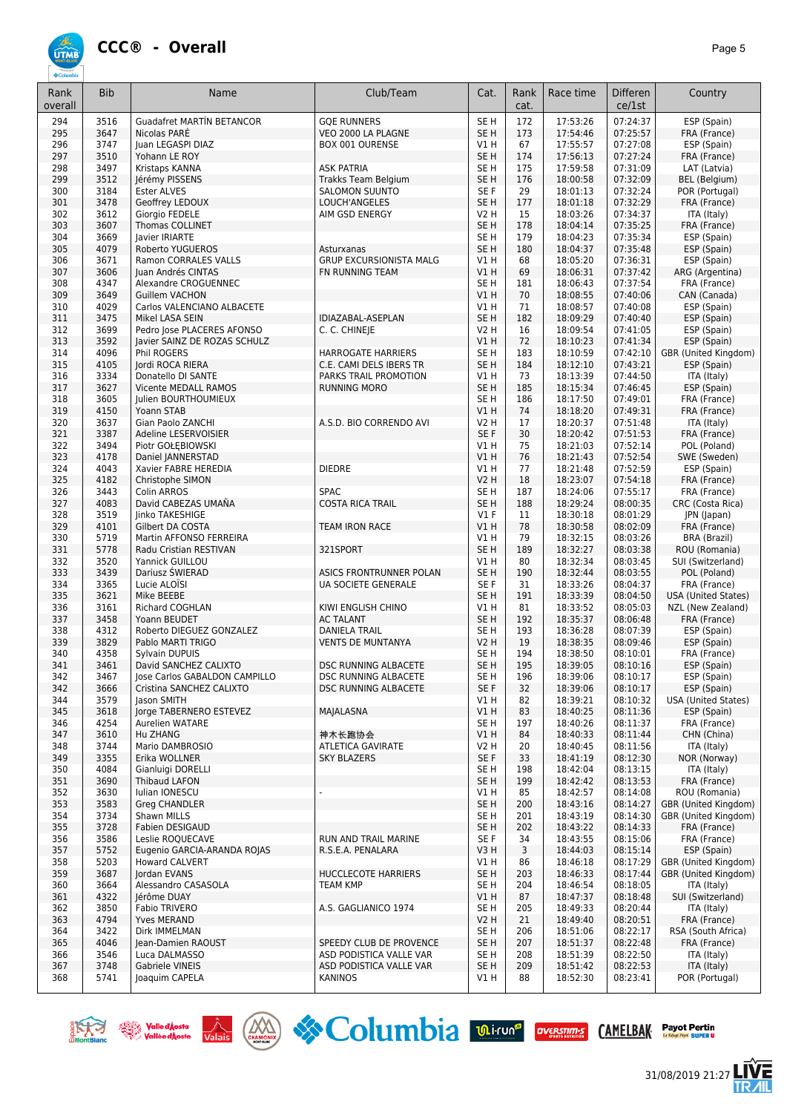

| Rank<br>overall | <b>Bib</b>   | Name                                                       | Club/Team                                    | Cat.                    | Rank<br>cat. | Race time            | <b>Differen</b><br>ce/1st | Country                           |
|-----------------|--------------|------------------------------------------------------------|----------------------------------------------|-------------------------|--------------|----------------------|---------------------------|-----------------------------------|
| 294             | 3516         | <b>Guadafret MARTÍN BETANCOR</b>                           | <b>GOE RUNNERS</b>                           | SE H                    | 172          | 17:53:26             | 07:24:37                  | ESP (Spain)                       |
| 295             | 3647         | Nicolas PARE                                               | VEO 2000 LA PLAGNE                           | SE H                    | 173          | 17:54:46             | 07:25:57                  | FRA (France)                      |
| 296             | 3747         | Juan LEGASPI DIAZ                                          | BOX 001 OURENSE                              | V1 H                    | 67           | 17:55:57             | 07:27:08                  | ESP (Spain)                       |
| 297             | 3510         | Yohann LE ROY                                              |                                              | SE <sub>H</sub>         | 174          | 17:56:13             | 07:27:24                  | FRA (France)                      |
| 298<br>299      | 3497<br>3512 | Kristaps KANNA                                             | <b>ASK PATRIA</b>                            | SE H<br>SE <sub>H</sub> | 175<br>176   | 17:59:58<br>18:00:58 | 07:31:09<br>07:32:09      | LAT (Latvia)                      |
| 300             | 3184         | Jérémy PISSENS<br><b>Ester ALVES</b>                       | Trakks Team Belgium<br><b>SALOMON SUUNTO</b> | SE F                    | 29           | 18:01:13             | 07:32:24                  | BEL (Belgium)<br>POR (Portugal)   |
| 301             | 3478         | Geoffrey LEDOUX                                            | LOUCH'ANGELES                                | SE <sub>H</sub>         | 177          | 18:01:18             | 07:32:29                  | FRA (France)                      |
| 302             | 3612         | Giorgio FEDELE                                             | AIM GSD ENERGY                               | V2 H                    | 15           | 18:03:26             | 07:34:37                  | ITA (Italy)                       |
| 303             | 3607         | <b>Thomas COLLINET</b>                                     |                                              | SE <sub>H</sub>         | 178          | 18:04:14             | 07:35:25                  | FRA (France)                      |
| 304             | 3669         | lavier IRIARTE                                             |                                              | SE <sub>H</sub>         | 179          | 18:04:23             | 07:35:34                  | ESP (Spain)                       |
| 305             | 4079         | Roberto YUGUEROS                                           | Asturxanas                                   | SE <sub>H</sub>         | 180          | 18:04:37             | 07:35:48                  | ESP (Spain)                       |
| 306             | 3671         | <b>Ramon CORRALES VALLS</b>                                | <b>GRUP EXCURSIONISTA MALG</b>               | VIH                     | 68           | 18:05:20             | 07:36:31                  | ESP (Spain)                       |
| 307             | 3606         | Juan Andrés CINTAS                                         | FN RUNNING TEAM                              | V1 H                    | 69           | 18:06:31             | 07:37:42                  | ARG (Argentina)                   |
| 308             | 4347         | Alexandre CROGUENNEC                                       |                                              | SE H                    | 181          | 18:06:43             | 07:37:54                  | FRA (France)                      |
| 309             | 3649         | <b>Guillem VACHON</b>                                      |                                              | V1 H                    | 70           | 18:08:55             | 07:40:06                  | CAN (Canada)                      |
| 310             | 4029         | Carlos VALENCIANO ALBACETE                                 |                                              | <b>V1 H</b>             | 71           | 18:08:57             | 07:40:08                  | ESP (Spain)                       |
| 311<br>312      | 3475<br>3699 | Mikel LASA SEIN                                            | IDIAZABAL-ASEPLAN<br>C. C. CHINEJE           | SE <sub>H</sub><br>V2 H | 182<br>16    | 18:09:29<br>18:09:54 | 07:40:40<br>07:41:05      | ESP (Spain)<br>ESP (Spain)        |
| 313             | 3592         | Pedro Jose PLACERES AFONSO<br>Javier SAINZ DE ROZAS SCHULZ |                                              | V1 H                    | 72           | 18:10:23             | 07:41:34                  | ESP (Spain)                       |
| 314             | 4096         | Phil ROGERS                                                | <b>HARROGATE HARRIERS</b>                    | SE <sub>H</sub>         | 183          | 18:10:59             | 07:42:10                  | GBR (United Kingdom)              |
| 315             | 4105         | Jordi ROCA RIERA                                           | C.E. CAMI DELS IBERS TR                      | SE <sub>H</sub>         | 184          | 18:12:10             | 07:43:21                  | ESP (Spain)                       |
| 316             | 3334         | Donatello DI SANTE                                         | PARKS TRAIL PROMOTION                        | V1 H                    | 73           | 18:13:39             | 07:44:50                  | ITA (Italy)                       |
| 317             | 3627         | Vicente MEDALL RAMOS                                       | <b>RUNNING MORO</b>                          | SE <sub>H</sub>         | 185          | 18:15:34             | 07:46:45                  | ESP (Spain)                       |
| 318             | 3605         | Julien BOURTHOUMIEUX                                       |                                              | SE <sub>H</sub>         | 186          | 18:17:50             | 07:49:01                  | FRA (France)                      |
| 319             | 4150         | Yoann STAB                                                 |                                              | V1 H                    | 74           | 18:18:20             | 07:49:31                  | FRA (France)                      |
| 320             | 3637         | Gian Paolo ZANCHI                                          | A.S.D. BIO CORRENDO AVI                      | V2 H                    | 17           | 18:20:37             | 07:51:48                  | ITA (Italy)                       |
| 321             | 3387         | Adeline LESERVOISIER                                       |                                              | SE F                    | 30           | 18:20:42             | 07:51:53                  | FRA (France)                      |
| 322             | 3494         | Piotr GOŁEBIOWSKI                                          |                                              | V1 H                    | 75           | 18:21:03             | 07:52:14                  | POL (Poland)                      |
| 323             | 4178         | Daniel JANNERSTAD                                          |                                              | V1H                     | 76           | 18:21:43             | 07:52:54                  | SWE (Sweden)                      |
| 324<br>325      | 4043<br>4182 | Xavier FABRE HEREDIA                                       | <b>DIEDRE</b>                                | V1 H<br>V2 H            | 77<br>18     | 18:21:48<br>18:23:07 | 07:52:59<br>07:54:18      | ESP (Spain)<br>FRA (France)       |
| 326             | 3443         | Christophe SIMON<br>Colin ARROS                            | <b>SPAC</b>                                  | SE H                    | 187          | 18:24:06             | 07:55:17                  | FRA (France)                      |
| 327             | 4083         | David CABEZAS UMAÑA                                        | <b>COSTA RICA TRAIL</b>                      | SE <sub>H</sub>         | 188          | 18:29:24             | 08:00:35                  | CRC (Costa Rica)                  |
| 328             | 3519         | Jinko TAKESHIGE                                            |                                              | $VI$ F                  | 11           | 18:30:18             | 08:01:29                  | JPN (Japan)                       |
| 329             | 4101         | Gilbert DA COSTA                                           | <b>TEAM IRON RACE</b>                        | V1H                     | 78           | 18:30:58             | 08:02:09                  | FRA (France)                      |
| 330             | 5719         | Martin AFFONSO FERREIRA                                    |                                              | V1 H                    | 79           | 18:32:15             | 08:03:26                  | BRA (Brazil)                      |
| 331             | 5778         | Radu Cristian RESTIVAN                                     | 321SPORT                                     | SE <sub>H</sub>         | 189          | 18:32:27             | 08:03:38                  | ROU (Romania)                     |
| 332             | 3520         | Yannick GUILLOU                                            |                                              | V1 H                    | 80           | 18:32:34             | 08:03:45                  | SUI (Switzerland)                 |
| 333             | 3439         | Dariusz ŚWIERAD                                            | ASICS FRONTRUNNER POLAN                      | SE H                    | 190          | 18:32:44             | 08:03:55                  | POL (Poland)                      |
| 334             | 3365         | Lucie ALOISI                                               | UA SOCIETE GENERALE                          | SE F                    | 31           | 18:33:26             | 08:04:37                  | FRA (France)                      |
| 335             | 3621         | Mike BEEBE                                                 |                                              | SE <sub>H</sub>         | 191          | 18:33:39             | 08:04:50                  | <b>USA (United States)</b>        |
| 336<br>337      | 3161<br>3458 | <b>Richard COGHLAN</b><br>Yoann BEUDET                     | KIWI ENGLISH CHINO<br><b>AC TALANT</b>       | V1H<br>SE <sub>H</sub>  | 81<br>192    | 18:33:52<br>18:35:37 | 08:05:03<br>08:06:48      | NZL (New Zealand)<br>FRA (France) |
| 338             | 4312         | Roberto DIEGUEZ GONZALEZ                                   | <b>DANIELA TRAIL</b>                         | SE H                    | 193          | 18:36:28             | 08:07:39                  | ESP (Spain)                       |
| 339             | 3829         | Pablo MARTI TRIGO                                          | <b>VENTS DE MUNTANYA</b>                     | V2 H                    | 19           | 18:38:35             | 08:09:46                  | ESP (Spain)                       |
| 340             | 4358         | Sylvain DUPUIS                                             |                                              | SE H                    | 194          | 18:38:50             | 08:10:01                  | FRA (France)                      |
| 341             | 3461         | David SANCHEZ CALIXTO                                      | DSC RUNNING ALBACETE                         | SE <sub>H</sub>         | 195          | 18:39:05             | 08:10:16                  | ESP (Spain)                       |
| 342             | 3467         | Jose Carlos GABALDON CAMPILLO                              | DSC RUNNING ALBACETE                         | SE H                    | 196          | 18:39:06             | 08:10:17                  | ESP (Spain)                       |
| 342             | 3666         | Cristina SANCHEZ CALIXTO                                   | DSC RUNNING ALBACETE                         | SE F                    | 32           | 18:39:06             | 08:10:17                  | ESP (Spain)                       |
| 344             | 3579         | Jason SMITH                                                |                                              | V1 H                    | 82           | 18:39:21             | 08:10:32                  | <b>USA (United States)</b>        |
| 345             | 3618         | Jorge TABERNERO ESTEVEZ                                    | MAJALASNA                                    | V1 H                    | 83           | 18:40:25             | 08:11:36                  | ESP (Spain)                       |
| 346             | 4254         | <b>Aurelien WATARE</b>                                     |                                              | SE H                    | 197          | 18:40:26             | 08:11:37                  | FRA (France)                      |
| 347<br>348      | 3610<br>3744 | <b>Hu ZHANG</b><br>Mario DAMBROSIO                         | 神木长跑协会<br>ATLETICA GAVIRATE                  | V1 H<br>V2 H            | 84<br>20     | 18:40:33<br>18:40:45 | 08:11:44<br>08:11:56      | CHN (China)<br>ITA (Italy)        |
| 349             | 3355         | Erika WOLLNER                                              | <b>SKY BLAZERS</b>                           | SE F                    | 33           | 18:41:19             | 08:12:30                  | NOR (Norway)                      |
| 350             | 4084         | Gianluigi DORELLI                                          |                                              | SE H                    | 198          | 18:42:04             | 08:13:15                  | ITA (Italy)                       |
| 351             | 3690         | <b>Thibaud LAFON</b>                                       |                                              | SE H                    | 199          | 18:42:42             | 08:13:53                  | FRA (France)                      |
| 352             | 3630         | Iulian IONESCU                                             |                                              | V1 H                    | 85           | 18:42:57             | 08:14:08                  | ROU (Romania)                     |
| 353             | 3583         | Greg CHANDLER                                              |                                              | SE <sub>H</sub>         | 200          | 18:43:16             | 08:14:27                  | GBR (United Kingdom)              |
| 354             | 3734         | Shawn MILLS                                                |                                              | SE H                    | 201          | 18:43:19             | 08:14:30                  | GBR (United Kingdom)              |
| 355             | 3728         | Fabien DESIGAUD                                            |                                              | SE H                    | 202          | 18:43:22             | 08:14:33                  | FRA (France)                      |
| 356             | 3586         | Leslie ROQUECAVE                                           | <b>RUN AND TRAIL MARINE</b>                  | SE F                    | 34           | 18:43:55             | 08:15:06                  | FRA (France)                      |
| 357             | 5752         | Eugenio GARCIA-ARANDA ROJAS                                | R.S.E.A. PENALARA                            | V3 H                    | 3            | 18:44:03             | 08:15:14                  | ESP (Spain)                       |
| 358             | 5203         | <b>Howard CALVERT</b>                                      |                                              | V1 H                    | 86           | 18:46:18             | 08:17:29                  | GBR (United Kingdom)              |
| 359<br>360      | 3687<br>3664 | <b>Jordan EVANS</b><br>Alessandro CASASOLA                 | HUCCLECOTE HARRIERS<br><b>TEAM KMP</b>       | SE H<br>SE H            | 203<br>204   | 18:46:33<br>18:46:54 | 08:17:44<br>08:18:05      | GBR (United Kingdom)              |
| 361             | 4322         | Jérôme DUAY                                                |                                              | V1 H                    | 87           | 18:47:37             | 08:18:48                  | ITA (Italy)<br>SUI (Switzerland)  |
| 362             | 3850         | Fabio TRIVERO                                              | A.S. GAGLIANICO 1974                         | SE H                    | 205          | 18:49:33             | 08:20:44                  | ITA (Italy)                       |
| 363             | 4794         | Yves MERAND                                                |                                              | V2 H                    | 21           | 18:49:40             | 08:20:51                  | FRA (France)                      |
| 364             | 3422         | Dirk IMMELMAN                                              |                                              | SE <sub>H</sub>         | 206          | 18:51:06             | 08:22:17                  | RSA (South Africa)                |
| 365             | 4046         | Jean-Damien RAOUST                                         | SPEEDY CLUB DE PROVENCE                      | SE H                    | 207          | 18:51:37             | 08:22:48                  | FRA (France)                      |
| 366             | 3546         | Luca DALMASSO                                              | ASD PODISTICA VALLE VAR                      | SE H                    | 208          | 18:51:39             | 08:22:50                  | ITA (Italy)                       |
| 367             | 3748         | Gabriele VINEIS                                            | ASD PODISTICA VALLE VAR                      | SE H                    | 209          | 18:51:42             | 08:22:53                  | ITA (Italy)                       |
| 368             | 5741         | Joaquim CAPELA                                             | KANINOS                                      | V1 H                    | 88           | 18:52:30             | 08:23:41                  | POR (Portugal)                    |







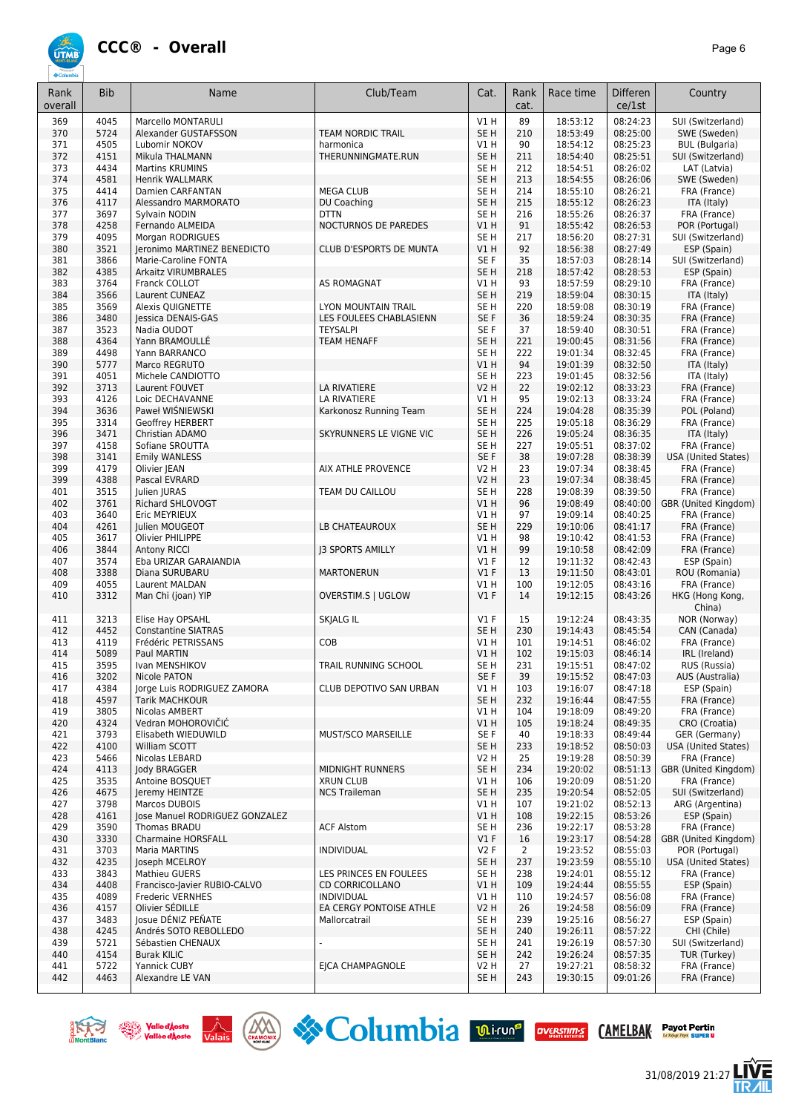

31/08/2019 21:27

Ξ

| Rank<br>overall | <b>Bib</b>   | Name                                         | Club/Team                             | Cat.                    | Rank<br>cat. | Race time            | Differen<br>ce/1st   | Country                                      |
|-----------------|--------------|----------------------------------------------|---------------------------------------|-------------------------|--------------|----------------------|----------------------|----------------------------------------------|
|                 |              |                                              |                                       |                         |              |                      |                      |                                              |
| 369<br>370      | 4045<br>5724 | Marcello MONTARULI<br>Alexander GUSTAFSSON   | <b>TEAM NORDIC TRAIL</b>              | V1H<br>SE <sub>H</sub>  | 89<br>210    | 18:53:12<br>18:53:49 | 08:24:23<br>08:25:00 | SUI (Switzerland)<br>SWE (Sweden)            |
| 371             | 4505         | Lubomir NOKOV                                | harmonica                             | V1 H                    | 90           | 18:54:12             | 08:25:23             | <b>BUL</b> (Bulgaria)                        |
| 372             | 4151         | Mikula THALMANN                              | THERUNNINGMATE.RUN                    | SE <sub>H</sub>         | 211          | 18:54:40             | 08:25:51             | SUI (Switzerland)                            |
| 373             | 4434         | <b>Martins KRUMINS</b>                       |                                       | SE H                    | 212          | 18:54:51             | 08:26:02             | LAT (Latvia)                                 |
| 374             | 4581         | <b>Henrik WALLMARK</b>                       |                                       | SE <sub>H</sub>         | 213          | 18:54:55             | 08:26:06             | SWE (Sweden)                                 |
| 375             | 4414         | Damien CARFANTAN                             | <b>MEGA CLUB</b>                      | SE <sub>H</sub>         | 214          | 18:55:10             | 08:26:21             | FRA (France)                                 |
| 376             | 4117         | Alessandro MARMORATO                         | DU Coaching                           | SE <sub>H</sub>         | 215          | 18:55:12             | 08:26:23             | ITA (Italy)                                  |
| 377<br>378      | 3697<br>4258 | Sylvain NODIN                                | <b>DTTN</b><br>NOCTURNOS DE PAREDES   | SE <sub>H</sub><br>VIH  | 216<br>91    | 18:55:26             | 08:26:37             | FRA (France)<br>POR (Portugal)               |
| 379             | 4095         | Fernando ALMEIDA<br>Morgan RODRIGUES         |                                       | SE <sub>H</sub>         | 217          | 18:55:42<br>18:56:20 | 08:26:53<br>08:27:31 | SUI (Switzerland)                            |
| 380             | 3521         | Jeronimo MARTINEZ BENEDICTO                  | <b>CLUB D'ESPORTS DE MUNTA</b>        | VIH                     | 92           | 18:56:38             | 08:27:49             | ESP (Spain)                                  |
| 381             | 3866         | Marie-Caroline FONTA                         |                                       | SE F                    | 35           | 18:57:03             | 08:28:14             | SUI (Switzerland)                            |
| 382             | 4385         | Arkaitz VIRUMBRALES                          |                                       | SE <sub>H</sub>         | 218          | 18:57:42             | 08:28:53             | ESP (Spain)                                  |
| 383             | 3764         | Franck COLLOT                                | AS ROMAGNAT                           | V1 H                    | 93           | 18:57:59             | 08:29:10             | FRA (France)                                 |
| 384             | 3566         | Laurent CUNEAZ                               |                                       | SE <sub>H</sub>         | 219          | 18:59:04             | 08:30:15             | ITA (Italy)                                  |
| 385             | 3569         | Alexis QUIGNETTE                             | LYON MOUNTAIN TRAIL                   | SE H                    | 220          | 18:59:08             | 08:30:19             | FRA (France)                                 |
| 386             | 3480<br>3523 | Jessica DENAIS-GAS                           | LES FOULEES CHABLASIENN               | SE F<br>SE F            | 36           | 18:59:24             | 08:30:35             | FRA (France)<br>FRA (France)                 |
| 387<br>388      | 4364         | Nadia OUDOT<br>Yann BRAMOULLE                | <b>TEYSALPI</b><br><b>TEAM HENAFF</b> | SE <sub>H</sub>         | 37<br>221    | 18:59:40<br>19:00:45 | 08:30:51<br>08:31:56 | FRA (France)                                 |
| 389             | 4498         | Yann BARRANCO                                |                                       | SE H                    | 222          | 19:01:34             | 08:32:45             | FRA (France)                                 |
| 390             | 5777         | Marco REGRUTO                                |                                       | V1H                     | 94           | 19:01:39             | 08:32:50             | ITA (Italy)                                  |
| 391             | 4051         | Michele CANDIOTTO                            |                                       | SE <sub>H</sub>         | 223          | 19:01:45             | 08:32:56             | ITA (Italy)                                  |
| 392             | 3713         | Laurent FOUVET                               | LA RIVATIERE                          | <b>V2 H</b>             | 22           | 19:02:12             | 08:33:23             | FRA (France)                                 |
| 393             | 4126         | Loic DECHAVANNE                              | LA RIVATIERE                          | V1 H                    | 95           | 19:02:13             | 08:33:24             | FRA (France)                                 |
| 394             | 3636         | Paweł WIŚNIEWSKI                             | Karkonosz Running Team                | SE <sub>H</sub>         | 224          | 19:04:28             | 08:35:39             | POL (Poland)                                 |
| 395             | 3314         | Geoffrey HERBERT                             |                                       | SE H                    | 225          | 19:05:18             | 08:36:29             | FRA (France)                                 |
| 396<br>397      | 3471<br>4158 | Christian ADAMO<br>Sofiane SROUTTA           | SKYRUNNERS LE VIGNE VIC               | SE <sub>H</sub><br>SE H | 226<br>227   | 19:05:24<br>19:05:51 | 08:36:35<br>08:37:02 | ITA (Italy)<br>FRA (France)                  |
| 398             | 3141         | <b>Emily WANLESS</b>                         |                                       | SE F                    | 38           | 19:07:28             | 08:38:39             | USA (United States)                          |
| 399             | 4179         | Olivier JEAN                                 | AIX ATHLE PROVENCE                    | <b>V2 H</b>             | 23           | 19:07:34             | 08:38:45             | FRA (France)                                 |
| 399             | 4388         | Pascal EVRARD                                |                                       | <b>V2 H</b>             | 23           | 19:07:34             | 08:38:45             | FRA (France)                                 |
| 401             | 3515         | Julien JURAS                                 | TEAM DU CAILLOU                       | SE H                    | 228          | 19:08:39             | 08:39:50             | FRA (France)                                 |
| 402             | 3761         | Richard SHLOVOGT                             |                                       | VIH                     | 96           | 19:08:49             | 08:40:00             | GBR (United Kingdom)                         |
| 403             | 3640         | Eric MEYRIEUX                                |                                       | V1 H                    | 97           | 19:09:14             | 08:40:25             | FRA (France)                                 |
| 404             | 4261         | Julien MOUGEOT                               | LB CHATEAUROUX                        | SE <sub>H</sub>         | 229          | 19:10:06             | 08:41:17             | FRA (France)                                 |
| 405<br>406      | 3617<br>3844 | Olivier PHILIPPE                             | <b>13 SPORTS AMILLY</b>               | V1 H<br>V1 H            | 98<br>99     | 19:10:42<br>19:10:58 | 08:41:53<br>08:42:09 | FRA (France)<br>FRA (France)                 |
| 407             | 3574         | <b>Antony RICCI</b><br>Eba URIZAR GARAIANDIA |                                       | $VI$ F                  | 12           | 19:11:32             | 08:42:43             | ESP (Spain)                                  |
| 408             | 3388         | Diana SURUBARU                               | <b>MARTONERUN</b>                     | $VI$ F                  | 13           | 19:11:50             | 08:43:01             | ROU (Romania)                                |
| 409             | 4055         | Laurent MALDAN                               |                                       | V1 H                    | 100          | 19:12:05             | 08:43:16             | FRA (France)                                 |
| 410             | 3312         | Man Chi (joan) YIP                           | OVERSTIM.S   UGLOW                    | $VI$ F                  | 14           | 19:12:15             | 08:43:26             | HKG (Hong Kong,<br>China)                    |
| 411             | 3213         | Elise Hay OPSAHL                             | SKJALG IL                             | $VI$ F                  | 15           | 19:12:24             | 08:43:35             | NOR (Norway)                                 |
| 412             | 4452         | <b>Constantine SIATRAS</b>                   |                                       | SE <sub>H</sub>         | 230          | 19:14:43             | 08:45:54             | CAN (Canada)                                 |
| 413<br>414      | 4119<br>5089 | Frédéric PETRISSANS                          | COB                                   | V1 H<br>VIH             | 101<br>102   | 19:14:51<br>19:15:03 | 08:46:02<br>08:46:14 | FRA (France)<br>IRL (Ireland)                |
| 415             | 3595         | Paul MARTIN<br>Ivan MENSHIKOV                | TRAIL RUNNING SCHOOL                  | SE H                    | 231          | 19:15:51             | 08:47:02             | RUS (Russia)                                 |
| 416             | 3202         | Nicole PATON                                 |                                       | SE F                    | 39           | 19:15:52             | 08:47:03             | AUS (Australia)                              |
| 417             | 4384         | Jorge Luis RODRIGUEZ ZAMORA                  | CLUB DEPOTIVO SAN URBAN               | V1 H                    | 103          | 19:16:07             | 08:47:18             | ESP (Spain)                                  |
| 418             | 4597         | <b>Tarik MACHKOUR</b>                        |                                       | SE <sub>H</sub>         | 232          | 19:16:44             | 08:47:55             | FRA (France)                                 |
| 419             | 3805         | Nicolas AMBERT                               |                                       | V1 H                    | 104          | 19:18:09             | 08:49:20             | FRA (France)                                 |
| 420             | 4324         | Vedran MOHOROVIČIĆ                           |                                       | V1H                     | 105          | 19:18:24             | 08:49:35             | CRO (Croatia)                                |
| 421<br>422      | 3793         | Elisabeth WIEDUWILD                          | MUST/SCO MARSEILLE                    | SE F<br>SE <sub>H</sub> | 40           | 19:18:33<br>19:18:52 | 08:49:44<br>08:50:03 | GER (Germany)                                |
| 423             | 4100<br>5466 | William SCOTT<br>Nicolas LEBARD              |                                       | V2 H                    | 233<br>25    | 19:19:28             | 08:50:39             | <b>USA (United States)</b><br>FRA (France)   |
| 424             | 4113         | Jody BRAGGER                                 | MIDNIGHT RUNNERS                      | SE <sub>H</sub>         | 234          | 19:20:02             | 08:51:13             | GBR (United Kingdom)                         |
| 425             | 3535         | Antoine BOSQUET                              | <b>XRUN CLUB</b>                      | V1 H                    | 106          | 19:20:09             | 08:51:20             | FRA (France)                                 |
| 426             | 4675         | Jeremy HEINTZE                               | <b>NCS Traileman</b>                  | SE <sub>H</sub>         | 235          | 19:20:54             | 08:52:05             | SUI (Switzerland)                            |
| 427             | 3798         | Marcos DUBOIS                                |                                       | V1 H                    | 107          | 19:21:02             | 08:52:13             | ARG (Argentina)                              |
| 428             | 4161         | Jose Manuel RODRIGUEZ GONZALEZ               |                                       | V1H                     | 108          | 19:22:15             | 08:53:26             | ESP (Spain)                                  |
| 429             | 3590         | Thomas BRADU                                 | <b>ACF Alstom</b>                     | SE H                    | 236          | 19:22:17             | 08:53:28             | FRA (France)                                 |
| 430             | 3330         | <b>Charmaine HORSFALL</b>                    |                                       | $VI$ F                  | 16           | 19:23:17             | 08:54:28             | GBR (United Kingdom)                         |
| 431<br>432      | 3703<br>4235 | Maria MARTINS<br>Joseph MCELROY              | <b>INDIVIDUAL</b>                     | V2F<br>SE <sub>H</sub>  | 2<br>237     | 19:23:52<br>19:23:59 | 08:55:03<br>08:55:10 | POR (Portugal)<br><b>USA (United States)</b> |
| 433             | 3843         | <b>Mathieu GUERS</b>                         | LES PRINCES EN FOULEES                | SE <sub>H</sub>         | 238          | 19:24:01             | 08:55:12             | FRA (France)                                 |
| 434             | 4408         | Francisco-Javier RUBIO-CALVO                 | <b>CD CORRICOLLANO</b>                | V1H                     | 109          | 19:24:44             | 08:55:55             | ESP (Spain)                                  |
| 435             | 4089         | Frederic VERNHES                             | <b>INDIVIDUAL</b>                     | V1 H                    | 110          | 19:24:57             | 08:56:08             | FRA (France)                                 |
| 436             | 4157         | Olivier SÉDILLE                              | EA CERGY PONTOISE ATHLE               | <b>V2 H</b>             | 26           | 19:24:58             | 08:56:09             | FRA (France)                                 |
| 437             | 3483         | Josue DÉNIZ PEÑATE                           | Mallorcatrail                         | SE H                    | 239          | 19:25:16             | 08:56:27             | ESP (Spain)                                  |
| 438             | 4245         | Andrés SOTO REBOLLEDO                        |                                       | SE <sub>H</sub>         | 240          | 19:26:11             | 08:57:22             | CHI (Chile)                                  |
| 439             | 5721         | Sébastien CHENAUX                            |                                       | SE H                    | 241          | 19:26:19             | 08:57:30             | SUI (Switzerland)                            |
| 440<br>441      | 4154<br>5722 | <b>Burak KILIC</b><br>Yannick CUBY           | EICA CHAMPAGNOLE                      | SE <sub>H</sub><br>V2 H | 242<br>27    | 19:26:24<br>19:27:21 | 08:57:35<br>08:58:32 | TUR (Turkey)<br>FRA (France)                 |
| 442             | 4463         | Alexandre LE VAN                             |                                       | SE H                    | 243          | 19:30:15             | 09:01:26             | FRA (France)                                 |
|                 |              |                                              |                                       |                         |              |                      |                      |                                              |



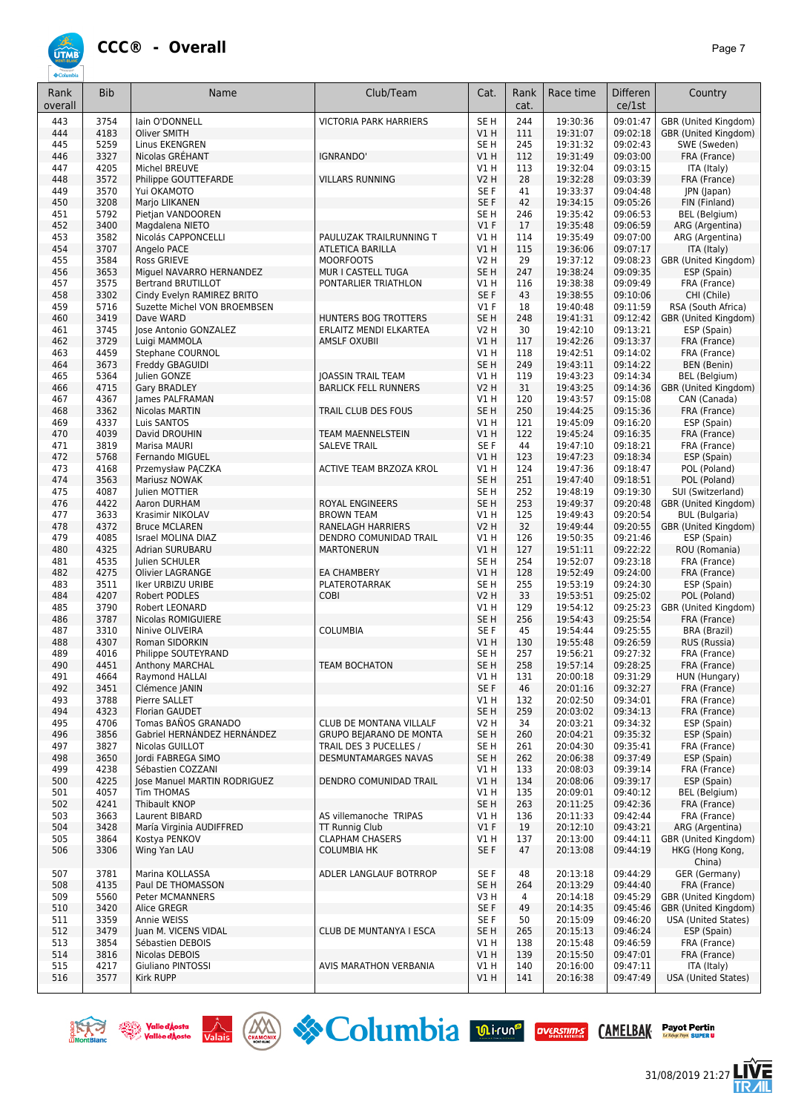

| Rank<br>overall | <b>Bib</b>   | Name                                              | Club/Team                                   | Cat.                      | Rank<br>cat. | Race time            | Differen<br>ce/1st   | Country                                    |
|-----------------|--------------|---------------------------------------------------|---------------------------------------------|---------------------------|--------------|----------------------|----------------------|--------------------------------------------|
| 443             | 3754         | lain O'DONNELL                                    | <b>VICTORIA PARK HARRIERS</b>               | SE <sub>H</sub>           | 244          | 19:30:36             | 09:01:47             | GBR (United Kingdom)                       |
| 444             | 4183         | Oliver SMITH                                      |                                             | V1H                       | 111          | 19:31:07             | 09:02:18             | GBR (United Kingdom)                       |
| 445             | 5259         | Linus EKENGREN                                    |                                             | SE <sub>H</sub>           | 245          | 19:31:32             | 09:02:43             | SWE (Sweden)                               |
| 446<br>447      | 3327<br>4205 | Nicolas GRÉHANT<br>Michel BREUVE                  | <b>IGNRANDO'</b>                            | V1H<br>V1H                | 112<br>113   | 19:31:49<br>19:32:04 | 09:03:00<br>09:03:15 | FRA (France)<br>ITA (Italy)                |
| 448             | 3572         | Philippe GOUTTEFARDE                              | <b>VILLARS RUNNING</b>                      | <b>V2 H</b>               | 28           | 19:32:28             | 09:03:39             | FRA (France)                               |
| 449             | 3570         | Yui OKAMOTO                                       |                                             | SE F                      | 41           | 19:33:37             | 09:04:48             | JPN (Japan)                                |
| 450             | 3208         | Marjo LIIKANEN                                    |                                             | SE F                      | 42           | 19:34:15             | 09:05:26             | FIN (Finland)                              |
| 451             | 5792         | Pietjan VANDOOREN                                 |                                             | SE <sub>H</sub>           | 246          | 19:35:42             | 09:06:53             | BEL (Belgium)                              |
| 452             | 3400         | Magdalena NIETO                                   |                                             | $VI$ F                    | 17           | 19:35:48             | 09:06:59             | ARG (Argentina)                            |
| 453<br>454      | 3582<br>3707 | Nicolás CAPPONCELLI<br>Angelo PACE                | PAULUZAK TRAILRUNNING T<br>ATLETICA BARILLA | V1 H<br><b>V1 H</b>       | 114<br>115   | 19:35:49<br>19:36:06 | 09:07:00<br>09:07:17 | ARG (Argentina)<br>ITA (Italy)             |
| 455             | 3584         | <b>Ross GRIEVE</b>                                | <b>MOORFOOTS</b>                            | <b>V2 H</b>               | 29           | 19:37:12             | 09:08:23             | GBR (United Kingdom)                       |
| 456             | 3653         | Miguel NAVARRO HERNANDEZ                          | MUR I CASTELL TUGA                          | SE <sub>H</sub>           | 247          | 19:38:24             | 09:09:35             | ESP (Spain)                                |
| 457             | 3575         | <b>Bertrand BRUTILLOT</b>                         | PONTARLIER TRIATHLON                        | V1 H                      | 116          | 19:38:38             | 09:09:49             | FRA (France)                               |
| 458             | 3302         | Cindy Evelyn RAMIREZ BRITO                        |                                             | SE F                      | 43           | 19:38:55             | 09:10:06             | CHI (Chile)                                |
| 459<br>460      | 5716<br>3419 | Suzette Michel VON BROEMBSEN<br>Dave WARD         | HUNTERS BOG TROTTERS                        | $VI$ F<br>SE <sub>H</sub> | 18<br>248    | 19:40:48<br>19:41:31 | 09:11:59<br>09:12:42 | RSA (South Africa)<br>GBR (United Kingdom) |
| 461             | 3745         | Jose Antonio GONZALEZ                             | ERLAITZ MENDI ELKARTEA                      | V2 H                      | 30           | 19:42:10             | 09:13:21             | ESP (Spain)                                |
| 462             | 3729         | Luigi MAMMOLA                                     | <b>AMSLF OXUBII</b>                         | VIH                       | 117          | 19:42:26             | 09:13:37             | FRA (France)                               |
| 463             | 4459         | Stephane COURNOL                                  |                                             | V1 H                      | 118          | 19:42:51             | 09:14:02             | FRA (France)                               |
| 464             | 3673         | Freddy GBAGUIDI                                   |                                             | SE <sub>H</sub>           | 249          | 19:43:11             | 09:14:22             | BEN (Benin)                                |
| 465             | 5364         | Julien GONZE                                      | <b>JOASSIN TRAIL TEAM</b>                   | V1 H                      | 119          | 19:43:23             | 09:14:34             | BEL (Belgium)                              |
| 466<br>467      | 4715<br>4367 | Gary BRADLEY<br><b>lames PALFRAMAN</b>            | <b>BARLICK FELL RUNNERS</b>                 | <b>V2 H</b><br>V1 H       | 31<br>120    | 19:43:25<br>19:43:57 | 09:14:36<br>09:15:08 | GBR (United Kingdom)<br>CAN (Canada)       |
| 468             | 3362         | Nicolas MARTIN                                    | TRAIL CLUB DES FOUS                         | SE <sub>H</sub>           | 250          | 19:44:25             | 09:15:36             | FRA (France)                               |
| 469             | 4337         | Luis SANTOS                                       |                                             | V1H                       | 121          | 19:45:09             | 09:16:20             | ESP (Spain)                                |
| 470             | 4039         | David DROUHIN                                     | <b>TEAM MAENNELSTEIN</b>                    | V1H                       | 122          | 19:45:24             | 09:16:35             | FRA (France)                               |
| 471             | 3819         | <b>Marisa MAURI</b>                               | SALEVE TRAIL                                | SE F                      | 44           | 19:47:10             | 09:18:21             | FRA (France)                               |
| 472             | 5768         | Fernando MIGUEL                                   |                                             | V1H                       | 123          | 19:47:23             | 09:18:34             | ESP (Spain)                                |
| 473<br>474      | 4168<br>3563 | Przemysław PACZKA<br>Mariusz NOWAK                | ACTIVE TEAM BRZOZA KROL                     | V1 H<br>SE <sub>H</sub>   | 124<br>251   | 19:47:36<br>19:47:40 | 09:18:47<br>09:18:51 | POL (Poland)<br>POL (Poland)               |
| 475             | 4087         | Julien MOTTIER                                    |                                             | SE H                      | 252          | 19:48:19             | 09:19:30             | SUI (Switzerland)                          |
| 476             | 4422         | Aaron DURHAM                                      | ROYAL ENGINEERS                             | SE <sub>H</sub>           | 253          | 19:49:37             | 09:20:48             | GBR (United Kingdom)                       |
| 477             | 3633         | Krasimir NIKOLAV                                  | <b>BROWN TEAM</b>                           | V1H                       | 125          | 19:49:43             | 09:20:54             | <b>BUL</b> (Bulgaria)                      |
| 478             | 4372         | <b>Bruce MCLAREN</b>                              | RANELAGH HARRIERS                           | <b>V2 H</b>               | 32           | 19:49:44             | 09:20:55             | GBR (United Kingdom)                       |
| 479             | 4085         | <b>Israel MOLINA DIAZ</b>                         | DENDRO COMUNIDAD TRAIL                      | V1H                       | 126          | 19:50:35             | 09:21:46             | ESP (Spain)                                |
| 480<br>481      | 4325<br>4535 | Adrian SURUBARU<br>Julien SCHULER                 | <b>MARTONERUN</b>                           | VIH<br>SE <sub>H</sub>    | 127<br>254   | 19:51:11<br>19:52:07 | 09:22:22<br>09:23:18 | ROU (Romania)<br>FRA (France)              |
| 482             | 4275         | <b>Olivier LAGRANGE</b>                           | <b>EA CHAMBERY</b>                          | VIH                       | 128          | 19:52:49             | 09:24:00             | FRA (France)                               |
| 483             | 3511         | Iker URBIZU URIBE                                 | PLATEROTARRAK                               | SE <sub>H</sub>           | 255          | 19:53:19             | 09:24:30             | ESP (Spain)                                |
| 484             | 4207         | <b>Robert PODLES</b>                              | COBI                                        | <b>V2 H</b>               | 33           | 19:53:51             | 09:25:02             | POL (Poland)                               |
| 485             | 3790         | Robert LEONARD                                    |                                             | V1 H                      | 129          | 19:54:12             | 09:25:23             | GBR (United Kingdom)                       |
| 486<br>487      | 3787<br>3310 | <b>Nicolas ROMIGUIERE</b><br>Ninive OLIVEIRA      | <b>COLUMBIA</b>                             | SE <sub>H</sub><br>SE F   | 256<br>45    | 19:54:43<br>19:54:44 | 09:25:54<br>09:25:55 | FRA (France)<br><b>BRA (Brazil)</b>        |
| 488             | 4307         | Roman SIDORKIN                                    |                                             | VIH                       | 130          | 19:55:48             | 09:26:59             | RUS (Russia)                               |
| 489             | 4016         | Philippe SOUTEYRAND                               |                                             | SE <sub>H</sub>           | 257          | 19:56:21             | 09:27:32             | FRA (France)                               |
| 490             | 4451         | <b>Anthony MARCHAL</b>                            | <b>TEAM BOCHATON</b>                        | SE <sub>H</sub>           | 258          | 19:57:14             | 09:28:25             | FRA (France)                               |
| 491             | 4664         | Raymond HALLAI                                    |                                             | V1 H                      | 131          | 20:00:18             | 09:31:29             | HUN (Hungary)                              |
| 492             | 3451         | Clémence JANIN<br>Pierre SALLET                   |                                             | SE F                      | 46           | 20:01:16             | 09:32:27             | FRA (France)                               |
| 493<br>494      | 3788<br>4323 | <b>Florian GAUDET</b>                             |                                             | V1 H<br>SE <sub>H</sub>   | 132<br>259   | 20:02:50<br>20:03:02 | 09:34:01<br>09:34:13 | FRA (France)<br>FRA (France)               |
| 495             | 4706         | Tomas BAÑOS GRANADO                               | CLUB DE MONTANA VILLALF                     | V2 H                      | 34           | 20:03:21             | 09:34:32             | ESP (Spain)                                |
| 496             | 3856         | Gabriel HERNÁNDEZ HERNÁNDEZ                       | <b>GRUPO BEJARANO DE MONTA</b>              | SE <sub>H</sub>           | 260          | 20:04:21             | 09:35:32             | ESP (Spain)                                |
| 497             | 3827         | Nicolas GUILLOT                                   | TRAIL DES 3 PUCELLES /                      | SE <sub>H</sub>           | 261          | 20:04:30             | 09:35:41             | FRA (France)                               |
| 498             | 3650         | Jordi FABREGA SIMO                                | DESMUNTAMARGES NAVAS                        | SE <sub>H</sub>           | 262          | 20:06:38             | 09:37:49             | ESP (Spain)                                |
| 499<br>500      | 4238<br>4225 | Sébastien COZZANI<br>Jose Manuel MARTIN RODRIGUEZ | DENDRO COMUNIDAD TRAIL                      | V1 H<br>V1 H              | 133<br>134   | 20:08:03<br>20:08:06 | 09:39:14<br>09:39:17 | FRA (France)<br>ESP (Spain)                |
| 501             | 4057         | <b>Tim THOMAS</b>                                 |                                             | V1 H                      | 135          | 20:09:01             | 09:40:12             | BEL (Belgium)                              |
| 502             | 4241         | Thibault KNOP                                     |                                             | SE <sub>H</sub>           | 263          | 20:11:25             | 09:42:36             | FRA (France)                               |
| 503             | 3663         | Laurent BIBARD                                    | AS villemanoche TRIPAS                      | V1 H                      | 136          | 20:11:33             | 09:42:44             | FRA (France)                               |
| 504             | 3428         | María Virginia AUDIFFRED                          | <b>TT Runnig Club</b>                       | $VI$ F                    | 19           | 20:12:10             | 09:43:21             | ARG (Argentina)                            |
| 505             | 3864         | Kostya PENKOV                                     | <b>CLAPHAM CHASERS</b>                      | V1 H                      | 137          | 20:13:00             | 09:44:11             | GBR (United Kingdom)                       |
| 506             | 3306         | Wing Yan LAU                                      | <b>COLUMBIA HK</b>                          | SE F                      | 47           | 20:13:08             | 09:44:19             | HKG (Hong Kong,<br>China)                  |
| 507             | 3781         | Marina KOLLASSA                                   | ADLER LANGLAUF BOTRROP                      | SE F                      | 48           | 20:13:18             | 09:44:29             | GER (Germany)                              |
| 508             | 4135         | Paul DE THOMASSON                                 |                                             | SE <sub>H</sub>           | 264          | 20:13:29             | 09:44:40             | FRA (France)                               |
| 509             | 5560         | Peter MCMANNERS                                   |                                             | V3H                       | 4            | 20:14:18             | 09:45:29             | GBR (United Kingdom)                       |
| 510             | 3420         | Alice GREGR                                       |                                             | SE F                      | 49           | 20:14:35             | 09:45:46             | GBR (United Kingdom)                       |
| 511             | 3359         | Annie WEISS                                       |                                             | SE F                      | 50           | 20:15:09             | 09:46:20             | USA (United States)                        |
| 512<br>513      | 3479<br>3854 | Juan M. VICENS VIDAL<br>Sébastien DEBOIS          | CLUB DE MUNTANYA I ESCA                     | SE <sub>H</sub><br>V1 H   | 265<br>138   | 20:15:13<br>20:15:48 | 09:46:24<br>09:46:59 | ESP (Spain)<br>FRA (France)                |
| 514             | 3816         | Nicolas DEBOIS                                    |                                             | V1H                       | 139          | 20:15:50             | 09:47:01             | FRA (France)                               |
| 515             | 4217         | Giuliano PINTOSSI                                 | AVIS MARATHON VERBANIA                      | V1H                       | 140          | 20:16:00             | 09:47:11             | ITA (Italy)                                |
| 516             | 3577         | Kirk RUPP                                         |                                             | V1H                       | 141          | 20:16:38             | 09:47:49             | USA (United States)                        |









怎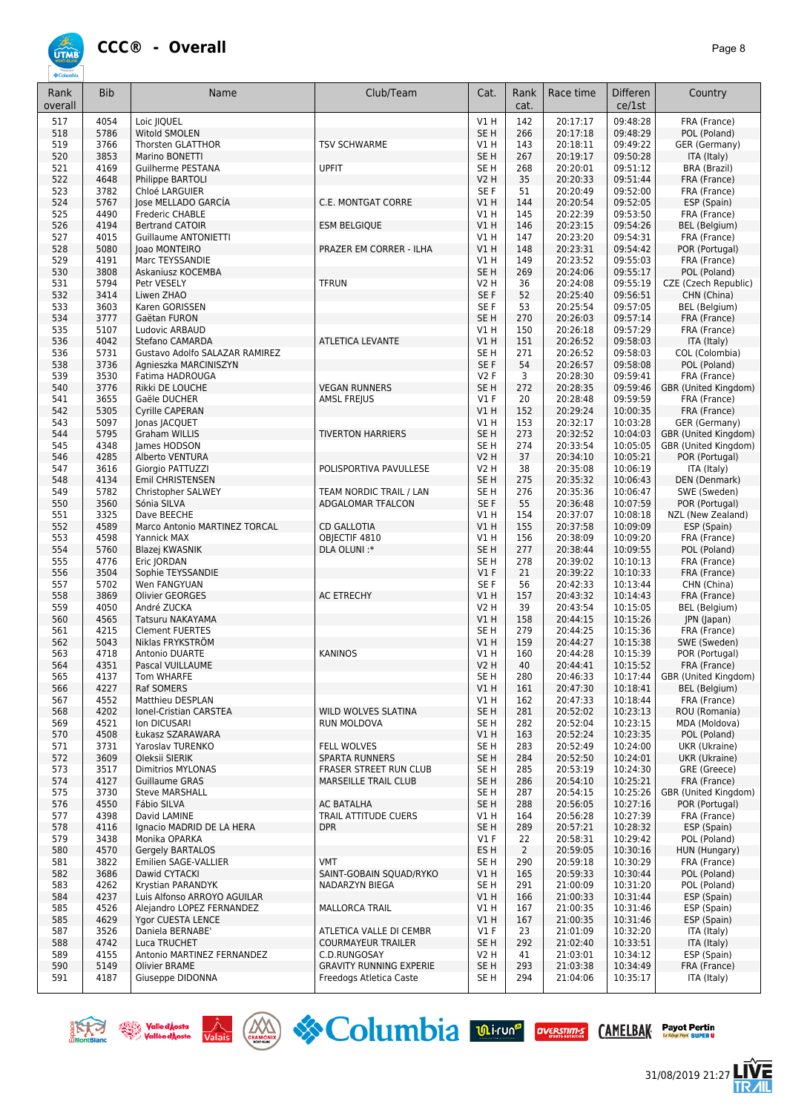

| Rank<br>overall | <b>Bib</b>   | Name                                                  | Club/Team                                                 | Cat.                               | Rank<br>cat.   | Race time            | <b>Differen</b><br>ce/1st | Country                              |
|-----------------|--------------|-------------------------------------------------------|-----------------------------------------------------------|------------------------------------|----------------|----------------------|---------------------------|--------------------------------------|
| 517             | 4054         | Loic JIQUEL                                           |                                                           | $VI$ H                             | 142            | 20:17:17             | 09:48:28                  | FRA (France)                         |
| 518             | 5786         | Witold SMOLEN                                         |                                                           | SE <sub>H</sub>                    | 266            | 20:17:18             | 09:48:29                  | POL (Poland)                         |
| 519<br>520      | 3766<br>3853 | Thorsten GLATTHOR<br>Marino BONETTI                   | <b>TSV SCHWARME</b>                                       | V1 H<br>SE <sub>H</sub>            | 143<br>267     | 20:18:11<br>20:19:17 | 09:49:22<br>09:50:28      | GER (Germany)<br>ITA (Italy)         |
| 521             | 4169         | Guilherme PESTANA                                     | <b>UPFIT</b>                                              | SE <sub>H</sub>                    | 268            | 20:20:01             | 09:51:12                  | <b>BRA (Brazil)</b>                  |
| 522             | 4648         | <b>Philippe BARTOLI</b>                               |                                                           | <b>V2 H</b>                        | 35             | 20:20:33             | 09:51:44                  | FRA (France)                         |
| 523             | 3782         | Chloé LARGUIER                                        |                                                           | SE F                               | 51             | 20:20:49             | 09:52:00                  | FRA (France)                         |
| 524             | 5767         | Jose MELLADO GARCÍA                                   | C.E. MONTGAT CORRE                                        | V1H                                | 144            | 20:20:54             | 09:52:05                  | ESP (Spain)                          |
| 525             | 4490         | Frederic CHABLE                                       |                                                           | V1 H                               | 145            | 20:22:39             | 09:53:50                  | FRA (France)                         |
| 526<br>527      | 4194<br>4015 | <b>Bertrand CATOIR</b><br><b>Guillaume ANTONIETTI</b> | <b>ESM BELGIQUE</b>                                       | V1H<br>V1 H                        | 146<br>147     | 20:23:15<br>20:23:20 | 09:54:26<br>09:54:31      | <b>BEL</b> (Belgium)<br>FRA (France) |
| 528             | 5080         | loao MONTEIRO                                         | PRAZER EM CORRER - ILHA                                   | VIH                                | 148            | 20:23:31             | 09:54:42                  | POR (Portugal)                       |
| 529             | 4191         | Marc TEYSSANDIE                                       |                                                           | $VI$ H                             | 149            | 20:23:52             | 09:55:03                  | FRA (France)                         |
| 530             | 3808         | Askaniusz KOCEMBA                                     |                                                           | SE <sub>H</sub>                    | 269            | 20:24:06             | 09:55:17                  | POL (Poland)                         |
| 531             | 5794         | Petr VESELY                                           | <b>TFRUN</b>                                              | <b>V2 H</b>                        | 36             | 20:24:08             | 09:55:19                  | CZE (Czech Republic)                 |
| 532             | 3414         | Liwen ZHAO                                            |                                                           | SE F                               | 52             | 20:25:40             | 09:56:51                  | CHN (China)                          |
| 533<br>534      | 3603<br>3777 | Karen GORISSEN<br>Gaëtan FURON                        |                                                           | SE <sub>F</sub><br>SE <sub>H</sub> | 53<br>270      | 20:25:54<br>20:26:03 | 09:57:05<br>09:57:14      | <b>BEL</b> (Belgium)<br>FRA (France) |
| 535             | 5107         | Ludovic ARBAUD                                        |                                                           | V1H                                | 150            | 20:26:18             | 09:57:29                  | FRA (France)                         |
| 536             | 4042         | Stefano CAMARDA                                       | <b>ATLETICA LEVANTE</b>                                   | V1H                                | 151            | 20:26:52             | 09:58:03                  | ITA (Italy)                          |
| 536             | 5731         | Gustavo Adolfo SALAZAR RAMIREZ                        |                                                           | SE <sub>H</sub>                    | 271            | 20:26:52             | 09:58:03                  | COL (Colombia)                       |
| 538             | 3736         | Agnieszka MARCINISZYN                                 |                                                           | SE F                               | 54             | 20:26:57             | 09:58:08                  | POL (Poland)                         |
| 539             | 3530         | Fatima HADROUGA                                       |                                                           | <b>V2F</b>                         | 3              | 20:28:30             | 09:59:41                  | FRA (France)                         |
| 540<br>541      | 3776<br>3655 | Rikki DE LOUCHE<br>Gaële DUCHER                       | <b>VEGAN RUNNERS</b>                                      | SE <sub>H</sub><br>$VI$ F          | 272<br>20      | 20:28:35             | 09:59:46<br>09:59:59      | GBR (United Kingdom)                 |
| 542             | 5305         | Cyrille CAPERAN                                       | AMSL FREJUS                                               | V1H                                | 152            | 20:28:48<br>20:29:24 | 10:00:35                  | FRA (France)<br>FRA (France)         |
| 543             | 5097         | Jonas JACQUET                                         |                                                           | V1 H                               | 153            | 20:32:17             | 10:03:28                  | GER (Germany)                        |
| 544             | 5795         | <b>Graham WILLIS</b>                                  | <b>TIVERTON HARRIERS</b>                                  | SE <sub>H</sub>                    | 273            | 20:32:52             | 10:04:03                  | GBR (United Kingdom)                 |
| 545             | 4348         | James HODSON                                          |                                                           | SE <sub>H</sub>                    | 274            | 20:33:54             | 10:05:05                  | GBR (United Kingdom)                 |
| 546             | 4285         | Alberto VENTURA                                       |                                                           | <b>V2 H</b>                        | 37             | 20:34:10             | 10:05:21                  | POR (Portugal)                       |
| 547             | 3616<br>4134 | Giorgio PATTUZZI                                      | POLISPORTIVA PAVULLESE                                    | <b>V2 H</b><br>SE <sub>H</sub>     | 38<br>275      | 20:35:08<br>20:35:32 | 10:06:19<br>10:06:43      | ITA (Italy)<br>DEN (Denmark)         |
| 548<br>549      | 5782         | Emil CHRISTENSEN<br>Christopher SALWEY                | TEAM NORDIC TRAIL / LAN                                   | SE <sub>H</sub>                    | 276            | 20:35:36             | 10:06:47                  | SWE (Sweden)                         |
| 550             | 3560         | Sónia SILVA                                           | ADGALOMAR TFALCON                                         | SE F                               | 55             | 20:36:48             | 10:07:59                  | POR (Portugal)                       |
| 551             | 3325         | Dave BEECHE                                           |                                                           | VIH                                | 154            | 20:37:07             | 10:08:18                  | NZL (New Zealand)                    |
| 552             | 4589         | Marco Antonio MARTINEZ TORCAL                         | <b>CD GALLOTIA</b>                                        | VIH                                | 155            | 20:37:58             | 10:09:09                  | ESP (Spain)                          |
| 553             | 4598         | Yannick MAX                                           | OBJECTIF 4810                                             | V1 H                               | 156            | 20:38:09             | 10:09:20                  | FRA (France)                         |
| 554             | 5760         | Blazej KWASNIK                                        | DLA OLUNI:*                                               | SE <sub>H</sub>                    | 277            | 20:38:44             | 10:09:55                  | POL (Poland)                         |
| 555<br>556      | 4776<br>3504 | Eric JORDAN<br>Sophie TEYSSANDIE                      |                                                           | SE <sub>H</sub><br>$VI$ F          | 278<br>21      | 20:39:02<br>20:39:22 | 10:10:13<br>10:10:33      | FRA (France)<br>FRA (France)         |
| 557             | 5702         | Wen FANGYUAN                                          |                                                           | SE <sub>F</sub>                    | 56             | 20:42:33             | 10:13:44                  | CHN (China)                          |
| 558             | 3869         | <b>Olivier GEORGES</b>                                | <b>AC ETRECHY</b>                                         | V1H                                | 157            | 20:43:32             | 10:14:43                  | FRA (France)                         |
| 559             | 4050         | André ZUCKA                                           |                                                           | <b>V2 H</b>                        | 39             | 20:43:54             | 10:15:05                  | <b>BEL</b> (Belgium)                 |
| 560             | 4565         | Tatsuru NAKAYAMA                                      |                                                           | V1H                                | 158            | 20:44:15             | 10:15:26                  | JPN (Japan)                          |
| 561             | 4215         | <b>Clement FUERTES</b>                                |                                                           | SE <sub>H</sub>                    | 279            | 20:44:25             | 10:15:36                  | FRA (France)                         |
| 562<br>563      | 5043<br>4718 | Niklas FRYKSTRÖM<br>Antonio DUARTE                    | <b>KANINOS</b>                                            | V1H<br>VIH                         | 159<br>160     | 20:44:27<br>20:44:28 | 10:15:38<br>10:15:39      | SWE (Sweden)<br>POR (Portugal)       |
| 564             | 4351         | Pascal VUILLAUME                                      |                                                           | V2 H                               | 40             | 20:44:41             | 10:15:52                  | FRA (France)                         |
| 565             | 4137         | Tom WHARFE                                            |                                                           | SE H                               | 280            | 20:46:33             | 10:17:44                  | GBR (United Kingdom)                 |
| 566             | 4227         | Raf SOMERS                                            |                                                           | V1H                                | 161            | 20:47:30             | 10:18:41                  | BEL (Belgium)                        |
| 567             | 4552         | Matthieu DESPLAN                                      |                                                           | V1 H                               | 162            | 20:47:33             | 10:18:44                  | FRA (France)                         |
| 568             | 4202         | Ionel-Cristian CARSTEA                                | WILD WOLVES SLATINA                                       | SE <sub>H</sub>                    | 281            | 20:52:02             | 10:23:13                  | ROU (Romania)                        |
| 569<br>570      | 4521<br>4508 | Ion DICUSARI<br>Łukasz SZARAWARA                      | RUN MOLDOVA                                               | SE H<br>VIH                        | 282<br>163     | 20:52:04<br>20:52:24 | 10:23:15<br>10:23:35      | MDA (Moldova)<br>POL (Poland)        |
| 571             | 3731         | Yaroslav TURENKO                                      | <b>FELL WOLVES</b>                                        | SE H                               | 283            | 20:52:49             | 10:24:00                  | UKR (Ukraine)                        |
| 572             | 3609         | Oleksii SIERIK                                        | <b>SPARTA RUNNERS</b>                                     | SE <sub>H</sub>                    | 284            | 20:52:50             | 10:24:01                  | UKR (Ukraine)                        |
| 573             | 3517         | <b>Dimitrios MYLONAS</b>                              | FRASER STREET RUN CLUB                                    | SE <sub>H</sub>                    | 285            | 20:53:19             | 10:24:30                  | GRE (Greece)                         |
| 574             | 4127         | <b>Guillaume GRAS</b>                                 | <b>MARSEILLE TRAIL CLUB</b>                               | SE <sub>H</sub>                    | 286            | 20:54:10             | 10:25:21                  | FRA (France)                         |
| 575             | 3730         | <b>Steve MARSHALL</b>                                 |                                                           | SE H                               | 287            | 20:54:15             | 10:25:26                  | GBR (United Kingdom)                 |
| 576             | 4550         | Fábio SILVA                                           | AC BATALHA                                                | SE <sub>H</sub>                    | 288            | 20:56:05             | 10:27:16                  | POR (Portugal)                       |
| 577<br>578      | 4398<br>4116 | David LAMINE<br>Ignacio MADRID DE LA HERA             | TRAIL ATTITUDE CUERS<br><b>DPR</b>                        | VIH<br>SE <sub>H</sub>             | 164<br>289     | 20:56:28<br>20:57:21 | 10:27:39<br>10:28:32      | FRA (France)<br>ESP (Spain)          |
| 579             | 3438         | Monika OPARKA                                         |                                                           | $VI$ F                             | 22             | 20:58:31             | 10:29:42                  | POL (Poland)                         |
| 580             | 4570         | Gergely BARTALOS                                      |                                                           | ES H                               | $\overline{2}$ | 20:59:05             | 10:30:16                  | HUN (Hungary)                        |
| 581             | 3822         | Emilien SAGE-VALLIER                                  | <b>VMT</b>                                                | SE H                               | 290            | 20:59:18             | 10:30:29                  | FRA (France)                         |
| 582             | 3686         | Dawid CYTACKI                                         | SAINT-GOBAIN SQUAD/RYKO                                   | V1H                                | 165            | 20:59:33             | 10:30:44                  | POL (Poland)                         |
| 583<br>584      | 4262<br>4237 | Krystian PARANDYK<br>Luis Alfonso ARROYO AGUILAR      | NADARZYN BIEGA                                            | SE H<br>V1H                        | 291<br>166     | 21:00:09<br>21:00:33 | 10:31:20<br>10:31:44      | POL (Poland)<br>ESP (Spain)          |
| 585             | 4526         | Alejandro LOPEZ FERNANDEZ                             | MALLORCA TRAIL                                            | V1H                                | 167            | 21:00:35             | 10:31:46                  | ESP (Spain)                          |
| 585             | 4629         | Ygor CUESTA LENCE                                     |                                                           | VIH                                | 167            | 21:00:35             | 10:31:46                  | ESP (Spain)                          |
| 587             | 3526         | Daniela BERNABE'                                      | ATLETICA VALLE DI CEMBR                                   | $VI$ F                             | 23             | 21:01:09             | 10:32:20                  | ITA (Italy)                          |
| 588             | 4742         | Luca TRUCHET                                          | <b>COURMAYEUR TRAILER</b>                                 | SE <sub>H</sub>                    | 292            | 21:02:40             | 10:33:51                  | ITA (Italy)                          |
| 589             | 4155         | Antonio MARTINEZ FERNANDEZ                            | C.D.RUNGOSAY                                              | V <sub>2</sub> H                   | 41             | 21:03:01             | 10:34:12                  | ESP (Spain)                          |
| 590<br>591      | 5149<br>4187 | Olivier BRAME<br>Giuseppe DIDONNA                     | <b>GRAVITY RUNNING EXPERIE</b><br>Freedogs Atletica Caste | SE H<br>SE H                       | 293<br>294     | 21:03:38<br>21:04:06 | 10:34:49<br>10:35:17      | FRA (France)                         |
|                 |              |                                                       |                                                           |                                    |                |                      |                           | ITA (Italy)                          |







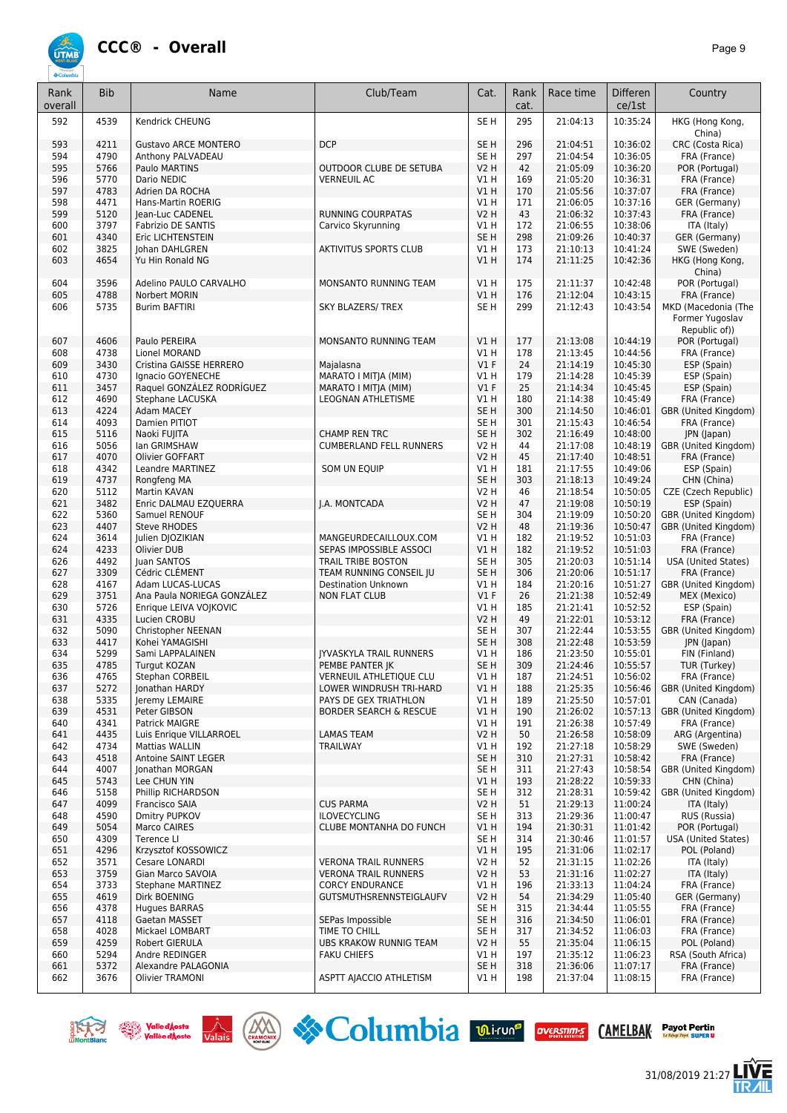

| Rank<br>overall | <b>Bib</b> | Name                        | Club/Team                         | Cat.             | Rank<br>cat. | Race time | <b>Differen</b><br>ce/1st | Country                                                 |
|-----------------|------------|-----------------------------|-----------------------------------|------------------|--------------|-----------|---------------------------|---------------------------------------------------------|
| 592             | 4539       | Kendrick CHEUNG             |                                   | SE <sub>H</sub>  | 295          | 21:04:13  | 10:35:24                  | HKG (Hong Kong,<br>China)                               |
| 593             | 4211       | <b>Gustavo ARCE MONTERO</b> | <b>DCP</b>                        | SE <sub>H</sub>  | 296          | 21:04:51  | 10:36:02                  | CRC (Costa Rica)                                        |
| 594             | 4790       | Anthony PALVADEAU           |                                   | SE <sub>H</sub>  | 297          | 21:04:54  | 10:36:05                  | FRA (France)                                            |
| 595             | 5766       | Paulo MARTINS               | OUTDOOR CLUBE DE SETUBA           | V2 H             | 42           | 21:05:09  | 10:36:20                  | POR (Portugal)                                          |
| 596             | 5770       | Dario NEDIC                 | <b>VERNEUIL AC</b>                | V1 H             | 169          | 21:05:20  | 10:36:31                  | FRA (France)                                            |
| 597             | 4783       | Adrien DA ROCHA             |                                   | V1H              | 170          | 21:05:56  | 10:37:07                  | FRA (France)                                            |
| 598             | 4471       | Hans-Martin ROERIG          |                                   | V1 H             | 171          | 21:06:05  | 10:37:16                  | GER (Germany)                                           |
| 599             | 5120       | Jean-Luc CADENEL            | RUNNING COURPATAS                 | V2 H             | 43           | 21:06:32  | 10:37:43                  | FRA (France)                                            |
| 600             | 3797       | Fabrizio DE SANTIS          | Carvico Skyrunning                | V1 H             | 172          | 21:06:55  | 10:38:06                  | ITA (Italy)                                             |
| 601             | 4340       | Eric LICHTENSTEIN           |                                   | SE <sub>H</sub>  | 298          | 21:09:26  | 10:40:37                  | GER (Germany)                                           |
| 602             | 3825       | <b>Iohan DAHLGREN</b>       | AKTIVITUS SPORTS CLUB             | V1 H             | 173          | 21:10:13  | 10:41:24                  | SWE (Sweden)                                            |
| 603             | 4654       | Yu Hin Ronald NG            |                                   | V1H              | 174          | 21:11:25  | 10:42:36                  | HKG (Hong Kong,<br>China)                               |
| 604             | 3596       | Adelino PAULO CARVALHO      | MONSANTO RUNNING TEAM             | V1H              | 175          | 21:11:37  | 10:42:48                  | POR (Portugal)                                          |
| 605             | 4788       | Norbert MORIN               |                                   | V1H              | 176          | 21:12:04  | 10:43:15                  | FRA (France)                                            |
| 606             | 5735       | <b>Burim BAFTIRI</b>        | SKY BLAZERS/ TREX                 | SE <sub>H</sub>  | 299          | 21:12:43  | 10:43:54                  | MKD (Macedonia (The<br>Former Yugoslav<br>Republic of)) |
| 607             | 4606       | Paulo PEREIRA               | MONSANTO RUNNING TEAM             | V1H              | 177          | 21:13:08  | 10:44:19                  | POR (Portugal)                                          |
| 608             | 4738       | Lionel MORAND               |                                   | V1 H             | 178          | 21:13:45  | 10:44:56                  | FRA (France)                                            |
| 609             | 3430       | Cristina GAISSE HERRERO     | Maialasna                         | $VI$ F           | 24           | 21:14:19  | 10:45:30                  | ESP (Spain)                                             |
| 610             | 4730       | Ignacio GOYENECHE           | MARATO I MITJA (MIM)              | V1 H             | 179          | 21:14:28  | 10:45:39                  | ESP (Spain)                                             |
| 611             | 3457       | Raquel GONZÁLEZ RODRÍGUEZ   | MARATO I MITJA (MIM)              | $VI$ F           | 25           | 21:14:34  | 10:45:45                  | ESP (Spain)                                             |
| 612             | 4690       | Stephane LACUSKA            | LEOGNAN ATHLETISME                | V1 H             | 180          | 21:14:38  | 10:45:49                  | FRA (France)                                            |
| 613             | 4224       | Adam MACEY                  |                                   | SE <sub>H</sub>  | 300          | 21:14:50  | 10:46:01                  | GBR (United Kingdom)                                    |
| 614             | 4093       | Damien PITIOT               |                                   | SE <sub>H</sub>  | 301          | 21:15:43  | 10:46:54                  | FRA (France)                                            |
| 615             | 5116       | Naoki FUJITA                | <b>CHAMP REN TRC</b>              | SE <sub>H</sub>  | 302          | 21:16:49  | 10:48:00                  | <b>JPN</b> (Japan)                                      |
| 616             | 5056       | lan GRIMSHAW                | <b>CUMBERLAND FELL RUNNERS</b>    | V2 H             | 44           | 21:17:08  | 10:48:19                  | GBR (United Kingdom)                                    |
| 617             | 4070       | Olivier GOFFART             |                                   | <b>V2 H</b>      | 45           | 21:17:40  | 10:48:51                  | FRA (France)                                            |
| 618             | 4342       | Leandre MARTINEZ            | SOM UN EQUIP                      | V1H              | 181          | 21:17:55  | 10:49:06                  | ESP (Spain)                                             |
| 619             | 4737       | Rongfeng MA                 |                                   | SE <sub>H</sub>  | 303          | 21:18:13  | 10:49:24                  | CHN (China)                                             |
| 620             | 5112       | Martin KAVAN                |                                   | V2 H             | 46           | 21:18:54  | 10:50:05                  | CZE (Czech Republic)                                    |
| 621             | 3482       | Enric DALMAU EZQUERRA       | I.A. MONTCADA                     | <b>V2 H</b>      | 47           | 21:19:08  | 10:50:19                  | ESP (Spain)                                             |
| 622             | 5360       | Samuel RENOUF               |                                   | SE H             | 304          | 21:19:09  | 10:50:20                  | GBR (United Kingdom)                                    |
| 623             | 4407       | Steve RHODES                |                                   | <b>V2 H</b>      | 48           | 21:19:36  | 10:50:47                  | GBR (United Kingdom)                                    |
| 624             | 3614       | Julien DJOZIKIAN            | MANGEURDECAILLOUX.COM             | V1 H             | 182          | 21:19:52  | 10:51:03                  | FRA (France)                                            |
| 624             | 4233       | Olivier DUB                 | SEPAS IMPOSSIBLE ASSOCI           | V1H              | 182          | 21:19:52  | 10:51:03                  | FRA (France)                                            |
| 626             | 4492       | Juan SANTOS                 | TRAIL TRIBE BOSTON                | SE <sub>H</sub>  | 305          | 21:20:03  | 10:51:14                  | <b>USA (United States)</b>                              |
| 627             | 3309       | Cédric CLEMENT              | TEAM RUNNING CONSEIL JU           | SE <sub>H</sub>  | 306          | 21:20:06  | 10:51:17                  | FRA (France)                                            |
| 628             | 4167       | Adam LUCAS-LUCAS            | <b>Destination Unknown</b>        | V1H              | 184          | 21:20:16  | 10:51:27                  | GBR (United Kingdom)                                    |
| 629             | 3751       | Ana Paula NORIEGA GONZÁLEZ  | <b>NON FLAT CLUB</b>              | $VI$ F           | 26           | 21:21:38  | 10:52:49                  | MEX (Mexico)                                            |
| 630             | 5726       | Enrique LEIVA VOJKOVIC      |                                   | V1H              | 185          | 21:21:41  | 10:52:52                  | ESP (Spain)                                             |
| 631             | 4335       | Lucien CROBU                |                                   | V2 H             | 49           | 21:22:01  | 10:53:12                  | FRA (France)                                            |
| 632             | 5090       | Christopher NEENAN          |                                   | SE <sub>H</sub>  | 307          | 21:22:44  | 10:53:55                  | GBR (United Kingdom)                                    |
| 633             | 4417       | Kohei YAMAGISHI             |                                   | SE <sub>H</sub>  | 308          | 21:22:48  | 10:53:59                  | JPN (Japan)                                             |
| 634             | 5299       | Sami LAPPALAINEN            | <b>JYVASKYLA TRAIL RUNNERS</b>    | V1 H             | 186          | 21:23:50  | 10:55:01                  | FIN (Finland)                                           |
| 635             | 4785       | Turgut KOZAN                | PEMBE PANTER JK                   | SE <sub>H</sub>  | 309          | 21:24:46  | 10:55:57                  | TUR (Turkey)                                            |
| 636             | 4765       | Stephan CORBEIL             | VERNEUIL ATHLETIQUE CLU           | V1 H             | 187          | 21:24:51  | 10:56:02                  | FRA (France)                                            |
| 637             | 5272       | Jonathan HARDY              | LOWER WINDRUSH TRI-HARD           | V1H              | 188          | 21:25:35  | 10:56:46                  | GBR (United Kingdom)                                    |
| 638             | 5335       | Jeremy LEMAIRE              | PAYS DE GEX TRIATHLON             | V1 H             | 189          | 21:25:50  | 10:57:01                  | CAN (Canada)                                            |
| 639             | 4531       | Peter GIBSON                | <b>BORDER SEARCH &amp; RESCUE</b> | V1H              | 190          | 21:26:02  | 10:57:13                  | GBR (United Kingdom)                                    |
| 640             | 4341       | Patrick MAIGRE              |                                   | V1 H             | 191          | 21:26:38  | 10:57:49                  | FRA (France)                                            |
| 641             | 4435       | Luis Enrique VILLARROEL     | <b>LAMAS TEAM</b>                 | <b>V2 H</b>      | 50           | 21:26:58  | 10:58:09                  | ARG (Argentina)                                         |
| 642             | 4734       | Mattias WALLIN              | <b>TRAILWAY</b>                   | V1 H             | 192          | 21:27:18  | 10:58:29                  | SWE (Sweden)                                            |
| 643             | 4518       | Antoine SAINT LEGER         |                                   | SE H             | 310          | 21:27:31  | 10:58:42                  | FRA (France)                                            |
| 644             | 4007       | <b>Ionathan MORGAN</b>      |                                   | SE H             | 311          | 21:27:43  | 10:58:54                  | GBR (United Kingdom)                                    |
| 645             | 5743       | Lee CHUN YIN                |                                   | V1 H             | 193          | 21:28:22  | 10:59:33                  | CHN (China)                                             |
| 646             | 5158       | Phillip RICHARDSON          |                                   | SE H             | 312          | 21:28:31  | 10:59:42                  | GBR (United Kingdom)                                    |
| 647             | 4099       | Francisco SAIA              | <b>CUS PARMA</b>                  | <b>V2 H</b>      | 51           | 21:29:13  | 11:00:24                  | ITA (Italy)                                             |
| 648             | 4590       | Dmitry PUPKOV               | <b>ILOVECYCLING</b>               | SE H             | 313          | 21:29:36  | 11:00:47                  | RUS (Russia)                                            |
| 649             | 5054       | Marco CAIRES                | CLUBE MONTANHA DO FUNCH           | V1H              | 194          | 21:30:31  | 11:01:42                  | POR (Portugal)                                          |
| 650             | 4309       | Terence LI                  |                                   | SE H             | 314          | 21:30:46  | 11:01:57                  | <b>USA (United States)</b>                              |
| 651             | 4296       | Krzysztof KOSSOWICZ         |                                   | V1H              | 195          | 21:31:06  | 11:02:17                  | POL (Poland)                                            |
| 652             | 3571       | Cesare LONARDI              | <b>VERONA TRAIL RUNNERS</b>       | V2 H             | 52           | 21:31:15  | 11:02:26                  | ITA (Italy)                                             |
| 653             | 3759       | Gian Marco SAVOIA           | <b>VERONA TRAIL RUNNERS</b>       | <b>V2 H</b>      | 53           | 21:31:16  | 11:02:27                  | ITA (Italy)                                             |
| 654             | 3733       | Stephane MARTINEZ           | <b>CORCY ENDURANCE</b>            | V1 H             | 196          | 21:33:13  | 11:04:24                  | FRA (France)                                            |
| 655             | 4619       | Dirk BOENING                | GUTSMUTHSRENNSTEIGLAUFV           | <b>V2 H</b>      | 54           | 21:34:29  | 11:05:40                  | GER (Germany)                                           |
| 656             | 4378       | <b>Hugues BARRAS</b>        |                                   | SE H             | 315          | 21:34:44  | 11:05:55                  | FRA (France)                                            |
| 657             | 4118       | Gaetan MASSET               | SEPas Impossible                  | SE H             | 316          | 21:34:50  | 11:06:01                  | FRA (France)                                            |
| 658             | 4028       | Mickael LOMBART             | TIME TO CHILL                     | SE H             | 317          | 21:34:52  | 11:06:03                  | FRA (France)                                            |
| 659             | 4259       | Robert GIERULA              | UBS KRAKOW RUNNIG TEAM            | V <sub>2</sub> H | 55           | 21:35:04  | 11:06:15                  | POL (Poland)                                            |
| 660             | 5294       | Andre REDINGER              | <b>FAKU CHIEFS</b>                | V1 H             | 197          | 21:35:12  | 11:06:23                  | RSA (South Africa)                                      |
| 661             | 5372       | Alexandre PALAGONIA         |                                   | SE <sub>H</sub>  | 318          | 21:36:06  | 11:07:17                  | FRA (France)                                            |
| 662             | 3676       | Olivier TRAMONI             | ASPTT AJACCIO ATHLETISM           | V1 H             | 198          | 21:37:04  | 11:08:15                  | FRA (France)                                            |









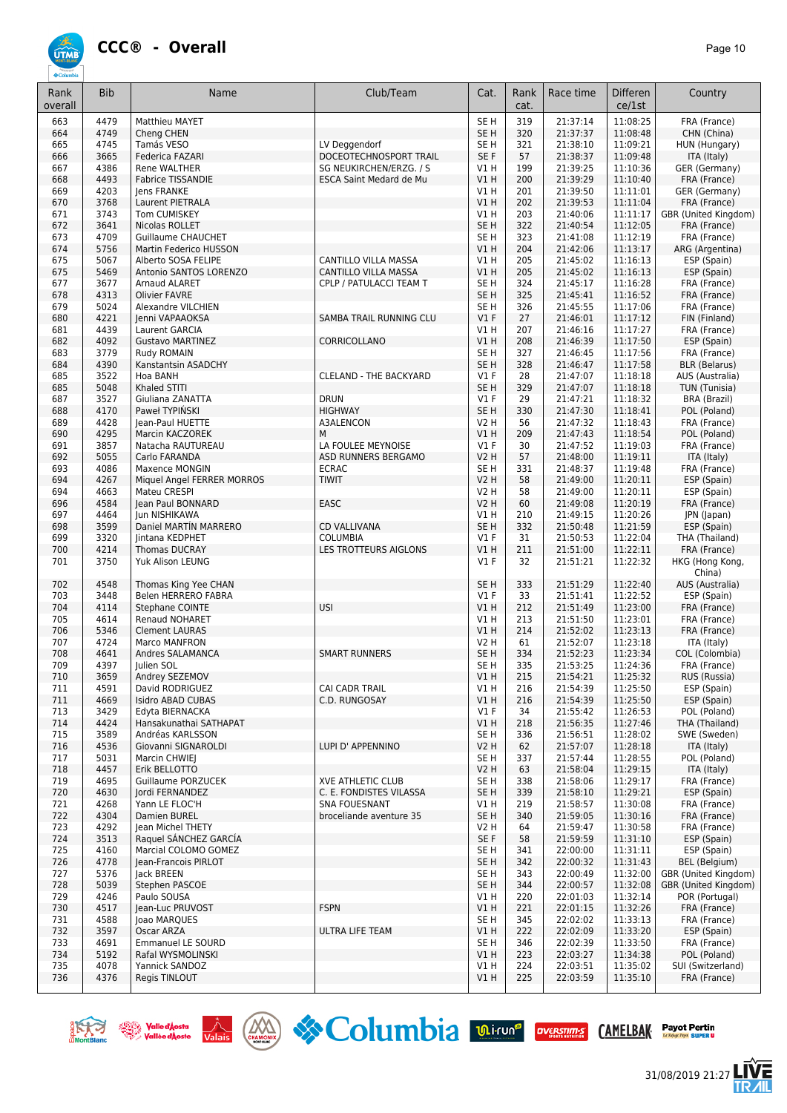

| SE <sub>H</sub><br>319<br>11:08:25<br>FRA (France)<br>663<br>4479<br>Matthieu MAYET<br>21:37:14<br>4749<br>SE H<br>320<br>21:37:37<br>11:08:48<br>664<br>Cheng CHEN<br>CHN (China)<br>4745<br>321<br>21:38:10<br>11:09:21<br>665<br>Tamás VESO<br>LV Deggendorf<br>SE <sub>H</sub><br>HUN (Hungary)<br>3665<br>DOCEOTECHNOSPORT TRAIL<br>SE F<br>57<br>21:38:37<br>11:09:48<br>666<br>Federica FAZARI<br>ITA (Italy)<br>4386<br>SG NEUKIRCHEN/ERZG. / S<br>V1H<br>199<br>21:39:25<br>11:10:36<br>GER (Germany)<br>667<br><b>Rene WALTHER</b><br>4493<br>V1H<br>21:39:29<br>11:10:40<br>668<br><b>Fabrice TISSANDIE</b><br>ESCA Saint Medard de Mu<br>200<br>FRA (France)<br>4203<br>V1H<br>201<br>21:39:50<br>11:11:01<br>GER (Germany)<br>669<br>Jens FRANKE<br>3768<br>V1H<br>21:39:53<br>11:11:04<br>FRA (France)<br>670<br>Laurent PIETRALA<br>202<br>3743<br>Tom CUMISKEY<br>V1H<br>203<br>21:40:06<br>11:11:17<br>671<br>GBR (United Kingdom)<br>672<br>3641<br>SE <sub>H</sub><br>322<br>21:40:54<br>11:12:05<br>Nicolas ROLLET<br>FRA (France)<br>4709<br>SE <sub>H</sub><br>323<br>21:41:08<br>11:12:19<br>673<br>Guillaume CHAUCHET<br>FRA (France)<br>5756<br>674<br>Martin Federico HUSSON<br>VIH<br>204<br>21:42:06<br>11:13:17<br>ARG (Argentina)<br>5067<br>CANTILLO VILLA MASSA<br>21:45:02<br>11:16:13<br>ESP (Spain)<br>675<br>Alberto SOSA FELIPE<br>VIH<br>205<br>5469<br>205<br>675<br>Antonio SANTOS LORENZO<br>CANTILLO VILLA MASSA<br>VIH<br>21:45:02<br>11:16:13<br>ESP (Spain)<br>3677<br>SE <sub>H</sub><br>324<br>21:45:17<br>11:16:28<br>677<br>Arnaud ALARET<br>CPLP / PATULACCI TEAM T<br>FRA (France)<br>4313<br>SE <sub>H</sub><br>325<br>21:45:41<br>11:16:52<br>678<br><b>Olivier FAVRE</b><br>FRA (France)<br>5024<br>SE <sub>H</sub><br>326<br>21:45:55<br>11:17:06<br>FRA (France)<br>679<br>Alexandre VILCHIEN<br>11:17:12<br>680<br>4221<br>V1F<br>27<br>21:46:01<br>Jenni VAPAAOKSA<br>SAMBA TRAIL RUNNING CLU<br>FIN (Finland)<br>4439<br>V1H<br>207<br>21:46:16<br>11:17:27<br>FRA (France)<br>681<br>Laurent GARCIA<br>11:17:50<br>4092<br>V1H<br>208<br>21:46:39<br>ESP (Spain)<br>682<br><b>Gustavo MARTINEZ</b><br>CORRICOLLANO<br>3779<br>SE <sub>H</sub><br>327<br>11:17:56<br>683<br>Rudy ROMAIN<br>21:46:45<br>FRA (France)<br>684<br>4390<br>SE <sub>H</sub><br>328<br>11:17:58<br><b>BLR</b> (Belarus)<br>Kanstantsin ASADCHY<br>21:46:47<br>3522<br><b>CLELAND - THE BACKYARD</b><br>$VI$ F<br>28<br>11:18:18<br>AUS (Australia)<br>685<br>Hoa BANH<br>21:47:07<br>5048<br>685<br>Khaled STITI<br>SE <sub>H</sub><br>329<br>21:47:07<br>11:18:18<br>TUN (Tunisia)<br>3527<br>29<br>687<br>Giuliana ZANATTA<br><b>DRUN</b><br>$VI$ F<br>21:47:21<br>11:18:32<br><b>BRA (Brazil)</b><br>4170<br><b>HIGHWAY</b><br>SE <sub>H</sub><br>Paweł TYPINSKI<br>330<br>21:47:30<br>11:18:41<br>POL (Poland)<br>688<br>4428<br>56<br>689<br><b>A3ALENCON</b><br>V2 H<br>21:47:32<br>11:18:43<br>Jean-Paul HUETTE<br>FRA (France)<br>M<br>4295<br>V1H<br>209<br>21:47:43<br>11:18:54<br>POL (Poland)<br>690<br>Marcin KACZOREK<br>3857<br>LA FOULEE MEYNOISE<br>V1F<br>30<br>21:47:52<br>11:19:03<br>691<br>Natacha RAUTUREAU<br>FRA (France)<br>5055<br><b>V2 H</b><br>57<br>21:48:00<br>11:19:11<br>ITA (Italy)<br>692<br>Carlo FARANDA<br>ASD RUNNERS BERGAMO<br>4086<br>SE <sub>H</sub><br>331<br>21:48:37<br>11:19:48<br>693<br>Maxence MONGIN<br><b>ECRAC</b><br>FRA (France)<br>4267<br><b>TIWIT</b><br><b>V2 H</b><br>58<br>21:49:00<br>11:20:11<br>ESP (Spain)<br>694<br>Miquel Angel FERRER MORROS<br>4663<br><b>V2 H</b><br>58<br>21:49:00<br>11:20:11<br>694<br>Mateu CRESPI<br>ESP (Spain)<br>4584<br>EASC<br><b>V2 H</b><br>60<br>21:49:08<br>11:20:19<br>FRA (France)<br>696<br>Jean Paul BONNARD<br>4464<br>210<br>21:49:15<br>11:20:26<br>697<br>Jun NISHIKAWA<br>VIH<br>JPN (Japan)<br>3599<br>Daniel MARTÍN MARRERO<br><b>CD VALLIVANA</b><br>SE <sub>H</sub><br>332<br>21:50:48<br>11:21:59<br>ESP (Spain)<br>698<br>3320<br>31<br>699<br>Jintana KEDPHET<br><b>COLUMBIA</b><br>$VI$ F<br>21:50:53<br>11:22:04<br>THA (Thailand)<br>4214<br>700<br>Thomas DUCRAY<br>LES TROTTEURS AIGLONS<br>V1 H<br>211<br>21:51:00<br>11:22:11<br>FRA (France)<br>3750<br>$VI$ F<br>32<br>21:51:21<br>11:22:32<br>701<br>Yuk Alison LEUNG<br>HKG (Hong Kong,<br>China)<br>4548<br>SE <sub>H</sub><br>AUS (Australia)<br>702<br>Thomas King Yee CHAN<br>333<br>21:51:29<br>11:22:40<br>703<br>3448<br><b>Belen HERRERO FABRA</b><br>V1F<br>33<br>21:51:41<br>11:22:52<br>ESP (Spain)<br>USI<br>4114<br>V1H<br>212<br>21:51:49<br>11:23:00<br>704<br><b>Stephane COINTE</b><br>FRA (France)<br>4614<br>Renaud NOHARET<br>V1H<br>213<br>21:51:50<br>11:23:01<br>705<br>FRA (France)<br>5346<br>V1H<br>214<br>21:52:02<br>11:23:13<br>FRA (France)<br>706<br><b>Clement LAURAS</b><br>4724<br>Marco MANFRON<br><b>V2 H</b><br>21:52:07<br>11:23:18<br>707<br>61<br>ITA (Italy)<br>708<br>4641<br>SE <sub>H</sub><br>334<br>21:52:23<br>11:23:34<br>Andres SALAMANCA<br><b>SMART RUNNERS</b><br>COL (Colombia)<br>709<br>4397<br>SE <sub>H</sub><br>335<br>21:53:25<br>11:24:36<br><b>Iulien SOL</b><br>FRA (France)<br>710<br>3659<br>Andrey SEZEMOV<br>V1 H<br>215<br>21:54:21<br>11:25:32<br>RUS (Russia)<br>VIH<br>711<br>4591<br>David RODRIGUEZ<br>CAI CADR TRAIL<br>21:54:39<br>11:25:50<br>ESP (Spain)<br>216<br>711<br>4669<br><b>Isidro ABAD CUBAS</b><br>C.D. RUNGOSAY<br>V1 H<br>216<br>21:54:39<br>11:25:50<br>ESP (Spain)<br>21:55:42<br>713<br>3429<br>Edyta BIERNACKA<br>$VI$ F<br>34<br>11:26:53<br>POL (Poland)<br>714<br>4424<br>VIH<br>11:27:46<br>Hansakunathai SATHAPAT<br>218<br>21:56:35<br>THA (Thailand)<br>715<br>3589<br>SE <sub>H</sub><br>21:56:51<br>11:28:02<br>Andréas KARLSSON<br>336<br>SWE (Sweden)<br>716<br>Giovanni SIGNAROLDI<br>LUPI D' APPENNINO<br>21:57:07<br>11:28:18<br>4536<br>V2 H<br>62<br>ITA (Italy)<br>11:28:55<br>717<br>5031<br>Marcin CHWIEJ<br>SE <sub>H</sub><br>337<br>21:57:44<br>POL (Poland)<br>718<br>4457<br>V2H<br>63<br>11:29:15<br>Erik BELLOTTO<br>21:58:04<br>ITA (Italy)<br>11:29:17<br>719<br>4695<br>Guillaume PORZUCEK<br><b>XVE ATHLETIC CLUB</b><br>SE <sub>H</sub><br>338<br>21:58:06<br>FRA (France)<br>21:58:10<br>11:29:21<br>720<br>4630<br>Jordi FERNANDEZ<br>C. E. FONDISTES VILASSA<br>SE H<br>339<br>ESP (Spain)<br><b>SNA FOUESNANT</b><br>11:30:08<br>721<br>4268<br>Yann LE FLOC'H<br>VIH<br>219<br>21:58:57<br>FRA (France)<br>11:30:16<br>722<br>4304<br>Damien BUREL<br>broceliande aventure 35<br>SE H<br>340<br>21:59:05<br>FRA (France)<br>723<br>4292<br>Jean Michel THETY<br>V2 H<br>64<br>21:59:47<br>11:30:58<br>FRA (France)<br>Raquel SÁNCHEZ GARCÍA<br>3513<br>SE F<br>58<br>21:59:59<br>11:31:10<br>ESP (Spain)<br>724<br>725<br>4160<br>Marcial COLOMO GOMEZ<br>SE H<br>341<br>22:00:00<br>11:31:11<br>ESP (Spain)<br>726<br>4778<br>SE <sub>H</sub><br>22:00:32<br>11:31:43<br>Jean-Francois PIRLOT<br>342<br>BEL (Belgium)<br>727<br>22:00:49<br>11:32:00<br>5376<br>lack BREEN<br>SE <sub>H</sub><br>343<br>GBR (United Kingdom)<br>11:32:08<br>728<br>5039<br>Stephen PASCOE<br>SE <sub>H</sub><br>344<br>22:00:57<br>GBR (United Kingdom)<br>11:32:14<br>729<br>4246<br>Paulo SOUSA<br>VIH<br>220<br>22:01:03<br>POR (Portugal)<br><b>FSPN</b><br>VIH<br>22:01:15<br>11:32:26<br>730<br>4517<br>Jean-Luc PRUVOST<br>221<br>FRA (France)<br>22:02:02<br>11:33:13<br>731<br>4588<br>Joao MARQUES<br>SE H<br>345<br>FRA (France)<br>732<br><b>ULTRA LIFE TEAM</b><br>222<br>22:02:09<br>11:33:20<br>3597<br>Oscar ARZA<br>VIH<br>ESP (Spain)<br>22:02:39<br>11:33:50<br>733<br>4691<br><b>Emmanuel LE SOURD</b><br>SE H<br>346<br>FRA (France)<br>734<br>5192<br>Rafal WYSMOLINSKI<br>V1 H<br>223<br>22:03:27<br>11:34:38<br>POL (Poland)<br>11:35:02<br>735<br>4078<br>Yannick SANDOZ<br>V1 H<br>224<br>22:03:51<br>SUI (Switzerland)<br>736<br>4376<br>Regis TINLOUT<br>V1 H<br>225<br>22:03:59<br>11:35:10<br>FRA (France) | Rank<br>overall | <b>Bib</b> | Name | Club/Team | Cat. | Rank<br>cat. | Race time | <b>Differen</b><br>ce/1st | Country |
|--------------------------------------------------------------------------------------------------------------------------------------------------------------------------------------------------------------------------------------------------------------------------------------------------------------------------------------------------------------------------------------------------------------------------------------------------------------------------------------------------------------------------------------------------------------------------------------------------------------------------------------------------------------------------------------------------------------------------------------------------------------------------------------------------------------------------------------------------------------------------------------------------------------------------------------------------------------------------------------------------------------------------------------------------------------------------------------------------------------------------------------------------------------------------------------------------------------------------------------------------------------------------------------------------------------------------------------------------------------------------------------------------------------------------------------------------------------------------------------------------------------------------------------------------------------------------------------------------------------------------------------------------------------------------------------------------------------------------------------------------------------------------------------------------------------------------------------------------------------------------------------------------------------------------------------------------------------------------------------------------------------------------------------------------------------------------------------------------------------------------------------------------------------------------------------------------------------------------------------------------------------------------------------------------------------------------------------------------------------------------------------------------------------------------------------------------------------------------------------------------------------------------------------------------------------------------------------------------------------------------------------------------------------------------------------------------------------------------------------------------------------------------------------------------------------------------------------------------------------------------------------------------------------------------------------------------------------------------------------------------------------------------------------------------------------------------------------------------------------------------------------------------------------------------------------------------------------------------------------------------------------------------------------------------------------------------------------------------------------------------------------------------------------------------------------------------------------------------------------------------------------------------------------------------------------------------------------------------------------------------------------------------------------------------------------------------------------------------------------------------------------------------------------------------------------------------------------------------------------------------------------------------------------------------------------------------------------------------------------------------------------------------------------------------------------------------------------------------------------------------------------------------------------------------------------------------------------------------------------------------------------------------------------------------------------------------------------------------------------------------------------------------------------------------------------------------------------------------------------------------------------------------------------------------------------------------------------------------------------------------------------------------------------------------------------------------------------------------------------------------------------------------------------------------------------------------------------------------------------------------------------------------------------------------------------------------------------------------------------------------------------------------------------------------------------------------------------------------------------------------------------------------------------------------------------------------------------------------------------------------------------------------------------------------------------------------------------------------------------------------------------------------------------------------------------------------------------------------------------------------------------------------------------------------------------------------------------------------------------------------------------------------------------------------------------------------------------------------------------------------------------------------------------------------------------------------------------------------------------------------------------------------------------------------------------------------------------------------------------------------------------------------------------------------------------------------------------------------------------------------------------------------------------------------------------------------------------------------------------------------------------------------------------------------------------------------------------------------------------------------------------------------------------------------------------------------------------------------------------------------------------------------------------------------------------------------------------------------------------------------------------------------------------------------------------------------------------------------------------------------------------------------------------------------------------------------------------------------------------------------------------------------------------------------------------------------------------------------------------------------------------------------------------------------------------------------------------------------------------------------------------------------------------------------------------------------------------------------------------------------------------------------------------------------------------------------------------------------------------------------------------------------------------------------------------------------------------------------------------------------------------------------------------------------------------------------------------------------------------------------------------------------------------------------------------------------------------------------------------------------------------------------------------------------------------------------------------------------------------------------------------------------------------------------------------------------------------------------------|-----------------|------------|------|-----------|------|--------------|-----------|---------------------------|---------|
|                                                                                                                                                                                                                                                                                                                                                                                                                                                                                                                                                                                                                                                                                                                                                                                                                                                                                                                                                                                                                                                                                                                                                                                                                                                                                                                                                                                                                                                                                                                                                                                                                                                                                                                                                                                                                                                                                                                                                                                                                                                                                                                                                                                                                                                                                                                                                                                                                                                                                                                                                                                                                                                                                                                                                                                                                                                                                                                                                                                                                                                                                                                                                                                                                                                                                                                                                                                                                                                                                                                                                                                                                                                                                                                                                                                                                                                                                                                                                                                                                                                                                                                                                                                                                                                                                                                                                                                                                                                                                                                                                                                                                                                                                                                                                                                                                                                                                                                                                                                                                                                                                                                                                                                                                                                                                                                                                                                                                                                                                                                                                                                                                                                                                                                                                                                                                                                                                                                                                                                                                                                                                                                                                                                                                                                                                                                                                                                                                                                                                                                                                                                                                                                                                                                                                                                                                                                                                                                                                                                                                                                                                                                                                                                                                                                                                                                                                                                                                                                                                                                                                                                                                                                                                                                                                                                                                                                                                                                                                                                |                 |            |      |           |      |              |           |                           |         |
|                                                                                                                                                                                                                                                                                                                                                                                                                                                                                                                                                                                                                                                                                                                                                                                                                                                                                                                                                                                                                                                                                                                                                                                                                                                                                                                                                                                                                                                                                                                                                                                                                                                                                                                                                                                                                                                                                                                                                                                                                                                                                                                                                                                                                                                                                                                                                                                                                                                                                                                                                                                                                                                                                                                                                                                                                                                                                                                                                                                                                                                                                                                                                                                                                                                                                                                                                                                                                                                                                                                                                                                                                                                                                                                                                                                                                                                                                                                                                                                                                                                                                                                                                                                                                                                                                                                                                                                                                                                                                                                                                                                                                                                                                                                                                                                                                                                                                                                                                                                                                                                                                                                                                                                                                                                                                                                                                                                                                                                                                                                                                                                                                                                                                                                                                                                                                                                                                                                                                                                                                                                                                                                                                                                                                                                                                                                                                                                                                                                                                                                                                                                                                                                                                                                                                                                                                                                                                                                                                                                                                                                                                                                                                                                                                                                                                                                                                                                                                                                                                                                                                                                                                                                                                                                                                                                                                                                                                                                                                                                |                 |            |      |           |      |              |           |                           |         |
|                                                                                                                                                                                                                                                                                                                                                                                                                                                                                                                                                                                                                                                                                                                                                                                                                                                                                                                                                                                                                                                                                                                                                                                                                                                                                                                                                                                                                                                                                                                                                                                                                                                                                                                                                                                                                                                                                                                                                                                                                                                                                                                                                                                                                                                                                                                                                                                                                                                                                                                                                                                                                                                                                                                                                                                                                                                                                                                                                                                                                                                                                                                                                                                                                                                                                                                                                                                                                                                                                                                                                                                                                                                                                                                                                                                                                                                                                                                                                                                                                                                                                                                                                                                                                                                                                                                                                                                                                                                                                                                                                                                                                                                                                                                                                                                                                                                                                                                                                                                                                                                                                                                                                                                                                                                                                                                                                                                                                                                                                                                                                                                                                                                                                                                                                                                                                                                                                                                                                                                                                                                                                                                                                                                                                                                                                                                                                                                                                                                                                                                                                                                                                                                                                                                                                                                                                                                                                                                                                                                                                                                                                                                                                                                                                                                                                                                                                                                                                                                                                                                                                                                                                                                                                                                                                                                                                                                                                                                                                                                |                 |            |      |           |      |              |           |                           |         |
|                                                                                                                                                                                                                                                                                                                                                                                                                                                                                                                                                                                                                                                                                                                                                                                                                                                                                                                                                                                                                                                                                                                                                                                                                                                                                                                                                                                                                                                                                                                                                                                                                                                                                                                                                                                                                                                                                                                                                                                                                                                                                                                                                                                                                                                                                                                                                                                                                                                                                                                                                                                                                                                                                                                                                                                                                                                                                                                                                                                                                                                                                                                                                                                                                                                                                                                                                                                                                                                                                                                                                                                                                                                                                                                                                                                                                                                                                                                                                                                                                                                                                                                                                                                                                                                                                                                                                                                                                                                                                                                                                                                                                                                                                                                                                                                                                                                                                                                                                                                                                                                                                                                                                                                                                                                                                                                                                                                                                                                                                                                                                                                                                                                                                                                                                                                                                                                                                                                                                                                                                                                                                                                                                                                                                                                                                                                                                                                                                                                                                                                                                                                                                                                                                                                                                                                                                                                                                                                                                                                                                                                                                                                                                                                                                                                                                                                                                                                                                                                                                                                                                                                                                                                                                                                                                                                                                                                                                                                                                                                |                 |            |      |           |      |              |           |                           |         |
|                                                                                                                                                                                                                                                                                                                                                                                                                                                                                                                                                                                                                                                                                                                                                                                                                                                                                                                                                                                                                                                                                                                                                                                                                                                                                                                                                                                                                                                                                                                                                                                                                                                                                                                                                                                                                                                                                                                                                                                                                                                                                                                                                                                                                                                                                                                                                                                                                                                                                                                                                                                                                                                                                                                                                                                                                                                                                                                                                                                                                                                                                                                                                                                                                                                                                                                                                                                                                                                                                                                                                                                                                                                                                                                                                                                                                                                                                                                                                                                                                                                                                                                                                                                                                                                                                                                                                                                                                                                                                                                                                                                                                                                                                                                                                                                                                                                                                                                                                                                                                                                                                                                                                                                                                                                                                                                                                                                                                                                                                                                                                                                                                                                                                                                                                                                                                                                                                                                                                                                                                                                                                                                                                                                                                                                                                                                                                                                                                                                                                                                                                                                                                                                                                                                                                                                                                                                                                                                                                                                                                                                                                                                                                                                                                                                                                                                                                                                                                                                                                                                                                                                                                                                                                                                                                                                                                                                                                                                                                                                |                 |            |      |           |      |              |           |                           |         |
|                                                                                                                                                                                                                                                                                                                                                                                                                                                                                                                                                                                                                                                                                                                                                                                                                                                                                                                                                                                                                                                                                                                                                                                                                                                                                                                                                                                                                                                                                                                                                                                                                                                                                                                                                                                                                                                                                                                                                                                                                                                                                                                                                                                                                                                                                                                                                                                                                                                                                                                                                                                                                                                                                                                                                                                                                                                                                                                                                                                                                                                                                                                                                                                                                                                                                                                                                                                                                                                                                                                                                                                                                                                                                                                                                                                                                                                                                                                                                                                                                                                                                                                                                                                                                                                                                                                                                                                                                                                                                                                                                                                                                                                                                                                                                                                                                                                                                                                                                                                                                                                                                                                                                                                                                                                                                                                                                                                                                                                                                                                                                                                                                                                                                                                                                                                                                                                                                                                                                                                                                                                                                                                                                                                                                                                                                                                                                                                                                                                                                                                                                                                                                                                                                                                                                                                                                                                                                                                                                                                                                                                                                                                                                                                                                                                                                                                                                                                                                                                                                                                                                                                                                                                                                                                                                                                                                                                                                                                                                                                |                 |            |      |           |      |              |           |                           |         |
|                                                                                                                                                                                                                                                                                                                                                                                                                                                                                                                                                                                                                                                                                                                                                                                                                                                                                                                                                                                                                                                                                                                                                                                                                                                                                                                                                                                                                                                                                                                                                                                                                                                                                                                                                                                                                                                                                                                                                                                                                                                                                                                                                                                                                                                                                                                                                                                                                                                                                                                                                                                                                                                                                                                                                                                                                                                                                                                                                                                                                                                                                                                                                                                                                                                                                                                                                                                                                                                                                                                                                                                                                                                                                                                                                                                                                                                                                                                                                                                                                                                                                                                                                                                                                                                                                                                                                                                                                                                                                                                                                                                                                                                                                                                                                                                                                                                                                                                                                                                                                                                                                                                                                                                                                                                                                                                                                                                                                                                                                                                                                                                                                                                                                                                                                                                                                                                                                                                                                                                                                                                                                                                                                                                                                                                                                                                                                                                                                                                                                                                                                                                                                                                                                                                                                                                                                                                                                                                                                                                                                                                                                                                                                                                                                                                                                                                                                                                                                                                                                                                                                                                                                                                                                                                                                                                                                                                                                                                                                                                |                 |            |      |           |      |              |           |                           |         |
|                                                                                                                                                                                                                                                                                                                                                                                                                                                                                                                                                                                                                                                                                                                                                                                                                                                                                                                                                                                                                                                                                                                                                                                                                                                                                                                                                                                                                                                                                                                                                                                                                                                                                                                                                                                                                                                                                                                                                                                                                                                                                                                                                                                                                                                                                                                                                                                                                                                                                                                                                                                                                                                                                                                                                                                                                                                                                                                                                                                                                                                                                                                                                                                                                                                                                                                                                                                                                                                                                                                                                                                                                                                                                                                                                                                                                                                                                                                                                                                                                                                                                                                                                                                                                                                                                                                                                                                                                                                                                                                                                                                                                                                                                                                                                                                                                                                                                                                                                                                                                                                                                                                                                                                                                                                                                                                                                                                                                                                                                                                                                                                                                                                                                                                                                                                                                                                                                                                                                                                                                                                                                                                                                                                                                                                                                                                                                                                                                                                                                                                                                                                                                                                                                                                                                                                                                                                                                                                                                                                                                                                                                                                                                                                                                                                                                                                                                                                                                                                                                                                                                                                                                                                                                                                                                                                                                                                                                                                                                                                |                 |            |      |           |      |              |           |                           |         |
|                                                                                                                                                                                                                                                                                                                                                                                                                                                                                                                                                                                                                                                                                                                                                                                                                                                                                                                                                                                                                                                                                                                                                                                                                                                                                                                                                                                                                                                                                                                                                                                                                                                                                                                                                                                                                                                                                                                                                                                                                                                                                                                                                                                                                                                                                                                                                                                                                                                                                                                                                                                                                                                                                                                                                                                                                                                                                                                                                                                                                                                                                                                                                                                                                                                                                                                                                                                                                                                                                                                                                                                                                                                                                                                                                                                                                                                                                                                                                                                                                                                                                                                                                                                                                                                                                                                                                                                                                                                                                                                                                                                                                                                                                                                                                                                                                                                                                                                                                                                                                                                                                                                                                                                                                                                                                                                                                                                                                                                                                                                                                                                                                                                                                                                                                                                                                                                                                                                                                                                                                                                                                                                                                                                                                                                                                                                                                                                                                                                                                                                                                                                                                                                                                                                                                                                                                                                                                                                                                                                                                                                                                                                                                                                                                                                                                                                                                                                                                                                                                                                                                                                                                                                                                                                                                                                                                                                                                                                                                                                |                 |            |      |           |      |              |           |                           |         |
|                                                                                                                                                                                                                                                                                                                                                                                                                                                                                                                                                                                                                                                                                                                                                                                                                                                                                                                                                                                                                                                                                                                                                                                                                                                                                                                                                                                                                                                                                                                                                                                                                                                                                                                                                                                                                                                                                                                                                                                                                                                                                                                                                                                                                                                                                                                                                                                                                                                                                                                                                                                                                                                                                                                                                                                                                                                                                                                                                                                                                                                                                                                                                                                                                                                                                                                                                                                                                                                                                                                                                                                                                                                                                                                                                                                                                                                                                                                                                                                                                                                                                                                                                                                                                                                                                                                                                                                                                                                                                                                                                                                                                                                                                                                                                                                                                                                                                                                                                                                                                                                                                                                                                                                                                                                                                                                                                                                                                                                                                                                                                                                                                                                                                                                                                                                                                                                                                                                                                                                                                                                                                                                                                                                                                                                                                                                                                                                                                                                                                                                                                                                                                                                                                                                                                                                                                                                                                                                                                                                                                                                                                                                                                                                                                                                                                                                                                                                                                                                                                                                                                                                                                                                                                                                                                                                                                                                                                                                                                                                |                 |            |      |           |      |              |           |                           |         |
|                                                                                                                                                                                                                                                                                                                                                                                                                                                                                                                                                                                                                                                                                                                                                                                                                                                                                                                                                                                                                                                                                                                                                                                                                                                                                                                                                                                                                                                                                                                                                                                                                                                                                                                                                                                                                                                                                                                                                                                                                                                                                                                                                                                                                                                                                                                                                                                                                                                                                                                                                                                                                                                                                                                                                                                                                                                                                                                                                                                                                                                                                                                                                                                                                                                                                                                                                                                                                                                                                                                                                                                                                                                                                                                                                                                                                                                                                                                                                                                                                                                                                                                                                                                                                                                                                                                                                                                                                                                                                                                                                                                                                                                                                                                                                                                                                                                                                                                                                                                                                                                                                                                                                                                                                                                                                                                                                                                                                                                                                                                                                                                                                                                                                                                                                                                                                                                                                                                                                                                                                                                                                                                                                                                                                                                                                                                                                                                                                                                                                                                                                                                                                                                                                                                                                                                                                                                                                                                                                                                                                                                                                                                                                                                                                                                                                                                                                                                                                                                                                                                                                                                                                                                                                                                                                                                                                                                                                                                                                                                |                 |            |      |           |      |              |           |                           |         |
|                                                                                                                                                                                                                                                                                                                                                                                                                                                                                                                                                                                                                                                                                                                                                                                                                                                                                                                                                                                                                                                                                                                                                                                                                                                                                                                                                                                                                                                                                                                                                                                                                                                                                                                                                                                                                                                                                                                                                                                                                                                                                                                                                                                                                                                                                                                                                                                                                                                                                                                                                                                                                                                                                                                                                                                                                                                                                                                                                                                                                                                                                                                                                                                                                                                                                                                                                                                                                                                                                                                                                                                                                                                                                                                                                                                                                                                                                                                                                                                                                                                                                                                                                                                                                                                                                                                                                                                                                                                                                                                                                                                                                                                                                                                                                                                                                                                                                                                                                                                                                                                                                                                                                                                                                                                                                                                                                                                                                                                                                                                                                                                                                                                                                                                                                                                                                                                                                                                                                                                                                                                                                                                                                                                                                                                                                                                                                                                                                                                                                                                                                                                                                                                                                                                                                                                                                                                                                                                                                                                                                                                                                                                                                                                                                                                                                                                                                                                                                                                                                                                                                                                                                                                                                                                                                                                                                                                                                                                                                                                |                 |            |      |           |      |              |           |                           |         |
|                                                                                                                                                                                                                                                                                                                                                                                                                                                                                                                                                                                                                                                                                                                                                                                                                                                                                                                                                                                                                                                                                                                                                                                                                                                                                                                                                                                                                                                                                                                                                                                                                                                                                                                                                                                                                                                                                                                                                                                                                                                                                                                                                                                                                                                                                                                                                                                                                                                                                                                                                                                                                                                                                                                                                                                                                                                                                                                                                                                                                                                                                                                                                                                                                                                                                                                                                                                                                                                                                                                                                                                                                                                                                                                                                                                                                                                                                                                                                                                                                                                                                                                                                                                                                                                                                                                                                                                                                                                                                                                                                                                                                                                                                                                                                                                                                                                                                                                                                                                                                                                                                                                                                                                                                                                                                                                                                                                                                                                                                                                                                                                                                                                                                                                                                                                                                                                                                                                                                                                                                                                                                                                                                                                                                                                                                                                                                                                                                                                                                                                                                                                                                                                                                                                                                                                                                                                                                                                                                                                                                                                                                                                                                                                                                                                                                                                                                                                                                                                                                                                                                                                                                                                                                                                                                                                                                                                                                                                                                                                |                 |            |      |           |      |              |           |                           |         |
|                                                                                                                                                                                                                                                                                                                                                                                                                                                                                                                                                                                                                                                                                                                                                                                                                                                                                                                                                                                                                                                                                                                                                                                                                                                                                                                                                                                                                                                                                                                                                                                                                                                                                                                                                                                                                                                                                                                                                                                                                                                                                                                                                                                                                                                                                                                                                                                                                                                                                                                                                                                                                                                                                                                                                                                                                                                                                                                                                                                                                                                                                                                                                                                                                                                                                                                                                                                                                                                                                                                                                                                                                                                                                                                                                                                                                                                                                                                                                                                                                                                                                                                                                                                                                                                                                                                                                                                                                                                                                                                                                                                                                                                                                                                                                                                                                                                                                                                                                                                                                                                                                                                                                                                                                                                                                                                                                                                                                                                                                                                                                                                                                                                                                                                                                                                                                                                                                                                                                                                                                                                                                                                                                                                                                                                                                                                                                                                                                                                                                                                                                                                                                                                                                                                                                                                                                                                                                                                                                                                                                                                                                                                                                                                                                                                                                                                                                                                                                                                                                                                                                                                                                                                                                                                                                                                                                                                                                                                                                                                |                 |            |      |           |      |              |           |                           |         |
|                                                                                                                                                                                                                                                                                                                                                                                                                                                                                                                                                                                                                                                                                                                                                                                                                                                                                                                                                                                                                                                                                                                                                                                                                                                                                                                                                                                                                                                                                                                                                                                                                                                                                                                                                                                                                                                                                                                                                                                                                                                                                                                                                                                                                                                                                                                                                                                                                                                                                                                                                                                                                                                                                                                                                                                                                                                                                                                                                                                                                                                                                                                                                                                                                                                                                                                                                                                                                                                                                                                                                                                                                                                                                                                                                                                                                                                                                                                                                                                                                                                                                                                                                                                                                                                                                                                                                                                                                                                                                                                                                                                                                                                                                                                                                                                                                                                                                                                                                                                                                                                                                                                                                                                                                                                                                                                                                                                                                                                                                                                                                                                                                                                                                                                                                                                                                                                                                                                                                                                                                                                                                                                                                                                                                                                                                                                                                                                                                                                                                                                                                                                                                                                                                                                                                                                                                                                                                                                                                                                                                                                                                                                                                                                                                                                                                                                                                                                                                                                                                                                                                                                                                                                                                                                                                                                                                                                                                                                                                                                |                 |            |      |           |      |              |           |                           |         |
|                                                                                                                                                                                                                                                                                                                                                                                                                                                                                                                                                                                                                                                                                                                                                                                                                                                                                                                                                                                                                                                                                                                                                                                                                                                                                                                                                                                                                                                                                                                                                                                                                                                                                                                                                                                                                                                                                                                                                                                                                                                                                                                                                                                                                                                                                                                                                                                                                                                                                                                                                                                                                                                                                                                                                                                                                                                                                                                                                                                                                                                                                                                                                                                                                                                                                                                                                                                                                                                                                                                                                                                                                                                                                                                                                                                                                                                                                                                                                                                                                                                                                                                                                                                                                                                                                                                                                                                                                                                                                                                                                                                                                                                                                                                                                                                                                                                                                                                                                                                                                                                                                                                                                                                                                                                                                                                                                                                                                                                                                                                                                                                                                                                                                                                                                                                                                                                                                                                                                                                                                                                                                                                                                                                                                                                                                                                                                                                                                                                                                                                                                                                                                                                                                                                                                                                                                                                                                                                                                                                                                                                                                                                                                                                                                                                                                                                                                                                                                                                                                                                                                                                                                                                                                                                                                                                                                                                                                                                                                                                |                 |            |      |           |      |              |           |                           |         |
|                                                                                                                                                                                                                                                                                                                                                                                                                                                                                                                                                                                                                                                                                                                                                                                                                                                                                                                                                                                                                                                                                                                                                                                                                                                                                                                                                                                                                                                                                                                                                                                                                                                                                                                                                                                                                                                                                                                                                                                                                                                                                                                                                                                                                                                                                                                                                                                                                                                                                                                                                                                                                                                                                                                                                                                                                                                                                                                                                                                                                                                                                                                                                                                                                                                                                                                                                                                                                                                                                                                                                                                                                                                                                                                                                                                                                                                                                                                                                                                                                                                                                                                                                                                                                                                                                                                                                                                                                                                                                                                                                                                                                                                                                                                                                                                                                                                                                                                                                                                                                                                                                                                                                                                                                                                                                                                                                                                                                                                                                                                                                                                                                                                                                                                                                                                                                                                                                                                                                                                                                                                                                                                                                                                                                                                                                                                                                                                                                                                                                                                                                                                                                                                                                                                                                                                                                                                                                                                                                                                                                                                                                                                                                                                                                                                                                                                                                                                                                                                                                                                                                                                                                                                                                                                                                                                                                                                                                                                                                                                |                 |            |      |           |      |              |           |                           |         |
|                                                                                                                                                                                                                                                                                                                                                                                                                                                                                                                                                                                                                                                                                                                                                                                                                                                                                                                                                                                                                                                                                                                                                                                                                                                                                                                                                                                                                                                                                                                                                                                                                                                                                                                                                                                                                                                                                                                                                                                                                                                                                                                                                                                                                                                                                                                                                                                                                                                                                                                                                                                                                                                                                                                                                                                                                                                                                                                                                                                                                                                                                                                                                                                                                                                                                                                                                                                                                                                                                                                                                                                                                                                                                                                                                                                                                                                                                                                                                                                                                                                                                                                                                                                                                                                                                                                                                                                                                                                                                                                                                                                                                                                                                                                                                                                                                                                                                                                                                                                                                                                                                                                                                                                                                                                                                                                                                                                                                                                                                                                                                                                                                                                                                                                                                                                                                                                                                                                                                                                                                                                                                                                                                                                                                                                                                                                                                                                                                                                                                                                                                                                                                                                                                                                                                                                                                                                                                                                                                                                                                                                                                                                                                                                                                                                                                                                                                                                                                                                                                                                                                                                                                                                                                                                                                                                                                                                                                                                                                                                |                 |            |      |           |      |              |           |                           |         |
|                                                                                                                                                                                                                                                                                                                                                                                                                                                                                                                                                                                                                                                                                                                                                                                                                                                                                                                                                                                                                                                                                                                                                                                                                                                                                                                                                                                                                                                                                                                                                                                                                                                                                                                                                                                                                                                                                                                                                                                                                                                                                                                                                                                                                                                                                                                                                                                                                                                                                                                                                                                                                                                                                                                                                                                                                                                                                                                                                                                                                                                                                                                                                                                                                                                                                                                                                                                                                                                                                                                                                                                                                                                                                                                                                                                                                                                                                                                                                                                                                                                                                                                                                                                                                                                                                                                                                                                                                                                                                                                                                                                                                                                                                                                                                                                                                                                                                                                                                                                                                                                                                                                                                                                                                                                                                                                                                                                                                                                                                                                                                                                                                                                                                                                                                                                                                                                                                                                                                                                                                                                                                                                                                                                                                                                                                                                                                                                                                                                                                                                                                                                                                                                                                                                                                                                                                                                                                                                                                                                                                                                                                                                                                                                                                                                                                                                                                                                                                                                                                                                                                                                                                                                                                                                                                                                                                                                                                                                                                                                |                 |            |      |           |      |              |           |                           |         |
|                                                                                                                                                                                                                                                                                                                                                                                                                                                                                                                                                                                                                                                                                                                                                                                                                                                                                                                                                                                                                                                                                                                                                                                                                                                                                                                                                                                                                                                                                                                                                                                                                                                                                                                                                                                                                                                                                                                                                                                                                                                                                                                                                                                                                                                                                                                                                                                                                                                                                                                                                                                                                                                                                                                                                                                                                                                                                                                                                                                                                                                                                                                                                                                                                                                                                                                                                                                                                                                                                                                                                                                                                                                                                                                                                                                                                                                                                                                                                                                                                                                                                                                                                                                                                                                                                                                                                                                                                                                                                                                                                                                                                                                                                                                                                                                                                                                                                                                                                                                                                                                                                                                                                                                                                                                                                                                                                                                                                                                                                                                                                                                                                                                                                                                                                                                                                                                                                                                                                                                                                                                                                                                                                                                                                                                                                                                                                                                                                                                                                                                                                                                                                                                                                                                                                                                                                                                                                                                                                                                                                                                                                                                                                                                                                                                                                                                                                                                                                                                                                                                                                                                                                                                                                                                                                                                                                                                                                                                                                                                |                 |            |      |           |      |              |           |                           |         |
|                                                                                                                                                                                                                                                                                                                                                                                                                                                                                                                                                                                                                                                                                                                                                                                                                                                                                                                                                                                                                                                                                                                                                                                                                                                                                                                                                                                                                                                                                                                                                                                                                                                                                                                                                                                                                                                                                                                                                                                                                                                                                                                                                                                                                                                                                                                                                                                                                                                                                                                                                                                                                                                                                                                                                                                                                                                                                                                                                                                                                                                                                                                                                                                                                                                                                                                                                                                                                                                                                                                                                                                                                                                                                                                                                                                                                                                                                                                                                                                                                                                                                                                                                                                                                                                                                                                                                                                                                                                                                                                                                                                                                                                                                                                                                                                                                                                                                                                                                                                                                                                                                                                                                                                                                                                                                                                                                                                                                                                                                                                                                                                                                                                                                                                                                                                                                                                                                                                                                                                                                                                                                                                                                                                                                                                                                                                                                                                                                                                                                                                                                                                                                                                                                                                                                                                                                                                                                                                                                                                                                                                                                                                                                                                                                                                                                                                                                                                                                                                                                                                                                                                                                                                                                                                                                                                                                                                                                                                                                                                |                 |            |      |           |      |              |           |                           |         |
|                                                                                                                                                                                                                                                                                                                                                                                                                                                                                                                                                                                                                                                                                                                                                                                                                                                                                                                                                                                                                                                                                                                                                                                                                                                                                                                                                                                                                                                                                                                                                                                                                                                                                                                                                                                                                                                                                                                                                                                                                                                                                                                                                                                                                                                                                                                                                                                                                                                                                                                                                                                                                                                                                                                                                                                                                                                                                                                                                                                                                                                                                                                                                                                                                                                                                                                                                                                                                                                                                                                                                                                                                                                                                                                                                                                                                                                                                                                                                                                                                                                                                                                                                                                                                                                                                                                                                                                                                                                                                                                                                                                                                                                                                                                                                                                                                                                                                                                                                                                                                                                                                                                                                                                                                                                                                                                                                                                                                                                                                                                                                                                                                                                                                                                                                                                                                                                                                                                                                                                                                                                                                                                                                                                                                                                                                                                                                                                                                                                                                                                                                                                                                                                                                                                                                                                                                                                                                                                                                                                                                                                                                                                                                                                                                                                                                                                                                                                                                                                                                                                                                                                                                                                                                                                                                                                                                                                                                                                                                                                |                 |            |      |           |      |              |           |                           |         |
|                                                                                                                                                                                                                                                                                                                                                                                                                                                                                                                                                                                                                                                                                                                                                                                                                                                                                                                                                                                                                                                                                                                                                                                                                                                                                                                                                                                                                                                                                                                                                                                                                                                                                                                                                                                                                                                                                                                                                                                                                                                                                                                                                                                                                                                                                                                                                                                                                                                                                                                                                                                                                                                                                                                                                                                                                                                                                                                                                                                                                                                                                                                                                                                                                                                                                                                                                                                                                                                                                                                                                                                                                                                                                                                                                                                                                                                                                                                                                                                                                                                                                                                                                                                                                                                                                                                                                                                                                                                                                                                                                                                                                                                                                                                                                                                                                                                                                                                                                                                                                                                                                                                                                                                                                                                                                                                                                                                                                                                                                                                                                                                                                                                                                                                                                                                                                                                                                                                                                                                                                                                                                                                                                                                                                                                                                                                                                                                                                                                                                                                                                                                                                                                                                                                                                                                                                                                                                                                                                                                                                                                                                                                                                                                                                                                                                                                                                                                                                                                                                                                                                                                                                                                                                                                                                                                                                                                                                                                                                                                |                 |            |      |           |      |              |           |                           |         |
|                                                                                                                                                                                                                                                                                                                                                                                                                                                                                                                                                                                                                                                                                                                                                                                                                                                                                                                                                                                                                                                                                                                                                                                                                                                                                                                                                                                                                                                                                                                                                                                                                                                                                                                                                                                                                                                                                                                                                                                                                                                                                                                                                                                                                                                                                                                                                                                                                                                                                                                                                                                                                                                                                                                                                                                                                                                                                                                                                                                                                                                                                                                                                                                                                                                                                                                                                                                                                                                                                                                                                                                                                                                                                                                                                                                                                                                                                                                                                                                                                                                                                                                                                                                                                                                                                                                                                                                                                                                                                                                                                                                                                                                                                                                                                                                                                                                                                                                                                                                                                                                                                                                                                                                                                                                                                                                                                                                                                                                                                                                                                                                                                                                                                                                                                                                                                                                                                                                                                                                                                                                                                                                                                                                                                                                                                                                                                                                                                                                                                                                                                                                                                                                                                                                                                                                                                                                                                                                                                                                                                                                                                                                                                                                                                                                                                                                                                                                                                                                                                                                                                                                                                                                                                                                                                                                                                                                                                                                                                                                |                 |            |      |           |      |              |           |                           |         |
|                                                                                                                                                                                                                                                                                                                                                                                                                                                                                                                                                                                                                                                                                                                                                                                                                                                                                                                                                                                                                                                                                                                                                                                                                                                                                                                                                                                                                                                                                                                                                                                                                                                                                                                                                                                                                                                                                                                                                                                                                                                                                                                                                                                                                                                                                                                                                                                                                                                                                                                                                                                                                                                                                                                                                                                                                                                                                                                                                                                                                                                                                                                                                                                                                                                                                                                                                                                                                                                                                                                                                                                                                                                                                                                                                                                                                                                                                                                                                                                                                                                                                                                                                                                                                                                                                                                                                                                                                                                                                                                                                                                                                                                                                                                                                                                                                                                                                                                                                                                                                                                                                                                                                                                                                                                                                                                                                                                                                                                                                                                                                                                                                                                                                                                                                                                                                                                                                                                                                                                                                                                                                                                                                                                                                                                                                                                                                                                                                                                                                                                                                                                                                                                                                                                                                                                                                                                                                                                                                                                                                                                                                                                                                                                                                                                                                                                                                                                                                                                                                                                                                                                                                                                                                                                                                                                                                                                                                                                                                                                |                 |            |      |           |      |              |           |                           |         |
|                                                                                                                                                                                                                                                                                                                                                                                                                                                                                                                                                                                                                                                                                                                                                                                                                                                                                                                                                                                                                                                                                                                                                                                                                                                                                                                                                                                                                                                                                                                                                                                                                                                                                                                                                                                                                                                                                                                                                                                                                                                                                                                                                                                                                                                                                                                                                                                                                                                                                                                                                                                                                                                                                                                                                                                                                                                                                                                                                                                                                                                                                                                                                                                                                                                                                                                                                                                                                                                                                                                                                                                                                                                                                                                                                                                                                                                                                                                                                                                                                                                                                                                                                                                                                                                                                                                                                                                                                                                                                                                                                                                                                                                                                                                                                                                                                                                                                                                                                                                                                                                                                                                                                                                                                                                                                                                                                                                                                                                                                                                                                                                                                                                                                                                                                                                                                                                                                                                                                                                                                                                                                                                                                                                                                                                                                                                                                                                                                                                                                                                                                                                                                                                                                                                                                                                                                                                                                                                                                                                                                                                                                                                                                                                                                                                                                                                                                                                                                                                                                                                                                                                                                                                                                                                                                                                                                                                                                                                                                                                |                 |            |      |           |      |              |           |                           |         |
|                                                                                                                                                                                                                                                                                                                                                                                                                                                                                                                                                                                                                                                                                                                                                                                                                                                                                                                                                                                                                                                                                                                                                                                                                                                                                                                                                                                                                                                                                                                                                                                                                                                                                                                                                                                                                                                                                                                                                                                                                                                                                                                                                                                                                                                                                                                                                                                                                                                                                                                                                                                                                                                                                                                                                                                                                                                                                                                                                                                                                                                                                                                                                                                                                                                                                                                                                                                                                                                                                                                                                                                                                                                                                                                                                                                                                                                                                                                                                                                                                                                                                                                                                                                                                                                                                                                                                                                                                                                                                                                                                                                                                                                                                                                                                                                                                                                                                                                                                                                                                                                                                                                                                                                                                                                                                                                                                                                                                                                                                                                                                                                                                                                                                                                                                                                                                                                                                                                                                                                                                                                                                                                                                                                                                                                                                                                                                                                                                                                                                                                                                                                                                                                                                                                                                                                                                                                                                                                                                                                                                                                                                                                                                                                                                                                                                                                                                                                                                                                                                                                                                                                                                                                                                                                                                                                                                                                                                                                                                                                |                 |            |      |           |      |              |           |                           |         |
|                                                                                                                                                                                                                                                                                                                                                                                                                                                                                                                                                                                                                                                                                                                                                                                                                                                                                                                                                                                                                                                                                                                                                                                                                                                                                                                                                                                                                                                                                                                                                                                                                                                                                                                                                                                                                                                                                                                                                                                                                                                                                                                                                                                                                                                                                                                                                                                                                                                                                                                                                                                                                                                                                                                                                                                                                                                                                                                                                                                                                                                                                                                                                                                                                                                                                                                                                                                                                                                                                                                                                                                                                                                                                                                                                                                                                                                                                                                                                                                                                                                                                                                                                                                                                                                                                                                                                                                                                                                                                                                                                                                                                                                                                                                                                                                                                                                                                                                                                                                                                                                                                                                                                                                                                                                                                                                                                                                                                                                                                                                                                                                                                                                                                                                                                                                                                                                                                                                                                                                                                                                                                                                                                                                                                                                                                                                                                                                                                                                                                                                                                                                                                                                                                                                                                                                                                                                                                                                                                                                                                                                                                                                                                                                                                                                                                                                                                                                                                                                                                                                                                                                                                                                                                                                                                                                                                                                                                                                                                                                |                 |            |      |           |      |              |           |                           |         |
|                                                                                                                                                                                                                                                                                                                                                                                                                                                                                                                                                                                                                                                                                                                                                                                                                                                                                                                                                                                                                                                                                                                                                                                                                                                                                                                                                                                                                                                                                                                                                                                                                                                                                                                                                                                                                                                                                                                                                                                                                                                                                                                                                                                                                                                                                                                                                                                                                                                                                                                                                                                                                                                                                                                                                                                                                                                                                                                                                                                                                                                                                                                                                                                                                                                                                                                                                                                                                                                                                                                                                                                                                                                                                                                                                                                                                                                                                                                                                                                                                                                                                                                                                                                                                                                                                                                                                                                                                                                                                                                                                                                                                                                                                                                                                                                                                                                                                                                                                                                                                                                                                                                                                                                                                                                                                                                                                                                                                                                                                                                                                                                                                                                                                                                                                                                                                                                                                                                                                                                                                                                                                                                                                                                                                                                                                                                                                                                                                                                                                                                                                                                                                                                                                                                                                                                                                                                                                                                                                                                                                                                                                                                                                                                                                                                                                                                                                                                                                                                                                                                                                                                                                                                                                                                                                                                                                                                                                                                                                                                |                 |            |      |           |      |              |           |                           |         |
|                                                                                                                                                                                                                                                                                                                                                                                                                                                                                                                                                                                                                                                                                                                                                                                                                                                                                                                                                                                                                                                                                                                                                                                                                                                                                                                                                                                                                                                                                                                                                                                                                                                                                                                                                                                                                                                                                                                                                                                                                                                                                                                                                                                                                                                                                                                                                                                                                                                                                                                                                                                                                                                                                                                                                                                                                                                                                                                                                                                                                                                                                                                                                                                                                                                                                                                                                                                                                                                                                                                                                                                                                                                                                                                                                                                                                                                                                                                                                                                                                                                                                                                                                                                                                                                                                                                                                                                                                                                                                                                                                                                                                                                                                                                                                                                                                                                                                                                                                                                                                                                                                                                                                                                                                                                                                                                                                                                                                                                                                                                                                                                                                                                                                                                                                                                                                                                                                                                                                                                                                                                                                                                                                                                                                                                                                                                                                                                                                                                                                                                                                                                                                                                                                                                                                                                                                                                                                                                                                                                                                                                                                                                                                                                                                                                                                                                                                                                                                                                                                                                                                                                                                                                                                                                                                                                                                                                                                                                                                                                |                 |            |      |           |      |              |           |                           |         |
|                                                                                                                                                                                                                                                                                                                                                                                                                                                                                                                                                                                                                                                                                                                                                                                                                                                                                                                                                                                                                                                                                                                                                                                                                                                                                                                                                                                                                                                                                                                                                                                                                                                                                                                                                                                                                                                                                                                                                                                                                                                                                                                                                                                                                                                                                                                                                                                                                                                                                                                                                                                                                                                                                                                                                                                                                                                                                                                                                                                                                                                                                                                                                                                                                                                                                                                                                                                                                                                                                                                                                                                                                                                                                                                                                                                                                                                                                                                                                                                                                                                                                                                                                                                                                                                                                                                                                                                                                                                                                                                                                                                                                                                                                                                                                                                                                                                                                                                                                                                                                                                                                                                                                                                                                                                                                                                                                                                                                                                                                                                                                                                                                                                                                                                                                                                                                                                                                                                                                                                                                                                                                                                                                                                                                                                                                                                                                                                                                                                                                                                                                                                                                                                                                                                                                                                                                                                                                                                                                                                                                                                                                                                                                                                                                                                                                                                                                                                                                                                                                                                                                                                                                                                                                                                                                                                                                                                                                                                                                                                |                 |            |      |           |      |              |           |                           |         |
|                                                                                                                                                                                                                                                                                                                                                                                                                                                                                                                                                                                                                                                                                                                                                                                                                                                                                                                                                                                                                                                                                                                                                                                                                                                                                                                                                                                                                                                                                                                                                                                                                                                                                                                                                                                                                                                                                                                                                                                                                                                                                                                                                                                                                                                                                                                                                                                                                                                                                                                                                                                                                                                                                                                                                                                                                                                                                                                                                                                                                                                                                                                                                                                                                                                                                                                                                                                                                                                                                                                                                                                                                                                                                                                                                                                                                                                                                                                                                                                                                                                                                                                                                                                                                                                                                                                                                                                                                                                                                                                                                                                                                                                                                                                                                                                                                                                                                                                                                                                                                                                                                                                                                                                                                                                                                                                                                                                                                                                                                                                                                                                                                                                                                                                                                                                                                                                                                                                                                                                                                                                                                                                                                                                                                                                                                                                                                                                                                                                                                                                                                                                                                                                                                                                                                                                                                                                                                                                                                                                                                                                                                                                                                                                                                                                                                                                                                                                                                                                                                                                                                                                                                                                                                                                                                                                                                                                                                                                                                                                |                 |            |      |           |      |              |           |                           |         |
|                                                                                                                                                                                                                                                                                                                                                                                                                                                                                                                                                                                                                                                                                                                                                                                                                                                                                                                                                                                                                                                                                                                                                                                                                                                                                                                                                                                                                                                                                                                                                                                                                                                                                                                                                                                                                                                                                                                                                                                                                                                                                                                                                                                                                                                                                                                                                                                                                                                                                                                                                                                                                                                                                                                                                                                                                                                                                                                                                                                                                                                                                                                                                                                                                                                                                                                                                                                                                                                                                                                                                                                                                                                                                                                                                                                                                                                                                                                                                                                                                                                                                                                                                                                                                                                                                                                                                                                                                                                                                                                                                                                                                                                                                                                                                                                                                                                                                                                                                                                                                                                                                                                                                                                                                                                                                                                                                                                                                                                                                                                                                                                                                                                                                                                                                                                                                                                                                                                                                                                                                                                                                                                                                                                                                                                                                                                                                                                                                                                                                                                                                                                                                                                                                                                                                                                                                                                                                                                                                                                                                                                                                                                                                                                                                                                                                                                                                                                                                                                                                                                                                                                                                                                                                                                                                                                                                                                                                                                                                                                |                 |            |      |           |      |              |           |                           |         |
|                                                                                                                                                                                                                                                                                                                                                                                                                                                                                                                                                                                                                                                                                                                                                                                                                                                                                                                                                                                                                                                                                                                                                                                                                                                                                                                                                                                                                                                                                                                                                                                                                                                                                                                                                                                                                                                                                                                                                                                                                                                                                                                                                                                                                                                                                                                                                                                                                                                                                                                                                                                                                                                                                                                                                                                                                                                                                                                                                                                                                                                                                                                                                                                                                                                                                                                                                                                                                                                                                                                                                                                                                                                                                                                                                                                                                                                                                                                                                                                                                                                                                                                                                                                                                                                                                                                                                                                                                                                                                                                                                                                                                                                                                                                                                                                                                                                                                                                                                                                                                                                                                                                                                                                                                                                                                                                                                                                                                                                                                                                                                                                                                                                                                                                                                                                                                                                                                                                                                                                                                                                                                                                                                                                                                                                                                                                                                                                                                                                                                                                                                                                                                                                                                                                                                                                                                                                                                                                                                                                                                                                                                                                                                                                                                                                                                                                                                                                                                                                                                                                                                                                                                                                                                                                                                                                                                                                                                                                                                                                |                 |            |      |           |      |              |           |                           |         |
|                                                                                                                                                                                                                                                                                                                                                                                                                                                                                                                                                                                                                                                                                                                                                                                                                                                                                                                                                                                                                                                                                                                                                                                                                                                                                                                                                                                                                                                                                                                                                                                                                                                                                                                                                                                                                                                                                                                                                                                                                                                                                                                                                                                                                                                                                                                                                                                                                                                                                                                                                                                                                                                                                                                                                                                                                                                                                                                                                                                                                                                                                                                                                                                                                                                                                                                                                                                                                                                                                                                                                                                                                                                                                                                                                                                                                                                                                                                                                                                                                                                                                                                                                                                                                                                                                                                                                                                                                                                                                                                                                                                                                                                                                                                                                                                                                                                                                                                                                                                                                                                                                                                                                                                                                                                                                                                                                                                                                                                                                                                                                                                                                                                                                                                                                                                                                                                                                                                                                                                                                                                                                                                                                                                                                                                                                                                                                                                                                                                                                                                                                                                                                                                                                                                                                                                                                                                                                                                                                                                                                                                                                                                                                                                                                                                                                                                                                                                                                                                                                                                                                                                                                                                                                                                                                                                                                                                                                                                                                                                |                 |            |      |           |      |              |           |                           |         |
|                                                                                                                                                                                                                                                                                                                                                                                                                                                                                                                                                                                                                                                                                                                                                                                                                                                                                                                                                                                                                                                                                                                                                                                                                                                                                                                                                                                                                                                                                                                                                                                                                                                                                                                                                                                                                                                                                                                                                                                                                                                                                                                                                                                                                                                                                                                                                                                                                                                                                                                                                                                                                                                                                                                                                                                                                                                                                                                                                                                                                                                                                                                                                                                                                                                                                                                                                                                                                                                                                                                                                                                                                                                                                                                                                                                                                                                                                                                                                                                                                                                                                                                                                                                                                                                                                                                                                                                                                                                                                                                                                                                                                                                                                                                                                                                                                                                                                                                                                                                                                                                                                                                                                                                                                                                                                                                                                                                                                                                                                                                                                                                                                                                                                                                                                                                                                                                                                                                                                                                                                                                                                                                                                                                                                                                                                                                                                                                                                                                                                                                                                                                                                                                                                                                                                                                                                                                                                                                                                                                                                                                                                                                                                                                                                                                                                                                                                                                                                                                                                                                                                                                                                                                                                                                                                                                                                                                                                                                                                                                |                 |            |      |           |      |              |           |                           |         |
|                                                                                                                                                                                                                                                                                                                                                                                                                                                                                                                                                                                                                                                                                                                                                                                                                                                                                                                                                                                                                                                                                                                                                                                                                                                                                                                                                                                                                                                                                                                                                                                                                                                                                                                                                                                                                                                                                                                                                                                                                                                                                                                                                                                                                                                                                                                                                                                                                                                                                                                                                                                                                                                                                                                                                                                                                                                                                                                                                                                                                                                                                                                                                                                                                                                                                                                                                                                                                                                                                                                                                                                                                                                                                                                                                                                                                                                                                                                                                                                                                                                                                                                                                                                                                                                                                                                                                                                                                                                                                                                                                                                                                                                                                                                                                                                                                                                                                                                                                                                                                                                                                                                                                                                                                                                                                                                                                                                                                                                                                                                                                                                                                                                                                                                                                                                                                                                                                                                                                                                                                                                                                                                                                                                                                                                                                                                                                                                                                                                                                                                                                                                                                                                                                                                                                                                                                                                                                                                                                                                                                                                                                                                                                                                                                                                                                                                                                                                                                                                                                                                                                                                                                                                                                                                                                                                                                                                                                                                                                                                |                 |            |      |           |      |              |           |                           |         |
|                                                                                                                                                                                                                                                                                                                                                                                                                                                                                                                                                                                                                                                                                                                                                                                                                                                                                                                                                                                                                                                                                                                                                                                                                                                                                                                                                                                                                                                                                                                                                                                                                                                                                                                                                                                                                                                                                                                                                                                                                                                                                                                                                                                                                                                                                                                                                                                                                                                                                                                                                                                                                                                                                                                                                                                                                                                                                                                                                                                                                                                                                                                                                                                                                                                                                                                                                                                                                                                                                                                                                                                                                                                                                                                                                                                                                                                                                                                                                                                                                                                                                                                                                                                                                                                                                                                                                                                                                                                                                                                                                                                                                                                                                                                                                                                                                                                                                                                                                                                                                                                                                                                                                                                                                                                                                                                                                                                                                                                                                                                                                                                                                                                                                                                                                                                                                                                                                                                                                                                                                                                                                                                                                                                                                                                                                                                                                                                                                                                                                                                                                                                                                                                                                                                                                                                                                                                                                                                                                                                                                                                                                                                                                                                                                                                                                                                                                                                                                                                                                                                                                                                                                                                                                                                                                                                                                                                                                                                                                                                |                 |            |      |           |      |              |           |                           |         |
|                                                                                                                                                                                                                                                                                                                                                                                                                                                                                                                                                                                                                                                                                                                                                                                                                                                                                                                                                                                                                                                                                                                                                                                                                                                                                                                                                                                                                                                                                                                                                                                                                                                                                                                                                                                                                                                                                                                                                                                                                                                                                                                                                                                                                                                                                                                                                                                                                                                                                                                                                                                                                                                                                                                                                                                                                                                                                                                                                                                                                                                                                                                                                                                                                                                                                                                                                                                                                                                                                                                                                                                                                                                                                                                                                                                                                                                                                                                                                                                                                                                                                                                                                                                                                                                                                                                                                                                                                                                                                                                                                                                                                                                                                                                                                                                                                                                                                                                                                                                                                                                                                                                                                                                                                                                                                                                                                                                                                                                                                                                                                                                                                                                                                                                                                                                                                                                                                                                                                                                                                                                                                                                                                                                                                                                                                                                                                                                                                                                                                                                                                                                                                                                                                                                                                                                                                                                                                                                                                                                                                                                                                                                                                                                                                                                                                                                                                                                                                                                                                                                                                                                                                                                                                                                                                                                                                                                                                                                                                                                |                 |            |      |           |      |              |           |                           |         |
|                                                                                                                                                                                                                                                                                                                                                                                                                                                                                                                                                                                                                                                                                                                                                                                                                                                                                                                                                                                                                                                                                                                                                                                                                                                                                                                                                                                                                                                                                                                                                                                                                                                                                                                                                                                                                                                                                                                                                                                                                                                                                                                                                                                                                                                                                                                                                                                                                                                                                                                                                                                                                                                                                                                                                                                                                                                                                                                                                                                                                                                                                                                                                                                                                                                                                                                                                                                                                                                                                                                                                                                                                                                                                                                                                                                                                                                                                                                                                                                                                                                                                                                                                                                                                                                                                                                                                                                                                                                                                                                                                                                                                                                                                                                                                                                                                                                                                                                                                                                                                                                                                                                                                                                                                                                                                                                                                                                                                                                                                                                                                                                                                                                                                                                                                                                                                                                                                                                                                                                                                                                                                                                                                                                                                                                                                                                                                                                                                                                                                                                                                                                                                                                                                                                                                                                                                                                                                                                                                                                                                                                                                                                                                                                                                                                                                                                                                                                                                                                                                                                                                                                                                                                                                                                                                                                                                                                                                                                                                                                |                 |            |      |           |      |              |           |                           |         |
|                                                                                                                                                                                                                                                                                                                                                                                                                                                                                                                                                                                                                                                                                                                                                                                                                                                                                                                                                                                                                                                                                                                                                                                                                                                                                                                                                                                                                                                                                                                                                                                                                                                                                                                                                                                                                                                                                                                                                                                                                                                                                                                                                                                                                                                                                                                                                                                                                                                                                                                                                                                                                                                                                                                                                                                                                                                                                                                                                                                                                                                                                                                                                                                                                                                                                                                                                                                                                                                                                                                                                                                                                                                                                                                                                                                                                                                                                                                                                                                                                                                                                                                                                                                                                                                                                                                                                                                                                                                                                                                                                                                                                                                                                                                                                                                                                                                                                                                                                                                                                                                                                                                                                                                                                                                                                                                                                                                                                                                                                                                                                                                                                                                                                                                                                                                                                                                                                                                                                                                                                                                                                                                                                                                                                                                                                                                                                                                                                                                                                                                                                                                                                                                                                                                                                                                                                                                                                                                                                                                                                                                                                                                                                                                                                                                                                                                                                                                                                                                                                                                                                                                                                                                                                                                                                                                                                                                                                                                                                                                |                 |            |      |           |      |              |           |                           |         |
|                                                                                                                                                                                                                                                                                                                                                                                                                                                                                                                                                                                                                                                                                                                                                                                                                                                                                                                                                                                                                                                                                                                                                                                                                                                                                                                                                                                                                                                                                                                                                                                                                                                                                                                                                                                                                                                                                                                                                                                                                                                                                                                                                                                                                                                                                                                                                                                                                                                                                                                                                                                                                                                                                                                                                                                                                                                                                                                                                                                                                                                                                                                                                                                                                                                                                                                                                                                                                                                                                                                                                                                                                                                                                                                                                                                                                                                                                                                                                                                                                                                                                                                                                                                                                                                                                                                                                                                                                                                                                                                                                                                                                                                                                                                                                                                                                                                                                                                                                                                                                                                                                                                                                                                                                                                                                                                                                                                                                                                                                                                                                                                                                                                                                                                                                                                                                                                                                                                                                                                                                                                                                                                                                                                                                                                                                                                                                                                                                                                                                                                                                                                                                                                                                                                                                                                                                                                                                                                                                                                                                                                                                                                                                                                                                                                                                                                                                                                                                                                                                                                                                                                                                                                                                                                                                                                                                                                                                                                                                                                |                 |            |      |           |      |              |           |                           |         |
|                                                                                                                                                                                                                                                                                                                                                                                                                                                                                                                                                                                                                                                                                                                                                                                                                                                                                                                                                                                                                                                                                                                                                                                                                                                                                                                                                                                                                                                                                                                                                                                                                                                                                                                                                                                                                                                                                                                                                                                                                                                                                                                                                                                                                                                                                                                                                                                                                                                                                                                                                                                                                                                                                                                                                                                                                                                                                                                                                                                                                                                                                                                                                                                                                                                                                                                                                                                                                                                                                                                                                                                                                                                                                                                                                                                                                                                                                                                                                                                                                                                                                                                                                                                                                                                                                                                                                                                                                                                                                                                                                                                                                                                                                                                                                                                                                                                                                                                                                                                                                                                                                                                                                                                                                                                                                                                                                                                                                                                                                                                                                                                                                                                                                                                                                                                                                                                                                                                                                                                                                                                                                                                                                                                                                                                                                                                                                                                                                                                                                                                                                                                                                                                                                                                                                                                                                                                                                                                                                                                                                                                                                                                                                                                                                                                                                                                                                                                                                                                                                                                                                                                                                                                                                                                                                                                                                                                                                                                                                                                |                 |            |      |           |      |              |           |                           |         |
|                                                                                                                                                                                                                                                                                                                                                                                                                                                                                                                                                                                                                                                                                                                                                                                                                                                                                                                                                                                                                                                                                                                                                                                                                                                                                                                                                                                                                                                                                                                                                                                                                                                                                                                                                                                                                                                                                                                                                                                                                                                                                                                                                                                                                                                                                                                                                                                                                                                                                                                                                                                                                                                                                                                                                                                                                                                                                                                                                                                                                                                                                                                                                                                                                                                                                                                                                                                                                                                                                                                                                                                                                                                                                                                                                                                                                                                                                                                                                                                                                                                                                                                                                                                                                                                                                                                                                                                                                                                                                                                                                                                                                                                                                                                                                                                                                                                                                                                                                                                                                                                                                                                                                                                                                                                                                                                                                                                                                                                                                                                                                                                                                                                                                                                                                                                                                                                                                                                                                                                                                                                                                                                                                                                                                                                                                                                                                                                                                                                                                                                                                                                                                                                                                                                                                                                                                                                                                                                                                                                                                                                                                                                                                                                                                                                                                                                                                                                                                                                                                                                                                                                                                                                                                                                                                                                                                                                                                                                                                                                |                 |            |      |           |      |              |           |                           |         |
|                                                                                                                                                                                                                                                                                                                                                                                                                                                                                                                                                                                                                                                                                                                                                                                                                                                                                                                                                                                                                                                                                                                                                                                                                                                                                                                                                                                                                                                                                                                                                                                                                                                                                                                                                                                                                                                                                                                                                                                                                                                                                                                                                                                                                                                                                                                                                                                                                                                                                                                                                                                                                                                                                                                                                                                                                                                                                                                                                                                                                                                                                                                                                                                                                                                                                                                                                                                                                                                                                                                                                                                                                                                                                                                                                                                                                                                                                                                                                                                                                                                                                                                                                                                                                                                                                                                                                                                                                                                                                                                                                                                                                                                                                                                                                                                                                                                                                                                                                                                                                                                                                                                                                                                                                                                                                                                                                                                                                                                                                                                                                                                                                                                                                                                                                                                                                                                                                                                                                                                                                                                                                                                                                                                                                                                                                                                                                                                                                                                                                                                                                                                                                                                                                                                                                                                                                                                                                                                                                                                                                                                                                                                                                                                                                                                                                                                                                                                                                                                                                                                                                                                                                                                                                                                                                                                                                                                                                                                                                                                |                 |            |      |           |      |              |           |                           |         |
|                                                                                                                                                                                                                                                                                                                                                                                                                                                                                                                                                                                                                                                                                                                                                                                                                                                                                                                                                                                                                                                                                                                                                                                                                                                                                                                                                                                                                                                                                                                                                                                                                                                                                                                                                                                                                                                                                                                                                                                                                                                                                                                                                                                                                                                                                                                                                                                                                                                                                                                                                                                                                                                                                                                                                                                                                                                                                                                                                                                                                                                                                                                                                                                                                                                                                                                                                                                                                                                                                                                                                                                                                                                                                                                                                                                                                                                                                                                                                                                                                                                                                                                                                                                                                                                                                                                                                                                                                                                                                                                                                                                                                                                                                                                                                                                                                                                                                                                                                                                                                                                                                                                                                                                                                                                                                                                                                                                                                                                                                                                                                                                                                                                                                                                                                                                                                                                                                                                                                                                                                                                                                                                                                                                                                                                                                                                                                                                                                                                                                                                                                                                                                                                                                                                                                                                                                                                                                                                                                                                                                                                                                                                                                                                                                                                                                                                                                                                                                                                                                                                                                                                                                                                                                                                                                                                                                                                                                                                                                                                |                 |            |      |           |      |              |           |                           |         |
|                                                                                                                                                                                                                                                                                                                                                                                                                                                                                                                                                                                                                                                                                                                                                                                                                                                                                                                                                                                                                                                                                                                                                                                                                                                                                                                                                                                                                                                                                                                                                                                                                                                                                                                                                                                                                                                                                                                                                                                                                                                                                                                                                                                                                                                                                                                                                                                                                                                                                                                                                                                                                                                                                                                                                                                                                                                                                                                                                                                                                                                                                                                                                                                                                                                                                                                                                                                                                                                                                                                                                                                                                                                                                                                                                                                                                                                                                                                                                                                                                                                                                                                                                                                                                                                                                                                                                                                                                                                                                                                                                                                                                                                                                                                                                                                                                                                                                                                                                                                                                                                                                                                                                                                                                                                                                                                                                                                                                                                                                                                                                                                                                                                                                                                                                                                                                                                                                                                                                                                                                                                                                                                                                                                                                                                                                                                                                                                                                                                                                                                                                                                                                                                                                                                                                                                                                                                                                                                                                                                                                                                                                                                                                                                                                                                                                                                                                                                                                                                                                                                                                                                                                                                                                                                                                                                                                                                                                                                                                                                |                 |            |      |           |      |              |           |                           |         |
|                                                                                                                                                                                                                                                                                                                                                                                                                                                                                                                                                                                                                                                                                                                                                                                                                                                                                                                                                                                                                                                                                                                                                                                                                                                                                                                                                                                                                                                                                                                                                                                                                                                                                                                                                                                                                                                                                                                                                                                                                                                                                                                                                                                                                                                                                                                                                                                                                                                                                                                                                                                                                                                                                                                                                                                                                                                                                                                                                                                                                                                                                                                                                                                                                                                                                                                                                                                                                                                                                                                                                                                                                                                                                                                                                                                                                                                                                                                                                                                                                                                                                                                                                                                                                                                                                                                                                                                                                                                                                                                                                                                                                                                                                                                                                                                                                                                                                                                                                                                                                                                                                                                                                                                                                                                                                                                                                                                                                                                                                                                                                                                                                                                                                                                                                                                                                                                                                                                                                                                                                                                                                                                                                                                                                                                                                                                                                                                                                                                                                                                                                                                                                                                                                                                                                                                                                                                                                                                                                                                                                                                                                                                                                                                                                                                                                                                                                                                                                                                                                                                                                                                                                                                                                                                                                                                                                                                                                                                                                                                |                 |            |      |           |      |              |           |                           |         |
|                                                                                                                                                                                                                                                                                                                                                                                                                                                                                                                                                                                                                                                                                                                                                                                                                                                                                                                                                                                                                                                                                                                                                                                                                                                                                                                                                                                                                                                                                                                                                                                                                                                                                                                                                                                                                                                                                                                                                                                                                                                                                                                                                                                                                                                                                                                                                                                                                                                                                                                                                                                                                                                                                                                                                                                                                                                                                                                                                                                                                                                                                                                                                                                                                                                                                                                                                                                                                                                                                                                                                                                                                                                                                                                                                                                                                                                                                                                                                                                                                                                                                                                                                                                                                                                                                                                                                                                                                                                                                                                                                                                                                                                                                                                                                                                                                                                                                                                                                                                                                                                                                                                                                                                                                                                                                                                                                                                                                                                                                                                                                                                                                                                                                                                                                                                                                                                                                                                                                                                                                                                                                                                                                                                                                                                                                                                                                                                                                                                                                                                                                                                                                                                                                                                                                                                                                                                                                                                                                                                                                                                                                                                                                                                                                                                                                                                                                                                                                                                                                                                                                                                                                                                                                                                                                                                                                                                                                                                                                                                |                 |            |      |           |      |              |           |                           |         |
|                                                                                                                                                                                                                                                                                                                                                                                                                                                                                                                                                                                                                                                                                                                                                                                                                                                                                                                                                                                                                                                                                                                                                                                                                                                                                                                                                                                                                                                                                                                                                                                                                                                                                                                                                                                                                                                                                                                                                                                                                                                                                                                                                                                                                                                                                                                                                                                                                                                                                                                                                                                                                                                                                                                                                                                                                                                                                                                                                                                                                                                                                                                                                                                                                                                                                                                                                                                                                                                                                                                                                                                                                                                                                                                                                                                                                                                                                                                                                                                                                                                                                                                                                                                                                                                                                                                                                                                                                                                                                                                                                                                                                                                                                                                                                                                                                                                                                                                                                                                                                                                                                                                                                                                                                                                                                                                                                                                                                                                                                                                                                                                                                                                                                                                                                                                                                                                                                                                                                                                                                                                                                                                                                                                                                                                                                                                                                                                                                                                                                                                                                                                                                                                                                                                                                                                                                                                                                                                                                                                                                                                                                                                                                                                                                                                                                                                                                                                                                                                                                                                                                                                                                                                                                                                                                                                                                                                                                                                                                                                |                 |            |      |           |      |              |           |                           |         |
|                                                                                                                                                                                                                                                                                                                                                                                                                                                                                                                                                                                                                                                                                                                                                                                                                                                                                                                                                                                                                                                                                                                                                                                                                                                                                                                                                                                                                                                                                                                                                                                                                                                                                                                                                                                                                                                                                                                                                                                                                                                                                                                                                                                                                                                                                                                                                                                                                                                                                                                                                                                                                                                                                                                                                                                                                                                                                                                                                                                                                                                                                                                                                                                                                                                                                                                                                                                                                                                                                                                                                                                                                                                                                                                                                                                                                                                                                                                                                                                                                                                                                                                                                                                                                                                                                                                                                                                                                                                                                                                                                                                                                                                                                                                                                                                                                                                                                                                                                                                                                                                                                                                                                                                                                                                                                                                                                                                                                                                                                                                                                                                                                                                                                                                                                                                                                                                                                                                                                                                                                                                                                                                                                                                                                                                                                                                                                                                                                                                                                                                                                                                                                                                                                                                                                                                                                                                                                                                                                                                                                                                                                                                                                                                                                                                                                                                                                                                                                                                                                                                                                                                                                                                                                                                                                                                                                                                                                                                                                                                |                 |            |      |           |      |              |           |                           |         |
|                                                                                                                                                                                                                                                                                                                                                                                                                                                                                                                                                                                                                                                                                                                                                                                                                                                                                                                                                                                                                                                                                                                                                                                                                                                                                                                                                                                                                                                                                                                                                                                                                                                                                                                                                                                                                                                                                                                                                                                                                                                                                                                                                                                                                                                                                                                                                                                                                                                                                                                                                                                                                                                                                                                                                                                                                                                                                                                                                                                                                                                                                                                                                                                                                                                                                                                                                                                                                                                                                                                                                                                                                                                                                                                                                                                                                                                                                                                                                                                                                                                                                                                                                                                                                                                                                                                                                                                                                                                                                                                                                                                                                                                                                                                                                                                                                                                                                                                                                                                                                                                                                                                                                                                                                                                                                                                                                                                                                                                                                                                                                                                                                                                                                                                                                                                                                                                                                                                                                                                                                                                                                                                                                                                                                                                                                                                                                                                                                                                                                                                                                                                                                                                                                                                                                                                                                                                                                                                                                                                                                                                                                                                                                                                                                                                                                                                                                                                                                                                                                                                                                                                                                                                                                                                                                                                                                                                                                                                                                                                |                 |            |      |           |      |              |           |                           |         |
|                                                                                                                                                                                                                                                                                                                                                                                                                                                                                                                                                                                                                                                                                                                                                                                                                                                                                                                                                                                                                                                                                                                                                                                                                                                                                                                                                                                                                                                                                                                                                                                                                                                                                                                                                                                                                                                                                                                                                                                                                                                                                                                                                                                                                                                                                                                                                                                                                                                                                                                                                                                                                                                                                                                                                                                                                                                                                                                                                                                                                                                                                                                                                                                                                                                                                                                                                                                                                                                                                                                                                                                                                                                                                                                                                                                                                                                                                                                                                                                                                                                                                                                                                                                                                                                                                                                                                                                                                                                                                                                                                                                                                                                                                                                                                                                                                                                                                                                                                                                                                                                                                                                                                                                                                                                                                                                                                                                                                                                                                                                                                                                                                                                                                                                                                                                                                                                                                                                                                                                                                                                                                                                                                                                                                                                                                                                                                                                                                                                                                                                                                                                                                                                                                                                                                                                                                                                                                                                                                                                                                                                                                                                                                                                                                                                                                                                                                                                                                                                                                                                                                                                                                                                                                                                                                                                                                                                                                                                                                                                |                 |            |      |           |      |              |           |                           |         |
|                                                                                                                                                                                                                                                                                                                                                                                                                                                                                                                                                                                                                                                                                                                                                                                                                                                                                                                                                                                                                                                                                                                                                                                                                                                                                                                                                                                                                                                                                                                                                                                                                                                                                                                                                                                                                                                                                                                                                                                                                                                                                                                                                                                                                                                                                                                                                                                                                                                                                                                                                                                                                                                                                                                                                                                                                                                                                                                                                                                                                                                                                                                                                                                                                                                                                                                                                                                                                                                                                                                                                                                                                                                                                                                                                                                                                                                                                                                                                                                                                                                                                                                                                                                                                                                                                                                                                                                                                                                                                                                                                                                                                                                                                                                                                                                                                                                                                                                                                                                                                                                                                                                                                                                                                                                                                                                                                                                                                                                                                                                                                                                                                                                                                                                                                                                                                                                                                                                                                                                                                                                                                                                                                                                                                                                                                                                                                                                                                                                                                                                                                                                                                                                                                                                                                                                                                                                                                                                                                                                                                                                                                                                                                                                                                                                                                                                                                                                                                                                                                                                                                                                                                                                                                                                                                                                                                                                                                                                                                                                |                 |            |      |           |      |              |           |                           |         |
|                                                                                                                                                                                                                                                                                                                                                                                                                                                                                                                                                                                                                                                                                                                                                                                                                                                                                                                                                                                                                                                                                                                                                                                                                                                                                                                                                                                                                                                                                                                                                                                                                                                                                                                                                                                                                                                                                                                                                                                                                                                                                                                                                                                                                                                                                                                                                                                                                                                                                                                                                                                                                                                                                                                                                                                                                                                                                                                                                                                                                                                                                                                                                                                                                                                                                                                                                                                                                                                                                                                                                                                                                                                                                                                                                                                                                                                                                                                                                                                                                                                                                                                                                                                                                                                                                                                                                                                                                                                                                                                                                                                                                                                                                                                                                                                                                                                                                                                                                                                                                                                                                                                                                                                                                                                                                                                                                                                                                                                                                                                                                                                                                                                                                                                                                                                                                                                                                                                                                                                                                                                                                                                                                                                                                                                                                                                                                                                                                                                                                                                                                                                                                                                                                                                                                                                                                                                                                                                                                                                                                                                                                                                                                                                                                                                                                                                                                                                                                                                                                                                                                                                                                                                                                                                                                                                                                                                                                                                                                                                |                 |            |      |           |      |              |           |                           |         |
|                                                                                                                                                                                                                                                                                                                                                                                                                                                                                                                                                                                                                                                                                                                                                                                                                                                                                                                                                                                                                                                                                                                                                                                                                                                                                                                                                                                                                                                                                                                                                                                                                                                                                                                                                                                                                                                                                                                                                                                                                                                                                                                                                                                                                                                                                                                                                                                                                                                                                                                                                                                                                                                                                                                                                                                                                                                                                                                                                                                                                                                                                                                                                                                                                                                                                                                                                                                                                                                                                                                                                                                                                                                                                                                                                                                                                                                                                                                                                                                                                                                                                                                                                                                                                                                                                                                                                                                                                                                                                                                                                                                                                                                                                                                                                                                                                                                                                                                                                                                                                                                                                                                                                                                                                                                                                                                                                                                                                                                                                                                                                                                                                                                                                                                                                                                                                                                                                                                                                                                                                                                                                                                                                                                                                                                                                                                                                                                                                                                                                                                                                                                                                                                                                                                                                                                                                                                                                                                                                                                                                                                                                                                                                                                                                                                                                                                                                                                                                                                                                                                                                                                                                                                                                                                                                                                                                                                                                                                                                                                |                 |            |      |           |      |              |           |                           |         |
|                                                                                                                                                                                                                                                                                                                                                                                                                                                                                                                                                                                                                                                                                                                                                                                                                                                                                                                                                                                                                                                                                                                                                                                                                                                                                                                                                                                                                                                                                                                                                                                                                                                                                                                                                                                                                                                                                                                                                                                                                                                                                                                                                                                                                                                                                                                                                                                                                                                                                                                                                                                                                                                                                                                                                                                                                                                                                                                                                                                                                                                                                                                                                                                                                                                                                                                                                                                                                                                                                                                                                                                                                                                                                                                                                                                                                                                                                                                                                                                                                                                                                                                                                                                                                                                                                                                                                                                                                                                                                                                                                                                                                                                                                                                                                                                                                                                                                                                                                                                                                                                                                                                                                                                                                                                                                                                                                                                                                                                                                                                                                                                                                                                                                                                                                                                                                                                                                                                                                                                                                                                                                                                                                                                                                                                                                                                                                                                                                                                                                                                                                                                                                                                                                                                                                                                                                                                                                                                                                                                                                                                                                                                                                                                                                                                                                                                                                                                                                                                                                                                                                                                                                                                                                                                                                                                                                                                                                                                                                                                |                 |            |      |           |      |              |           |                           |         |
|                                                                                                                                                                                                                                                                                                                                                                                                                                                                                                                                                                                                                                                                                                                                                                                                                                                                                                                                                                                                                                                                                                                                                                                                                                                                                                                                                                                                                                                                                                                                                                                                                                                                                                                                                                                                                                                                                                                                                                                                                                                                                                                                                                                                                                                                                                                                                                                                                                                                                                                                                                                                                                                                                                                                                                                                                                                                                                                                                                                                                                                                                                                                                                                                                                                                                                                                                                                                                                                                                                                                                                                                                                                                                                                                                                                                                                                                                                                                                                                                                                                                                                                                                                                                                                                                                                                                                                                                                                                                                                                                                                                                                                                                                                                                                                                                                                                                                                                                                                                                                                                                                                                                                                                                                                                                                                                                                                                                                                                                                                                                                                                                                                                                                                                                                                                                                                                                                                                                                                                                                                                                                                                                                                                                                                                                                                                                                                                                                                                                                                                                                                                                                                                                                                                                                                                                                                                                                                                                                                                                                                                                                                                                                                                                                                                                                                                                                                                                                                                                                                                                                                                                                                                                                                                                                                                                                                                                                                                                                                                |                 |            |      |           |      |              |           |                           |         |
|                                                                                                                                                                                                                                                                                                                                                                                                                                                                                                                                                                                                                                                                                                                                                                                                                                                                                                                                                                                                                                                                                                                                                                                                                                                                                                                                                                                                                                                                                                                                                                                                                                                                                                                                                                                                                                                                                                                                                                                                                                                                                                                                                                                                                                                                                                                                                                                                                                                                                                                                                                                                                                                                                                                                                                                                                                                                                                                                                                                                                                                                                                                                                                                                                                                                                                                                                                                                                                                                                                                                                                                                                                                                                                                                                                                                                                                                                                                                                                                                                                                                                                                                                                                                                                                                                                                                                                                                                                                                                                                                                                                                                                                                                                                                                                                                                                                                                                                                                                                                                                                                                                                                                                                                                                                                                                                                                                                                                                                                                                                                                                                                                                                                                                                                                                                                                                                                                                                                                                                                                                                                                                                                                                                                                                                                                                                                                                                                                                                                                                                                                                                                                                                                                                                                                                                                                                                                                                                                                                                                                                                                                                                                                                                                                                                                                                                                                                                                                                                                                                                                                                                                                                                                                                                                                                                                                                                                                                                                                                                |                 |            |      |           |      |              |           |                           |         |
|                                                                                                                                                                                                                                                                                                                                                                                                                                                                                                                                                                                                                                                                                                                                                                                                                                                                                                                                                                                                                                                                                                                                                                                                                                                                                                                                                                                                                                                                                                                                                                                                                                                                                                                                                                                                                                                                                                                                                                                                                                                                                                                                                                                                                                                                                                                                                                                                                                                                                                                                                                                                                                                                                                                                                                                                                                                                                                                                                                                                                                                                                                                                                                                                                                                                                                                                                                                                                                                                                                                                                                                                                                                                                                                                                                                                                                                                                                                                                                                                                                                                                                                                                                                                                                                                                                                                                                                                                                                                                                                                                                                                                                                                                                                                                                                                                                                                                                                                                                                                                                                                                                                                                                                                                                                                                                                                                                                                                                                                                                                                                                                                                                                                                                                                                                                                                                                                                                                                                                                                                                                                                                                                                                                                                                                                                                                                                                                                                                                                                                                                                                                                                                                                                                                                                                                                                                                                                                                                                                                                                                                                                                                                                                                                                                                                                                                                                                                                                                                                                                                                                                                                                                                                                                                                                                                                                                                                                                                                                                                |                 |            |      |           |      |              |           |                           |         |
|                                                                                                                                                                                                                                                                                                                                                                                                                                                                                                                                                                                                                                                                                                                                                                                                                                                                                                                                                                                                                                                                                                                                                                                                                                                                                                                                                                                                                                                                                                                                                                                                                                                                                                                                                                                                                                                                                                                                                                                                                                                                                                                                                                                                                                                                                                                                                                                                                                                                                                                                                                                                                                                                                                                                                                                                                                                                                                                                                                                                                                                                                                                                                                                                                                                                                                                                                                                                                                                                                                                                                                                                                                                                                                                                                                                                                                                                                                                                                                                                                                                                                                                                                                                                                                                                                                                                                                                                                                                                                                                                                                                                                                                                                                                                                                                                                                                                                                                                                                                                                                                                                                                                                                                                                                                                                                                                                                                                                                                                                                                                                                                                                                                                                                                                                                                                                                                                                                                                                                                                                                                                                                                                                                                                                                                                                                                                                                                                                                                                                                                                                                                                                                                                                                                                                                                                                                                                                                                                                                                                                                                                                                                                                                                                                                                                                                                                                                                                                                                                                                                                                                                                                                                                                                                                                                                                                                                                                                                                                                                |                 |            |      |           |      |              |           |                           |         |
|                                                                                                                                                                                                                                                                                                                                                                                                                                                                                                                                                                                                                                                                                                                                                                                                                                                                                                                                                                                                                                                                                                                                                                                                                                                                                                                                                                                                                                                                                                                                                                                                                                                                                                                                                                                                                                                                                                                                                                                                                                                                                                                                                                                                                                                                                                                                                                                                                                                                                                                                                                                                                                                                                                                                                                                                                                                                                                                                                                                                                                                                                                                                                                                                                                                                                                                                                                                                                                                                                                                                                                                                                                                                                                                                                                                                                                                                                                                                                                                                                                                                                                                                                                                                                                                                                                                                                                                                                                                                                                                                                                                                                                                                                                                                                                                                                                                                                                                                                                                                                                                                                                                                                                                                                                                                                                                                                                                                                                                                                                                                                                                                                                                                                                                                                                                                                                                                                                                                                                                                                                                                                                                                                                                                                                                                                                                                                                                                                                                                                                                                                                                                                                                                                                                                                                                                                                                                                                                                                                                                                                                                                                                                                                                                                                                                                                                                                                                                                                                                                                                                                                                                                                                                                                                                                                                                                                                                                                                                                                                |                 |            |      |           |      |              |           |                           |         |
|                                                                                                                                                                                                                                                                                                                                                                                                                                                                                                                                                                                                                                                                                                                                                                                                                                                                                                                                                                                                                                                                                                                                                                                                                                                                                                                                                                                                                                                                                                                                                                                                                                                                                                                                                                                                                                                                                                                                                                                                                                                                                                                                                                                                                                                                                                                                                                                                                                                                                                                                                                                                                                                                                                                                                                                                                                                                                                                                                                                                                                                                                                                                                                                                                                                                                                                                                                                                                                                                                                                                                                                                                                                                                                                                                                                                                                                                                                                                                                                                                                                                                                                                                                                                                                                                                                                                                                                                                                                                                                                                                                                                                                                                                                                                                                                                                                                                                                                                                                                                                                                                                                                                                                                                                                                                                                                                                                                                                                                                                                                                                                                                                                                                                                                                                                                                                                                                                                                                                                                                                                                                                                                                                                                                                                                                                                                                                                                                                                                                                                                                                                                                                                                                                                                                                                                                                                                                                                                                                                                                                                                                                                                                                                                                                                                                                                                                                                                                                                                                                                                                                                                                                                                                                                                                                                                                                                                                                                                                                                                |                 |            |      |           |      |              |           |                           |         |
|                                                                                                                                                                                                                                                                                                                                                                                                                                                                                                                                                                                                                                                                                                                                                                                                                                                                                                                                                                                                                                                                                                                                                                                                                                                                                                                                                                                                                                                                                                                                                                                                                                                                                                                                                                                                                                                                                                                                                                                                                                                                                                                                                                                                                                                                                                                                                                                                                                                                                                                                                                                                                                                                                                                                                                                                                                                                                                                                                                                                                                                                                                                                                                                                                                                                                                                                                                                                                                                                                                                                                                                                                                                                                                                                                                                                                                                                                                                                                                                                                                                                                                                                                                                                                                                                                                                                                                                                                                                                                                                                                                                                                                                                                                                                                                                                                                                                                                                                                                                                                                                                                                                                                                                                                                                                                                                                                                                                                                                                                                                                                                                                                                                                                                                                                                                                                                                                                                                                                                                                                                                                                                                                                                                                                                                                                                                                                                                                                                                                                                                                                                                                                                                                                                                                                                                                                                                                                                                                                                                                                                                                                                                                                                                                                                                                                                                                                                                                                                                                                                                                                                                                                                                                                                                                                                                                                                                                                                                                                                                |                 |            |      |           |      |              |           |                           |         |
|                                                                                                                                                                                                                                                                                                                                                                                                                                                                                                                                                                                                                                                                                                                                                                                                                                                                                                                                                                                                                                                                                                                                                                                                                                                                                                                                                                                                                                                                                                                                                                                                                                                                                                                                                                                                                                                                                                                                                                                                                                                                                                                                                                                                                                                                                                                                                                                                                                                                                                                                                                                                                                                                                                                                                                                                                                                                                                                                                                                                                                                                                                                                                                                                                                                                                                                                                                                                                                                                                                                                                                                                                                                                                                                                                                                                                                                                                                                                                                                                                                                                                                                                                                                                                                                                                                                                                                                                                                                                                                                                                                                                                                                                                                                                                                                                                                                                                                                                                                                                                                                                                                                                                                                                                                                                                                                                                                                                                                                                                                                                                                                                                                                                                                                                                                                                                                                                                                                                                                                                                                                                                                                                                                                                                                                                                                                                                                                                                                                                                                                                                                                                                                                                                                                                                                                                                                                                                                                                                                                                                                                                                                                                                                                                                                                                                                                                                                                                                                                                                                                                                                                                                                                                                                                                                                                                                                                                                                                                                                                |                 |            |      |           |      |              |           |                           |         |
|                                                                                                                                                                                                                                                                                                                                                                                                                                                                                                                                                                                                                                                                                                                                                                                                                                                                                                                                                                                                                                                                                                                                                                                                                                                                                                                                                                                                                                                                                                                                                                                                                                                                                                                                                                                                                                                                                                                                                                                                                                                                                                                                                                                                                                                                                                                                                                                                                                                                                                                                                                                                                                                                                                                                                                                                                                                                                                                                                                                                                                                                                                                                                                                                                                                                                                                                                                                                                                                                                                                                                                                                                                                                                                                                                                                                                                                                                                                                                                                                                                                                                                                                                                                                                                                                                                                                                                                                                                                                                                                                                                                                                                                                                                                                                                                                                                                                                                                                                                                                                                                                                                                                                                                                                                                                                                                                                                                                                                                                                                                                                                                                                                                                                                                                                                                                                                                                                                                                                                                                                                                                                                                                                                                                                                                                                                                                                                                                                                                                                                                                                                                                                                                                                                                                                                                                                                                                                                                                                                                                                                                                                                                                                                                                                                                                                                                                                                                                                                                                                                                                                                                                                                                                                                                                                                                                                                                                                                                                                                                |                 |            |      |           |      |              |           |                           |         |









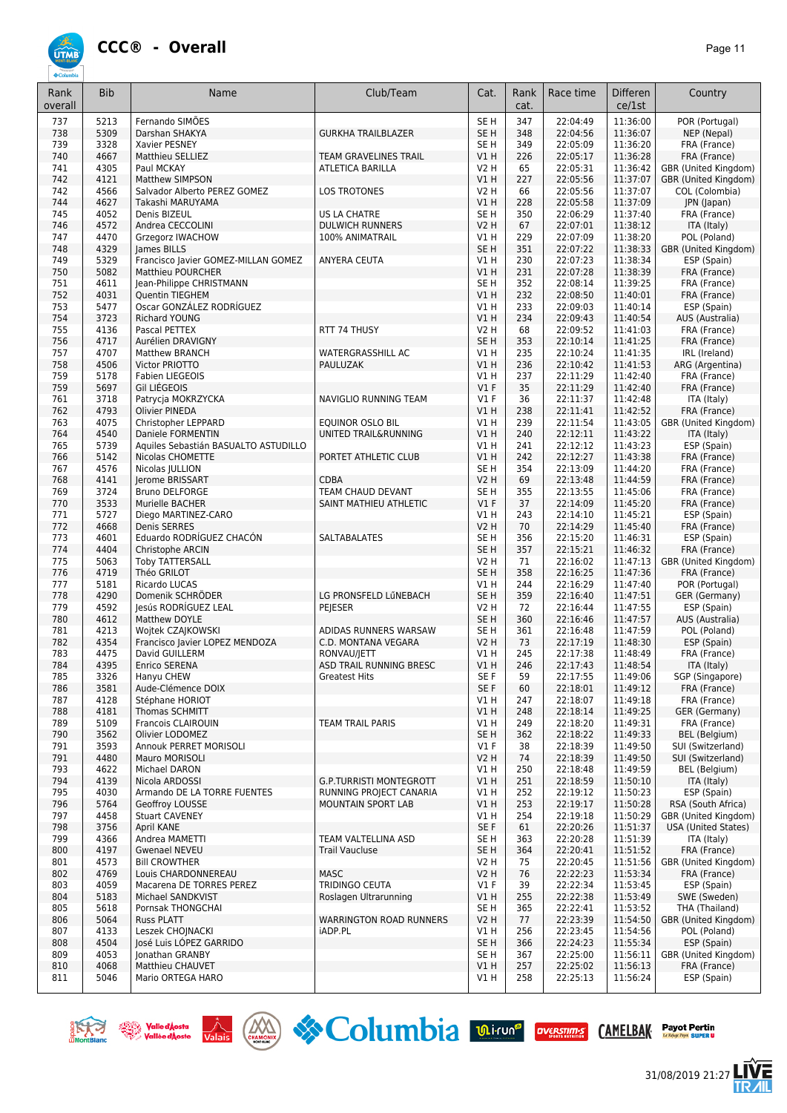

| Rank<br>overall | <b>Bib</b>   | Name                                                            | Club/Team                                    | Cat.                    | Rank<br>cat. | Race time            | Differen<br>ce/1st   | Country                                |
|-----------------|--------------|-----------------------------------------------------------------|----------------------------------------------|-------------------------|--------------|----------------------|----------------------|----------------------------------------|
| 737             | 5213         | Fernando SIMÕES                                                 |                                              | SE <sub>H</sub>         | 347          | 22:04:49             | 11:36:00             | POR (Portugal)                         |
| 738             | 5309         | Darshan SHAKYA                                                  | <b>GURKHA TRAILBLAZER</b>                    | SE <sub>H</sub>         | 348          | 22:04:56             | 11:36:07             | NEP (Nepal)                            |
| 739             | 3328         | Xavier PESNEY                                                   |                                              | SE <sub>H</sub>         | 349          | 22:05:09             | 11:36:20             | FRA (France)                           |
| 740             | 4667         | Matthieu SELLIEZ                                                | <b>TEAM GRAVELINES TRAIL</b>                 | V1H                     | 226          | 22:05:17             | 11:36:28             | FRA (France)                           |
| 741             | 4305         | Paul MCKAY                                                      | <b>ATLETICA BARILLA</b>                      | <b>V2 H</b>             | 65           | 22:05:31<br>22:05:56 | 11:36:42<br>11:37:07 | GBR (United Kingdom)                   |
| 742<br>742      | 4121<br>4566 | <b>Matthew SIMPSON</b><br>Salvador Alberto PEREZ GOMEZ          | <b>LOS TROTONES</b>                          | V1 H<br><b>V2 H</b>     | 227<br>66    | 22:05:56             | 11:37:07             | GBR (United Kingdom)<br>COL (Colombia) |
| 744             | 4627         | Takashi MARUYAMA                                                |                                              | V1 H                    | 228          | 22:05:58             | 11:37:09             | JPN (Japan)                            |
| 745             | 4052         | Denis BIZEUL                                                    | <b>US LA CHATRE</b>                          | SE H                    | 350          | 22:06:29             | 11:37:40             | FRA (France)                           |
| 746             | 4572         | Andrea CECCOLINI                                                | <b>DULWICH RUNNERS</b>                       | <b>V2 H</b>             | 67           | 22:07:01             | 11:38:12             | ITA (Italy)                            |
| 747             | 4470         | Grzegorz IWACHOW                                                | 100% ANIMATRAIL                              | V1 H                    | 229          | 22:07:09             | 11:38:20             | POL (Poland)                           |
| 748             | 4329         | James BILLS                                                     |                                              | SE <sub>H</sub>         | 351          | 22:07:22             | 11:38:33             | GBR (United Kingdom)                   |
| 749<br>750      | 5329<br>5082 | Francisco Javier GOMEZ-MILLAN GOMEZ<br><b>Matthieu POURCHER</b> | ANYERA CEUTA                                 | V1 H<br>VIH             | 230<br>231   | 22:07:23<br>22:07:28 | 11:38:34<br>11:38:39 | ESP (Spain)<br>FRA (France)            |
| 751             | 4611         | Jean-Philippe CHRISTMANN                                        |                                              | SE <sub>H</sub>         | 352          | 22:08:14             | 11:39:25             | FRA (France)                           |
| 752             | 4031         | <b>Quentin TIEGHEM</b>                                          |                                              | V1H                     | 232          | 22:08:50             | 11:40:01             | FRA (France)                           |
| 753             | 5477         | Oscar GONZÁLEZ RODRÍGUEZ                                        |                                              | V1H                     | 233          | 22:09:03             | 11:40:14             | ESP (Spain)                            |
| 754             | 3723         | <b>Richard YOUNG</b>                                            |                                              | VIH                     | 234          | 22:09:43             | 11:40:54             | AUS (Australia)                        |
| 755             | 4136         | Pascal PETTEX                                                   | RTT 74 THUSY                                 | <b>V2 H</b>             | 68           | 22:09:52             | 11:41:03             | FRA (France)                           |
| 756             | 4717         | Aurélien DRAVIGNY                                               |                                              | SE <sub>H</sub><br>V1H  | 353          | 22:10:14             | 11:41:25             | FRA (France)                           |
| 757<br>758      | 4707<br>4506 | <b>Matthew BRANCH</b><br>Victor PRIOTTO                         | <b>WATERGRASSHILL AC</b><br>PAULUZAK         | V1H                     | 235<br>236   | 22:10:24<br>22:10:42 | 11:41:35<br>11:41:53 | IRL (Ireland)<br>ARG (Argentina)       |
| 759             | 5178         | <b>Fabien LIEGEOIS</b>                                          |                                              | V1H                     | 237          | 22:11:29             | 11:42:40             | FRA (France)                           |
| 759             | 5697         | Gil LIÉGEOIS                                                    |                                              | V1F                     | 35           | 22:11:29             | 11:42:40             | FRA (France)                           |
| 761             | 3718         | Patrycja MOKRZYCKA                                              | NAVIGLIO RUNNING TEAM                        | $VI$ F                  | 36           | 22:11:37             | 11:42:48             | ITA (Italy)                            |
| 762             | 4793         | <b>Olivier PINEDA</b>                                           |                                              | VIH                     | 238          | 22:11:41             | 11:42:52             | FRA (France)                           |
| 763             | 4075         | Christopher LEPPARD                                             | <b>EQUINOR OSLO BIL</b>                      | V1H                     | 239          | 22:11:54             | 11:43:05             | GBR (United Kingdom)                   |
| 764             | 4540         | Daniele FORMENTIN                                               | UNITED TRAIL&RUNNING                         | V1H                     | 240          | 22:12:11             | 11:43:22             | ITA (Italy)                            |
| 765             | 5739         | Aquiles Sebastián BASUALTO ASTUDILLO                            |                                              | V1 H                    | 241          | 22:12:12             | 11:43:23             | ESP (Spain)                            |
| 766<br>767      | 5142         | Nicolas CHOMETTE                                                | PORTET ATHLETIC CLUB                         | VIH<br>SE H             | 242<br>354   | 22:12:27<br>22:13:09 | 11:43:38<br>11:44:20 | FRA (France)                           |
| 768             | 4576<br>4141 | Nicolas JULLION<br>Jerome BRISSART                              | <b>CDBA</b>                                  | V2 H                    | 69           | 22:13:48             | 11:44:59             | FRA (France)<br>FRA (France)           |
| 769             | 3724         | <b>Bruno DELFORGE</b>                                           | TEAM CHAUD DEVANT                            | SE <sub>H</sub>         | 355          | 22:13:55             | 11:45:06             | FRA (France)                           |
| 770             | 3533         | Murielle BACHER                                                 | SAINT MATHIEU ATHLETIC                       | V1F                     | 37           | 22:14:09             | 11:45:20             | FRA (France)                           |
| 771             | 5727         | Diego MARTINEZ-CARO                                             |                                              | V1 H                    | 243          | 22:14:10             | 11:45:21             | ESP (Spain)                            |
| 772             | 4668         | Denis SERRES                                                    |                                              | <b>V2 H</b>             | 70           | 22:14:29             | 11:45:40             | FRA (France)                           |
| 773             | 4601         | Eduardo RODRÍGUEZ CHACÓN                                        | <b>SALTABALATES</b>                          | SE H                    | 356          | 22:15:20             | 11:46:31             | ESP (Spain)                            |
| 774             | 4404         | Christophe ARCIN                                                |                                              | SE <sub>H</sub>         | 357          | 22:15:21             | 11:46:32             | FRA (France)                           |
| 775<br>776      | 5063<br>4719 | <b>Toby TATTERSALL</b><br>Théo GRILOT                           |                                              | V2 H<br>SE <sub>H</sub> | 71<br>358    | 22:16:02<br>22:16:25 | 11:47:13<br>11:47:36 | GBR (United Kingdom)<br>FRA (France)   |
| 777             | 5181         | Ricardo LUCAS                                                   |                                              | V1 H                    | 244          | 22:16:29             | 11:47:40             | POR (Portugal)                         |
| 778             | 4290         | Domenik SCHRÖDER                                                | LG PRONSFELD LŰNEBACH                        | SE <sub>H</sub>         | 359          | 22:16:40             | 11:47:51             | GER (Germany)                          |
| 779             | 4592         | Jesús RODRIGUEZ LEAL                                            | PEJESER                                      | V2 H                    | 72           | 22:16:44             | 11:47:55             | ESP (Spain)                            |
| 780             | 4612         | Matthew DOYLE                                                   |                                              | SE <sub>H</sub>         | 360          | 22:16:46             | 11:47:57             | AUS (Australia)                        |
| 781             | 4213         | Wojtek CZAJKOWSKI                                               | ADIDAS RUNNERS WARSAW                        | SE <sub>H</sub>         | 361          | 22:16:48             | 11:47:59             | POL (Poland)                           |
| 782             | 4354         | Francisco Javier LOPEZ MENDOZA                                  | C.D. MONTANA VEGARA                          | V2 H                    | 73           | 22:17:19             | 11:48:30             | ESP (Spain)                            |
| 783<br>784      | 4475<br>4395 | David GUILLERM<br>Enrico SERENA                                 | RONVAU/JETT<br>ASD TRAIL RUNNING BRESC       | VIH<br>VIH              | 245<br>246   | 22:17:38<br>22:17:43 | 11:48:49<br>11:48:54 | FRA (France)<br>ITA (Italy)            |
| 785             | 3326         | Hanyu CHEW                                                      | <b>Greatest Hits</b>                         | SE F                    | 59           | 22:17:55             | 11:49:06             | SGP (Singapore)                        |
| 786             | 3581         | Aude-Clémence DOIX                                              |                                              | SE F                    | 60           | 22:18:01             | 11:49:12             | FRA (France)                           |
| 787             | 4128         | Stéphane HORIOT                                                 |                                              | V1 H                    | 247          | 22:18:07             | 11:49:18             | FRA (France)                           |
| 788             | 4181         | Thomas SCHMITT                                                  |                                              | V1 H                    | 248          | 22:18:14             | 11:49:25             | GER (Germany)                          |
| 789             | 5109         | Francois CLAIROUIN                                              | <b>TEAM TRAIL PARIS</b>                      | V1 H                    | 249          | 22:18:20             | 11:49:31             | FRA (France)                           |
| 790             | 3562         | Olivier LODOMEZ                                                 |                                              | SE <sub>H</sub>         | 362          | 22:18:22             | 11:49:33             | BEL (Belgium)                          |
| 791<br>791      | 3593<br>4480 | Annouk PERRET MORISOLI<br>Mauro MORISOLI                        |                                              | $VI$ F<br>V2 H          | 38<br>74     | 22:18:39<br>22:18:39 | 11:49:50<br>11:49:50 | SUI (Switzerland)<br>SUI (Switzerland) |
| 793             | 4622         | Michael DARON                                                   |                                              | V1 H                    | 250          | 22:18:48             | 11:49:59             | BEL (Belgium)                          |
| 794             | 4139         | Nicola ARDOSSI                                                  | <b>G.P.TURRISTI MONTEGROTT</b>               | V1 H                    | 251          | 22:18:59             | 11:50:10             | ITA (Italy)                            |
| 795             | 4030         | Armando DE LA TORRE FUENTES                                     | RUNNING PROJECT CANARIA                      | V1 H                    | 252          | 22:19:12             | 11:50:23             | ESP (Spain)                            |
| 796             | 5764         | Geoffroy LOUSSE                                                 | MOUNTAIN SPORT LAB                           | VIH                     | 253          | 22:19:17             | 11:50:28             | RSA (South Africa)                     |
| 797             | 4458         | <b>Stuart CAVENEY</b>                                           |                                              | V1 H                    | 254          | 22:19:18             | 11:50:29             | GBR (United Kingdom)                   |
| 798             | 3756         | April KANE                                                      |                                              | SE F                    | 61           | 22:20:26             | 11:51:37             | <b>USA (United States)</b>             |
| 799             | 4366         | Andrea MAMETTI                                                  | TEAM VALTELLINA ASD<br><b>Trail Vaucluse</b> | SE H                    | 363          | 22:20:28<br>22:20:41 | 11:51:39<br>11:51:52 | ITA (Italy)                            |
| 800<br>801      | 4197<br>4573 | Gwenael NEVEU<br><b>Bill CROWTHER</b>                           |                                              | SE H<br>V2 H            | 364<br>75    | 22:20:45             | 11:51:56             | FRA (France)<br>GBR (United Kingdom)   |
| 802             | 4769         | Louis CHARDONNEREAU                                             | <b>MASC</b>                                  | V2 H                    | 76           | 22:22:23             | 11:53:34             | FRA (France)                           |
| 803             | 4059         | Macarena DE TORRES PEREZ                                        | TRIDINGO CEUTA                               | $VI$ F                  | 39           | 22:22:34             | 11:53:45             | ESP (Spain)                            |
| 804             | 5183         | Michael SANDKVIST                                               | Roslagen Ultrarunning                        | V1 H                    | 255          | 22:22:38             | 11:53:49             | SWE (Sweden)                           |
| 805             | 5618         | Pornsak THONGCHAI                                               |                                              | SE H                    | 365          | 22:22:41             | 11:53:52             | THA (Thailand)                         |
| 806             | 5064         | <b>Russ PLATT</b>                                               | <b>WARRINGTON ROAD RUNNERS</b>               | <b>V2 H</b>             | 77           | 22:23:39             | 11:54:50             | GBR (United Kingdom)                   |
| 807             | 4133         | Leszek CHOJNACKI                                                | iADP.PL                                      | V1H                     | 256          | 22:23:45             | 11:54:56             | POL (Poland)                           |
| 808<br>809      | 4504<br>4053 | José Luis LOPEZ GARRIDO<br>Jonathan GRANBY                      |                                              | SE <sub>H</sub><br>SE H | 366<br>367   | 22:24:23<br>22:25:00 | 11:55:34<br>11:56:11 | ESP (Spain)<br>GBR (United Kingdom)    |
| 810             | 4068         | Matthieu CHAUVET                                                |                                              | V1H                     | 257          | 22:25:02             | 11:56:13             | FRA (France)                           |
| 811             | 5046         | Mario ORTEGA HARO                                               |                                              | V1 H                    | 258          | 22:25:13             | 11:56:24             | ESP (Spain)                            |







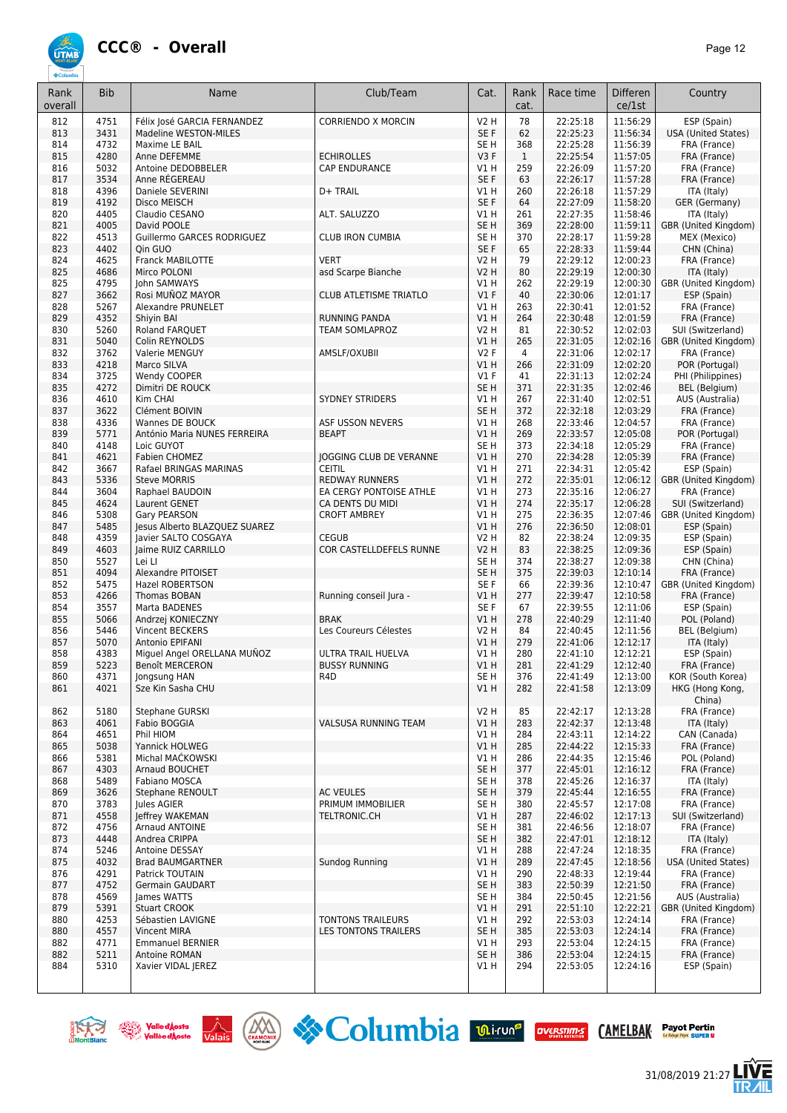

| Rank<br>overall | <b>Bib</b>   | Name                                           | Club/Team                                  | Cat.                               | Rank<br>cat. | Race time            | <b>Differen</b><br>ce/1st | Country                                   |
|-----------------|--------------|------------------------------------------------|--------------------------------------------|------------------------------------|--------------|----------------------|---------------------------|-------------------------------------------|
| 812             | 4751         | Félix José GARCIA FERNANDEZ                    | <b>CORRIENDO X MORCIN</b>                  | V2 H                               | 78           | 22:25:18             | 11:56:29                  | ESP (Spain)                               |
| 813             | 3431         | Madeline WESTON-MILES                          |                                            | SE F                               | 62           | 22:25:23             | 11:56:34                  | <b>USA (United States)</b>                |
| 814             | 4732         | Maxime LE BAIL                                 |                                            | SE H                               | 368          | 22:25:28             | 11:56:39                  | FRA (France)                              |
| 815             | 4280         | Anne DEFEMME                                   | <b>ECHIROLLES</b>                          | V3 F                               | $\mathbf{1}$ | 22:25:54             | 11:57:05                  | FRA (France)                              |
| 816             | 5032         | Antoine DEDOBBELER                             | CAP ENDURANCE                              | V1 H                               | 259          | 22:26:09             | 11:57:20                  | FRA (France)                              |
| 817             | 3534         | Anne RÉGEREAU                                  |                                            | SE F                               | 63           | 22:26:17             | 11:57:28                  | FRA (France)                              |
| 818             | 4396         | Daniele SEVERINI                               | D+ TRAIL                                   | V1 H                               | 260          | 22:26:18             | 11:57:29                  | ITA (Italy)                               |
| 819<br>820      | 4192<br>4405 | Disco MEISCH<br>Claudio CESANO                 | ALT. SALUZZO                               | SE F<br>V1 H                       | 64<br>261    | 22:27:09<br>22:27:35 | 11:58:20<br>11:58:46      | GER (Germany)                             |
| 821             | 4005         | David POOLE                                    |                                            | SE <sub>H</sub>                    | 369          | 22:28:00             | 11:59:11                  | ITA (Italy)<br>GBR (United Kingdom)       |
| 822             | 4513         | Guillermo GARCES RODRIGUEZ                     | <b>CLUB IRON CUMBIA</b>                    | SE <sub>H</sub>                    | 370          | 22:28:17             | 11:59:28                  | MEX (Mexico)                              |
| 823             | 4402         | Oin GUO                                        |                                            | SE F                               | 65           | 22:28:33             | 11:59:44                  | CHN (China)                               |
| 824             | 4625         | <b>Franck MABILOTTE</b>                        | <b>VERT</b>                                | V2 H                               | 79           | 22:29:12             | 12:00:23                  | FRA (France)                              |
| 825             | 4686         | Mirco POLONI                                   | asd Scarpe Bianche                         | V2 H                               | 80           | 22:29:19             | 12:00:30                  | ITA (Italy)                               |
| 825             | 4795         | John SAMWAYS                                   |                                            | V1 H                               | 262          | 22:29:19             | 12:00:30                  | GBR (United Kingdom)                      |
| 827             | 3662         | Rosi MUÑOZ MAYOR                               | <b>CLUB ATLETISME TRIATLO</b>              | $VI$ F                             | 40           | 22:30:06             | 12:01:17                  | ESP (Spain)                               |
| 828             | 5267         | Alexandre PRUNELET                             |                                            | V1H                                | 263          | 22:30:41             | 12:01:52                  | FRA (France)                              |
| 829             | 4352         | Shiyin BAI                                     | <b>RUNNING PANDA</b>                       | V1H                                | 264          | 22:30:48             | 12:01:59                  | FRA (France)                              |
| 830             | 5260         | Roland FARQUET                                 | <b>TEAM SOMLAPROZ</b>                      | <b>V2 H</b>                        | 81           | 22:30:52             | 12:02:03                  | SUI (Switzerland)                         |
| 831             | 5040<br>3762 | Colin REYNOLDS                                 |                                            | V1H<br>V2F                         | 265          | 22:31:05<br>22:31:06 | 12:02:16<br>12:02:17      | GBR (United Kingdom)                      |
| 832<br>833      | 4218         | Valerie MENGUY<br>Marco SILVA                  | AMSLF/OXUBII                               | VIH                                | 4<br>266     | 22:31:09             | 12:02:20                  | FRA (France)<br>POR (Portugal)            |
| 834             | 3725         | Wendy COOPER                                   |                                            | $VI$ F                             | 41           | 22:31:13             | 12:02:24                  | PHI (Philippines)                         |
| 835             | 4272         | Dimitri DE ROUCK                               |                                            | SE <sub>H</sub>                    | 371          | 22:31:35             | 12:02:46                  | <b>BEL</b> (Belgium)                      |
| 836             | 4610         | Kim CHAI                                       | <b>SYDNEY STRIDERS</b>                     | V1 H                               | 267          | 22:31:40             | 12:02:51                  | AUS (Australia)                           |
| 837             | 3622         | Clément BOIVIN                                 |                                            | SE <sub>H</sub>                    | 372          | 22:32:18             | 12:03:29                  | FRA (France)                              |
| 838             | 4336         | Wannes DE BOUCK                                | ASF USSON NEVERS                           | V1 H                               | 268          | 22:33:46             | 12:04:57                  | FRA (France)                              |
| 839             | 5771         | António Maria NUNES FERREIRA                   | <b>BEAPT</b>                               | V1 H                               | 269          | 22:33:57             | 12:05:08                  | POR (Portugal)                            |
| 840             | 4148         | Loic GUYOT                                     |                                            | SE <sub>H</sub>                    | 373          | 22:34:18             | 12:05:29                  | FRA (France)                              |
| 841             | 4621         | Fabien CHOMEZ                                  | <b>JOGGING CLUB DE VERANNE</b>             | VIH                                | 270          | 22:34:28             | 12:05:39                  | FRA (France)                              |
| 842             | 3667         | Rafael BRINGAS MARINAS                         | <b>CEITIL</b>                              | V1 H                               | 271          | 22:34:31             | 12:05:42                  | ESP (Spain)                               |
| 843             | 5336         | <b>Steve MORRIS</b>                            | <b>REDWAY RUNNERS</b>                      | VIH                                | 272          | 22:35:01             | 12:06:12                  | GBR (United Kingdom)                      |
| 844             | 3604         | Raphael BAUDOIN                                | EA CERGY PONTOISE ATHLE                    | V1H                                | 273          | 22:35:16             | 12:06:27                  | FRA (France)                              |
| 845<br>846      | 4624<br>5308 | Laurent GENET<br>Gary PEARSON                  | CA DENTS DU MIDI<br><b>CROFT AMBREY</b>    | VIH<br>V1 H                        | 274<br>275   | 22:35:17<br>22:36:35 | 12:06:28<br>12:07:46      | SUI (Switzerland)<br>GBR (United Kingdom) |
| 847             | 5485         | Jesus Alberto BLAZQUEZ SUAREZ                  |                                            | VIH                                | 276          | 22:36:50             | 12:08:01                  | ESP (Spain)                               |
| 848             | 4359         | Javier SALTO COSGAYA                           | <b>CEGUB</b>                               | <b>V2 H</b>                        | 82           | 22:38:24             | 12:09:35                  | ESP (Spain)                               |
| 849             | 4603         | Jaime RUIZ CARRILLO                            | COR CASTELLDEFELS RUNNE                    | V2 H                               | 83           | 22:38:25             | 12:09:36                  | ESP (Spain)                               |
| 850             | 5527         | Lei LI                                         |                                            | SE <sub>H</sub>                    | 374          | 22:38:27             | 12:09:38                  | CHN (China)                               |
| 851             | 4094         | Alexandre PITOISET                             |                                            | SE H                               | 375          | 22:39:03             | 12:10:14                  | FRA (France)                              |
| 852             | 5475         | <b>Hazel ROBERTSON</b>                         |                                            | SE F                               | 66           | 22:39:36             | 12:10:47                  | GBR (United Kingdom)                      |
| 853             | 4266         | Thomas BOBAN                                   | Running conseil Jura -                     | V1 H                               | 277          | 22:39:47             | 12:10:58                  | FRA (France)                              |
| 854             | 3557         | Marta BADENES                                  |                                            | SE F                               | 67           | 22:39:55             | 12:11:06                  | ESP (Spain)                               |
| 855             | 5066         | Andrzej KONIECZNY                              | <b>BRAK</b>                                | V1H                                | 278          | 22:40:29             | 12:11:40                  | POL (Poland)                              |
| 856             | 5446         | Vincent BECKERS                                | Les Coureurs Célestes                      | <b>V2 H</b>                        | 84           | 22:40:45             | 12:11:56                  | <b>BEL</b> (Belgium)                      |
| 857             | 5070<br>4383 | Antonio EPIFANI<br>Miguel Angel ORELLANA MUÑOZ |                                            | V1 H<br>V1 H                       | 279<br>280   | 22:41:06<br>22:41:10 | 12:12:17                  | ITA (Italy)                               |
| 858<br>859      | 5223         | <b>Benoît MERCERON</b>                         | ULTRA TRAIL HUELVA<br><b>BUSSY RUNNING</b> | V1 H                               | 281          | 22:41:29             | 12:12:21<br>12:12:40      | ESP (Spain)<br>FRA (France)               |
| 860             | 4371         | Jongsung HAN                                   | R <sub>4</sub> D                           | SE <sub>H</sub>                    | 376          | 22:41:49             | 12:13:00                  | KOR (South Korea)                         |
| 861             | 4021         | Sze Kin Sasha CHU                              |                                            | V1H                                | 282          | 22:41:58             | 12:13:09                  | HKG (Hong Kong,                           |
|                 |              |                                                |                                            |                                    |              |                      |                           | China)                                    |
| 862             | 5180         | Stephane GURSKI                                |                                            | <b>V2 H</b>                        | 85           | 22:42:17             | 12:13:28                  | FRA (France)                              |
| 863             | 4061         | Fabio BOGGIA                                   | VALSUSA RUNNING TEAM                       | V1 H                               | 283          | 22:42:37             | 12:13:48                  | ITA (Italy)                               |
| 864             | 4651         | Phil HIOM                                      |                                            | V1H                                | 284          | 22:43:11             | 12:14:22                  | CAN (Canada)                              |
| 865             | 5038         | Yannick HOLWEG                                 |                                            | V1H                                | 285          | 22:44:22             | 12:15:33                  | FRA (France)                              |
| 866             | 5381         | Michal MACKOWSKI                               |                                            | V1H                                | 286          | 22:44:35             | 12:15:46                  | POL (Poland)                              |
| 867             | 4303         | Arnaud BOUCHET                                 |                                            | SE <sub>H</sub>                    | 377          | 22:45:01             | 12:16:12                  | FRA (France)                              |
| 868             | 5489<br>3626 | Fabiano MOSCA                                  | <b>AC VEULES</b>                           | SE <sub>H</sub><br>SE <sub>H</sub> | 378<br>379   | 22:45:26<br>22:45:44 | 12:16:37                  | ITA (Italy)                               |
| 869<br>870      | 3783         | Stephane RENOULT<br>Jules AGIER                | PRIMUM IMMOBILIER                          | SE H                               | 380          | 22:45:57             | 12:16:55<br>12:17:08      | FRA (France)<br>FRA (France)              |
| 871             | 4558         | Jeffrey WAKEMAN                                | TELTRONIC.CH                               | V1 H                               | 287          | 22:46:02             | 12:17:13                  | SUI (Switzerland)                         |
| 872             | 4756         | Arnaud ANTOINE                                 |                                            | SE <sub>H</sub>                    | 381          | 22:46:56             | 12:18:07                  | FRA (France)                              |
| 873             | 4448         | Andrea CRIPPA                                  |                                            | SE H                               | 382          | 22:47:01             | 12:18:12                  | ITA (Italy)                               |
| 874             | 5246         | Antoine DESSAY                                 |                                            | V1 H                               | 288          | 22:47:24             | 12:18:35                  | FRA (France)                              |
| 875             | 4032         | <b>Brad BAUMGARTNER</b>                        | Sundog Running                             | V1 H                               | 289          | 22:47:45             | 12:18:56                  | USA (United States)                       |
| 876             | 4291         | Patrick TOUTAIN                                |                                            | V1H                                | 290          | 22:48:33             | 12:19:44                  | FRA (France)                              |
| 877             | 4752         | Germain GAUDART                                |                                            | SE H                               | 383          | 22:50:39             | 12:21:50                  | FRA (France)                              |
| 878             | 4569         | James WATTS                                    |                                            | SE <sub>H</sub>                    | 384          | 22:50:45             | 12:21:56                  | AUS (Australia)                           |
| 879             | 5391         | <b>Stuart CROOK</b>                            |                                            | VIH                                | 291          | 22:51:10             | 12:22:21                  | GBR (United Kingdom)                      |
| 880             | 4253         | Sébastien LAVIGNE                              | TONTONS TRAILEURS                          | V1 H                               | 292          | 22:53:03             | 12:24:14                  | FRA (France)                              |
| 880             | 4557         | <b>Vincent MIRA</b>                            | LES TONTONS TRAILERS                       | SE <sub>H</sub>                    | 385          | 22:53:03<br>22:53:04 | 12:24:14<br>12:24:15      | FRA (France)                              |
| 882<br>882      | 4771<br>5211 | <b>Emmanuel BERNIER</b><br>Antoine ROMAN       |                                            | V1 H<br>SE <sub>H</sub>            | 293<br>386   | 22:53:04             | 12:24:15                  | FRA (France)<br>FRA (France)              |
| 884             | 5310         | Xavier VIDAL JEREZ                             |                                            | V1 H                               | 294          | 22:53:05             | 12:24:16                  | ESP (Spain)                               |
|                 |              |                                                |                                            |                                    |              |                      |                           |                                           |







31/08/2019 21:27

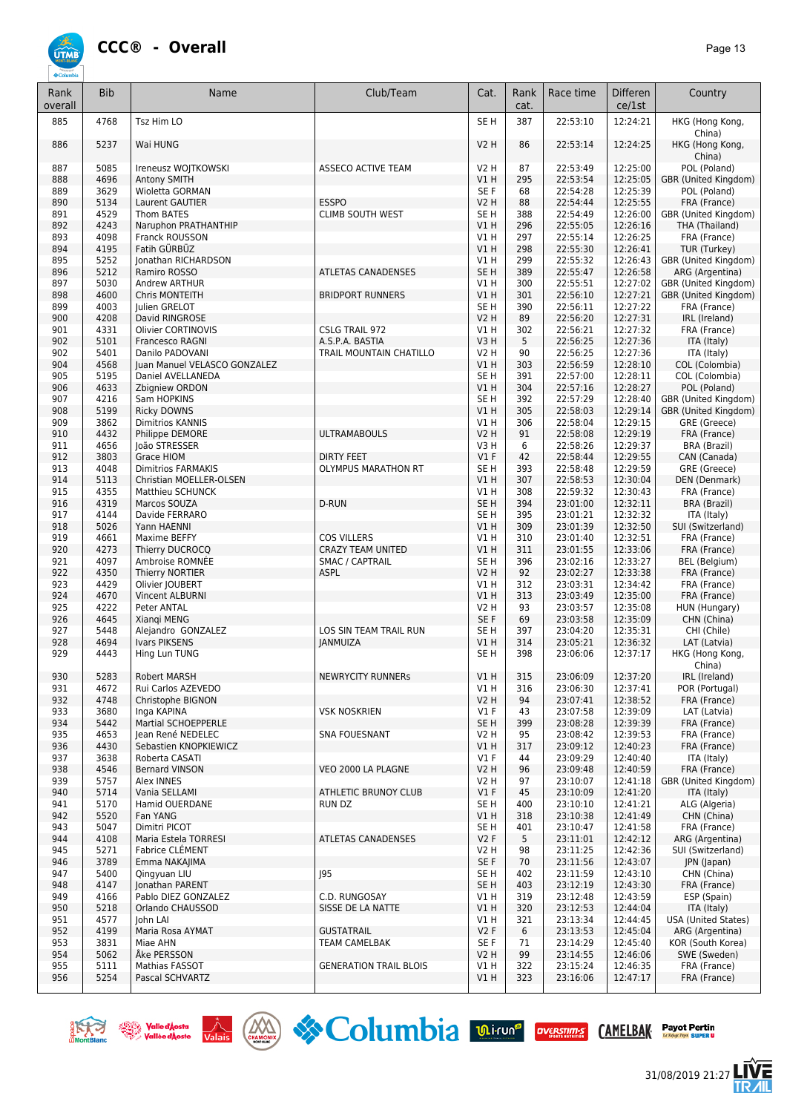

| Rank<br>overall | <b>Bib</b>   | Name                                                 | Club/Team                             | Cat.                           | Rank<br>cat. | Race time            | <b>Differen</b><br>ce/1st | Country                                |
|-----------------|--------------|------------------------------------------------------|---------------------------------------|--------------------------------|--------------|----------------------|---------------------------|----------------------------------------|
| 885             | 4768         | Tsz Him LO                                           |                                       | SE <sub>H</sub>                | 387          | 22:53:10             | 12:24:21                  | HKG (Hong Kong,<br>China)              |
| 886             | 5237         | Wai HUNG                                             |                                       | <b>V2 H</b>                    | 86           | 22:53:14             | 12:24:25                  | HKG (Hong Kong,<br>China)              |
| 887             | 5085         | Ireneusz WOJTKOWSKI                                  | ASSECO ACTIVE TEAM                    | <b>V2 H</b>                    | 87           | 22:53:49             | 12:25:00                  | POL (Poland)                           |
| 888             | 4696         | Antony SMITH                                         |                                       | <b>V1 H</b>                    | 295          | 22:53:54             | 12:25:05                  | GBR (United Kingdom)                   |
| 889             | 3629         | Wioletta GORMAN                                      |                                       | SE F                           | 68           | 22:54:28             | 12:25:39                  | POL (Poland)                           |
| 890             | 5134         | Laurent GAUTIER                                      | <b>ESSPO</b>                          | <b>V2 H</b>                    | 88           | 22:54:44             | 12:25:55                  | FRA (France)                           |
| 891<br>892      | 4529<br>4243 | Thom BATES<br>Naruphon PRATHANTHIP                   | <b>CLIMB SOUTH WEST</b>               | SE H<br>VIH                    | 388<br>296   | 22:54:49<br>22:55:05 | 12:26:00<br>12:26:16      | GBR (United Kingdom)<br>THA (Thailand) |
| 893             | 4098         | Franck ROUSSON                                       |                                       | V1 H                           | 297          | 22:55:14             | 12:26:25                  | FRA (France)                           |
| 894             | 4195         | Fatih GÜRBÜZ                                         |                                       | <b>V1 H</b>                    | 298          | 22:55:30             | 12:26:41                  | TUR (Turkey)                           |
| 895             | 5252         | Jonathan RICHARDSON                                  |                                       | V1H                            | 299          | 22:55:32             | 12:26:43                  | GBR (United Kingdom)                   |
| 896             | 5212         | Ramiro ROSSO                                         | <b>ATLETAS CANADENSES</b>             | SE <sub>H</sub>                | 389          | 22:55:47             | 12:26:58                  | ARG (Argentina)                        |
| 897             | 5030         | <b>Andrew ARTHUR</b>                                 |                                       | V1 H                           | 300          | 22:55:51             | 12:27:02                  | GBR (United Kingdom)                   |
| 898<br>899      | 4600<br>4003 | Chris MONTEITH<br>Julien GRELOT                      | <b>BRIDPORT RUNNERS</b>               | V1H<br>SE <sub>H</sub>         | 301<br>390   | 22:56:10<br>22:56:11 | 12:27:21<br>12:27:22      | GBR (United Kingdom)<br>FRA (France)   |
| 900             | 4208         | David RINGROSE                                       |                                       | <b>V2 H</b>                    | 89           | 22:56:20             | 12:27:31                  | IRL (Ireland)                          |
| 901             | 4331         | Olivier CORTINOVIS                                   | <b>CSLG TRAIL 972</b>                 | <b>V1 H</b>                    | 302          | 22:56:21             | 12:27:32                  | FRA (France)                           |
| 902             | 5101         | Francesco RAGNI                                      | A.S.P.A. BASTIA                       | V <sub>3</sub> H               | 5            | 22:56:25             | 12:27:36                  | ITA (Italy)                            |
| 902             | 5401         | Danilo PADOVANI                                      | TRAIL MOUNTAIN CHATILLO               | V2 H                           | 90           | 22:56:25             | 12:27:36                  | ITA (Italy)                            |
| 904             | 4568         | Iuan Manuel VELASCO GONZALEZ                         |                                       | VIH                            | 303          | 22:56:59             | 12:28:10                  | COL (Colombia)                         |
| 905             | 5195<br>4633 | Daniel AVELLANEDA<br>Zbigniew ORDON                  |                                       | SE <sub>H</sub><br>V1H         | 391<br>304   | 22:57:00<br>22:57:16 | 12:28:11<br>12:28:27      | COL (Colombia)<br>POL (Poland)         |
| 906<br>907      | 4216         | Sam HOPKINS                                          |                                       | SE <sub>H</sub>                | 392          | 22:57:29             | 12:28:40                  | GBR (United Kingdom)                   |
| 908             | 5199         | <b>Ricky DOWNS</b>                                   |                                       | V1H                            | 305          | 22:58:03             | 12:29:14                  | GBR (United Kingdom)                   |
| 909             | 3862         | Dimitrios KANNIS                                     |                                       | V1 H                           | 306          | 22:58:04             | 12:29:15                  | GRE (Greece)                           |
| 910             | 4432         | Philippe DEMORE                                      | <b>ULTRAMABOULS</b>                   | <b>V2 H</b>                    | 91           | 22:58:08             | 12:29:19                  | FRA (France)                           |
| 911             | 4656         | loão STRESSER                                        |                                       | V3H                            | 6            | 22:58:26             | 12:29:37                  | <b>BRA</b> (Brazil)                    |
| 912             | 3803         | Grace HIOM                                           | <b>DIRTY FEET</b>                     | V1F                            | 42           | 22:58:44             | 12:29:55                  | CAN (Canada)                           |
| 913<br>914      | 4048<br>5113 | <b>Dimitrios FARMAKIS</b><br>Christian MOELLER-OLSEN | <b>OLYMPUS MARATHON RT</b>            | SE <sub>H</sub><br>VIH         | 393<br>307   | 22:58:48<br>22:58:53 | 12:29:59<br>12:30:04      | GRE (Greece)<br>DEN (Denmark)          |
| 915             | 4355         | Matthieu SCHUNCK                                     |                                       | V1 H                           | 308          | 22:59:32             | 12:30:43                  | FRA (France)                           |
| 916             | 4319         | Marcos SOUZA                                         | D-RUN                                 | SE <sub>H</sub>                | 394          | 23:01:00             | 12:32:11                  | <b>BRA (Brazil)</b>                    |
| 917             | 4144         | Davide FERRARO                                       |                                       | SE <sub>H</sub>                | 395          | 23:01:21             | 12:32:32                  | ITA (Italy)                            |
| 918             | 5026         | Yann HAENNI                                          |                                       | V1H                            | 309          | 23:01:39             | 12:32:50                  | SUI (Switzerland)                      |
| 919             | 4661         | Maxime BEFFY                                         | <b>COS VILLERS</b>                    | V1H                            | 310          | 23:01:40             | 12:32:51                  | FRA (France)                           |
| 920<br>921      | 4273<br>4097 | Thierry DUCROCQ                                      | <b>CRAZY TEAM UNITED</b>              | <b>V1 H</b>                    | 311          | 23:01:55             | 12:33:06                  | FRA (France)                           |
| 922             | 4350         | Ambroise ROMNÉE<br>Thierry NORTIER                   | <b>SMAC / CAPTRAIL</b><br><b>ASPL</b> | SE <sub>H</sub><br><b>V2 H</b> | 396<br>92    | 23:02:16<br>23:02:27 | 12:33:27<br>12:33:38      | <b>BEL</b> (Belgium)<br>FRA (France)   |
| 923             | 4429         | Olivier JOUBERT                                      |                                       | V1H                            | 312          | 23:03:31             | 12:34:42                  | FRA (France)                           |
| 924             | 4670         | <b>Vincent ALBURNI</b>                               |                                       | V1H                            | 313          | 23:03:49             | 12:35:00                  | FRA (France)                           |
| 925             | 4222         | Peter ANTAL                                          |                                       | <b>V2 H</b>                    | 93           | 23:03:57             | 12:35:08                  | HUN (Hungary)                          |
| 926             | 4645         | Xiangi MENG                                          |                                       | SE F                           | 69           | 23:03:58             | 12:35:09                  | CHN (China)                            |
| 927             | 5448<br>4694 | Alejandro GONZALEZ                                   | LOS SIN TEAM TRAIL RUN                | SE <sub>H</sub>                | 397          | 23:04:20             | 12:35:31                  | CHI (Chile)                            |
| 928<br>929      | 4443         | <b>Ivars PIKSENS</b><br>Hing Lun TUNG                | <b>JANMUIZA</b>                       | VIH<br>SE H                    | 314<br>398   | 23:05:21<br>23:06:06 | 12:36:32<br>12:37:17      | LAT (Latvia)<br>HKG (Hong Kong,        |
|                 |              |                                                      |                                       |                                |              |                      |                           | China)                                 |
| 930             | 5283         | Robert MARSH                                         | NEWRYCITY RUNNERS                     | V1 H                           | 315          | 23:06:09             | 12:37:20<br>12:37:41      | IRL (Ireland)<br>POR (Portugal)        |
| 931<br>932      | 4672<br>4748 | Rui Carlos AZEVEDO<br>Christophe BIGNON              |                                       | V1 H<br><b>V2 H</b>            | 316<br>94    | 23:06:30<br>23:07:41 | 12:38:52                  | FRA (France)                           |
| 933             | 3680         | Inga KAPINA                                          | <b>VSK NOSKRIEN</b>                   | $VI$ F                         | 43           | 23:07:58             | 12:39:09                  | LAT (Latvia)                           |
| 934             | 5442         | Martial SCHOEPPERLE                                  |                                       | SE H                           | 399          | 23:08:28             | 12:39:39                  | FRA (France)                           |
| 935             | 4653         | Jean René NEDELEC                                    | <b>SNA FOUESNANT</b>                  | V2 H                           | 95           | 23:08:42             | 12:39:53                  | FRA (France)                           |
| 936             | 4430         | Sebastien KNOPKIEWICZ                                |                                       | VIH                            | 317          | 23:09:12             | 12:40:23                  | FRA (France)                           |
| 937             | 3638         | Roberta CASATI                                       |                                       | $VI$ F                         | 44           | 23:09:29             | 12:40:40                  | ITA (Italy)                            |
| 938<br>939      | 4546<br>5757 | <b>Bernard VINSON</b><br>Alex INNES                  | VEO 2000 LA PLAGNE                    | V2 H<br>V2 H                   | 96<br>97     | 23:09:48<br>23:10:07 | 12:40:59<br>12:41:18      | FRA (France)<br>GBR (United Kingdom)   |
| 940             | 5714         | Vania SELLAMI                                        | <b>ATHLETIC BRUNOY CLUB</b>           | $VI$ F                         | 45           | 23:10:09             | 12:41:20                  | ITA (Italy)                            |
| 941             | 5170         | Hamid OUERDANE                                       | <b>RUN DZ</b>                         | SE H                           | 400          | 23:10:10             | 12:41:21                  | ALG (Algeria)                          |
| 942             | 5520         | Fan YANG                                             |                                       | V1H                            | 318          | 23:10:38             | 12:41:49                  | CHN (China)                            |
| 943             | 5047         | Dimitri PICOT                                        |                                       | SE H                           | 401          | 23:10:47             | 12:41:58                  | FRA (France)                           |
| 944             | 4108         | Maria Estela TORRESI                                 | <b>ATLETAS CANADENSES</b>             | <b>V2F</b>                     | 5            | 23:11:01             | 12:42:12                  | ARG (Argentina)                        |
| 945             | 5271         | <b>Fabrice CLEMENT</b>                               |                                       | V2 H                           | 98           | 23:11:25             | 12:42:36                  | SUI (Switzerland)                      |
| 946<br>947      | 3789<br>5400 | Emma NAKAJIMA<br>Qingyuan LIU                        | J95                                   | SE F<br>SE <sub>H</sub>        | 70<br>402    | 23:11:56<br>23:11:59 | 12:43:07<br>12:43:10      | JPN (Japan)<br>CHN (China)             |
| 948             | 4147         | Jonathan PARENT                                      |                                       | SE H                           | 403          | 23:12:19             | 12:43:30                  | FRA (France)                           |
| 949             | 4166         | Pablo DIEZ GONZALEZ                                  | C.D. RUNGOSAY                         | V1 H                           | 319          | 23:12:48             | 12:43:59                  | ESP (Spain)                            |
| 950             | 5218         | Orlando CHAUSSOD                                     | SISSE DE LA NATTE                     | VIH                            | 320          | 23:12:53             | 12:44:04                  | ITA (Italy)                            |
| 951             | 4577         | John LAI                                             |                                       | V1 H                           | 321          | 23:13:34             | 12:44:45                  | <b>USA (United States)</b>             |
| 952             | 4199         | Maria Rosa AYMAT                                     | <b>GUSTATRAIL</b>                     | V2 F                           | 6            | 23:13:53             | 12:45:04                  | ARG (Argentina)                        |
| 953<br>954      | 3831<br>5062 | Miae AHN<br>Åke PERSSON                              | TEAM CAMELBAK                         | SE F<br><b>V2 H</b>            | 71<br>99     | 23:14:29<br>23:14:55 | 12:45:40<br>12:46:06      | KOR (South Korea)<br>SWE (Sweden)      |
| 955             | 5111         | Mathias FASSOT                                       | <b>GENERATION TRAIL BLOIS</b>         | V1 H                           | 322          | 23:15:24             | 12:46:35                  | FRA (France)                           |
| 956             | 5254         | Pascal SCHVARTZ                                      |                                       | V1H                            | 323          | 23:16:06             | 12:47:17                  | FRA (France)                           |







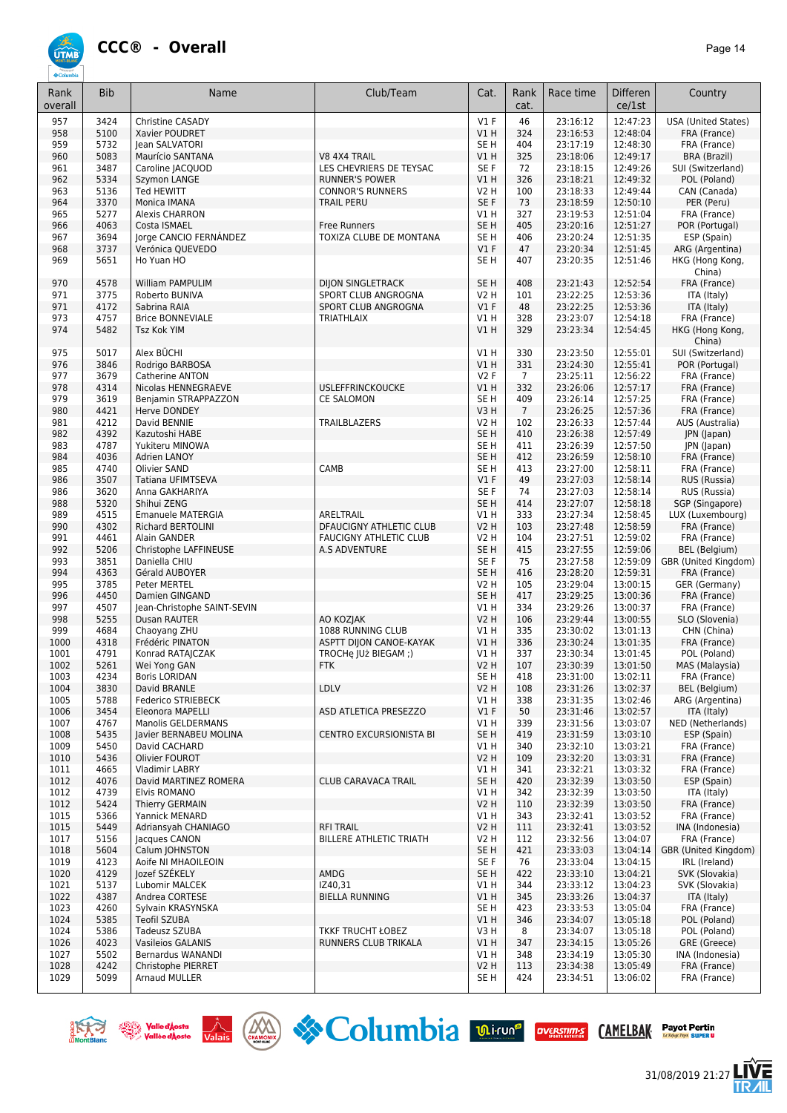

| Rank<br>overall | <b>Bib</b> | Name                                        | Club/Team                      | Cat.            | Rank<br>cat.    | Race time            | <b>Differen</b><br>ce/1st | Country                    |
|-----------------|------------|---------------------------------------------|--------------------------------|-----------------|-----------------|----------------------|---------------------------|----------------------------|
| 957             | 3424       | Christine CASADY                            |                                | $VI$ F          | 46              | 23:16:12             | 12:47:23                  | <b>USA (United States)</b> |
| 958             | 5100       | Xavier POUDRET                              |                                | VIH             | 324             | 23:16:53             | 12:48:04                  | FRA (France)               |
| 959             | 5732       | Jean SALVATORI                              |                                | SE H            | 404             | 23:17:19             | 12:48:30                  | FRA (France)               |
| 960             | 5083       | Maurício SANTANA                            | V8 4X4 TRAIL                   | V1 H            | 325             | 23:18:06             | 12:49:17                  | <b>BRA (Brazil)</b>        |
| 961             | 3487       | Caroline JACQUOD                            | LES CHEVRIERS DE TEYSAC        | SE F            | 72              | 23:18:15             | 12:49:26                  | SUI (Switzerland)          |
| 962             | 5334       | Szymon LANGE                                | <b>RUNNER'S POWER</b>          | V1H             | 326             | 23:18:21             | 12:49:32                  | POL (Poland)               |
| 963             | 5136       | <b>Ted HEWITT</b>                           | <b>CONNOR'S RUNNERS</b>        | <b>V2 H</b>     | 100             | 23:18:33             | 12:49:44                  | CAN (Canada)               |
| 964             | 3370       | Monica IMANA                                | <b>TRAIL PERU</b>              | SE F            | 73              | 23:18:59             | 12:50:10                  | PER (Peru)                 |
| 965             | 5277       | <b>Alexis CHARRON</b>                       |                                | V1H             | 327             | 23:19:53             | 12:51:04                  | FRA (France)               |
| 966             | 4063       | Costa ISMAEL                                | <b>Free Runners</b>            | SE <sub>H</sub> | 405             | 23:20:16             | 12:51:27                  | POR (Portugal)             |
| 967             | 3694       | Jorge CANCIO FERNÁNDEZ                      | TOXIZA CLUBE DE MONTANA        | SE <sub>H</sub> | 406             | 23:20:24             | 12:51:35                  | ESP (Spain)                |
| 968             | 3737       | Verónica QUEVEDO                            |                                | $VI$ F          | 47              | 23:20:34             | 12:51:45                  | ARG (Argentina)            |
| 969             | 5651       | Ho Yuan HO                                  |                                | SE <sub>H</sub> | 407             | 23:20:35             | 12:51:46                  | HKG (Hong Kong,<br>China)  |
| 970             | 4578       | William PAMPULIM                            | <b>DIJON SINGLETRACK</b>       | SE <sub>H</sub> | 408             | 23:21:43             | 12:52:54                  | FRA (France)               |
| 971             | 3775       | Roberto BUNIVA                              | SPORT CLUB ANGROGNA            | <b>V2 H</b>     | 101             | 23:22:25             | 12:53:36                  | ITA (Italy)                |
| 971             | 4172       | Sabrina RAIA                                | SPORT CLUB ANGROGNA            | $VI$ F          | 48              | 23:22:25             | 12:53:36                  | ITA (Italy)                |
| 973             | 4757       | <b>Brice BONNEVIALE</b>                     | <b>TRIATHLAIX</b>              | V1 H            | 328             | 23:23:07             | 12:54:18                  | FRA (France)               |
| 974             | 5482       | <b>Tsz Kok YIM</b>                          |                                | V1H             | 329             | 23:23:34             | 12:54:45                  | HKG (Hong Kong,<br>China)  |
| 975             | 5017       | Alex BÜCHI                                  |                                | V1H             | 330             | 23:23:50             | 12:55:01                  | SUI (Switzerland)          |
| 976             | 3846       | Rodrigo BARBOSA                             |                                | V1H             | 331             | 23:24:30             | 12:55:41                  | POR (Portugal)             |
| 977             | 3679       | Catherine ANTON                             |                                | <b>V2F</b>      | $\overline{7}$  | 23:25:11             | 12:56:22                  | FRA (France)               |
| 978             | 4314       | Nicolas HENNEGRAEVE                         | <b>USLEFFRINCKOUCKE</b>        | V1H             | 332             | 23:26:06             | 12:57:17                  | FRA (France)               |
| 979             | 3619       | Benjamin STRAPPAZZON                        | <b>CE SALOMON</b>              | SE <sub>H</sub> | 409             | 23:26:14             | 12:57:25                  | FRA (France)               |
| 980             | 4421       | Herve DONDEY                                |                                | V3H             | $7\overline{ }$ | 23:26:25             | 12:57:36                  | FRA (France)               |
| 981             | 4212       | David BENNIE                                | TRAILBLAZERS                   | <b>V2 H</b>     | 102             | 23:26:33             | 12:57:44                  | AUS (Australia)            |
| 982             | 4392       | Kazutoshi HABE                              |                                | SE <sub>H</sub> | 410             | 23:26:38             | 12:57:49                  | JPN (Japan)                |
| 983             | 4787       | Yukiteru MINOWA                             |                                | SE <sub>H</sub> | 411             | 23:26:39             | 12:57:50                  | JPN (Japan)                |
| 984             | 4036       | Adrien LANOY                                |                                | SE <sub>H</sub> | 412             | 23:26:59             | 12:58:10                  | FRA (France)               |
| 985             | 4740       | Olivier SAND                                | CAMB                           | SE <sub>H</sub> | 413             | 23:27:00             | 12:58:11                  | FRA (France)               |
| 986             | 3507       | Tatiana UFIMTSEVA                           |                                | V1F             | 49              | 23:27:03             | 12:58:14                  | RUS (Russia)               |
| 986             | 3620       | Anna GAKHARIYA                              |                                | SE F            | 74              | 23:27:03             | 12:58:14                  | RUS (Russia)               |
| 988             | 5320       | Shihui ZENG                                 |                                | SE <sub>H</sub> | 414             | 23:27:07             | 12:58:18                  | SGP (Singapore)            |
| 989             | 4515       | Emanuele MATERGIA                           | ARELTRAIL                      | V1H             | 333             | 23:27:34             | 12:58:45                  | LUX (Luxembourg)           |
| 990             | 4302       | <b>Richard BERTOLINI</b>                    | DFAUCIGNY ATHLETIC CLUB        | <b>V2 H</b>     | 103             | 23:27:48             | 12:58:59                  | FRA (France)               |
| 991             | 4461       | Alain GANDER                                | <b>FAUCIGNY ATHLETIC CLUB</b>  | <b>V2 H</b>     | 104             | 23:27:51             | 12:59:02                  | FRA (France)               |
| 992             | 5206       | Christophe LAFFINEUSE                       | A.S ADVENTURE                  | SE <sub>H</sub> | 415             | 23:27:55             | 12:59:06                  | BEL (Belgium)              |
| 993             | 3851       | Daniella CHIU                               |                                | SE F            | 75              | 23:27:58             | 12:59:09                  | GBR (United Kingdom)       |
| 994             | 4363       | Gérald AUBOYER                              |                                | SE <sub>H</sub> | 416             | 23:28:20             | 12:59:31                  | FRA (France)               |
| 995             | 3785       | Peter MERTEL                                |                                | V2 H            | 105             | 23:29:04             | 13:00:15                  | GER (Germany)              |
| 996             | 4450       | Damien GINGAND                              |                                | SE <sub>H</sub> | 417             |                      |                           | FRA (France)               |
|                 | 4507       |                                             |                                | $VI$ H          | 334             | 23:29:25<br>23:29:26 | 13:00:36                  |                            |
| 997<br>998      | 5255       | Jean-Christophe SAINT-SEVIN<br>Dusan RAUTER | AO KOZJAK                      | <b>V2 H</b>     | 106             | 23:29:44             | 13:00:37                  | FRA (France)               |
|                 |            |                                             | 1088 RUNNING CLUB              |                 |                 |                      | 13:00:55                  | SLO (Slovenia)             |
| 999             | 4684       | Chaoyang ZHU                                |                                | <b>V1 H</b>     | 335             | 23:30:02             | 13:01:13                  | CHN (China)                |
| 1000            | 4318       | Frédéric PINATON                            | ASPTT DIJON CANOE-KAYAK        | VIH             | 336             | 23:30:24             | 13:01:35                  | FRA (France)               |
| 1001            | 4791       | Konrad RATAJCZAK                            | TROCHe JUż BIEGAM;)            | V1H             | 337             | 23:30:34             | 13:01:45                  | POL (Poland)               |
| 1002            | 5261       | Wei Yong GAN                                | <b>FTK</b>                     | <b>V2 H</b>     | 107             | 23:30:39             | 13:01:50                  | MAS (Malaysia)             |
| 1003            | 4234       | <b>Boris LORIDAN</b>                        |                                | SE <sub>H</sub> | 418             | 23:31:00             | 13:02:11                  | FRA (France)               |
| 1004            | 3830       | David BRANLE                                | LDLV                           | <b>V2 H</b>     | 108             | 23:31:26             | 13:02:37                  | BEL (Belgium)              |
| 1005            | 5788       | Federico STRIEBECK                          |                                | V1 H            | 338             | 23:31:35             | 13:02:46                  | ARG (Argentina)            |
| 1006            | 3454       | Eleonora MAPELLI                            | ASD ATLETICA PRESEZZO          | $VI$ F          | 50              | 23:31:46             | 13:02:57                  | ITA (Italy)                |
| 1007            | 4767       | Manolis GELDERMANS                          |                                | V1 H            | 339             | 23:31:56             | 13:03:07                  | NED (Netherlands)          |
| 1008            | 5435       | Javier BERNABEU MOLINA                      | <b>CENTRO EXCURSIONISTA BI</b> | SE <sub>H</sub> | 419             | 23:31:59             | 13:03:10                  | ESP (Spain)                |
| 1009            | 5450       | David CACHARD                               |                                | V1 H            | 340             | 23:32:10             | 13:03:21                  | FRA (France)               |
| 1010            | 5436       | Olivier FOUROT                              |                                | <b>V2 H</b>     | 109             | 23:32:20             | 13:03:31                  | FRA (France)               |
| 1011            | 4665       | <b>Vladimir LABRY</b>                       |                                | V1 H            | 341             | 23:32:21             | 13:03:32                  | FRA (France)               |
| 1012            | 4076       | David MARTINEZ ROMERA                       | <b>CLUB CARAVACA TRAIL</b>     | SE <sub>H</sub> | 420             | 23:32:39             | 13:03:50                  | ESP (Spain)                |
| 1012            | 4739       | Elvis ROMANO                                |                                | V1 H            | 342             | 23:32:39             | 13:03:50                  | ITA (Italy)                |
| 1012            | 5424       | <b>Thierry GERMAIN</b>                      |                                | <b>V2 H</b>     | 110             | 23:32:39             | 13:03:50                  | FRA (France)               |
| 1015            | 5366       | Yannick MENARD                              |                                | V1 H            | 343             | 23:32:41             | 13:03:52                  | FRA (France)               |
| 1015            | 5449       | Adriansyah CHANIAGO                         | <b>RFI TRAIL</b>               | <b>V2 H</b>     | 111             | 23:32:41             | 13:03:52                  | INA (Indonesia)            |
| 1017            | 5156       | Jacques CANON                               | BILLERE ATHLETIC TRIATH        | V2 H            | 112             | 23:32:56             | 13:04:07                  | FRA (France)               |
| 1018            | 5604       | Calum   OHNSTON                             |                                | SE <sub>H</sub> | 421             | 23:33:03             | 13:04:14                  | GBR (United Kingdom)       |
| 1019            | 4123       | Aoife NI MHAOILEOIN                         |                                | SE F            | 76              | 23:33:04             | 13:04:15                  | IRL (Ireland)              |
| 1020            | 4129       | Jozef SZÉKELY                               | AMDG                           | SE H            | 422             | 23:33:10             | 13:04:21                  | SVK (Slovakia)             |
| 1021            | 5137       | Lubomir MALCEK                              | IZ40,31                        | V1 H            | 344             | 23:33:12             | 13:04:23                  | SVK (Slovakia)             |
| 1022            | 4387       | Andrea CORTESE                              | <b>BIELLA RUNNING</b>          | V1 H            | 345             | 23:33:26             | 13:04:37                  | ITA (Italy)                |
| 1023            | 4260       | Sylvain KRASYNSKA                           |                                | SE H            | 423             | 23:33:53             | 13:05:04                  | FRA (France)               |
| 1024            | 5385       | <b>Teofil SZUBA</b>                         |                                | V1 H            | 346             | 23:34:07             | 13:05:18                  | POL (Poland)               |
| 1024            | 5386       | Tadeusz SZUBA                               | <b>TKKF TRUCHT ŁOBEZ</b>       | V3H             | 8               | 23:34:07             | 13:05:18                  | POL (Poland)               |
| 1026            | 4023       | <b>Vasileios GALANIS</b>                    | RUNNERS CLUB TRIKALA           | VIH             | 347             | 23:34:15             | 13:05:26                  | GRE (Greece)               |
|                 |            |                                             |                                | V1 H            | 348             |                      |                           |                            |
| 1027            | 5502       | Bernardus WANANDI                           |                                |                 |                 | 23:34:19             | 13:05:30                  | INA (Indonesia)            |
| 1028            | 4242       | Christophe PIERRET                          |                                | <b>V2 H</b>     | 113             | 23:34:38             | 13:05:49                  | FRA (France)               |
| 1029            | 5099       | Arnaud MULLER                               |                                | SE H            | 424             | 23:34:51             | 13:06:02                  | FRA (France)               |







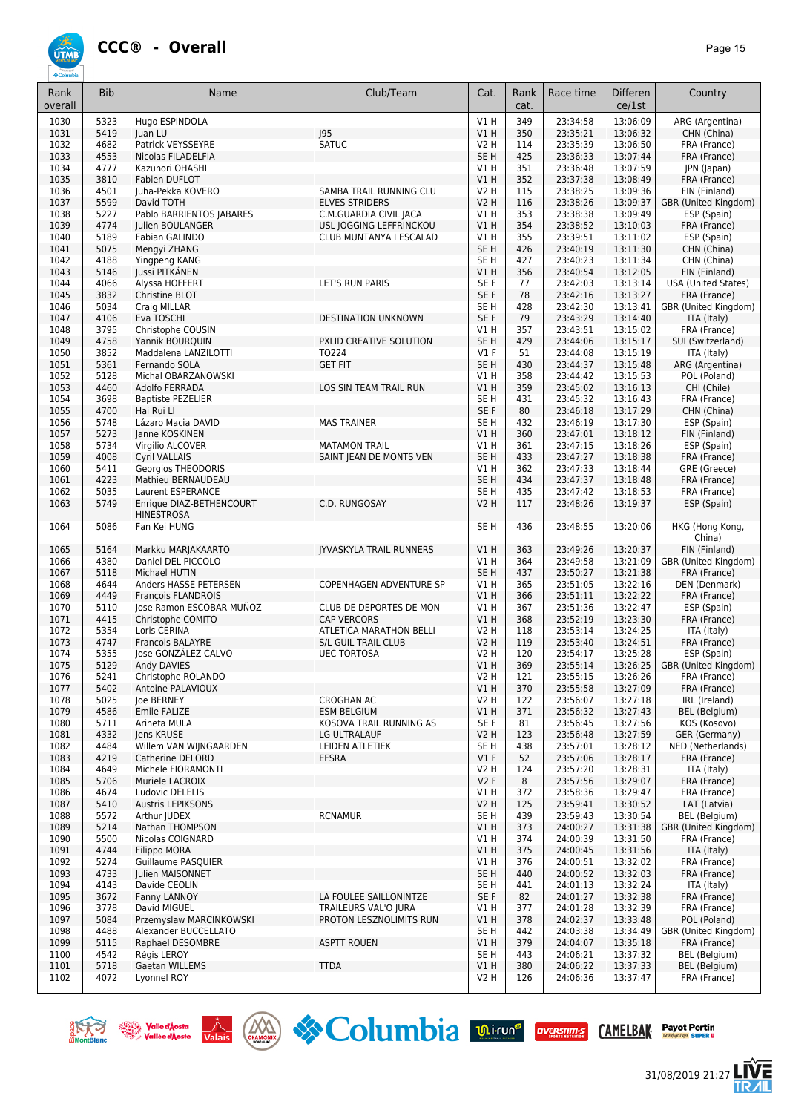

| Rank<br>overall | <b>Bib</b>   | Name                                                  | Club/Team                                        | Cat.                       | Rank<br>cat. | Race time            | <b>Differen</b><br>ce/1st | Country                               |
|-----------------|--------------|-------------------------------------------------------|--------------------------------------------------|----------------------------|--------------|----------------------|---------------------------|---------------------------------------|
| 1030            | 5323         | Hugo ESPINDOLA                                        |                                                  | V1 H                       | 349          | 23:34:58             | 13:06:09                  | ARG (Argentina)                       |
| 1031            | 5419         | Juan LU                                               | 95                                               | VIH                        | 350          | 23:35:21             | 13:06:32                  | CHN (China)                           |
| 1032            | 4682         | Patrick VEYSSEYRE                                     | <b>SATUC</b>                                     | <b>V2 H</b>                | 114          | 23:35:39             | 13:06:50                  | FRA (France)                          |
| 1033            | 4553         | Nicolas FILADELFIA                                    |                                                  | SE <sub>H</sub>            | 425          | 23:36:33             | 13:07:44                  | FRA (France)                          |
| 1034            | 4777         | Kazunori OHASHI                                       |                                                  | $VI$ H                     | 351          | 23:36:48             | 13:07:59                  | JPN (Japan)                           |
| 1035            | 3810         | Fabien DUFLOT                                         |                                                  | V1H                        | 352          | 23:37:38             | 13:08:49                  | FRA (France)                          |
| 1036<br>1037    | 4501<br>5599 | Juha-Pekka KOVERO<br>David TOTH                       | SAMBA TRAIL RUNNING CLU<br><b>ELVES STRIDERS</b> | <b>V2 H</b><br><b>V2 H</b> | 115<br>116   | 23:38:25<br>23:38:26 | 13:09:36<br>13:09:37      | FIN (Finland)<br>GBR (United Kingdom) |
| 1038            | 5227         | Pablo BARRIENTOS JABARES                              | C.M.GUARDIA CIVIL JACA                           | V1H                        | 353          | 23:38:38             | 13:09:49                  | ESP (Spain)                           |
| 1039            | 4774         | <b>Iulien BOULANGER</b>                               | USL JOGGING LEFFRINCKOU                          | V1H                        | 354          | 23:38:52             | 13:10:03                  | FRA (France)                          |
| 1040            | 5189         | Fabian GALINDO                                        | CLUB MUNTANYA I ESCALAD                          | V1 H                       | 355          | 23:39:51             | 13:11:02                  | ESP (Spain)                           |
| 1041            | 5075         | Mengyi ZHANG                                          |                                                  | SE <sub>H</sub>            | 426          | 23:40:19             | 13:11:30                  | CHN (China)                           |
| 1042            | 4188         | Yingpeng KANG                                         |                                                  | SE <sub>H</sub>            | 427          | 23:40:23             | 13:11:34                  | CHN (China)                           |
| 1043            | 5146         | Jussi PITKÄNEN                                        |                                                  | VIH                        | 356          | 23:40:54             | 13:12:05                  | FIN (Finland)                         |
| 1044            | 4066         | Alyssa HOFFERT                                        | LET'S RUN PARIS                                  | SE F                       | 77           | 23:42:03             | 13:13:14                  | <b>USA (United States)</b>            |
| 1045            | 3832         | Christine BLOT                                        |                                                  | SE F                       | 78           | 23:42:16             | 13:13:27                  | FRA (France)                          |
| 1046<br>1047    | 5034<br>4106 | Craig MILLAR<br>Eva TOSCHI                            |                                                  | SE <sub>H</sub><br>SE F    | 428<br>79    | 23:42:30<br>23:43:29 | 13:13:41<br>13:14:40      | GBR (United Kingdom)                  |
| 1048            | 3795         | Christophe COUSIN                                     | DESTINATION UNKNOWN                              | V1 H                       | 357          | 23:43:51             | 13:15:02                  | ITA (Italy)<br>FRA (France)           |
| 1049            | 4758         | Yannik BOURQUIN                                       | PXLID CREATIVE SOLUTION                          | SE <sub>H</sub>            | 429          | 23:44:06             | 13:15:17                  | SUI (Switzerland)                     |
| 1050            | 3852         | Maddalena LANZILOTTI                                  | TO224                                            | $VI$ F                     | 51           | 23:44:08             | 13:15:19                  | ITA (Italy)                           |
| 1051            | 5361         | Fernando SOLA                                         | <b>GET FIT</b>                                   | SE <sub>H</sub>            | 430          | 23:44:37             | 13:15:48                  | ARG (Argentina)                       |
| 1052            | 5128         | Michal OBARZANOWSKI                                   |                                                  | V1 H                       | 358          | 23:44:42             | 13:15:53                  | POL (Poland)                          |
| 1053            | 4460         | Adolfo FERRADA                                        | LOS SIN TEAM TRAIL RUN                           | V1 H                       | 359          | 23:45:02             | 13:16:13                  | CHI (Chile)                           |
| 1054            | 3698         | <b>Baptiste PEZELIER</b>                              |                                                  | SE H                       | 431          | 23:45:32             | 13:16:43                  | FRA (France)                          |
| 1055            | 4700         | Hai Rui Ll                                            |                                                  | SE F                       | 80           | 23:46:18             | 13:17:29                  | CHN (China)                           |
| 1056            | 5748         | Lázaro Macia DAVID                                    | <b>MAS TRAINER</b>                               | SE <sub>H</sub>            | 432          | 23:46:19             | 13:17:30                  | ESP (Spain)                           |
| 1057<br>1058    | 5273<br>5734 | Janne KOSKINEN<br>Virgilio ALCOVER                    | <b>MATAMON TRAIL</b>                             | V1H<br>V1 H                | 360<br>361   | 23:47:01<br>23:47:15 | 13:18:12<br>13:18:26      | FIN (Finland)<br>ESP (Spain)          |
| 1059            | 4008         | <b>Cvril VALLAIS</b>                                  | SAINT JEAN DE MONTS VEN                          | SE <sub>H</sub>            | 433          | 23:47:27             | 13:18:38                  | FRA (France)                          |
| 1060            | 5411         | <b>Georgios THEODORIS</b>                             |                                                  | V1H                        | 362          | 23:47:33             | 13:18:44                  | GRE (Greece)                          |
| 1061            | 4223         | Mathieu BERNAUDEAU                                    |                                                  | SE <sub>H</sub>            | 434          | 23:47:37             | 13:18:48                  | FRA (France)                          |
| 1062            | 5035         | Laurent ESPERANCE                                     |                                                  | SE <sub>H</sub>            | 435          | 23:47:42             | 13:18:53                  | FRA (France)                          |
| 1063            | 5749         | Enrique DIAZ-BETHENCOURT<br><b>HINESTROSA</b>         | C.D. RUNGOSAY                                    | <b>V2 H</b>                | 117          | 23:48:26             | 13:19:37                  | ESP (Spain)                           |
| 1064            | 5086         | Fan Kei HUNG                                          |                                                  | SE <sub>H</sub>            | 436          | 23:48:55             | 13:20:06                  | HKG (Hong Kong,<br>China)             |
| 1065            | 5164         | Markku MARJAKAARTO                                    | <b>JYVASKYLA TRAIL RUNNERS</b>                   | V1H                        | 363          | 23:49:26             | 13:20:37                  | FIN (Finland)                         |
| 1066            | 4380         | Daniel DEL PICCOLO                                    |                                                  | V1H                        | 364          | 23:49:58             | 13:21:09                  | GBR (United Kingdom)                  |
| 1067            | 5118         | Michael HUTIN                                         |                                                  | SE <sub>H</sub>            | 437          | 23:50:27             | 13:21:38                  | FRA (France)                          |
| 1068            | 4644         | Anders HASSE PETERSEN                                 | COPENHAGEN ADVENTURE SP                          | V1 H                       | 365          | 23:51:05             | 13:22:16                  | DEN (Denmark)                         |
| 1069<br>1070    | 4449<br>5110 | <b>François FLANDROIS</b><br>Jose Ramon ESCOBAR MUÑOZ | CLUB DE DEPORTES DE MON                          | V1H<br>V1H                 | 366<br>367   | 23:51:11<br>23:51:36 | 13:22:22<br>13:22:47      | FRA (France)<br>ESP (Spain)           |
| 1071            | 4415         | Christophe COMITO                                     | <b>CAP VERCORS</b>                               | VIH                        | 368          | 23:52:19             | 13:23:30                  | FRA (France)                          |
| 1072            | 5354         | Loris CERINA                                          | ATLETICA MARATHON BELLI                          | V2 H                       | 118          | 23:53:14             | 13:24:25                  | ITA (Italy)                           |
| 1073            | 4747         | Francois BALAYRE                                      | S/L GUIL TRAIL CLUB                              | <b>V2 H</b>                | 119          | 23:53:40             | 13:24:51                  | FRA (France)                          |
| 1074            | 5355         | Jose GONZÁLEZ CALVO                                   | <b>UEC TORTOSA</b>                               | V2 H                       | 120          | 23:54:17             | 13:25:28                  | ESP (Spain)                           |
| 1075            | 5129         | Andy DAVIES                                           |                                                  | V1H                        | 369          | 23:55:14             | 13:26:25                  | GBR (United Kingdom)                  |
| 1076            | 5241         | Christophe ROLANDO                                    |                                                  | V2 H                       | 121          | 23:55:15             | 13:26:26                  | FRA (France)                          |
| 1077            | 5402         | Antoine PALAVIOUX                                     |                                                  | V1H                        | 370          | 23:55:58             | 13:27:09                  | FRA (France)                          |
| 1078            | 5025<br>4586 | Joe BERNEY                                            | <b>CROGHAN AC</b>                                | V2 H                       | 122          | 23:56:07             | 13:27:18<br>13:27:43      | IRL (Ireland)<br><b>BEL</b> (Belgium) |
| 1079<br>1080    | 5711         | Emile FALIZE<br>Arineta MULA                          | <b>ESM BELGIUM</b><br>KOSOVA TRAIL RUNNING AS    | V1H<br>SE F                | 371<br>81    | 23:56:32<br>23:56:45 | 13:27:56                  | KOS (Kosovo)                          |
| 1081            | 4332         | lens KRUSE                                            | LG ULTRALAUF                                     | <b>V2 H</b>                | 123          | 23:56:48             | 13:27:59                  | GER (Germany)                         |
| 1082            | 4484         | Willem VAN WIJNGAARDEN                                | LEIDEN ATLETIEK                                  | SE H                       | 438          | 23:57:01             | 13:28:12                  | NED (Netherlands)                     |
| 1083            | 4219         | Catherine DELORD                                      | <b>EFSRA</b>                                     | $VI$ F                     | 52           | 23:57:06             | 13:28:17                  | FRA (France)                          |
| 1084            | 4649         | Michele FIORAMONTI                                    |                                                  | V2 H                       | 124          | 23:57:20             | 13:28:31                  | ITA (Italy)                           |
| 1085            | 5706         | Muriele LACROIX                                       |                                                  | V2F                        | 8            | 23:57:56             | 13:29:07                  | FRA (France)                          |
| 1086            | 4674         | Ludovic DELELIS                                       |                                                  | V1H                        | 372          | 23:58:36             | 13:29:47                  | FRA (France)                          |
| 1087            | 5410         | <b>Austris LEPIKSONS</b>                              | <b>RCNAMUR</b>                                   | <b>V2 H</b>                | 125          | 23:59:41             | 13:30:52                  | LAT (Latvia)                          |
| 1088<br>1089    | 5572<br>5214 | Arthur JUDEX<br>Nathan THOMPSON                       |                                                  | SE H<br>V1H                | 439<br>373   | 23:59:43<br>24:00:27 | 13:30:54<br>13:31:38      | BEL (Belgium)<br>GBR (United Kingdom) |
| 1090            | 5500         | Nicolas COIGNARD                                      |                                                  | V1H                        | 374          | 24:00:39             | 13:31:50                  | FRA (France)                          |
| 1091            | 4744         | Filippo MORA                                          |                                                  | V1H                        | 375          | 24:00:45             | 13:31:56                  | ITA (Italy)                           |
| 1092            | 5274         | Guillaume PASQUIER                                    |                                                  | V1 H                       | 376          | 24:00:51             | 13:32:02                  | FRA (France)                          |
| 1093            | 4733         | Julien MAISONNET                                      |                                                  | SE <sub>H</sub>            | 440          | 24:00:52             | 13:32:03                  | FRA (France)                          |
| 1094            | 4143         | Davide CEOLIN                                         |                                                  | SE <sub>H</sub>            | 441          | 24:01:13             | 13:32:24                  | ITA (Italy)                           |
| 1095            | 3672         | Fanny LANNOY                                          | LA FOULEE SAILLONINTZE                           | SE F                       | 82           | 24:01:27             | 13:32:38                  | FRA (France)                          |
| 1096            | 3778         | David MIGUEL                                          | TRAILEURS VAL'O JURA                             | V1 H                       | 377          | 24:01:28             | 13:32:39                  | FRA (France)                          |
| 1097            | 5084         | Przemyslaw MARCINKOWSKI                               | PROTON LESZNOLIMITS RUN                          | V1H                        | 378          | 24:02:37             | 13:33:48                  | POL (Poland)                          |
| 1098<br>1099    | 4488<br>5115 | Alexander BUCCELLATO<br>Raphael DESOMBRE              | <b>ASPTT ROUEN</b>                               | SE <sub>H</sub><br>V1H     | 442<br>379   | 24:03:38<br>24:04:07 | 13:34:49<br>13:35:18      | GBR (United Kingdom)<br>FRA (France)  |
| 1100            | 4542         | Régis LEROY                                           |                                                  | SE H                       | 443          | 24:06:21             | 13:37:32                  | BEL (Belgium)                         |
| 1101            | 5718         | Gaetan WILLEMS                                        | <b>TTDA</b>                                      | V1H                        | 380          | 24:06:22             | 13:37:33                  | BEL (Belgium)                         |
| 1102            | 4072         | Lyonnel ROY                                           |                                                  | V <sub>2</sub> H           | 126          | 24:06:36             | 13:37:47                  | FRA (France)                          |







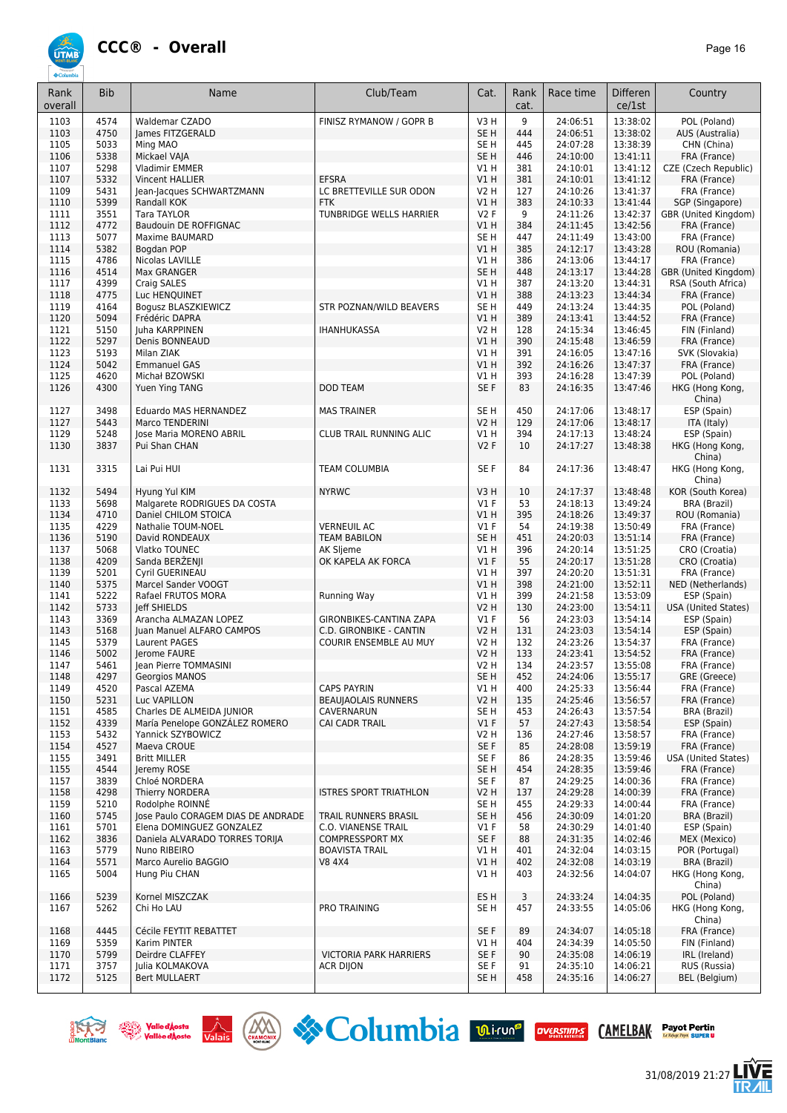

| Rank<br>overall | <b>Bib</b>   | Name                                        | Club/Team                                 | Cat.                      | Rank<br>cat. | Race time            | <b>Differen</b><br>ce/1st | Country                              |
|-----------------|--------------|---------------------------------------------|-------------------------------------------|---------------------------|--------------|----------------------|---------------------------|--------------------------------------|
| 1103            | 4574         | Waldemar CZADO                              | FINISZ RYMANOW / GOPR B                   | V3 H                      | 9            | 24:06:51             | 13:38:02                  | POL (Poland)                         |
| 1103            | 4750         | James FITZGERALD                            |                                           | SE <sub>H</sub>           | 444          | 24:06:51             | 13:38:02                  | AUS (Australia)                      |
| 1105            | 5033         | Ming MAO                                    |                                           | SE <sub>H</sub>           | 445          | 24:07:28             | 13:38:39                  | CHN (China)                          |
| 1106<br>1107    | 5338<br>5298 | Mickael VAJA<br><b>Vladimir EMMER</b>       |                                           | SE <sub>H</sub><br>V1H    | 446<br>381   | 24:10:00<br>24:10:01 | 13:41:11<br>13:41:12      | FRA (France)<br>CZE (Czech Republic) |
| 1107            | 5332         | <b>Vincent HALLIER</b>                      | <b>EFSRA</b>                              | $VI$ H                    | 381          | 24:10:01             | 13:41:12                  | FRA (France)                         |
| 1109            | 5431         | Jean-Jacques SCHWARTZMANN                   | LC BRETTEVILLE SUR ODON                   | V2 H                      | 127          | 24:10:26             | 13:41:37                  | FRA (France)                         |
| 1110            | 5399         | Randall KOK                                 | <b>FTK</b>                                | V1H                       | 383          | 24:10:33             | 13:41:44                  | SGP (Singapore)                      |
| 1111            | 3551         | <b>Tara TAYLOR</b>                          | TUNBRIDGE WELLS HARRIER                   | <b>V2F</b>                | 9            | 24:11:26             | 13:42:37                  | GBR (United Kingdom)                 |
| 1112            | 4772         | <b>Baudouin DE ROFFIGNAC</b>                |                                           | $VI$ H                    | 384          | 24:11:45             | 13:42:56                  | FRA (France)                         |
| 1113<br>1114    | 5077<br>5382 | Maxime BAUMARD<br>Bogdan POP                |                                           | SE <sub>H</sub><br>V1 H   | 447<br>385   | 24:11:49<br>24:12:17 | 13:43:00<br>13:43:28      | FRA (France)<br>ROU (Romania)        |
| 1115            | 4786         | Nicolas LAVILLE                             |                                           | V1 H                      | 386          | 24:13:06             | 13:44:17                  | FRA (France)                         |
| 1116            | 4514         | Max GRANGER                                 |                                           | SE <sub>H</sub>           | 448          | 24:13:17             | 13:44:28                  | GBR (United Kingdom)                 |
| 1117            | 4399         | Craig SALES                                 |                                           | VIH                       | 387          | 24:13:20             | 13:44:31                  | RSA (South Africa)                   |
| 1118            | 4775         | Luc HENQUINET                               |                                           | V1H                       | 388          | 24:13:23             | 13:44:34                  | FRA (France)                         |
| 1119            | 4164         | Bogusz BLASZKIEWICZ                         | STR POZNAN/WILD BEAVERS                   | SE <sub>H</sub>           | 449          | 24:13:24             | 13:44:35                  | POL (Poland)                         |
| 1120            | 5094         | Frédéric DAPRA                              |                                           | $VI$ H                    | 389          | 24:13:41             | 13:44:52                  | FRA (France)                         |
| 1121            | 5150         | Juha KARPPINEN                              | <b>IHANHUKASSA</b>                        | V2 H                      | 128          | 24:15:34             | 13:46:45                  | FIN (Finland)                        |
| 1122<br>1123    | 5297<br>5193 | Denis BONNEAUD<br>Milan ZIAK                |                                           | $VI$ H<br>VIH             | 390<br>391   | 24:15:48<br>24:16:05 | 13:46:59<br>13:47:16      | FRA (France)<br>SVK (Slovakia)       |
| 1124            | 5042         | <b>Emmanuel GAS</b>                         |                                           | VIH                       | 392          | 24:16:26             | 13:47:37                  | FRA (France)                         |
| 1125            | 4620         | Michał BZOWSKI                              |                                           | V1 H                      | 393          | 24:16:28             | 13:47:39                  | POL (Poland)                         |
| 1126            | 4300         | Yuen Ying TANG                              | <b>DOD TEAM</b>                           | SE <sub>F</sub>           | 83           | 24:16:35             | 13:47:46                  | HKG (Hong Kong,                      |
|                 |              |                                             |                                           |                           |              |                      |                           | China)                               |
| 1127            | 3498         | Eduardo MAS HERNANDEZ                       | <b>MAS TRAINER</b>                        | SE <sub>H</sub>           | 450          | 24:17:06             | 13:48:17                  | ESP (Spain)                          |
| 1127            | 5443         | Marco TENDERINI                             |                                           | V2 H                      | 129          | 24:17:06             | 13:48:17                  | ITA (Italy)                          |
| 1129            | 5248         | Jose Maria MORENO ABRIL                     | CLUB TRAIL RUNNING ALIC                   | V1H                       | 394          | 24:17:13             | 13:48:24                  | ESP (Spain)                          |
| 1130            | 3837         | Pui Shan CHAN                               |                                           | <b>V2F</b>                | 10           | 24:17:27             | 13:48:38                  | HKG (Hong Kong,<br>China)            |
| 1131            | 3315         | Lai Pui HUI                                 | <b>TEAM COLUMBIA</b>                      | SE F                      | 84           | 24:17:36             | 13:48:47                  | HKG (Hong Kong,<br>China)            |
| 1132            | 5494         | Hyung Yul KIM                               | <b>NYRWC</b>                              | V3H                       | 10           | 24:17:37             | 13:48:48                  | KOR (South Korea)                    |
| 1133            | 5698         | Malgarete RODRIGUES DA COSTA                |                                           | $VI$ F                    | 53           | 24:18:13             | 13:49:24                  | BRA (Brazil)                         |
| 1134            | 4710         | Daniel CHILOM STOICA                        |                                           | V1 H                      | 395          | 24:18:26             | 13:49:37                  | ROU (Romania)                        |
| 1135<br>1136    | 4229<br>5190 | Nathalie TOUM-NOEL<br>David RONDEAUX        | <b>VERNEUIL AC</b><br><b>TEAM BABILON</b> | $VI$ F<br>SE <sub>H</sub> | 54<br>451    | 24:19:38<br>24:20:03 | 13:50:49<br>13:51:14      | FRA (France)<br>FRA (France)         |
| 1137            | 5068         | Vlatko TOUNEC                               | AK Sljeme                                 | V1 H                      | 396          | 24:20:14             | 13:51:25                  | CRO (Croatia)                        |
| 1138            | 4209         | Sanda BERŽENJI                              | OK KAPELA AK FORCA                        | V1F                       | 55           | 24:20:17             | 13:51:28                  | CRO (Croatia)                        |
| 1139            | 5201         | Cyril GUERINEAU                             |                                           | V1 H                      | 397          | 24:20:20             | 13:51:31                  | FRA (France)                         |
| 1140            | 5375         | Marcel Sander VOOGT                         |                                           | $VI$ H                    | 398          | 24:21:00             | 13:52:11                  | NED (Netherlands)                    |
| 1141            | 5222         | Rafael FRUTOS MORA                          | <b>Running Way</b>                        | V1 H                      | 399          | 24:21:58             | 13:53:09                  | ESP (Spain)                          |
| 1142            | 5733         | leff SHIELDS                                |                                           | V2 H                      | 130          | 24:23:00             | 13:54:11                  | USA (United States)                  |
| 1143            | 3369         | Arancha ALMAZAN LOPEZ                       | GIRONBIKES-CANTINA ZAPA                   | $VI$ F                    | 56           | 24:23:03             | 13:54:14                  | ESP (Spain)                          |
| 1143            | 5168         | Juan Manuel ALFARO CAMPOS                   | C.D. GIRONBIKE - CANTIN                   | <b>V2 H</b>               | 131          | 24:23:03             | 13:54:14                  | ESP (Spain)                          |
| 1145<br>1146    | 5379<br>5002 | <b>Laurent PAGES</b><br><b>Jerome FAURE</b> | COURIR ENSEMBLE AU MUY                    | V2 H<br>V2 H              | 132<br>133   | 24:23:26<br>24:23:41 | 13:54:37<br>13:54:52      | FRA (France)<br>FRA (France)         |
| 1147            | 5461         | lean Pierre TOMMASINI                       |                                           | V2 H                      | 134          | 24:23:57             | 13:55:08                  | FRA (France)                         |
| 1148            | 4297         | Georgios MANOS                              |                                           | SE H                      | 452          | 24:24:06             | 13:55:17                  | GRE (Greece)                         |
| 1149            | 4520         | Pascal AZEMA                                | <b>CAPS PAYRIN</b>                        | V1H                       | 400          | 24:25:33             | 13:56:44                  | FRA (France)                         |
| 1150            | 5231         | Luc VAPILLON                                | <b>BEAUJAOLAIS RUNNERS</b>                | V2 H                      | 135          | 24:25:46             | 13:56:57                  | FRA (France)                         |
| 1151            | 4585         | Charles DE ALMEIDA JUNIOR                   | CAVERNARUN                                | SE H                      | 453          | 24:26:43             | 13:57:54                  | <b>BRA (Brazil)</b>                  |
| 1152            | 4339         | María Penelope GONZÁLEZ ROMERO              | <b>CAI CADR TRAIL</b>                     | $VI$ F                    | 57           | 24:27:43             | 13:58:54                  | ESP (Spain)                          |
| 1153            | 5432         | Yannick SZYBOWICZ                           |                                           | V2 H                      | 136          | 24:27:46             | 13:58:57                  | FRA (France)                         |
| 1154            | 4527         | Maeva CROUE                                 |                                           | SE F                      | 85           | 24:28:08             | 13:59:19                  | FRA (France)                         |
| 1155<br>1155    | 3491<br>4544 | <b>Britt MILLER</b>                         |                                           | SE F<br>SE <sub>H</sub>   | 86<br>454    | 24:28:35<br>24:28:35 | 13:59:46<br>13:59:46      | <b>USA (United States)</b>           |
| 1157            | 3839         | Jeremy ROSE<br>Chloé NORDERA                |                                           | SE F                      | 87           | 24:29:25             | 14:00:36                  | FRA (France)<br>FRA (France)         |
| 1158            | 4298         | Thierry NORDERA                             | <b>ISTRES SPORT TRIATHLON</b>             | V2 H                      | 137          | 24:29:28             | 14:00:39                  | FRA (France)                         |
| 1159            | 5210         | Rodolphe ROINNE                             |                                           | SE H                      | 455          | 24:29:33             | 14:00:44                  | FRA (France)                         |
| 1160            | 5745         | Jose Paulo CORAGEM DIAS DE ANDRADE          | TRAIL RUNNERS BRASIL                      | SE H                      | 456          | 24:30:09             | 14:01:20                  | BRA (Brazil)                         |
| 1161            | 5701         | Elena DOMINGUEZ GONZALEZ                    | <b>C.O. VIANENSE TRAIL</b>                | $VI$ F                    | 58           | 24:30:29             | 14:01:40                  | ESP (Spain)                          |
| 1162            | 3836         | Daniela ALVARADO TORRES TORIJA              | <b>COMPRESSPORT MX</b>                    | SE F                      | 88           | 24:31:35             | 14:02:46                  | MEX (Mexico)                         |
| 1163            | 5779         | Nuno RIBEIRO                                | <b>BOAVISTA TRAIL</b>                     | V1 H                      | 401          | 24:32:04             | 14:03:15                  | POR (Portugal)                       |
| 1164            | 5571         | Marco Aurelio BAGGIO                        | V8 4X4                                    | VIH                       | 402          | 24:32:08             | 14:03:19                  | BRA (Brazil)                         |
| 1165            | 5004         | Hung Piu CHAN                               |                                           | V1 H                      | 403          | 24:32:56             | 14:04:07                  | HKG (Hong Kong,<br>China)            |
| 1166            | 5239         | Kornel MISZCZAK                             |                                           | ES H                      | 3            | 24:33:24             | 14:04:35                  | POL (Poland)                         |
| 1167            | 5262         | Chi Ho LAU                                  | PRO TRAINING                              | SE H                      | 457          | 24:33:55             | 14:05:06                  | HKG (Hong Kong,<br>China)            |
| 1168            | 4445         | Cécile FEYTIT REBATTET                      |                                           | SE F                      | 89           | 24:34:07             | 14:05:18                  | FRA (France)                         |
| 1169            | 5359         | Karim PINTER                                |                                           | V1 H                      | 404          | 24:34:39             | 14:05:50                  | FIN (Finland)                        |
| 1170            | 5799         | Deirdre CLAFFEY                             | <b>VICTORIA PARK HARRIERS</b>             | SE F                      | 90           | 24:35:08             | 14:06:19                  | IRL (Ireland)                        |
| 1171            | 3757         | Julia KOLMAKOVA                             | <b>ACR DIJON</b>                          | SE F                      | 91           | 24:35:10             | 14:06:21                  | RUS (Russia)                         |
| 1172            | 5125         | <b>Bert MULLAERT</b>                        |                                           | SE H                      | 458          | 24:35:16             | 14:06:27                  | BEL (Belgium)                        |









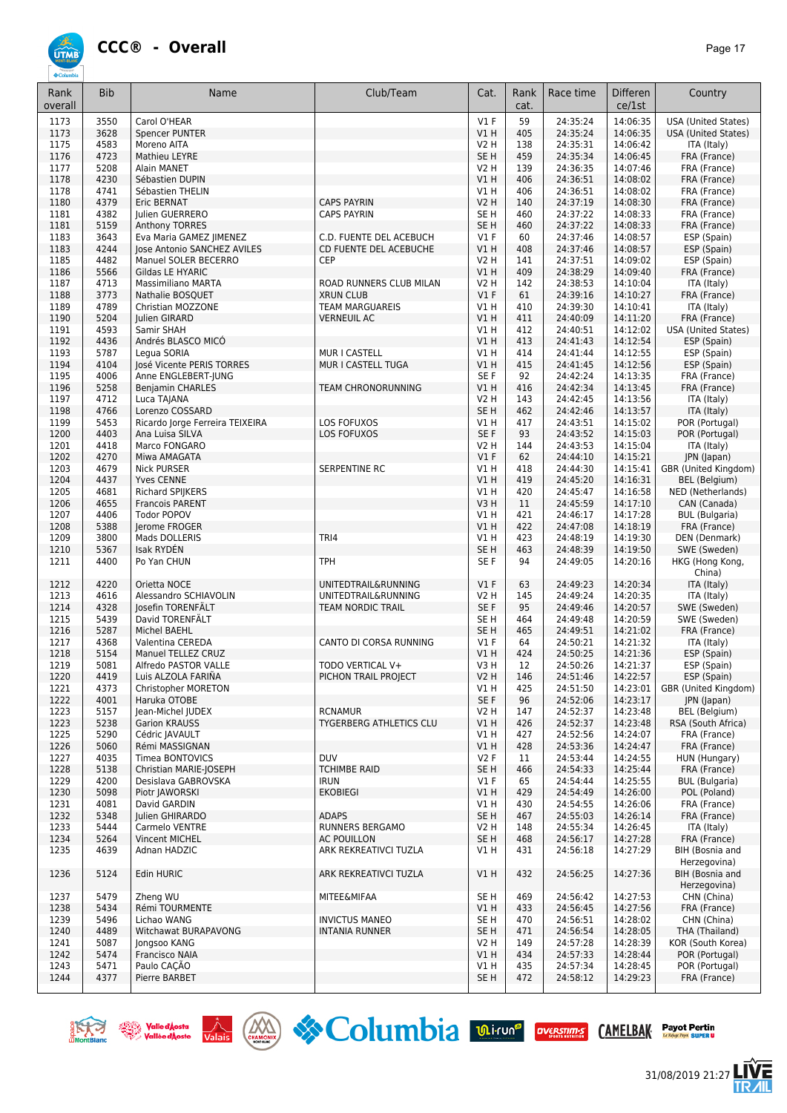

| Rank<br>overall | <b>Bib</b>   | Name                                       | Club/Team                      | Cat.                    | Rank<br>cat. | Race time            | <b>Differen</b><br>ce/1st | Country                                   |
|-----------------|--------------|--------------------------------------------|--------------------------------|-------------------------|--------------|----------------------|---------------------------|-------------------------------------------|
| 1173            | 3550         | Carol O'HEAR                               |                                | V1F                     | 59           | 24:35:24             | 14:06:35                  | <b>USA (United States)</b>                |
| 1173            | 3628         | <b>Spencer PUNTER</b>                      |                                | VIH                     | 405          | 24:35:24             | 14:06:35                  | <b>USA (United States)</b>                |
| 1175            | 4583         | Moreno AITA                                |                                | V2 H                    | 138          | 24:35:31             | 14:06:42                  | ITA (Italy)                               |
| 1176            | 4723         | Mathieu LEYRE                              |                                | SE <sub>H</sub>         | 459          | 24:35:34             | 14:06:45                  | FRA (France)                              |
| 1177            | 5208         | Alain MANET                                |                                | V2 H                    | 139          | 24:36:35             | 14:07:46                  | FRA (France)                              |
| 1178            | 4230         | Sébastien DUPIN                            |                                | V1 H                    | 406          | 24:36:51             | 14:08:02                  | FRA (France)                              |
| 1178<br>1180    | 4741<br>4379 | Sébastien THELIN<br><b>Eric BERNAT</b>     | <b>CAPS PAYRIN</b>             | V1 H<br><b>V2 H</b>     | 406<br>140   | 24:36:51<br>24:37:19 | 14:08:02<br>14:08:30      | FRA (France)<br>FRA (France)              |
| 1181            | 4382         | Julien GUERRERO                            | <b>CAPS PAYRIN</b>             | SE <sub>H</sub>         | 460          | 24:37:22             | 14:08:33                  | FRA (France)                              |
| 1181            | 5159         | Anthony TORRES                             |                                | SE <sub>H</sub>         | 460          | 24:37:22             | 14:08:33                  | FRA (France)                              |
| 1183            | 3643         | Eva Maria GAMEZ JIMENEZ                    | C.D. FUENTE DEL ACEBUCH        | V1F                     | 60           | 24:37:46             | 14:08:57                  | ESP (Spain)                               |
| 1183            | 4244         | Jose Antonio SANCHEZ AVILES                | CD FUENTE DEL ACEBUCHE         | VIH                     | 408          | 24:37:46             | 14:08:57                  | ESP (Spain)                               |
| 1185            | 4482         | Manuel SOLER BECERRO                       | CEP                            | V2 H                    | 141          | 24:37:51             | 14:09:02                  | ESP (Spain)                               |
| 1186            | 5566         | Gildas LE HYARIC                           |                                | V1 H                    | 409          | 24:38:29             | 14:09:40                  | FRA (France)                              |
| 1187            | 4713         | <b>Massimiliano MARTA</b>                  | ROAD RUNNERS CLUB MILAN        | V2 H                    | 142          | 24:38:53             | 14:10:04                  | ITA (Italy)                               |
| 1188            | 3773         | Nathalie BOSQUET                           | <b>XRUN CLUB</b>               | $VI$ F                  | 61           | 24:39:16             | 14:10:27                  | FRA (France)                              |
| 1189            | 4789         | Christian MOZZONE                          | <b>TEAM MARGUAREIS</b>         | V1 H                    | 410          | 24:39:30             | 14:10:41                  | ITA (Italy)                               |
| 1190            | 5204<br>4593 | Julien GIRARD                              | <b>VERNEUIL AC</b>             | V1 H<br>V1H             | 411<br>412   | 24:40:09             | 14:11:20<br>14:12:02      | FRA (France)                              |
| 1191<br>1192    | 4436         | Samir SHAH<br>Andrés BLASCO MICÓ           |                                | V1H                     | 413          | 24:40:51<br>24:41:43 | 14:12:54                  | <b>USA (United States)</b><br>ESP (Spain) |
| 1193            | 5787         | Legua SORIA                                | MUR I CASTELL                  | V1 H                    | 414          | 24:41:44             | 14:12:55                  | ESP (Spain)                               |
| 1194            | 4104         | José Vicente PERIS TORRES                  | MUR I CASTELL TUGA             | V1H                     | 415          | 24:41:45             | 14:12:56                  | ESP (Spain)                               |
| 1195            | 4006         | Anne ENGLEBERT-JUNG                        |                                | SE <sub>F</sub>         | 92           | 24:42:24             | 14:13:35                  | FRA (France)                              |
| 1196            | 5258         | <b>Benjamin CHARLES</b>                    | <b>TEAM CHRONORUNNING</b>      | V1 H                    | 416          | 24:42:34             | 14:13:45                  | FRA (France)                              |
| 1197            | 4712         | Luca TAJANA                                |                                | V2 H                    | 143          | 24:42:45             | 14:13:56                  | ITA (Italy)                               |
| 1198            | 4766         | Lorenzo COSSARD                            |                                | SE <sub>H</sub>         | 462          | 24:42:46             | 14:13:57                  | ITA (Italy)                               |
| 1199            | 5453         | Ricardo Jorge Ferreira TEIXEIRA            | LOS FOFUXOS                    | V1 H                    | 417          | 24:43:51             | 14:15:02                  | POR (Portugal)                            |
| 1200            | 4403         | Ana Luisa SILVA                            | <b>LOS FOFUXOS</b>             | SE <sub>F</sub>         | 93           | 24:43:52             | 14:15:03                  | POR (Portugal)                            |
| 1201            | 4418         | Marco FONGARO                              |                                | V2 H                    | 144          | 24:43:53             | 14:15:04                  | ITA (Italy)                               |
| 1202            | 4270         | Miwa AMAGATA                               |                                | V1F                     | 62           | 24:44:10             | 14:15:21                  | JPN (Japan)                               |
| 1203            | 4679         | <b>Nick PURSER</b>                         | SERPENTINE RC                  | V1 H                    | 418          | 24:44:30             | 14:15:41                  | GBR (United Kingdom)                      |
| 1204<br>1205    | 4437<br>4681 | <b>Yves CENNE</b>                          |                                | V1H<br>V1 H             | 419<br>420   | 24:45:20<br>24:45:47 | 14:16:31<br>14:16:58      | <b>BEL</b> (Belgium)<br>NED (Netherlands) |
| 1206            | 4655         | Richard SPIJKERS<br><b>Francois PARENT</b> |                                | V3H                     | 11           | 24:45:59             | 14:17:10                  | CAN (Canada)                              |
| 1207            | 4406         | <b>Todor POPOV</b>                         |                                | V1 H                    | 421          | 24:46:17             | 14:17:28                  | <b>BUL</b> (Bulgaria)                     |
| 1208            | 5388         | Jerome FROGER                              |                                | V1H                     | 422          | 24:47:08             | 14:18:19                  | FRA (France)                              |
| 1209            | 3800         | Mads DOLLERIS                              | TRI4                           | V1 H                    | 423          | 24:48:19             | 14:19:30                  | DEN (Denmark)                             |
| 1210            | 5367         | Isak RYDEN                                 |                                | SE <sub>H</sub>         | 463          | 24:48:39             | 14:19:50                  | SWE (Sweden)                              |
| 1211            | 4400         | Po Yan CHUN                                | <b>TPH</b>                     | SE F                    | 94           | 24:49:05             | 14:20:16                  | HKG (Hong Kong,<br>China)                 |
| 1212            | 4220         | Orietta NOCE                               | UNITEDTRAIL&RUNNING            | V1F                     | 63           | 24:49:23             | 14:20:34                  | ITA (Italy)                               |
| 1213            | 4616         | Alessandro SCHIAVOLIN                      | UNITEDTRAIL&RUNNING            | V2 H                    | 145          | 24:49:24             | 14:20:35                  | ITA (Italy)                               |
| 1214            | 4328         | Josefin TORENFÄLT                          | <b>TEAM NORDIC TRAIL</b>       | SE F                    | 95           | 24:49:46             | 14:20:57                  | SWE (Sweden)                              |
| 1215            | 5439         | David TORENFÄLT                            |                                | SE <sub>H</sub>         | 464          | 24:49:48             | 14:20:59                  | SWE (Sweden)                              |
| 1216            | 5287         | Michel BAEHL                               |                                | SE <sub>H</sub>         | 465          | 24:49:51             | 14:21:02                  | FRA (France)                              |
| 1217            | 4368<br>5154 | Valentina CEREDA<br>Manuel TELLEZ CRUZ     | CANTO DI CORSA RUNNING         | $VI$ F<br>V1H           | 64<br>424    | 24:50:21             | 14:21:32                  | ITA (Italy)                               |
| 1218<br>1219    | 5081         | Alfredo PASTOR VALLE                       | TODO VERTICAL V+               | V3 H                    | 12           | 24:50:25<br>24:50:26 | 14:21:36<br>14:21:37      | ESP (Spain)<br>ESP (Spain)                |
| 1220            | 4419         | Luis ALZOLA FARIÑA                         | PICHON TRAIL PROJECT           | <b>V2 H</b>             | 146          | 24:51:46             | 14:22:57                  | ESP (Spain)                               |
| 1221            | 4373         | Christopher MORETON                        |                                | VIH                     | 425          | 24:51:50             | 14:23:01                  | GBR (United Kingdom)                      |
| 1222            | 4001         | Haruka OTOBE                               |                                | SE F                    | 96           | 24:52:06             | 14:23:17                  | JPN (Japan)                               |
| 1223            | 5157         | Jean-Michel JUDEX                          | <b>RCNAMUR</b>                 | V2 H                    | 147          | 24:52:37             | 14:23:48                  | BEL (Belgium)                             |
| 1223            | 5238         | <b>Garion KRAUSS</b>                       | <b>TYGERBERG ATHLETICS CLU</b> | V1 H                    | 426          | 24:52:37             | 14:23:48                  | RSA (South Africa)                        |
| 1225            | 5290         | Cédric JAVAULT                             |                                | V1 H                    | 427          | 24:52:56             | 14:24:07                  | FRA (France)                              |
| 1226            | 5060         | Rémi MASSIGNAN                             |                                | V1 H                    | 428          | 24:53:36             | 14:24:47                  | FRA (France)                              |
| 1227            | 4035         | <b>Timea BONTOVICS</b>                     | <b>DUV</b>                     | <b>V2F</b>              | 11           | 24:53:44             | 14:24:55                  | HUN (Hungary)                             |
| 1228            | 5138         | Christian MARIE-JOSEPH                     | <b>TCHIMBE RAID</b>            | SE <sub>H</sub>         | 466          | 24:54:33             | 14:25:44                  | FRA (France)                              |
| 1229            | 4200         | Desislava GABROVSKA                        | <b>IRUN</b>                    | $VI$ F                  | 65           | 24:54:44             | 14:25:55                  | <b>BUL</b> (Bulgaria)                     |
| 1230            | 5098         | Piotr JAWORSKI                             | <b>EKOBIEGI</b>                | V1 H                    | 429          | 24:54:49             | 14:26:00                  | POL (Poland)<br>FRA (France)              |
| 1231<br>1232    | 4081<br>5348 | David GARDIN<br>Julien GHIRARDO            | <b>ADAPS</b>                   | V1 H<br>SE <sub>H</sub> | 430<br>467   | 24:54:55<br>24:55:03 | 14:26:06<br>14:26:14      | FRA (France)                              |
| 1233            | 5444         | Carmelo VENTRE                             | RUNNERS BERGAMO                | V2 H                    | 148          | 24:55:34             | 14:26:45                  | ITA (Italy)                               |
| 1234            | 5264         | Vincent MICHEL                             | <b>AC POUILLON</b>             | SE H                    | 468          | 24:56:17             | 14:27:28                  | FRA (France)                              |
| 1235            | 4639         | Adnan HADZIC                               | ARK REKREATIVCI TUZLA          | V1 H                    | 431          | 24:56:18             | 14:27:29                  | BIH (Bosnia and                           |
| 1236            | 5124         | Edin HURIC                                 | ARK REKREATIVCI TUZLA          | V1 H                    | 432          | 24:56:25             | 14:27:36                  | Herzegovina)<br>BIH (Bosnia and           |
|                 |              |                                            |                                |                         |              |                      |                           | Herzegovina)                              |
| 1237            | 5479         | Zheng WU                                   | <b>MITEE&amp;MIFAA</b>         | SE H                    | 469          | 24:56:42             | 14:27:53                  | CHN (China)                               |
| 1238            | 5434         | Rémi TOURMENTE                             |                                | V1 H                    | 433          | 24:56:45             | 14:27:56                  | FRA (France)                              |
| 1239            | 5496         | Lichao WANG                                | <b>INVICTUS MANEO</b>          | SE H                    | 470          | 24:56:51             | 14:28:02                  | CHN (China)                               |
| 1240            | 4489         | Witchawat BURAPAVONG                       | <b>INTANIA RUNNER</b>          | SE H                    | 471          | 24:56:54             | 14:28:05                  | THA (Thailand)                            |
| 1241<br>1242    | 5087<br>5474 | Jongsoo KANG<br>Francisco NAIA             |                                | V2 H<br>V1 H            | 149<br>434   | 24:57:28<br>24:57:33 | 14:28:39<br>14:28:44      | KOR (South Korea)<br>POR (Portugal)       |
| 1243            | 5471         | Paulo CACÃO                                |                                | V1 H                    | 435          | 24:57:34             | 14:28:45                  | POR (Portugal)                            |
| 1244            | 4377         | Pierre BARBET                              |                                | SE H                    | 472          | 24:58:12             | 14:29:23                  | FRA (France)                              |
|                 |              |                                            |                                |                         |              |                      |                           |                                           |









/后<br>⁄IIL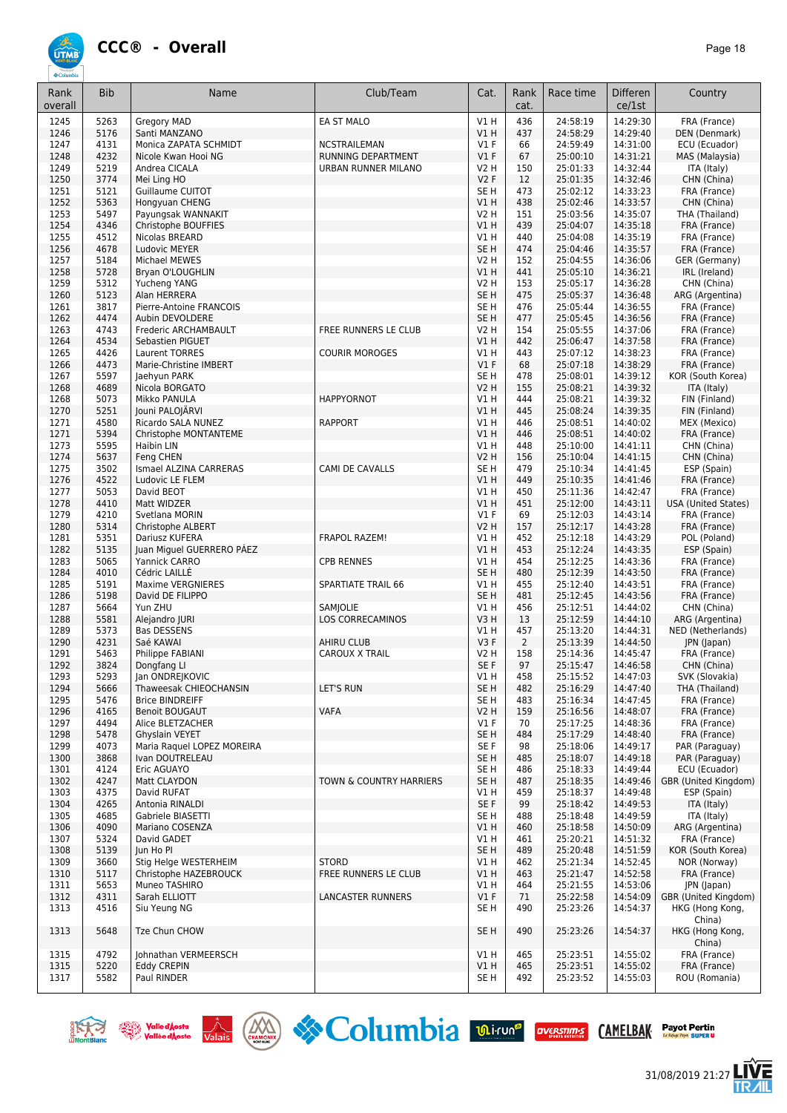

| Rank         | <b>Bib</b>   | Name                                         | Club/Team                          | Cat.                               | Rank           | Race time            | <b>Differen</b>      | Country                             |
|--------------|--------------|----------------------------------------------|------------------------------------|------------------------------------|----------------|----------------------|----------------------|-------------------------------------|
| overall      |              |                                              |                                    |                                    | cat.           |                      | ce/1st               |                                     |
| 1245         | 5263         | Gregory MAD                                  | EA ST MALO                         | V1H                                | 436            | 24:58:19             | 14:29:30             | FRA (France)                        |
| 1246         | 5176         | Santi MANZANO                                |                                    | V1H                                | 437            | 24:58:29             | 14:29:40             | DEN (Denmark)                       |
| 1247<br>1248 | 4131<br>4232 | Monica ZAPATA SCHMIDT<br>Nicole Kwan Hooi NG | NCSTRAILEMAN<br>RUNNING DEPARTMENT | $VI$ F<br>$VI$ F                   | 66<br>67       | 24:59:49<br>25:00:10 | 14:31:00<br>14:31:21 | ECU (Ecuador)<br>MAS (Malaysia)     |
| 1249         | 5219         | Andrea CICALA                                | URBAN RUNNER MILANO                | <b>V2 H</b>                        | 150            | 25:01:33             | 14:32:44             | ITA (Italy)                         |
| 1250         | 3774         | Mei Ling HO                                  |                                    | V2F                                | 12             | 25:01:35             | 14:32:46             | CHN (China)                         |
| 1251         | 5121         | <b>Guillaume CUITOT</b>                      |                                    | SE <sub>H</sub>                    | 473            | 25:02:12             | 14:33:23             | FRA (France)                        |
| 1252         | 5363         | Hongyuan CHENG                               |                                    | V1H                                | 438            | 25:02:46             | 14:33:57             | CHN (China)                         |
| 1253         | 5497<br>4346 | Payungsak WANNAKIT<br>Christophe BOUFFIES    |                                    | <b>V2 H</b><br>V1H                 | 151<br>439     | 25:03:56<br>25:04:07 | 14:35:07<br>14:35:18 | THA (Thailand)                      |
| 1254<br>1255 | 4512         | Nicolas BREARD                               |                                    | V1 H                               | 440            | 25:04:08             | 14:35:19             | FRA (France)<br>FRA (France)        |
| 1256         | 4678         | Ludovic MEYER                                |                                    | SE <sub>H</sub>                    | 474            | 25:04:46             | 14:35:57             | FRA (France)                        |
| 1257         | 5184         | Michael MEWES                                |                                    | <b>V2 H</b>                        | 152            | 25:04:55             | 14:36:06             | GER (Germany)                       |
| 1258         | 5728         | Bryan O'LOUGHLIN                             |                                    | V1H                                | 441            | 25:05:10             | 14:36:21             | IRL (Ireland)                       |
| 1259         | 5312         | Yucheng YANG                                 |                                    | V2 H                               | 153            | 25:05:17             | 14:36:28             | CHN (China)                         |
| 1260<br>1261 | 5123<br>3817 | Alan HERRERA<br>Pierre-Antoine FRANCOIS      |                                    | SE <sub>H</sub><br>SE <sub>H</sub> | 475<br>476     | 25:05:37<br>25:05:44 | 14:36:48<br>14:36:55 | ARG (Argentina)<br>FRA (France)     |
| 1262         | 4474         | Aubin DEVOLDERE                              |                                    | SE <sub>H</sub>                    | 477            | 25:05:45             | 14:36:56             | FRA (France)                        |
| 1263         | 4743         | Frederic ARCHAMBAULT                         | FREE RUNNERS LE CLUB               | <b>V2 H</b>                        | 154            | 25:05:55             | 14:37:06             | FRA (France)                        |
| 1264         | 4534         | Sebastien PIGUET                             |                                    | VIH                                | 442            | 25:06:47             | 14:37:58             | FRA (France)                        |
| 1265         | 4426         | <b>Laurent TORRES</b>                        | <b>COURIR MOROGES</b>              | V1 H                               | 443            | 25:07:12             | 14:38:23             | FRA (France)                        |
| 1266<br>1267 | 4473<br>5597 | Marie-Christine IMBERT<br>Jaehyun PARK       |                                    | $VI$ F<br>SE <sub>H</sub>          | 68<br>478      | 25:07:18<br>25:08:01 | 14:38:29<br>14:39:12 | FRA (France)<br>KOR (South Korea)   |
| 1268         | 4689         | Nicola BORGATO                               |                                    | <b>V2 H</b>                        | 155            | 25:08:21             | 14:39:32             | ITA (Italy)                         |
| 1268         | 5073         | Mikko PANULA                                 | <b>HAPPYORNOT</b>                  | V1 H                               | 444            | 25:08:21             | 14:39:32             | FIN (Finland)                       |
| 1270         | 5251         | Jouni PALOJÄRVI                              |                                    | V1H                                | 445            | 25:08:24             | 14:39:35             | FIN (Finland)                       |
| 1271         | 4580         | Ricardo SALA NUNEZ                           | <b>RAPPORT</b>                     | V1 H                               | 446            | 25:08:51             | 14:40:02             | MEX (Mexico)                        |
| 1271         | 5394         | Christophe MONTANTEME                        |                                    | V1H                                | 446            | 25:08:51             | 14:40:02             | FRA (France)                        |
| 1273<br>1274 | 5595<br>5637 | Haibin LIN<br>Fena CHEN                      |                                    | V1 H<br><b>V2 H</b>                | 448<br>156     | 25:10:00<br>25:10:04 | 14:41:11<br>14:41:15 | CHN (China)<br>CHN (China)          |
| 1275         | 3502         | Ismael ALZINA CARRERAS                       | CAMI DE CAVALLS                    | SE <sub>H</sub>                    | 479            | 25:10:34             | 14:41:45             | ESP (Spain)                         |
| 1276         | 4522         | Ludovic LE FLEM                              |                                    | VIH                                | 449            | 25:10:35             | 14:41:46             | FRA (France)                        |
| 1277         | 5053         | David BEOT                                   |                                    | V1 H                               | 450            | 25:11:36             | 14:42:47             | FRA (France)                        |
| 1278         | 4410         | Matt WIDZER                                  |                                    | V1H                                | 451            | 25:12:00             | 14:43:11             | <b>USA (United States)</b>          |
| 1279         | 4210<br>5314 | Svetlana MORIN                               |                                    | $VI$ F<br><b>V2 H</b>              | 69<br>157      | 25:12:03<br>25:12:17 | 14:43:14<br>14:43:28 | FRA (France)                        |
| 1280<br>1281 | 5351         | Christophe ALBERT<br>Dariusz KUFERA          | <b>FRAPOL RAZEM!</b>               | V1 H                               | 452            | 25:12:18             | 14:43:29             | FRA (France)<br>POL (Poland)        |
| 1282         | 5135         | Juan Miguel GUERRERO PÁEZ                    |                                    | V1H                                | 453            | 25:12:24             | 14:43:35             | ESP (Spain)                         |
| 1283         | 5065         | Yannick CARRO                                | <b>CPB RENNES</b>                  | V1H                                | 454            | 25:12:25             | 14:43:36             | FRA (France)                        |
| 1284         | 4010         | Cédric LAILLÉ                                |                                    | SE <sub>H</sub>                    | 480            | 25:12:39             | 14:43:50             | FRA (France)                        |
| 1285         | 5191         | <b>Maxime VERGNIERES</b>                     | <b>SPARTIATE TRAIL 66</b>          | VIH                                | 455            | 25:12:40             | 14:43:51             | FRA (France)                        |
| 1286<br>1287 | 5198<br>5664 | David DE FILIPPO<br>Yun ZHU                  | <b>SAMJOLIE</b>                    | SE <sub>H</sub><br>V1 H            | 481<br>456     | 25:12:45<br>25:12:51 | 14:43:56<br>14:44:02 | FRA (France)<br>CHN (China)         |
| 1288         | 5581         | Alejandro JURI                               | LOS CORRECAMINOS                   | V3H                                | 13             | 25:12:59             | 14:44:10             | ARG (Argentina)                     |
| 1289         | 5373         | <b>Bas DESSENS</b>                           |                                    | V1H                                | 457            | 25:13:20             | 14:44:31             | NED (Netherlands)                   |
| 1290         | 4231         | Saé KAWAI                                    | AHIRU CLUB                         | V3F                                | $\overline{2}$ | 25:13:39             | 14:44:50             | JPN (Japan)                         |
| 1291         | 5463         | Philippe FABIANI                             | <b>CAROUX X TRAIL</b>              | <b>V2 H</b>                        | 158            | 25:14:36             | 14:45:47             | FRA (France)                        |
| 1292<br>1293 | 3824<br>5293 | Dongfang Ll<br>Jan ONDREJKOVIC               |                                    | SE F<br>V1 H                       | 97<br>458      | 25:15:47<br>25:15:52 | 14:46:58<br>14:47:03 | CHN (China)<br>SVK (Slovakia)       |
| 1294         | 5666         | Thaweesak CHIEOCHANSIN                       | LET'S RUN                          | SE <sub>H</sub>                    | 482            | 25:16:29             | 14:47:40             | THA (Thailand)                      |
| 1295         | 5476         | <b>Brice BINDREIFF</b>                       |                                    | SE <sub>H</sub>                    | 483            | 25:16:34             | 14:47:45             | FRA (France)                        |
| 1296         | 4165         | <b>Benoit BOUGAUT</b>                        | <b>VAFA</b>                        | <b>V2 H</b>                        | 159            | 25:16:56             | 14:48:07             | FRA (France)                        |
| 1297         | 4494         | Alice BLETZACHER                             |                                    | $VI$ F                             | 70             | 25:17:25             | 14:48:36             | FRA (France)                        |
| 1298<br>1299 | 5478<br>4073 | Ghyslain VEYET<br>Maria Raquel LOPEZ MOREIRA |                                    | SE <sub>H</sub><br>SE F            | 484<br>98      | 25:17:29<br>25:18:06 | 14:48:40<br>14:49:17 | FRA (France)<br>PAR (Paraguay)      |
| 1300         | 3868         | Ivan DOUTRELEAU                              |                                    | SE <sub>H</sub>                    | 485            | 25:18:07             | 14:49:18             | PAR (Paraguay)                      |
| 1301         | 4124         | Eric AGUAYO                                  |                                    | SE <sub>H</sub>                    | 486            | 25:18:33             | 14:49:44             | ECU (Ecuador)                       |
| 1302         | 4247         | Matt CLAYDON                                 | TOWN & COUNTRY HARRIERS            | SE <sub>H</sub>                    | 487            | 25:18:35             | 14:49:46             | GBR (United Kingdom)                |
| 1303         | 4375         | David RUFAT                                  |                                    | V1 H                               | 459            | 25:18:37             | 14:49:48             | ESP (Spain)                         |
| 1304         | 4265         | Antonia RINALDI                              |                                    | SE F                               | 99             | 25:18:42             | 14:49:53             | ITA (Italy)                         |
| 1305<br>1306 | 4685<br>4090 | Gabriele BIASETTI<br>Mariano COSENZA         |                                    | SE <sub>H</sub><br>V1H             | 488<br>460     | 25:18:48<br>25:18:58 | 14:49:59<br>14:50:09 | ITA (Italy)<br>ARG (Argentina)      |
| 1307         | 5324         | David GADET                                  |                                    | V1 H                               | 461            | 25:20:21             | 14:51:32             | FRA (France)                        |
| 1308         | 5139         | Jun Ho Pl                                    |                                    | SE <sub>H</sub>                    | 489            | 25:20:48             | 14:51:59             | KOR (South Korea)                   |
| 1309         | 3660         | Stig Helge WESTERHEIM                        | <b>STORD</b>                       | VIH                                | 462            | 25:21:34             | 14:52:45             | NOR (Norway)                        |
| 1310         | 5117         | Christophe HAZEBROUCK                        | FREE RUNNERS LE CLUB               | VIH                                | 463            | 25:21:47             | 14:52:58             | FRA (France)                        |
| 1311<br>1312 | 5653<br>4311 | Muneo TASHIRO<br>Sarah ELLIOTT               | LANCASTER RUNNERS                  | V1 H<br>$VI$ F                     | 464<br>71      | 25:21:55<br>25:22:58 | 14:53:06<br>14:54:09 | JPN (Japan)<br>GBR (United Kingdom) |
| 1313         | 4516         | Siu Yeung NG                                 |                                    | SE <sub>H</sub>                    | 490            | 25:23:26             | 14:54:37             | HKG (Hong Kong,                     |
|              |              |                                              |                                    |                                    |                |                      |                      | China)                              |
| 1313         | 5648         | Tze Chun CHOW                                |                                    | SE <sub>H</sub>                    | 490            | 25:23:26             | 14:54:37             | HKG (Hong Kong,                     |
|              |              |                                              |                                    |                                    |                |                      |                      | China)                              |
| 1315         | 4792         | Johnathan VERMEERSCH                         |                                    | V1 H                               | 465            | 25:23:51             | 14:55:02             | FRA (France)                        |
| 1315<br>1317 | 5220<br>5582 | <b>Eddy CREPIN</b><br>Paul RINDER            |                                    | V1H<br>SE <sub>H</sub>             | 465<br>492     | 25:23:51<br>25:23:52 | 14:55:02<br>14:55:03 | FRA (France)<br>ROU (Romania)       |
|              |              |                                              |                                    |                                    |                |                      |                      |                                     |









/后<br>⁄ll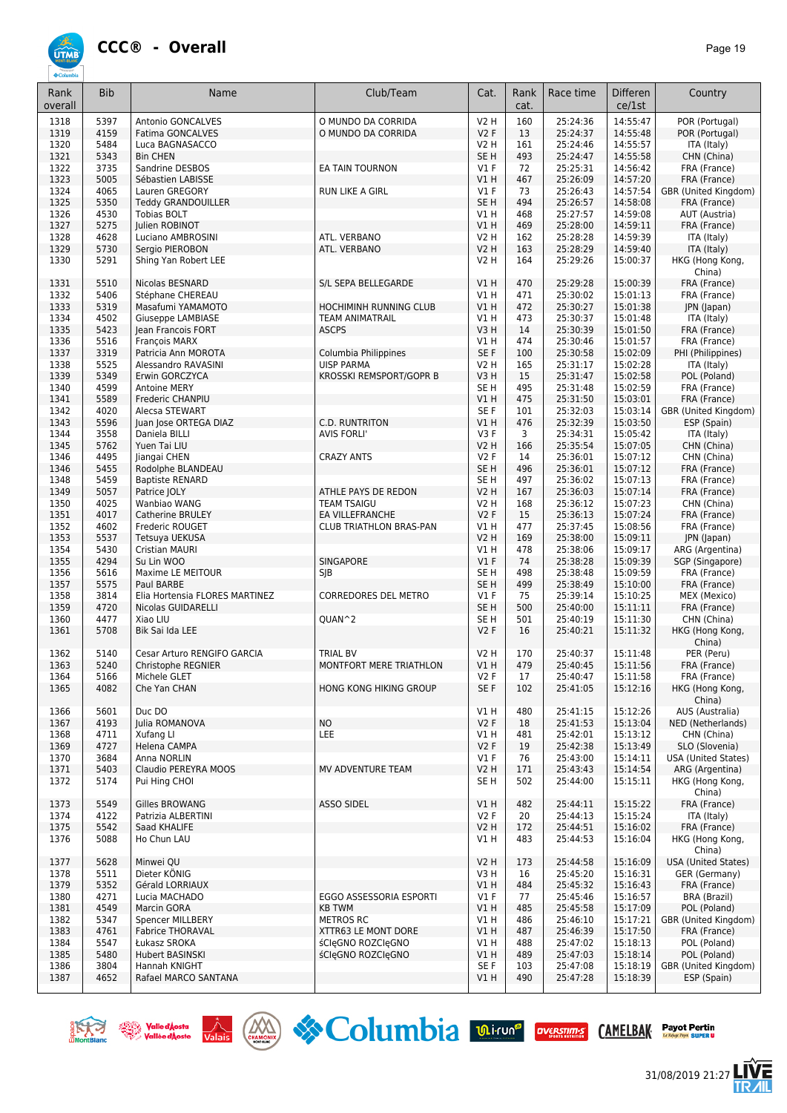

| Rank    | <b>Bib</b> | Name                                  | Club/Team                      | Cat.            | Rank | Race time | <b>Differen</b> | Country                    |
|---------|------------|---------------------------------------|--------------------------------|-----------------|------|-----------|-----------------|----------------------------|
| overall |            |                                       |                                |                 | cat. |           | ce/1st          |                            |
|         |            |                                       |                                |                 |      |           |                 |                            |
| 1318    | 5397       | <b>Antonio GONCALVES</b>              | O MUNDO DA CORRIDA             | <b>V2 H</b>     | 160  | 25:24:36  | 14:55:47        | POR (Portugal)             |
| 1319    | 4159       | Fatima GONCALVES                      | O MUNDO DA CORRIDA             | V2F             | 13   | 25:24:37  | 14:55:48        | POR (Portugal)             |
| 1320    | 5484       | Luca BAGNASACCO                       |                                | <b>V2 H</b>     | 161  | 25:24:46  | 14:55:57        | ITA (Italy)                |
| 1321    | 5343       | <b>Bin CHEN</b>                       |                                | SE <sub>H</sub> | 493  | 25:24:47  | 14:55:58        | CHN (China)                |
| 1322    | 3735       | Sandrine DESBOS                       | EA TAIN TOURNON                | $VI$ F          | 72   | 25:25:31  | 14:56:42        | FRA (France)               |
| 1323    | 5005       | Sébastien LABISSE                     |                                | VIH             | 467  | 25:26:09  | 14:57:20        | FRA (France)               |
| 1324    | 4065       | Lauren GREGORY                        | RUN LIKE A GIRL                | $VI$ F          | 73   | 25:26:43  | 14:57:54        | GBR (United Kingdom)       |
| 1325    | 5350       | <b>Teddy GRANDOUILLER</b>             |                                | SE <sub>H</sub> | 494  | 25:26:57  | 14:58:08        | FRA (France)               |
| 1326    | 4530       | <b>Tobias BOLT</b>                    |                                | V1H             | 468  | 25:27:57  | 14:59:08        | AUT (Austria)              |
| 1327    | 5275       | Julien ROBINOT                        |                                | V1H             | 469  | 25:28:00  | 14:59:11        | FRA (France)               |
| 1328    | 4628       | Luciano AMBROSINI                     | ATL. VERBANO                   | V2 H            | 162  | 25:28:28  | 14:59:39        | ITA (Italy)                |
| 1329    | 5730       | Sergio PIEROBON                       | ATL. VERBANO                   | <b>V2 H</b>     | 163  | 25:28:29  | 14:59:40        | ITA (Italy)                |
| 1330    | 5291       | Shing Yan Robert LEE                  |                                | <b>V2 H</b>     | 164  | 25:29:26  | 15:00:37        | HKG (Hong Kong,<br>China)  |
| 1331    | 5510       | Nicolas BESNARD                       | S/L SEPA BELLEGARDE            | V1H             | 470  | 25:29:28  | 15:00:39        | FRA (France)               |
| 1332    | 5406       | Stéphane CHEREAU                      |                                | V1 H            | 471  | 25:30:02  | 15:01:13        | FRA (France)               |
| 1333    | 5319       | Masafumi YAMAMOTO                     | HOCHIMINH RUNNING CLUB         | V1H             | 472  | 25:30:27  | 15:01:38        | JPN (Japan)                |
| 1334    | 4502       | Giuseppe LAMBIASE                     | <b>TEAM ANIMATRAIL</b>         | V1H             | 473  | 25:30:37  | 15:01:48        | ITA (Italy)                |
| 1335    | 5423       | Jean Francois FORT                    | <b>ASCPS</b>                   | V3H             | 14   | 25:30:39  | 15:01:50        | FRA (France)               |
| 1336    | 5516       | François MARX                         |                                | V1 H            | 474  | 25:30:46  | 15:01:57        | FRA (France)               |
| 1337    | 3319       | Patricia Ann MOROTA                   | Columbia Philippines           | SE F            | 100  | 25:30:58  | 15:02:09        | PHI (Philippines)          |
| 1338    | 5525       | Alessandro RAVASINI                   | <b>UISP PARMA</b>              | V2 H            | 165  | 25:31:17  | 15:02:28        | ITA (Italy)                |
| 1339    | 5349       |                                       | KROSSKI REMSPORT/GOPR B        | V3H             | 15   | 25:31:47  | 15:02:58        | POL (Poland)               |
|         |            | Erwin GORCZYCA<br><b>Antoine MERY</b> |                                |                 |      |           |                 |                            |
| 1340    | 4599       |                                       |                                | SE <sub>H</sub> | 495  | 25:31:48  | 15:02:59        | FRA (France)               |
| 1341    | 5589       | Frederic CHANPIU                      |                                | VIH             | 475  | 25:31:50  | 15:03:01        | FRA (France)               |
| 1342    | 4020       | Alecsa STEWART                        |                                | SE F            | 101  | 25:32:03  | 15:03:14        | GBR (United Kingdom)       |
| 1343    | 5596       | Juan Jose ORTEGA DIAZ                 | C.D. RUNTRITON                 | V1H             | 476  | 25:32:39  | 15:03:50        | ESP (Spain)                |
| 1344    | 3558       | Daniela BILLI                         | <b>AVIS FORLI'</b>             | V3F             | 3    | 25:34:31  | 15:05:42        | ITA (Italy)                |
| 1345    | 5762       | Yuen Tai LIU                          |                                | <b>V2 H</b>     | 166  | 25:35:54  | 15:07:05        | CHN (China)                |
| 1346    | 4495       | liangai CHEN                          | <b>CRAZY ANTS</b>              | V2F             | 14   | 25:36:01  | 15:07:12        | CHN (China)                |
| 1346    | 5455       | Rodolphe BLANDEAU                     |                                | SE <sub>H</sub> | 496  | 25:36:01  | 15:07:12        | FRA (France)               |
| 1348    | 5459       | <b>Baptiste RENARD</b>                |                                | SE H            | 497  | 25:36:02  | 15:07:13        | FRA (France)               |
| 1349    | 5057       | Patrice JOLY                          | ATHLE PAYS DE REDON            | <b>V2 H</b>     | 167  | 25:36:03  | 15:07:14        | FRA (France)               |
| 1350    | 4025       | Wanbiao WANG                          | <b>TEAM TSAIGU</b>             | <b>V2 H</b>     | 168  | 25:36:12  | 15:07:23        | CHN (China)                |
| 1351    | 4017       | <b>Catherine BRULEY</b>               | EA VILLEFRANCHE                | V2F             | 15   | 25:36:13  | 15:07:24        | FRA (France)               |
| 1352    | 4602       | Frederic ROUGET                       | <b>CLUB TRIATHLON BRAS-PAN</b> | V1H             | 477  | 25:37:45  | 15:08:56        | FRA (France)               |
| 1353    | 5537       | Tetsuya UEKUSA                        |                                | <b>V2 H</b>     | 169  | 25:38:00  | 15:09:11        | JPN (Japan)                |
| 1354    | 5430       | Cristian MAURI                        |                                | V1 H            | 478  | 25:38:06  | 15:09:17        | ARG (Argentina)            |
| 1355    | 4294       | Su Lin WOO                            | SINGAPORE                      | V1F             | 74   | 25:38:28  | 15:09:39        | SGP (Singapore)            |
| 1356    | 5616       | Maxime LE MEITOUR                     | SJB                            | SE <sub>H</sub> | 498  | 25:38:48  | 15:09:59        | FRA (France)               |
| 1357    | 5575       | Paul BARBE                            |                                | SE <sub>H</sub> | 499  | 25:38:49  | 15:10:00        | FRA (France)               |
| 1358    | 3814       | Elia Hortensia FLORES MARTINEZ        | CORREDORES DEL METRO           | $VI$ F          | 75   | 25:39:14  | 15:10:25        | MEX (Mexico)               |
| 1359    | 4720       | <b>Nicolas GUIDARELLI</b>             |                                | SE <sub>H</sub> | 500  | 25:40:00  | 15:11:11        | FRA (France)               |
| 1360    | 4477       | Xiao LIU                              | QUAN^2                         | SE H            | 501  | 25:40:19  | 15:11:30        | CHN (China)                |
| 1361    | 5708       | Bik Sai Ida LEE                       |                                | V2F             | 16   | 25:40:21  | 15:11:32        | HKG (Hong Kong,            |
|         |            |                                       |                                |                 |      |           |                 | China)                     |
| 1362    | 5140       | Cesar Arturo RENGIFO GARCIA           | <b>TRIAL BV</b>                | <b>V2 H</b>     | 170  | 25:40:37  | 15:11:48        | PER (Peru)                 |
| 1363    | 5240       | Christophe REGNIER                    | MONTFORT MERE TRIATHLON        | VIH             | 479  | 25:40:45  | 15:11:56        | FRA (France)               |
| 1364    | 5166       | Michele GLET                          |                                | V2F             | 17   | 25:40:47  | 15:11:58        | FRA (France)               |
| 1365    | 4082       | Che Yan CHAN                          | HONG KONG HIKING GROUP         | SE F            | 102  | 25:41:05  | 15:12:16        | HKG (Hong Kong,            |
|         |            |                                       |                                |                 |      |           |                 | China)                     |
| 1366    | 5601       | Duc DO                                |                                | V1H             | 480  | 25:41:15  | 15:12:26        | AUS (Australia)            |
| 1367    | 4193       | Julia ROMANOVA                        | <b>NO</b>                      | V2F             | 18   | 25:41:53  | 15:13:04        | NED (Netherlands)          |
| 1368    | 4711       | Xufang LI                             | LEE                            | V1 H            | 481  | 25:42:01  | 15:13:12        | CHN (China)                |
| 1369    | 4727       | Helena CAMPA                          |                                | V2F             | 19   | 25:42:38  | 15:13:49        | SLO (Slovenia)             |
| 1370    | 3684       | Anna NORLIN                           |                                | $VI$ F          | 76   | 25:43:00  | 15:14:11        | <b>USA (United States)</b> |
| 1371    | 5403       | Claudio PEREYRA MOOS                  | MV ADVENTURE TEAM              | <b>V2 H</b>     | 171  | 25:43:43  | 15:14:54        | ARG (Argentina)            |
| 1372    | 5174       | Pui Hing CHOI                         |                                | SE H            | 502  | 25:44:00  | 15:15:11        | HKG (Hong Kong,            |
|         |            |                                       |                                |                 |      |           |                 | China)                     |
| 1373    | 5549       | <b>Gilles BROWANG</b>                 | ASSO SIDEL                     | V1H             | 482  | 25:44:11  | 15:15:22        | FRA (France)               |
| 1374    | 4122       | Patrizia ALBERTINI                    |                                | V2F             | 20   | 25:44:13  | 15:15:24        | ITA (Italy)                |
| 1375    | 5542       | Saad KHALIFE                          |                                | <b>V2 H</b>     | 172  | 25:44:51  | 15:16:02        | FRA (France)               |
| 1376    | 5088       | Ho Chun LAU                           |                                | V1 H            | 483  | 25:44:53  | 15:16:04        | HKG (Hong Kong,            |
|         |            |                                       |                                |                 |      |           |                 | China)                     |
| 1377    | 5628       | Minwei QU                             |                                | <b>V2 H</b>     | 173  | 25:44:58  | 15:16:09        | <b>USA (United States)</b> |
| 1378    | 5511       | Dieter KÖNIG                          |                                | V3H             | 16   | 25:45:20  | 15:16:31        | GER (Germany)              |
| 1379    | 5352       | Gérald LORRIAUX                       |                                | V1 H            | 484  | 25:45:32  | 15:16:43        | FRA (France)               |
| 1380    | 4271       | Lucia MACHADO                         | EGGO ASSESSORIA ESPORTI        | $VI$ F          | 77   | 25:45:46  | 15:16:57        | <b>BRA (Brazil)</b>        |
| 1381    | 4549       | Marcin GORA                           | <b>KB TWM</b>                  | VIH             | 485  | 25:45:58  | 15:17:09        | POL (Poland)               |
| 1382    |            |                                       | <b>METROS RC</b>               |                 | 486  | 25:46:10  |                 |                            |
|         | 5347       | Spencer MILLBERY                      |                                | V1 H            |      |           | 15:17:21        | GBR (United Kingdom)       |
| 1383    | 4761       | <b>Fabrice THORAVAL</b>               | XTTR63 LE MONT DORE            | V1 H            | 487  | 25:46:39  | 15:17:50        | FRA (France)               |
| 1384    | 5547       | Łukasz SROKA                          | śClęGNO ROZClęGNO              | V1 H            | 488  | 25:47:02  | 15:18:13        | POL (Poland)               |
| 1385    | 5480       | Hubert BASINSKI                       | śClęGNO ROZClęGNO              | V1H             | 489  | 25:47:03  | 15:18:14        | POL (Poland)               |
| 1386    | 3804       | Hannah KNIGHT                         |                                | SE F            | 103  | 25:47:08  | 15:18:19        | GBR (United Kingdom)       |
| 1387    | 4652       | Rafael MARCO SANTANA                  |                                | V1H             | 490  | 25:47:28  | 15:18:39        | ESP (Spain)                |







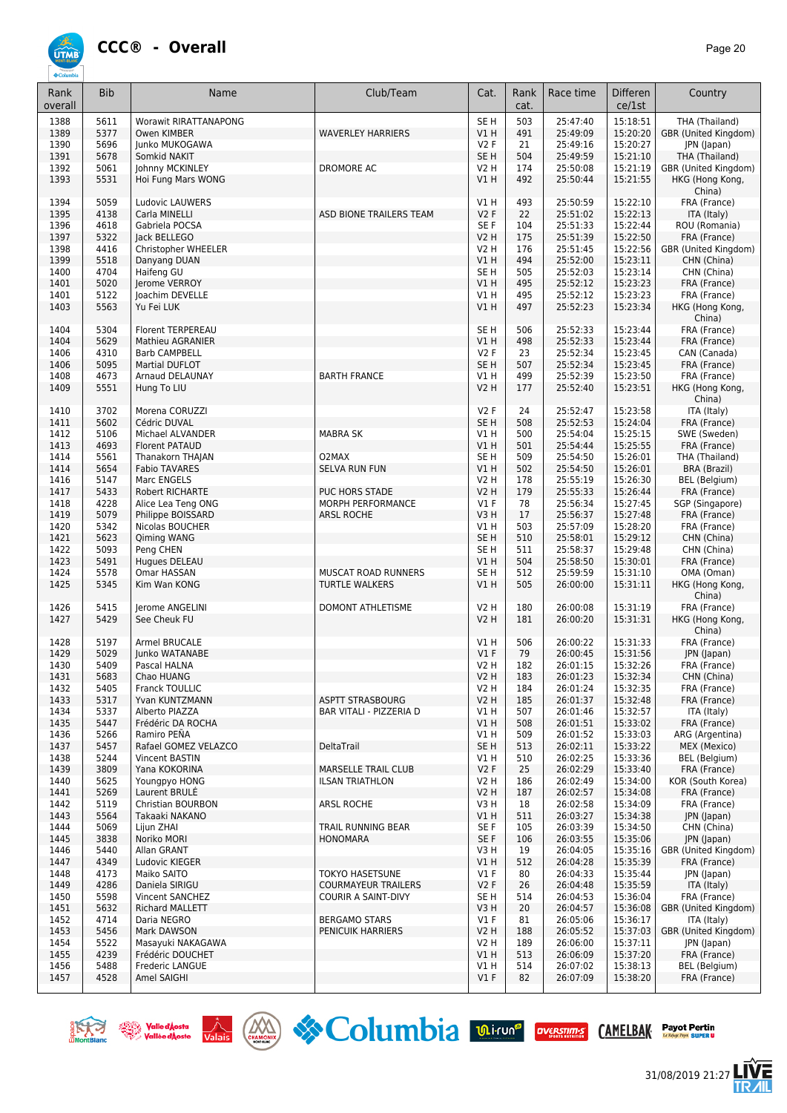

**ÚTME** 

| Rank<br>overall | <b>Bib</b>   | Name                                   | Club/Team                     | Cat.                       | Rank<br>cat. | Race time            | <b>Differen</b><br>ce/1st | Country                       |
|-----------------|--------------|----------------------------------------|-------------------------------|----------------------------|--------------|----------------------|---------------------------|-------------------------------|
| 1388            | 5611         | <b>Worawit RIRATTANAPONG</b>           |                               | SE <sub>H</sub>            | 503          | 25:47:40             | 15:18:51                  | THA (Thailand)                |
| 1389            | 5377         | Owen KIMBER                            | <b>WAVERLEY HARRIERS</b>      | V1H                        | 491          | 25:49:09             | 15:20:20                  | GBR (United Kingdom)          |
| 1390            | 5696         | Junko MUKOGAWA                         |                               | <b>V2F</b>                 | 21           | 25:49:16             | 15:20:27                  | JPN (Japan)                   |
| 1391            | 5678         | Somkid NAKIT                           |                               | SE <sub>H</sub>            | 504          | 25:49:59             | 15:21:10                  | THA (Thailand)                |
| 1392            | 5061         | Johnny MCKINLEY                        | DROMORE AC                    | <b>V2 H</b>                | 174          | 25:50:08             | 15:21:19                  | GBR (United Kingdom)          |
| 1393            | 5531         | Hoi Fung Mars WONG                     |                               | V1H                        | 492          | 25:50:44             | 15:21:55                  | HKG (Hong Kong,<br>China)     |
| 1394            | 5059         | Ludovic LAUWERS                        |                               | V1H                        | 493          | 25:50:59             | 15:22:10                  | FRA (France)                  |
| 1395            | 4138         | Carla MINELLI                          | ASD BIONE TRAILERS TEAM       | V2F                        | 22           | 25:51:02             | 15:22:13                  | ITA (Italy)                   |
| 1396            | 4618         | Gabriela POCSA                         |                               | SE <sub>F</sub>            | 104          | 25:51:33             | 15:22:44                  | ROU (Romania)                 |
| 1397            | 5322         | lack BELLEGO                           |                               | <b>V2 H</b>                | 175          | 25:51:39             | 15:22:50                  | FRA (France)                  |
| 1398            | 4416         | Christopher WHEELER                    |                               | <b>V2 H</b>                | 176          | 25:51:45             | 15:22:56                  | GBR (United Kingdom)          |
| 1399            | 5518         | Danyang DUAN                           |                               | V1H                        | 494          | 25:52:00             | 15:23:11                  | CHN (China)                   |
| 1400            | 4704         | Haifeng GU                             |                               | SE <sub>H</sub>            | 505          | 25:52:03             | 15:23:14                  | CHN (China)                   |
| 1401            | 5020         | Jerome VERROY                          |                               | VIH                        | 495          | 25:52:12             | 15:23:23                  | FRA (France)                  |
| 1401            | 5122<br>5563 | Joachim DEVELLE                        |                               | V1 H                       | 495<br>497   | 25:52:12<br>25:52:23 | 15:23:23                  | FRA (France)                  |
| 1403            |              | Yu Fei LUK                             |                               | <b>V1 H</b>                |              |                      | 15:23:34                  | HKG (Hong Kong,<br>China)     |
| 1404            | 5304         | Florent TERPEREAU                      |                               | SE <sub>H</sub>            | 506          | 25:52:33             | 15:23:44                  | FRA (France)                  |
| 1404            | 5629         | Mathieu AGRANIER                       |                               | V1H                        | 498          | 25:52:33             | 15:23:44                  | FRA (France)                  |
| 1406            | 4310<br>5095 | <b>Barb CAMPBELL</b>                   |                               | <b>V2F</b>                 | 23           | 25:52:34<br>25:52:34 | 15:23:45                  | CAN (Canada)                  |
| 1406            | 4673         | <b>Martial DUFLOT</b>                  |                               | SE <sub>H</sub>            | 507<br>499   | 25:52:39             | 15:23:45<br>15:23:50      | FRA (France)                  |
| 1408<br>1409    | 5551         | Arnaud DELAUNAY                        | <b>BARTH FRANCE</b>           | V1 H<br><b>V2 H</b>        | 177          | 25:52:40             | 15:23:51                  | FRA (France)                  |
|                 |              | Hung To LIU                            |                               |                            |              |                      |                           | HKG (Hong Kong,<br>China)     |
| 1410            | 3702         | Morena CORUZZI                         |                               | V2F                        | 24           | 25:52:47             | 15:23:58                  | ITA (Italy)                   |
| 1411            | 5602         | Cédric DUVAL                           |                               | SE <sub>H</sub>            | 508          | 25:52:53             | 15:24:04                  | FRA (France)                  |
| 1412            | 5106         | Michael ALVANDER                       | <b>MABRA SK</b>               | VIH                        | 500          | 25:54:04             | 15:25:15                  | SWE (Sweden)                  |
| 1413            | 4693         | <b>Florent PATAUD</b>                  |                               | V1H                        | 501          | 25:54:44             | 15:25:55                  | FRA (France)                  |
| 1414            | 5561<br>5654 | Thanakorn THAJAN                       | O2MAX<br><b>SELVA RUN FUN</b> | SE <sub>H</sub>            | 509<br>502   | 25:54:50<br>25:54:50 | 15:26:01<br>15:26:01      | THA (Thailand)                |
| 1414<br>1416    | 5147         | <b>Fabio TAVARES</b><br>Marc ENGELS    |                               | <b>V1 H</b><br><b>V2 H</b> | 178          | 25:55:19             | 15:26:30                  | BRA (Brazil)<br>BEL (Belgium) |
| 1417            | 5433         | Robert RICHARTE                        | PUC HORS STADE                | <b>V2 H</b>                | 179          | 25:55:33             | 15:26:44                  | FRA (France)                  |
| 1418            | 4228         | Alice Lea Teng ONG                     | MORPH PERFORMANCE             | $VI$ F                     | 78           | 25:56:34             | 15:27:45                  | SGP (Singapore)               |
| 1419            | 5079         | Philippe BOISSARD                      | <b>ARSL ROCHE</b>             | V3H                        | 17           | 25:56:37             | 15:27:48                  | FRA (France)                  |
| 1420            | 5342         | Nicolas BOUCHER                        |                               | V1H                        | 503          | 25:57:09             | 15:28:20                  | FRA (France)                  |
| 1421            | 5623         | Qiming WANG                            |                               | SE <sub>H</sub>            | 510          | 25:58:01             | 15:29:12                  | CHN (China)                   |
| 1422            | 5093         | Peng CHEN                              |                               | SE <sub>H</sub>            | 511          | 25:58:37             | 15:29:48                  | CHN (China)                   |
| 1423            | 5491         | Hugues DELEAU                          |                               | V1H                        | 504          | 25:58:50             | 15:30:01                  | FRA (France)                  |
| 1424            | 5578         | Omar HASSAN                            | MUSCAT ROAD RUNNERS           | SE H                       | 512          | 25:59:59             | 15:31:10                  | OMA (Oman)                    |
| 1425            | 5345         | Kim Wan KONG                           | <b>TURTLE WALKERS</b>         | <b>V1 H</b>                | 505          | 26:00:00             | 15:31:11                  | HKG (Hong Kong,<br>China)     |
| 1426            | 5415         | Jerome ANGELINI                        | <b>DOMONT ATHLETISME</b>      | <b>V2 H</b>                | 180          | 26:00:08             | 15:31:19                  | FRA (France)                  |
| 1427            | 5429         | See Cheuk FU                           |                               | <b>V2 H</b>                | 181          | 26:00:20             | 15:31:31                  | HKG (Hong Kong,               |
|                 |              |                                        |                               |                            |              | 26:00:22             |                           | China)<br>FRA (France)        |
| 1428<br>1429    | 5197<br>5029 | <b>Armel BRUCALE</b><br>Junko WATANABE |                               | V1 H<br>V1F                | 506<br>79    | 26:00:45             | 15:31:33<br>15:31:56      | JPN (Japan)                   |
| 1430            | 5409         | Pascal HALNA                           |                               | V <sub>2</sub> H           | 182          | 26:01:15             | 15:32:26                  | FRA (France)                  |
| 1431            | 5683         | Chao HUANG                             |                               | V <sub>2</sub> H           | 183          | 26:01:23             | 15:32:34                  | CHN (China)                   |
| 1432            | 5405         | Franck TOULLIC                         |                               | <b>V2 H</b>                | 184          | 26:01:24             | 15:32:35                  | FRA (France)                  |
| 1433            | 5317         | Yvan KUNTZMANN                         | <b>ASPTT STRASBOURG</b>       | <b>V2 H</b>                | 185          | 26:01:37             | 15:32:48                  | FRA (France)                  |
| 1434            | 5337         | Alberto PIAZZA                         | BAR VITALI - PIZZERIA D       | V1 H                       | 507          | 26:01:46             | 15:32:57                  | ITA (Italy)                   |
| 1435            | 5447         | Frédéric DA ROCHA                      |                               | V1H                        | 508          | 26:01:51             | 15:33:02                  | FRA (France)                  |
| 1436            | 5266         | Ramiro PEÑA                            |                               | VIH                        | 509          | 26:01:52             | 15:33:03                  | ARG (Argentina)               |
| 1437            | 5457         | Rafael GOMEZ VELAZCO                   | DeltaTrail                    | SE <sub>H</sub>            | 513          | 26:02:11             | 15:33:22                  | MEX (Mexico)                  |
| 1438            | 5244         | <b>Vincent BASTIN</b>                  |                               | V1H                        | 510          | 26:02:25             | 15:33:36                  | BEL (Belgium)                 |
| 1439            | 3809         | Yana KOKORINA                          | <b>MARSELLE TRAIL CLUB</b>    | V2F                        | 25           | 26:02:29             | 15:33:40                  | FRA (France)                  |
| 1440            | 5625         | Youngpyo HONG                          | <b>ILSAN TRIATHLON</b>        | V2 H                       | 186          | 26:02:49             | 15:34:00                  | KOR (South Korea)             |
| 1441            | 5269         | Laurent BRULE                          |                               | <b>V2 H</b>                | 187          | 26:02:57             | 15:34:08                  | FRA (France)                  |
| 1442            | 5119         | Christian BOURBON                      | ARSL ROCHE                    | V3H                        | 18           | 26:02:58             | 15:34:09                  | FRA (France)                  |
| 1443            | 5564         | Takaaki NAKANO                         |                               | VIH                        | 511          | 26:03:27             | 15:34:38                  | JPN (Japan)                   |
| 1444            | 5069         | Liiun ZHAI                             | TRAIL RUNNING BEAR            | SE F                       | 105          | 26:03:39             | 15:34:50                  | CHN (China)                   |
| 1445            | 3838         | Noriko MORI                            | <b>HONOMARA</b>               | SE F                       | 106          | 26:03:55             | 15:35:06                  | JPN (Japan)                   |
| 1446            | 5440         | Allan GRANT                            |                               | V3 H                       | 19           | 26:04:05             | 15:35:16                  | GBR (United Kingdom)          |
| 1447            | 4349         | Ludovic KIEGER                         |                               | V1 H                       | 512          | 26:04:28             | 15:35:39                  | FRA (France)                  |
| 1448            | 4173         | Maiko SAITO                            | <b>TOKYO HASETSUNE</b>        | $VI$ F                     | 80           | 26:04:33             | 15:35:44                  | JPN (Japan)                   |
| 1449            | 4286         | Daniela SIRIGU                         | <b>COURMAYEUR TRAILERS</b>    | V2F                        | 26           | 26:04:48             | 15:35:59                  | ITA (Italy)                   |
| 1450            | 5598         | Vincent SANCHEZ                        | COURIR A SAINT-DIVY           | SE H                       | 514          | 26:04:53             | 15:36:04                  | FRA (France)                  |
| 1451            | 5632         | Richard MALLETT                        |                               | V3H                        | 20           | 26:04:57             | 15:36:08                  | GBR (United Kingdom)          |
| 1452            | 4714         | Daria NEGRO                            | <b>BERGAMO STARS</b>          | $VI$ F                     | 81           | 26:05:06             | 15:36:17                  | ITA (Italy)                   |
| 1453            | 5456         | Mark DAWSON                            | PENICUIK HARRIERS             | <b>V2 H</b>                | 188<br>189   | 26:05:52             | 15:37:03<br>15:37:11      | GBR (United Kingdom)          |
| 1454<br>1455    | 5522<br>4239 | Masayuki NAKAGAWA<br>Frédéric DOUCHET  |                               | V2 H<br>V1H                | 513          | 26:06:00<br>26:06:09 | 15:37:20                  | JPN (Japan)<br>FRA (France)   |
| 1456            | 5488         | Frederic LANGUE                        |                               | VIH                        | 514          | 26:07:02             | 15:38:13                  | BEL (Belgium)                 |
| 1457            | 4528         | Amel SAIGHI                            |                               | $VI$ F                     | 82           | 26:07:09             | 15:38:20                  | FRA (France)                  |
|                 |              |                                        |                               |                            |              |                      |                           |                               |









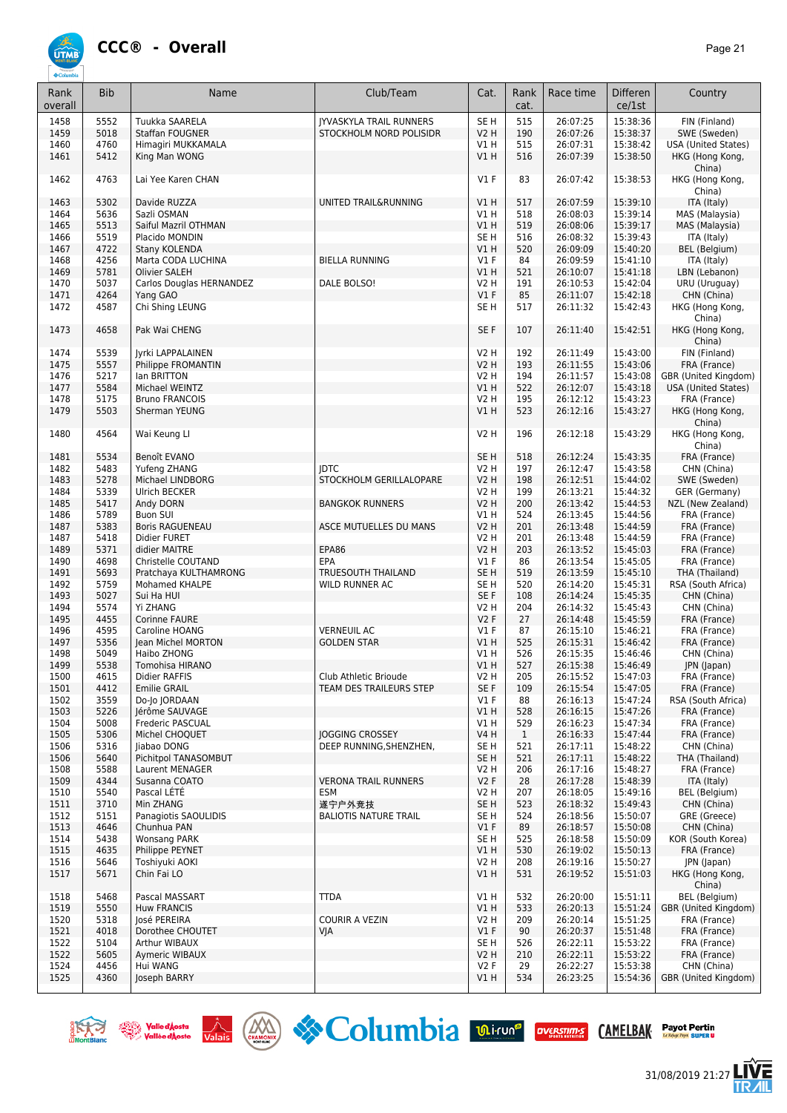## **CCC® - Overall** *Page 21*

**ÚTMB** 

| Rank<br>overall | <b>Bib</b> | Name                     | Club/Team                      | Cat.            | Rank<br>cat. | Race time | Differen<br>ce/1st | Country                    |
|-----------------|------------|--------------------------|--------------------------------|-----------------|--------------|-----------|--------------------|----------------------------|
| 1458            | 5552       | Tuukka SAARELA           | <b>JYVASKYLA TRAIL RUNNERS</b> | SE <sub>H</sub> | 515          | 26:07:25  | 15:38:36           | FIN (Finland)              |
| 1459            | 5018       | Staffan FOUGNER          | STOCKHOLM NORD POLISIDR        | V2 H            | 190          | 26:07:26  | 15:38:37           | SWE (Sweden)               |
| 1460            | 4760       | Himagiri MUKKAMALA       |                                | V1 H            | 515          | 26:07:31  | 15:38:42           | <b>USA (United States)</b> |
| 1461            | 5412       | King Man WONG            |                                | V1H             | 516          | 26:07:39  | 15:38:50           | HKG (Hong Kong,            |
| 1462            | 4763       | Lai Yee Karen CHAN       |                                | $VI$ F          | 83           | 26:07:42  | 15:38:53           | China)<br>HKG (Hong Kong,  |
|                 |            |                          |                                |                 |              |           |                    | China)                     |
| 1463            | 5302       | Davide RUZZA             | UNITED TRAIL&RUNNING           | V1 H            | 517          | 26:07:59  | 15:39:10           | ITA (Italy)                |
| 1464            | 5636       | Sazli OSMAN              |                                | V1 H            | 518          | 26:08:03  | 15:39:14           | MAS (Malaysia)             |
| 1465            | 5513       | Saiful Mazril OTHMAN     |                                | VIH             | 519          | 26:08:06  | 15:39:17           | MAS (Malaysia)             |
| 1466            | 5519       | Placido MONDIN           |                                | SE <sub>H</sub> | 516          | 26:08:32  | 15:39:43           | ITA (Italy)                |
| 1467            | 4722       | Stany KOLENDA            |                                | <b>V1 H</b>     | 520          | 26:09:09  | 15:40:20           | BEL (Belgium)              |
| 1468            | 4256       | Marta CODA LUCHINA       | <b>BIELLA RUNNING</b>          | $VI$ F          | 84           | 26:09:59  | 15:41:10           | ITA (Italy)                |
| 1469            | 5781       | Olivier SALEH            |                                | V1 H            | 521          | 26:10:07  | 15:41:18           | LBN (Lebanon)              |
| 1470            | 5037       | Carlos Douglas HERNANDEZ | DALE BOLSO!                    | V2 H            | 191          | 26:10:53  | 15:42:04           | URU (Uruguay)              |
| 1471            | 4264       | Yang GAO                 |                                | $VI$ F          | 85           | 26:11:07  | 15:42:18           | CHN (China)                |
| 1472            | 4587       | Chi Shing LEUNG          |                                | SE <sub>H</sub> | 517          | 26:11:32  | 15:42:43           | HKG (Hong Kong,            |
|                 |            |                          |                                |                 |              |           |                    | China)                     |
| 1473            | 4658       | Pak Wai CHENG            |                                | SE F            | 107          | 26:11:40  | 15:42:51           | HKG (Hong Kong,<br>China)  |
| 1474            | 5539       | Jyrki LAPPALAINEN        |                                | <b>V2 H</b>     | 192          | 26:11:49  | 15:43:00           | FIN (Finland)              |
| 1475            | 5557       | Philippe FROMANTIN       |                                | <b>V2 H</b>     | 193          | 26:11:55  | 15:43:06           | FRA (France)               |
| 1476            | 5217       | lan BRITTON              |                                | <b>V2 H</b>     | 194          | 26:11:57  | 15:43:08           | GBR (United Kingdom)       |
| 1477            | 5584       | Michael WEINTZ           |                                | VIH             | 522          | 26:12:07  | 15:43:18           | <b>USA (United States)</b> |
| 1478            | 5175       | <b>Bruno FRANCOIS</b>    |                                | <b>V2 H</b>     | 195          | 26:12:12  | 15:43:23           | FRA (France)               |
| 1479            | 5503       | Sherman YEUNG            |                                | V1 H            | 523          | 26:12:16  | 15:43:27           | HKG (Hong Kong,            |
|                 |            |                          |                                |                 |              |           |                    | China)                     |
| 1480            | 4564       | Wai Keung Ll             |                                | <b>V2 H</b>     | 196          | 26:12:18  | 15:43:29           | HKG (Hong Kong,<br>China)  |
| 1481            | 5534       | Benoît EVANO             |                                | SE <sub>H</sub> | 518          | 26:12:24  | 15:43:35           | FRA (France)               |
| 1482            | 5483       | Yufeng ZHANG             | <b>IDTC</b>                    | V2 H            | 197          | 26:12:47  | 15:43:58           | CHN (China)                |
| 1483            | 5278       | Michael LINDBORG         | STOCKHOLM GERILLALOPARE        | V2 H            | 198          | 26:12:51  | 15:44:02           | SWE (Sweden)               |
| 1484            | 5339       | <b>Ulrich BECKER</b>     |                                | V2 H            | 199          | 26:13:21  | 15:44:32           | GER (Germany)              |
| 1485            | 5417       | Andy DORN                | <b>BANGKOK RUNNERS</b>         | <b>V2 H</b>     | 200          | 26:13:42  | 15:44:53           | NZL (New Zealand)          |
| 1486            | 5789       | <b>Buon SUI</b>          |                                | V1 H            | 524          | 26:13:45  | 15:44:56           | FRA (France)               |
| 1487            | 5383       | <b>Boris RAGUENEAU</b>   | ASCE MUTUELLES DU MANS         | <b>V2 H</b>     | 201          | 26:13:48  | 15:44:59           | FRA (France)               |
| 1487            | 5418       | Didier FURET             |                                | V2 H            | 201          | 26:13:48  | 15:44:59           | FRA (France)               |
|                 | 5371       |                          | EPA86                          |                 |              | 26:13:52  | 15:45:03           |                            |
| 1489            |            | didier MAITRE            |                                | V2 H            | 203          |           |                    | FRA (France)               |
| 1490            | 4698       | Christelle COUTAND       | EPA                            | $VI$ F          | 86           | 26:13:54  | 15:45:05           | FRA (France)               |
| 1491            | 5693       | Pratchaya KULTHAMRONG    | <b>TRUESOUTH THAILAND</b>      | SE <sub>H</sub> | 519          | 26:13:59  | 15:45:10           | THA (Thailand)             |
| 1492            | 5759       | Mohamed KHALPE           | WILD RUNNER AC                 | SE <sub>H</sub> | 520          | 26:14:20  | 15:45:31           | RSA (South Africa)         |
| 1493            | 5027       | Sui Ha HUI               |                                | SE F            | 108          | 26:14:24  | 15:45:35           | CHN (China)                |
| 1494            | 5574       | Yi ZHANG                 |                                | V2 H            | 204          | 26:14:32  | 15:45:43           | CHN (China)                |
| 1495            | 4455       | Corinne FAURE            |                                | <b>V2F</b>      | 27           | 26:14:48  | 15:45:59           | FRA (France)               |
| 1496            | 4595       | Caroline HOANG           | <b>VERNEUIL AC</b>             | <b>V1 F</b>     | 87           | 26:15:10  | 15:46:21           | FRA (France)               |
| 1497            | 5356       | Jean Michel MORTON       | <b>GOLDEN STAR</b>             | V1 H            | 525          | 26:15:31  | 15:46:42           | FRA (France)               |
| 1498            | 5049       | Haibo ZHONG              |                                | VIH             | 526          | 26:15:35  | 15:46:46           | CHN (China)                |
| 1499            | 5538       | Tomohisa HIRANO          |                                | V1H             | 527          | 26:15:38  | 15:46:49           | JPN (Japan)                |
| 1500            | 4615       | Didier RAFFIS            | Club Athletic Brioude          | V2 H            | 205          | 26:15:52  | 15:47:03           | FRA (France)               |
| 1501            | 4412       | <b>Emilie GRAIL</b>      | TEAM DES TRAILEURS STEP        | SE F            | 109          | 26:15:54  | 15:47:05           | FRA (France)               |
|                 |            |                          |                                |                 |              |           |                    |                            |
| 1502            | 3559       | Do-Jo JORDAAN            |                                | <b>V1 F</b>     | 88           | 26:16:13  | 15:47:24           | RSA (South Africa)         |
| 1503            | 5226       | Jérôme SAUVAGE           |                                | V1 H            | 528          | 26:16:15  | 15:47:26           | FRA (France)               |
| 1504            | 5008       | Frederic PASCUAL         |                                | V1 H            | 529          | 26:16:23  | 15:47:34           | FRA (France)               |
| 1505            | 5306       | Michel CHOQUET           | <b>IOGGING CROSSEY</b>         | <b>V4 H</b>     | $\mathbf{1}$ | 26:16:33  | 15:47:44           | FRA (France)               |
| 1506            | 5316       | liabao DONG              | DEEP RUNNING, SHENZHEN,        | SE H            | 521          | 26:17:11  | 15:48:22           | CHN (China)                |
| 1506            | 5640       | Pichitpol TANASOMBUT     |                                | SE H            | 521          | 26:17:11  | 15:48:22           | THA (Thailand)             |
| 1508            | 5588       | Laurent MENAGER          |                                | V2 H            | 206          | 26:17:16  | 15:48:27           | FRA (France)               |
| 1509            | 4344       | Susanna COATO            | <b>VERONA TRAIL RUNNERS</b>    | V2F             | 28           | 26:17:28  | 15:48:39           | ITA (Italy)                |
| 1510            | 5540       | Pascal LETE              | <b>ESM</b>                     | V2 H            | 207          | 26:18:05  | 15:49:16           | BEL (Belgium)              |
| 1511            | 3710       | Min ZHANG                | 遂宁户外竞技                         | SE <sub>H</sub> | 523          | 26:18:32  | 15:49:43           | CHN (China)                |
| 1512            | 5151       | Panagiotis SAOULIDIS     | <b>BALIOTIS NATURE TRAIL</b>   | SE H            | 524          | 26:18:56  | 15:50:07           | GRE (Greece)               |
| 1513            | 4646       | Chunhua PAN              |                                | $VI$ F          | 89           | 26:18:57  | 15:50:08           | CHN (China)                |
| 1514            | 5438       | <b>Wonsang PARK</b>      |                                | SE H            | 525          | 26:18:58  | 15:50:09           | KOR (South Korea)          |
|                 |            |                          |                                |                 |              |           |                    |                            |
| 1515            | 4635       | Philippe PEYNET          |                                | V1 H            | 530          | 26:19:02  | 15:50:13           | FRA (France)               |
| 1516            | 5646       | Toshiyuki AOKI           |                                | V2 H            | 208          | 26:19:16  | 15:50:27           | JPN (Japan)                |
| 1517            | 5671       | Chin Fai LO              |                                | V1H             | 531          | 26:19:52  | 15:51:03           | HKG (Hong Kong,<br>China)  |
| 1518            | 5468       | Pascal MASSART           | <b>TTDA</b>                    | V1 H            | 532          | 26:20:00  | 15:51:11           | <b>BEL</b> (Belgium)       |
| 1519            | 5550       | <b>Huw FRANCIS</b>       |                                | V1 H            | 533          | 26:20:13  | 15:51:24           | GBR (United Kingdom)       |
| 1520            | 5318       | José PEREIRA             | <b>COURIR A VEZIN</b>          | V2 H            | 209          | 26:20:14  | 15:51:25           | FRA (France)               |
| 1521            | 4018       | Dorothee CHOUTET         | VJA                            | $VI$ F          | 90           | 26:20:37  | 15:51:48           | FRA (France)               |
| 1522            | 5104       | Arthur WIBAUX            |                                | SE H            | 526          | 26:22:11  | 15:53:22           | FRA (France)               |
| 1522            | 5605       | Aymeric WIBAUX           |                                | V2 H            | 210          | 26:22:11  | 15:53:22           | FRA (France)               |
| 1524            | 4456       | Hui WANG                 |                                | <b>V2F</b>      | 29           | 26:22:27  | 15:53:38           | CHN (China)                |
|                 |            |                          |                                |                 |              |           |                    |                            |
| 1525            | 4360       | Joseph BARRY             |                                | V1H             | 534          | 26:23:25  | 15:54:36           | GBR (United Kingdom)       |